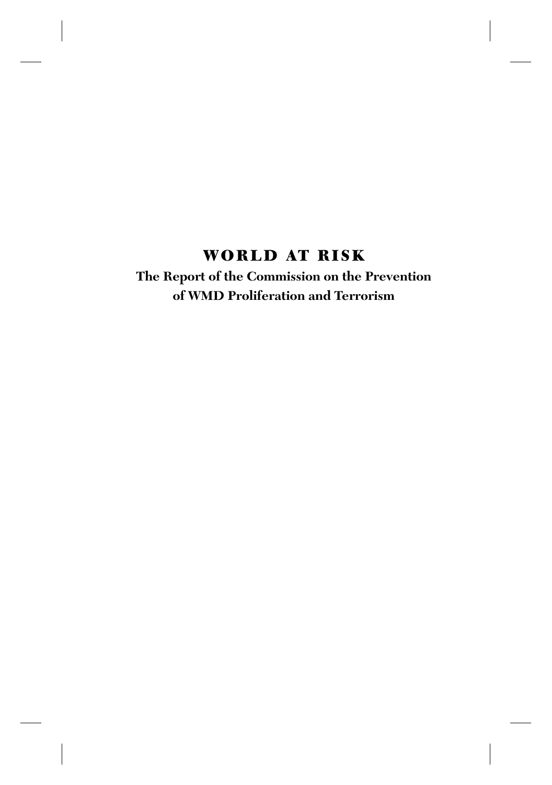# WORLD AT RISK

**The Report of the Commission on the Prevention of WMD Proliferation and Terrorism**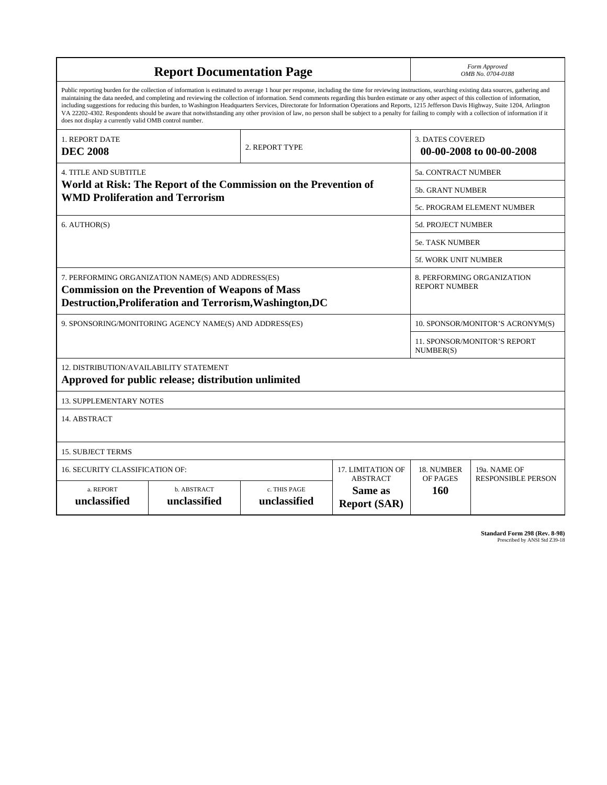| <b>Report Documentation Page</b>                                                                                                                                                                                                                                                                                                                                                                                                                                                                                                                                                                                                                                                                                                                                                                                                                                   |                             |                              |                                                   |                                   | Form Approved<br>OMB No. 0704-0188        |  |
|--------------------------------------------------------------------------------------------------------------------------------------------------------------------------------------------------------------------------------------------------------------------------------------------------------------------------------------------------------------------------------------------------------------------------------------------------------------------------------------------------------------------------------------------------------------------------------------------------------------------------------------------------------------------------------------------------------------------------------------------------------------------------------------------------------------------------------------------------------------------|-----------------------------|------------------------------|---------------------------------------------------|-----------------------------------|-------------------------------------------|--|
| Public reporting burden for the collection of information is estimated to average 1 hour per response, including the time for reviewing instructions, searching existing data sources, gathering and<br>maintaining the data needed, and completing and reviewing the collection of information. Send comments regarding this burden estimate or any other aspect of this collection of information,<br>including suggestions for reducing this burden, to Washington Headquarters Services, Directorate for Information Operations and Reports, 1215 Jefferson Davis Highway, Suite 1204, Arlington<br>VA 22202-4302. Respondents should be aware that notwithstanding any other provision of law, no person shall be subject to a penalty for failing to comply with a collection of information if it<br>does not display a currently valid OMB control number. |                             |                              |                                                   |                                   |                                           |  |
| <b>1. REPORT DATE</b><br><b>DEC 2008</b>                                                                                                                                                                                                                                                                                                                                                                                                                                                                                                                                                                                                                                                                                                                                                                                                                           |                             | 2. REPORT TYPE               |                                                   | <b>3. DATES COVERED</b>           | 00-00-2008 to 00-00-2008                  |  |
| <b>4. TITLE AND SUBTITLE</b>                                                                                                                                                                                                                                                                                                                                                                                                                                                                                                                                                                                                                                                                                                                                                                                                                                       |                             | 5a. CONTRACT NUMBER          |                                                   |                                   |                                           |  |
| World at Risk: The Report of the Commission on the Prevention of                                                                                                                                                                                                                                                                                                                                                                                                                                                                                                                                                                                                                                                                                                                                                                                                   |                             |                              |                                                   |                                   | 5b. GRANT NUMBER                          |  |
| <b>WMD Proliferation and Terrorism</b>                                                                                                                                                                                                                                                                                                                                                                                                                                                                                                                                                                                                                                                                                                                                                                                                                             |                             |                              |                                                   | <b>5c. PROGRAM ELEMENT NUMBER</b> |                                           |  |
| 6. AUTHOR(S)                                                                                                                                                                                                                                                                                                                                                                                                                                                                                                                                                                                                                                                                                                                                                                                                                                                       |                             |                              | 5d. PROJECT NUMBER                                |                                   |                                           |  |
|                                                                                                                                                                                                                                                                                                                                                                                                                                                                                                                                                                                                                                                                                                                                                                                                                                                                    |                             |                              |                                                   | <b>5e. TASK NUMBER</b>            |                                           |  |
|                                                                                                                                                                                                                                                                                                                                                                                                                                                                                                                                                                                                                                                                                                                                                                                                                                                                    |                             |                              |                                                   |                                   | 5f. WORK UNIT NUMBER                      |  |
| 7. PERFORMING ORGANIZATION NAME(S) AND ADDRESS(ES)<br><b>REPORT NUMBER</b><br><b>Commission on the Prevention of Weapons of Mass</b><br>Destruction, Proliferation and Terrorism, Washington, DC                                                                                                                                                                                                                                                                                                                                                                                                                                                                                                                                                                                                                                                                   |                             |                              |                                                   |                                   | 8. PERFORMING ORGANIZATION                |  |
| 9. SPONSORING/MONITORING AGENCY NAME(S) AND ADDRESS(ES)                                                                                                                                                                                                                                                                                                                                                                                                                                                                                                                                                                                                                                                                                                                                                                                                            |                             |                              |                                                   | 10. SPONSOR/MONITOR'S ACRONYM(S)  |                                           |  |
|                                                                                                                                                                                                                                                                                                                                                                                                                                                                                                                                                                                                                                                                                                                                                                                                                                                                    |                             |                              |                                                   |                                   | 11. SPONSOR/MONITOR'S REPORT<br>NUMBER(S) |  |
| 12. DISTRIBUTION/AVAILABILITY STATEMENT<br>Approved for public release; distribution unlimited                                                                                                                                                                                                                                                                                                                                                                                                                                                                                                                                                                                                                                                                                                                                                                     |                             |                              |                                                   |                                   |                                           |  |
| <b>13. SUPPLEMENTARY NOTES</b>                                                                                                                                                                                                                                                                                                                                                                                                                                                                                                                                                                                                                                                                                                                                                                                                                                     |                             |                              |                                                   |                                   |                                           |  |
| 14. ABSTRACT                                                                                                                                                                                                                                                                                                                                                                                                                                                                                                                                                                                                                                                                                                                                                                                                                                                       |                             |                              |                                                   |                                   |                                           |  |
| <b>15. SUBJECT TERMS</b>                                                                                                                                                                                                                                                                                                                                                                                                                                                                                                                                                                                                                                                                                                                                                                                                                                           |                             |                              |                                                   |                                   |                                           |  |
| 16. SECURITY CLASSIFICATION OF:                                                                                                                                                                                                                                                                                                                                                                                                                                                                                                                                                                                                                                                                                                                                                                                                                                    |                             |                              | 17. LIMITATION OF                                 | 18. NUMBER                        | 19a. NAME OF                              |  |
| a. REPORT<br>unclassified                                                                                                                                                                                                                                                                                                                                                                                                                                                                                                                                                                                                                                                                                                                                                                                                                                          | b. ABSTRACT<br>unclassified | c. THIS PAGE<br>unclassified | <b>ABSTRACT</b><br>Same as<br><b>Report (SAR)</b> | OF PAGES<br>160                   | <b>RESPONSIBLE PERSON</b>                 |  |

**Standard Form 298 (Rev. 8-98)**<br>Prescribed by ANSI Std Z39-18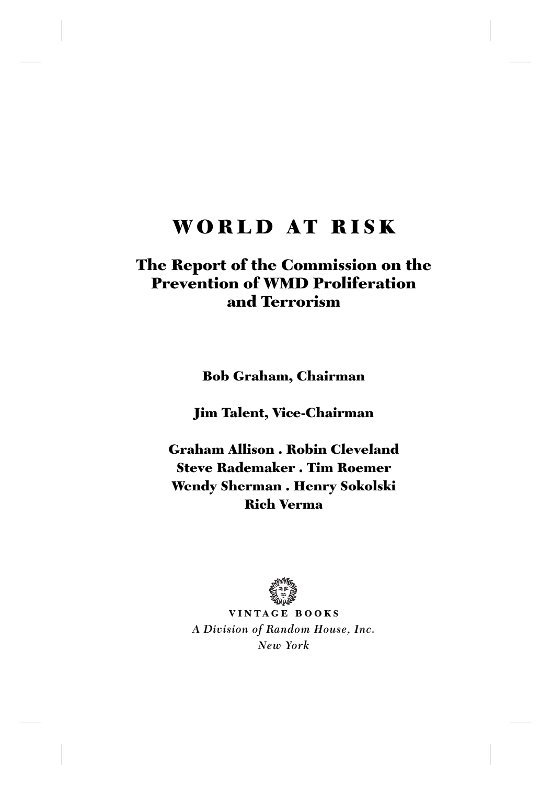# WORLD AT RISK

# The Report of the Commission on the Prevention of WMD Proliferation and Terrorism

Bob Graham, Chairman

Jim Talent, Vice-Chairman

Graham Allison . Robin Cleveland Steve Rademaker . Tim Roemer Wendy Sherman . Henry Sokolski Rich Verma



**vintage books** *A Division of Random House, Inc. New York*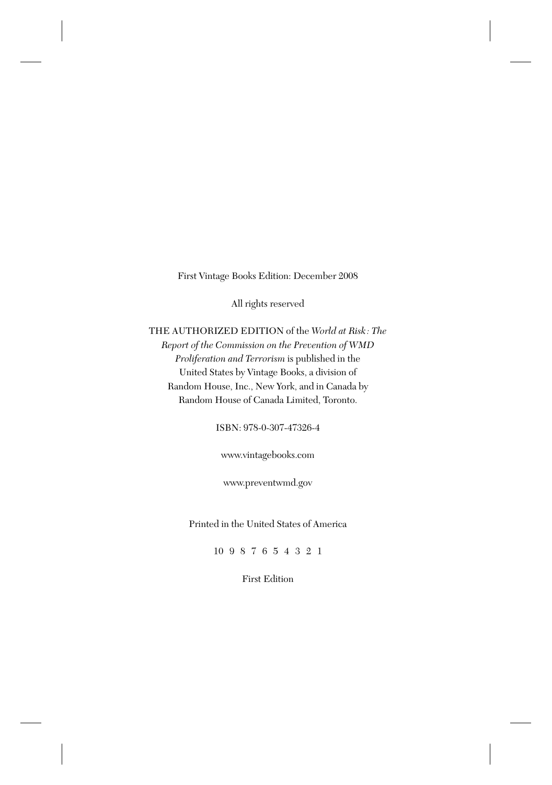First Vintage Books Edition: December 2008

All rights reserved

THE AUTHORIZED EDITION of the *World at Risk: The Report of the Commission on the Prevention of WMD Proliferation and Terrorism* is published in the United States by Vintage Books, a division of Random House, Inc., New York, and in Canada by Random House of Canada Limited, Toronto.

ISBN: 978-0-307-47326-4

www.vintagebooks.com

www.preventwmd.gov

Printed in the United States of America

10 9 8 7 6 5 4 3 2 1

First Edition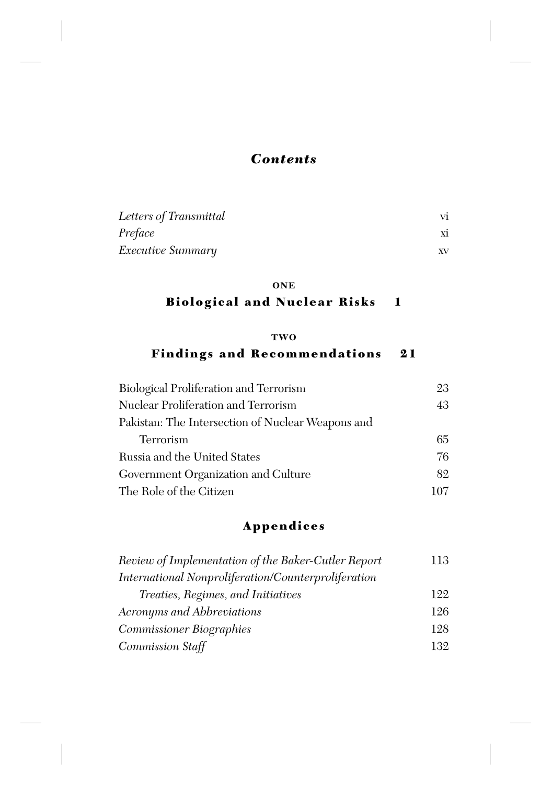# *Contents*

| Letters of Transmittal |  |
|------------------------|--|
| Preface                |  |
| Executive Summary      |  |

## **one**

# Biological and Nuclear Risks 1

# **two**

# Findings and Recommendations 21

| Biological Proliferation and Terrorism            | 23  |
|---------------------------------------------------|-----|
| Nuclear Proliferation and Terrorism               | 43  |
| Pakistan: The Intersection of Nuclear Weapons and |     |
| Terrorism                                         | 65  |
| Russia and the United States                      | 76  |
| Government Organization and Culture               | 82  |
| The Role of the Citizen                           | 107 |
|                                                   |     |

# Appendices

| Review of Implementation of the Baker-Cutler Report | 113 |
|-----------------------------------------------------|-----|
| International Nonproliferation/Counterproliferation |     |
| Treaties, Regimes, and Initiatives                  | 122 |
| Acronyms and Abbreviations                          | 126 |
| Commissioner Biographies                            | 128 |
| Commission Staff                                    | 132 |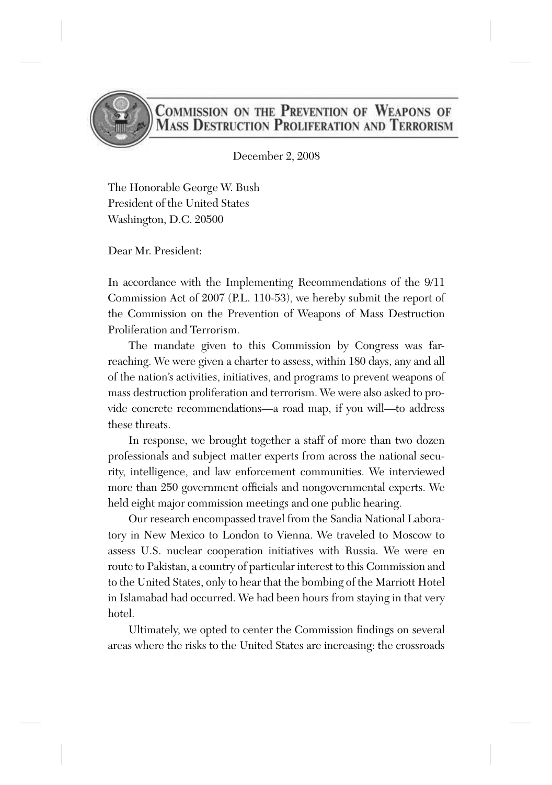

# **COMMISSION ON THE PREVENTION OF WEAPONS OF MASS DESTRUCTION PROLIFERATION AND TERRORISM**

# December 2, 2008

The Honorable George W. Bush President of the United States Washington, D.C. 20500

Dear Mr. President:

In accordance with the Implementing Recommendations of the 9/11 Commission Act of 2007 (P.L. 110-53), we hereby submit the report of the Commission on the Prevention of Weapons of Mass Destruction Proliferation and Terrorism.

The mandate given to this Commission by Congress was farreaching. We were given a charter to assess, within 180 days, any and all of the nation's activities, initiatives, and programs to prevent weapons of mass destruction proliferation and terrorism. We were also asked to provide concrete recommendations—a road map, if you will—to address these threats.

In response, we brought together a staff of more than two dozen professionals and subject matter experts from across the national security, intelligence, and law enforcement communities. We interviewed more than 250 government officials and nongovernmental experts. We held eight major commission meetings and one public hearing.

Our research encompassed travel from the Sandia National Laboratory in New Mexico to London to Vienna. We traveled to Moscow to assess U.S. nuclear cooperation initiatives with Russia. We were en route to Pakistan, a country of particular interest to this Commission and to the United States, only to hear that the bombing of the Marriott Hotel in Islamabad had occurred. We had been hours from staying in that very hotel.

Ultimately, we opted to center the Commission findings on several areas where the risks to the United States are increasing: the crossroads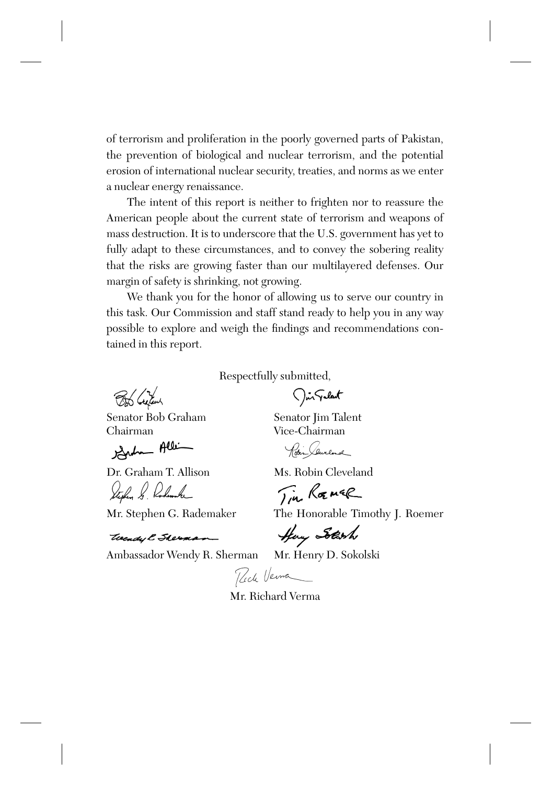of terrorism and proliferation in the poorly governed parts of Pakistan, the prevention of biological and nuclear terrorism, and the potential erosion of international nuclear security, treaties, and norms as we enter a nuclear energy renaissance.

The intent of this report is neither to frighten nor to reassure the American people about the current state of terrorism and weapons of mass destruction. It is to underscore that the U.S. government has yet to fully adapt to these circumstances, and to convey the sobering reality that the risks are growing faster than our multilayered defenses. Our margin of safety is shrinking, not growing.

We thank you for the honor of allowing us to serve our country in this task. Our Commission and staff stand ready to help you in any way possible to explore and weigh the findings and recommendations contained in this report.

Respectfully submitted,

Both Cretain

Senator Bob Graham Senator Jim Talent

Chairman Vice-Chairman<br>Racham Alling Point Chairman

Dr. Graham T. Allison Ms. Robin Cleveland Justin J. Robenske

Teady & Sherman

Ambassador Wendy R. Sherman Mr. Henry D. Sokolski

Jin Folast

Robin Ceurland

Tim Roznak

Mr. Stephen G. Rademaker The Honorable Timothy J. Roemer

Hay Solash

Rich Verma

Mr. Richard Verma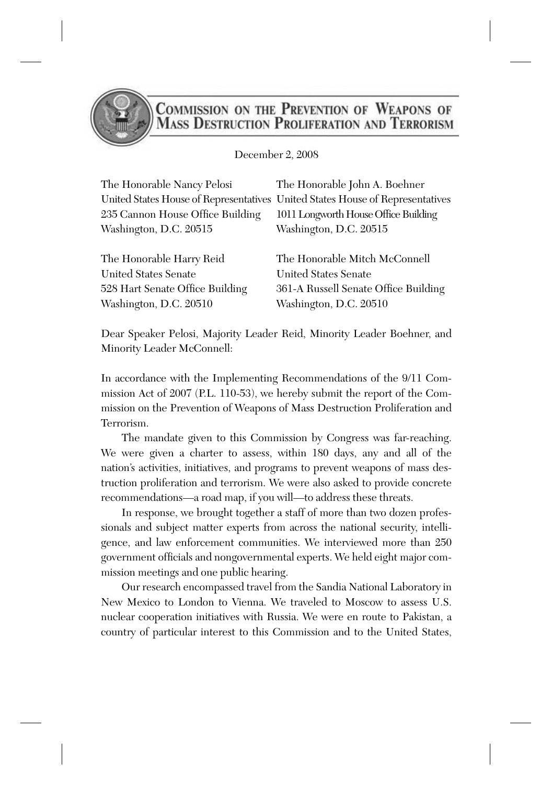

# **COMMISSION ON THE PREVENTION OF WEAPONS OF MASS DESTRUCTION PROLIFERATION AND TERRORISM**

December 2, 2008

| The Honorable Nancy Pelosi       | The Honorable John A. Boehner                                                 |
|----------------------------------|-------------------------------------------------------------------------------|
|                                  | United States House of Representatives United States House of Representatives |
| 235 Cannon House Office Building | 1011 Longworth House Office Building                                          |
| Washington, D.C. 20515           | Washington, D.C. 20515                                                        |
|                                  |                                                                               |
| The Honorable Harry Reid         | The Honorable Mitch McConnell                                                 |
| United States Senate             | United States Senate                                                          |
| 528 Hart Senate Office Building  | 361-A Russell Senate Office Building                                          |
| Washington, D.C. 20510           | Washington, D.C. 20510                                                        |
|                                  |                                                                               |

Dear Speaker Pelosi, Majority Leader Reid, Minority Leader Boehner, and Minority Leader McConnell:

In accordance with the Implementing Recommendations of the 9/11 Commission Act of 2007 (P.L. 110-53), we hereby submit the report of the Commission on the Prevention of Weapons of Mass Destruction Proliferation and Terrorism.

The mandate given to this Commission by Congress was far-reaching. We were given a charter to assess, within 180 days, any and all of the nation's activities, initiatives, and programs to prevent weapons of mass destruction proliferation and terrorism. We were also asked to provide concrete recommendations—a road map, if you will—to address these threats.

In response, we brought together a staff of more than two dozen professionals and subject matter experts from across the national security, intelligence, and law enforcement communities. We interviewed more than 250 government officials and nongovernmental experts. We held eight major commission meetings and one public hearing.

Our research encompassed travel from the Sandia National Laboratory in New Mexico to London to Vienna. We traveled to Moscow to assess U.S. nuclear cooperation initiatives with Russia. We were en route to Pakistan, a country of particular interest to this Commission and to the United States,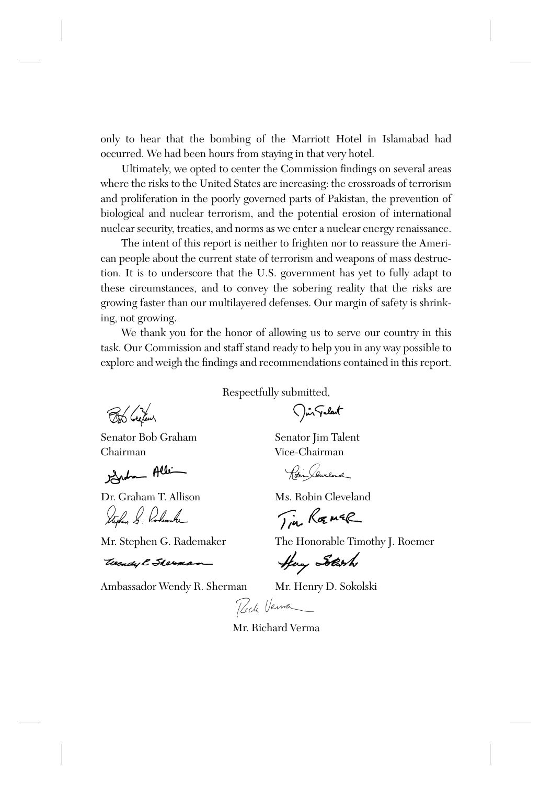only to hear that the bombing of the Marriott Hotel in Islamabad had occurred. We had been hours from staying in that very hotel.

Ultimately, we opted to center the Commission findings on several areas where the risks to the United States are increasing: the crossroads of terrorism and proliferation in the poorly governed parts of Pakistan, the prevention of biological and nuclear terrorism, and the potential erosion of international nuclear security, treaties, and norms as we enter a nuclear energy renaissance.

The intent of this report is neither to frighten nor to reassure the American people about the current state of terrorism and weapons of mass destruction. It is to underscore that the U.S. government has yet to fully adapt to these circumstances, and to convey the sobering reality that the risks are growing faster than our multilayered defenses. Our margin of safety is shrinking, not growing.

We thank you for the honor of allowing us to serve our country in this task. Our Commission and staff stand ready to help you in any way possible to explore and weigh the findings and recommendations contained in this report.

Both Creature

Senator Bob Graham Senator Jim Talent Chairman Vice-Chairman

Jackson Alli

Dr. Graham T. Allison Ms. Robin Cleveland Stephen & Rodenber

Tuendy & Sherman

Ambassador Wendy R. Sherman Mr. Henry D. Sokolski

Respectfully submitted,

Jun Golant

Robin Ceurlond

Tim Roznak

Mr. Stephen G. Rademaker The Honorable Timothy J. Roemer

Hay Solash

Rech Verma

Mr. Richard Verma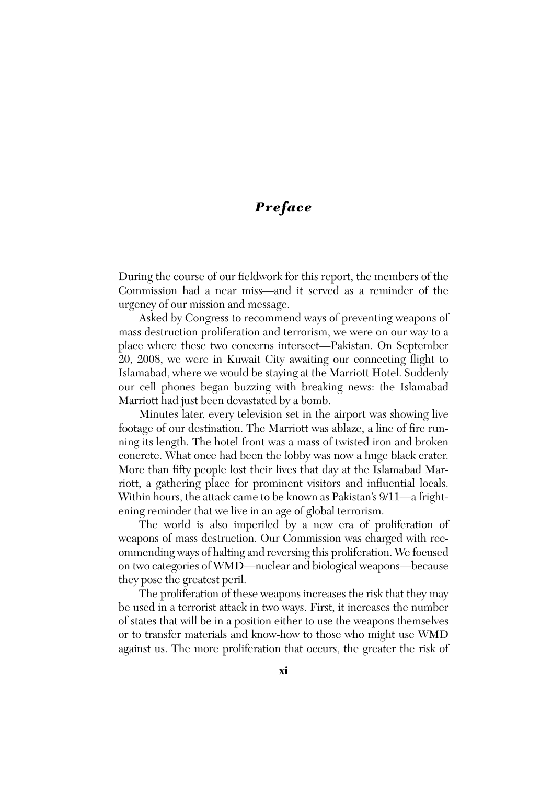# *Preface*

During the course of our fieldwork for this report, the members of the Commission had a near miss—and it served as a reminder of the urgency of our mission and message.

Asked by Congress to recommend ways of preventing weapons of mass destruction proliferation and terrorism, we were on our way to a place where these two concerns intersect—Pakistan. On September 20, 2008, we were in Kuwait City awaiting our connecting flight to Islamabad, where we would be staying at the Marriott Hotel. Suddenly our cell phones began buzzing with breaking news: the Islamabad Marriott had just been devastated by a bomb.

Minutes later, every television set in the airport was showing live footage of our destination. The Marriott was ablaze, a line of fire running its length. The hotel front was a mass of twisted iron and broken concrete. What once had been the lobby was now a huge black crater. More than fifty people lost their lives that day at the Islamabad Marriott, a gathering place for prominent visitors and influential locals. Within hours, the attack came to be known as Pakistan's 9/11—a frightening reminder that we live in an age of global terrorism.

The world is also imperiled by a new era of proliferation of weapons of mass destruction. Our Commission was charged with recommending ways of halting and reversing this proliferation. We focused on two categories of WMD—nuclear and biological weapons—because they pose the greatest peril.

The proliferation of these weapons increases the risk that they may be used in a terrorist attack in two ways. First, it increases the number of states that will be in a position either to use the weapons themselves or to transfer materials and know-how to those who might use WMD against us. The more proliferation that occurs, the greater the risk of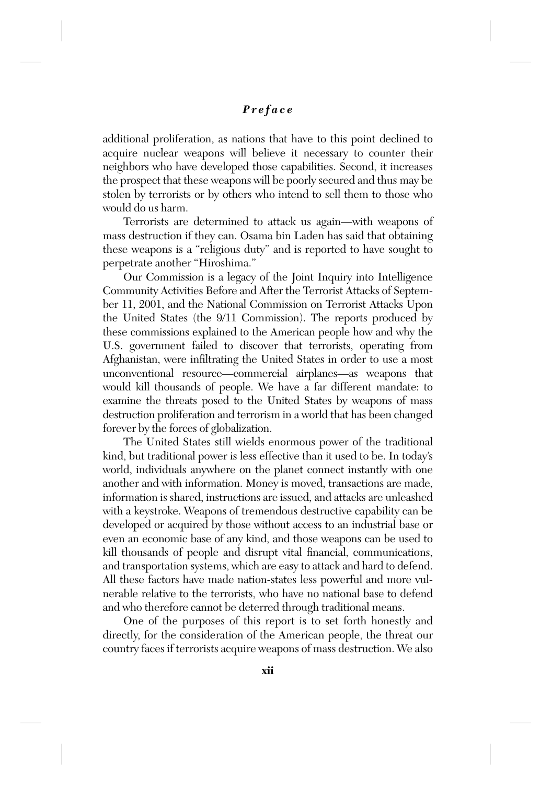## *Preface*

additional proliferation, as nations that have to this point declined to acquire nuclear weapons will believe it necessary to counter their neighbors who have developed those capabilities. Second, it increases the prospect that these weapons will be poorly secured and thus may be stolen by terrorists or by others who intend to sell them to those who would do us harm.

Terrorists are determined to attack us again—with weapons of mass destruction if they can. Osama bin Laden has said that obtaining these weapons is a "religious duty" and is reported to have sought to perpetrate another "Hiroshima."

Our Commission is a legacy of the Joint Inquiry into Intelligence Community Activities Before and After the Terrorist Attacks of September 11, 2001, and the National Commission on Terrorist Attacks Upon the United States (the 9/11 Commission). The reports produced by these commissions explained to the American people how and why the U.S. government failed to discover that terrorists, operating from Afghanistan, were infiltrating the United States in order to use a most unconventional resource—commercial airplanes—as weapons that would kill thousands of people. We have a far different mandate: to examine the threats posed to the United States by weapons of mass destruction proliferation and terrorism in a world that has been changed forever by the forces of globalization.

The United States still wields enormous power of the traditional kind, but traditional power is less effective than it used to be. In today's world, individuals anywhere on the planet connect instantly with one another and with information. Money is moved, transactions are made, information is shared, instructions are issued, and attacks are unleashed with a keystroke. Weapons of tremendous destructive capability can be developed or acquired by those without access to an industrial base or even an economic base of any kind, and those weapons can be used to kill thousands of people and disrupt vital financial, communications, and transportation systems, which are easy to attack and hard to defend. All these factors have made nation-states less powerful and more vulnerable relative to the terrorists, who have no national base to defend and who therefore cannot be deterred through traditional means.

One of the purposes of this report is to set forth honestly and directly, for the consideration of the American people, the threat our country faces if terrorists acquire weapons of mass destruction. We also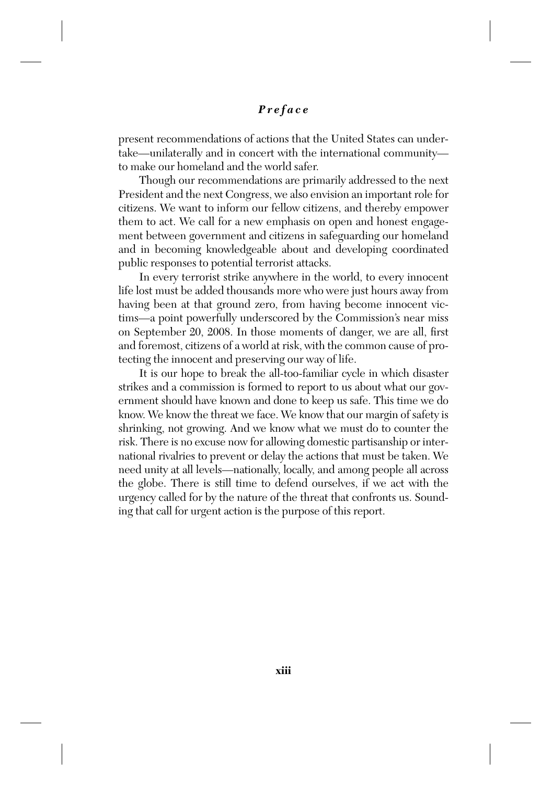# *Preface*

present recommendations of actions that the United States can undertake—unilaterally and in concert with the international community to make our homeland and the world safer.

Though our recommendations are primarily addressed to the next President and the next Congress, we also envision an important role for citizens. We want to inform our fellow citizens, and thereby empower them to act. We call for a new emphasis on open and honest engagement between government and citizens in safeguarding our homeland and in becoming knowledgeable about and developing coordinated public responses to potential terrorist attacks.

In every terrorist strike anywhere in the world, to every innocent life lost must be added thousands more who were just hours away from having been at that ground zero, from having become innocent victims—a point powerfully underscored by the Commission's near miss on September 20, 2008. In those moments of danger, we are all, first and foremost, citizens of a world at risk, with the common cause of protecting the innocent and preserving our way of life.

It is our hope to break the all-too-familiar cycle in which disaster strikes and a commission is formed to report to us about what our government should have known and done to keep us safe. This time we do know. We know the threat we face. We know that our margin of safety is shrinking, not growing. And we know what we must do to counter the risk. There is no excuse now for allowing domestic partisanship or international rivalries to prevent or delay the actions that must be taken. We need unity at all levels—nationally, locally, and among people all across the globe. There is still time to defend ourselves, if we act with the urgency called for by the nature of the threat that confronts us. Sounding that call for urgent action is the purpose of this report.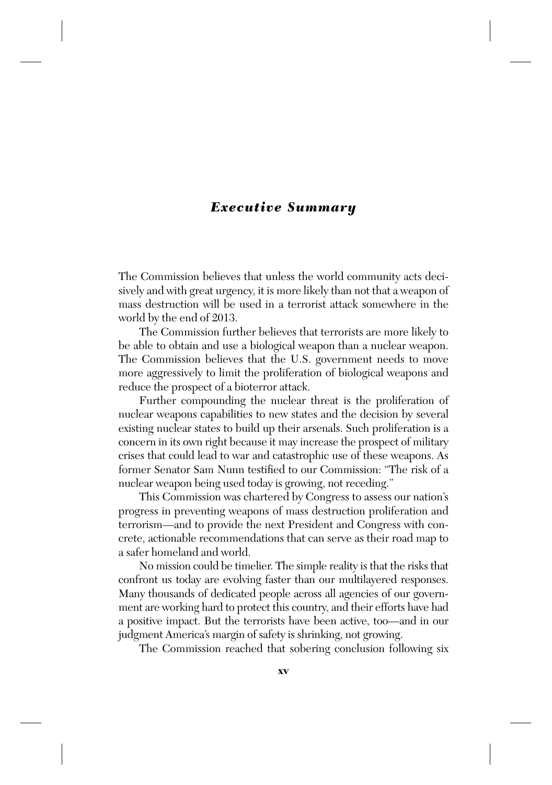# *Executive Summary*

The Commission believes that unless the world community acts decisively and with great urgency, it is more likely than not that a weapon of mass destruction will be used in a terrorist attack somewhere in the world by the end of 2013.

The Commission further believes that terrorists are more likely to be able to obtain and use a biological weapon than a nuclear weapon. The Commission believes that the U.S. government needs to move more aggressively to limit the proliferation of biological weapons and reduce the prospect of a bioterror attack.

Further compounding the nuclear threat is the proliferation of nuclear weapons capabilities to new states and the decision by several existing nuclear states to build up their arsenals. Such proliferation is a concern in its own right because it may increase the prospect of military crises that could lead to war and catastrophic use of these weapons. As former Senator Sam Nunn testified to our Commission: "The risk of a nuclear weapon being used today is growing, not receding."

This Commission was chartered by Congress to assess our nation's progress in preventing weapons of mass destruction proliferation and terrorism—and to provide the next President and Congress with concrete, actionable recommendations that can serve as their road map to a safer homeland and world.

No mission could be timelier. The simple reality is that the risks that confront us today are evolving faster than our multilayered responses. Many thousands of dedicated people across all agencies of our government are working hard to protect this country, and their efforts have had a positive impact. But the terrorists have been active, too—and in our judgment America's margin of safety is shrinking, not growing.

The Commission reached that sobering conclusion following six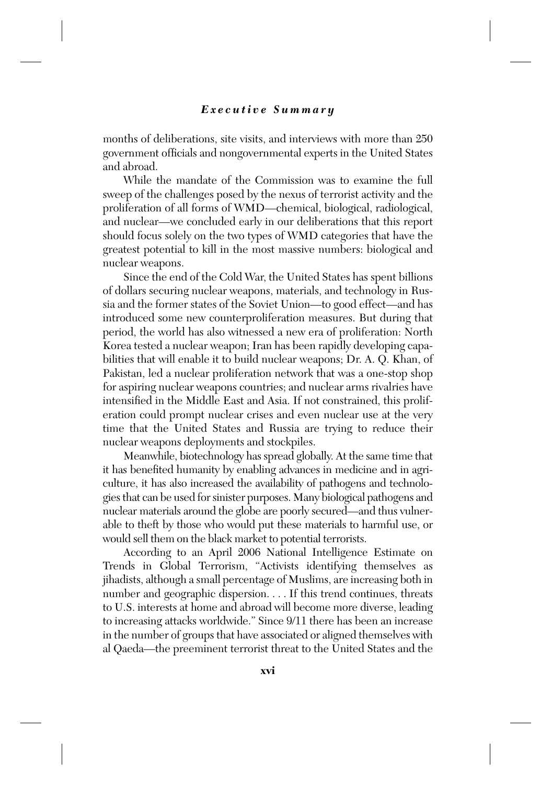months of deliberations, site visits, and interviews with more than 250 government officials and nongovernmental experts in the United States and abroad.

While the mandate of the Commission was to examine the full sweep of the challenges posed by the nexus of terrorist activity and the proliferation of all forms of WMD—chemical, biological, radiological, and nuclear—we concluded early in our deliberations that this report should focus solely on the two types of WMD categories that have the greatest potential to kill in the most massive numbers: biological and nuclear weapons.

Since the end of the Cold War, the United States has spent billions of dollars securing nuclear weapons, materials, and technology in Russia and the former states of the Soviet Union—to good effect—and has introduced some new counterproliferation measures. But during that period, the world has also witnessed a new era of proliferation: North Korea tested a nuclear weapon; Iran has been rapidly developing capabilities that will enable it to build nuclear weapons; Dr. A. Q. Khan, of Pakistan, led a nuclear proliferation network that was a one-stop shop for aspiring nuclear weapons countries; and nuclear arms rivalries have intensified in the Middle East and Asia. If not constrained, this proliferation could prompt nuclear crises and even nuclear use at the very time that the United States and Russia are trying to reduce their nuclear weapons deployments and stockpiles.

Meanwhile, biotechnology has spread globally. At the same time that it has benefited humanity by enabling advances in medicine and in agriculture, it has also increased the availability of pathogens and technologies that can be used for sinister purposes. Many biological pathogens and nuclear materials around the globe are poorly secured—and thus vulnerable to theft by those who would put these materials to harmful use, or would sell them on the black market to potential terrorists.

According to an April 2006 National Intelligence Estimate on Trends in Global Terrorism, "Activists identifying themselves as jihadists, although a small percentage of Muslims, are increasing both in number and geographic dispersion. . . . If this trend continues, threats to U.S. interests at home and abroad will become more diverse, leading to increasing attacks worldwide." Since 9/11 there has been an increase in the number of groups that have associated or aligned themselves with al Qaeda—the preeminent terrorist threat to the United States and the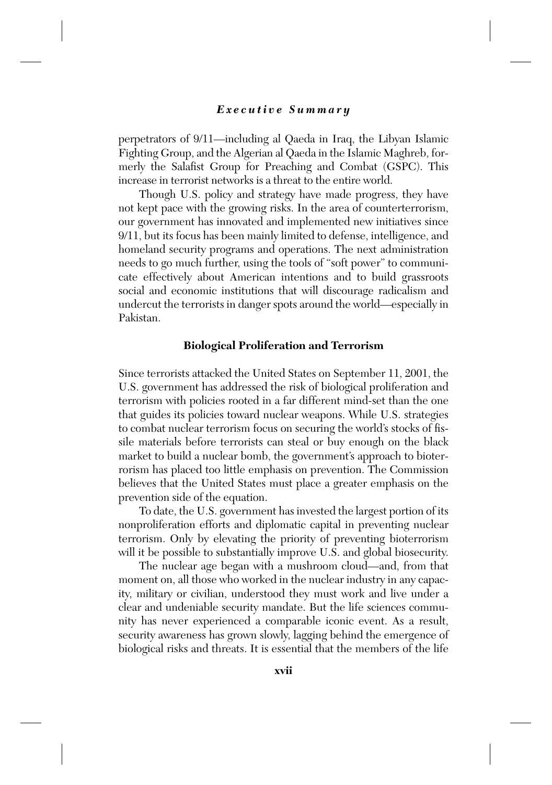perpetrators of 9/11—including al Qaeda in Iraq, the Libyan Islamic Fighting Group, and the Algerian al Qaeda in the Islamic Maghreb, formerly the Salafist Group for Preaching and Combat (GSPC). This increase in terrorist networks is a threat to the entire world.

Though U.S. policy and strategy have made progress, they have not kept pace with the growing risks. In the area of counterterrorism, our government has innovated and implemented new initiatives since 9/11, but its focus has been mainly limited to defense, intelligence, and homeland security programs and operations. The next administration needs to go much further, using the tools of "soft power" to communicate effectively about American intentions and to build grassroots social and economic institutions that will discourage radicalism and undercut the terrorists in danger spots around the world—especially in Pakistan.

#### **Biological Proliferation and Terrorism**

Since terrorists attacked the United States on September 11, 2001, the U.S. government has addressed the risk of biological proliferation and terrorism with policies rooted in a far different mind-set than the one that guides its policies toward nuclear weapons. While U.S. strategies to combat nuclear terrorism focus on securing the world's stocks of fissile materials before terrorists can steal or buy enough on the black market to build a nuclear bomb, the government's approach to bioterrorism has placed too little emphasis on prevention. The Commission believes that the United States must place a greater emphasis on the prevention side of the equation.

To date, the U.S. government has invested the largest portion of its nonproliferation efforts and diplomatic capital in preventing nuclear terrorism. Only by elevating the priority of preventing bioterrorism will it be possible to substantially improve U.S. and global biosecurity.

The nuclear age began with a mushroom cloud—and, from that moment on, all those who worked in the nuclear industry in any capacity, military or civilian, understood they must work and live under a clear and undeniable security mandate. But the life sciences community has never experienced a comparable iconic event. As a result, security awareness has grown slowly, lagging behind the emergence of biological risks and threats. It is essential that the members of the life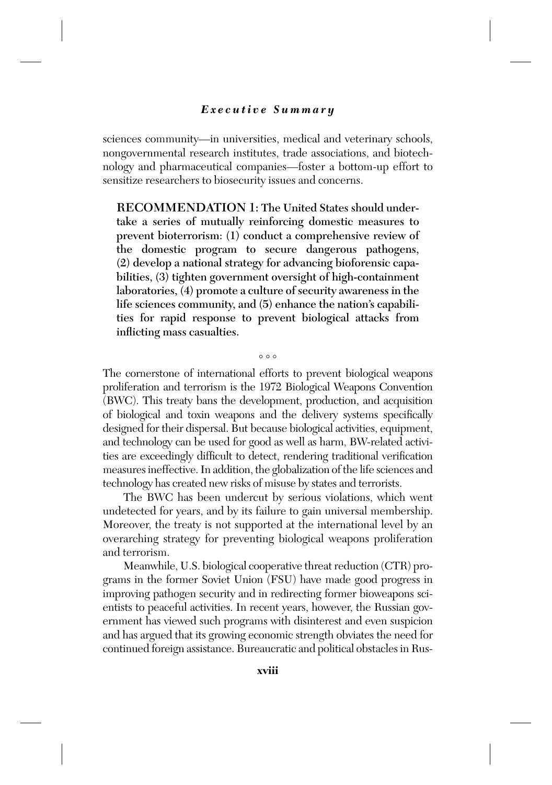#### *Executive Summary*

sciences community—in universities, medical and veterinary schools, nongovernmental research institutes, trade associations, and biotechnology and pharmaceutical companies—foster a bottom-up effort to sensitize researchers to biosecurity issues and concerns.

**RECOMMENDATION 1: The United States should undertake a series of mutually reinforcing domestic measures to prevent bioterrorism: (1) conduct a comprehensive review of the domestic program to secure dangerous pathogens, (2) develop a national strategy for advancing bioforensic capabilities, (3) tighten government oversight of high-containment laboratories, (4) promote a culture of security awareness in the life sciences community, and (5) enhance the nation's capabilities for rapid response to prevent biological attacks from inflicting mass casualties.**

The cornerstone of international efforts to prevent biological weapons proliferation and terrorism is the 1972 Biological Weapons Convention (BWC). This treaty bans the development, production, and acquisition of biological and toxin weapons and the delivery systems specifically designed for their dispersal. But because biological activities, equipment, and technology can be used for good as well as harm, BW-related activities are exceedingly difficult to detect, rendering traditional verification measures ineffective. In addition, the globalization of the life sciences and technology has created new risks of misuse by states and terrorists.

 $000$ 

The BWC has been undercut by serious violations, which went undetected for years, and by its failure to gain universal membership. Moreover, the treaty is not supported at the international level by an overarching strategy for preventing biological weapons proliferation and terrorism.

Meanwhile, U.S. biological cooperative threat reduction (CTR) programs in the former Soviet Union (FSU) have made good progress in improving pathogen security and in redirecting former bioweapons scientists to peaceful activities. In recent years, however, the Russian government has viewed such programs with disinterest and even suspicion and has argued that its growing economic strength obviates the need for continued foreign assistance. Bureaucratic and political obstacles in Rus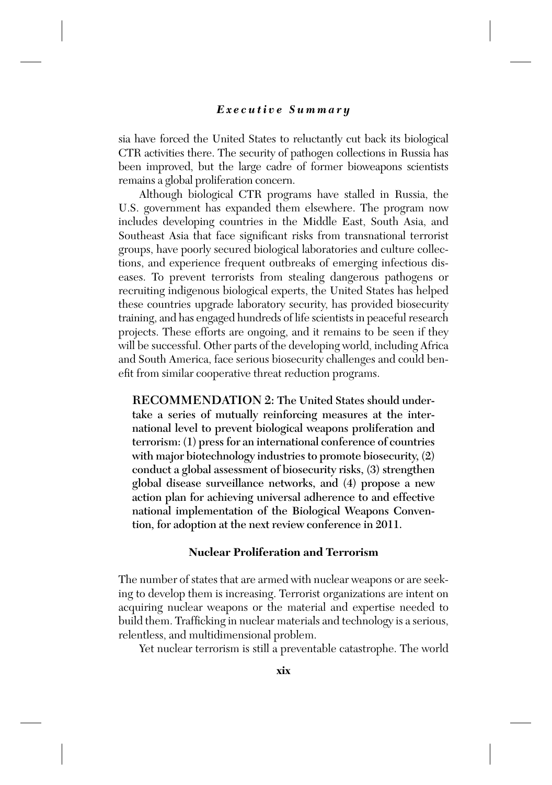sia have forced the United States to reluctantly cut back its biological CTR activities there. The security of pathogen collections in Russia has been improved, but the large cadre of former bioweapons scientists remains a global proliferation concern.

Although biological CTR programs have stalled in Russia, the U.S. government has expanded them elsewhere. The program now includes developing countries in the Middle East, South Asia, and Southeast Asia that face significant risks from transnational terrorist groups, have poorly secured biological laboratories and culture collections, and experience frequent outbreaks of emerging infectious diseases. To prevent terrorists from stealing dangerous pathogens or recruiting indigenous biological experts, the United States has helped these countries upgrade laboratory security, has provided biosecurity training, and has engaged hundreds of life scientists in peaceful research projects. These efforts are ongoing, and it remains to be seen if they will be successful. Other parts of the developing world, including Africa and South America, face serious biosecurity challenges and could benefit from similar cooperative threat reduction programs.

**RECOMMENDATION 2: The United States should undertake a series of mutually reinforcing measures at the international level to prevent biological weapons proliferation and terrorism: (1) press for an international conference of countries with major biotechnology industries to promote biosecurity, (2) conduct a global assessment of biosecurity risks, (3) strengthen global disease surveillance networks, and (4) propose a new action plan for achieving universal adherence to and effective national implementation of the Biological Weapons Convention, for adoption at the next review conference in 2011.**

## **Nuclear Proliferation and Terrorism**

The number of states that are armed with nuclear weapons or are seeking to develop them is increasing. Terrorist organizations are intent on acquiring nuclear weapons or the material and expertise needed to build them. Trafficking in nuclear materials and technology is a serious, relentless, and multidimensional problem.

Yet nuclear terrorism is still a preventable catastrophe. The world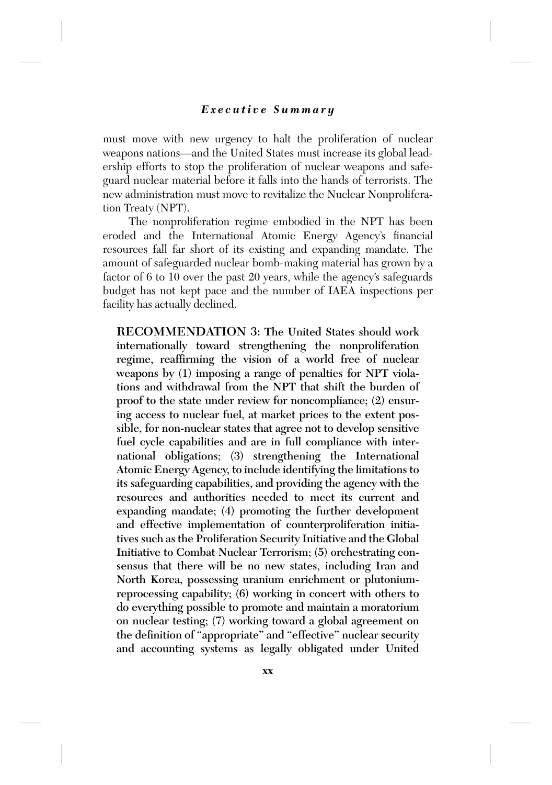must move with new urgency to halt the proliferation of nuclear weapons nations—and the United States must increase its global leadership efforts to stop the proliferation of nuclear weapons and safeguard nuclear material before it falls into the hands of terrorists. The new administration must move to revitalize the Nuclear Nonproliferation Treaty (NPT).

The nonproliferation regime embodied in the NPT has been eroded and the International Atomic Energy Agency's financial resources fall far short of its existing and expanding mandate. The amount of safeguarded nuclear bomb-making material has grown by a factor of 6 to 10 over the past 20 years, while the agency's safeguards budget has not kept pace and the number of IAEA inspections per facility has actually declined.

**RECOMMENDATION 3: The United States should work internationally toward strengthening the nonproliferation regime, reaffirming the vision of a world free of nuclear weapons by (1) imposing a range of penalties for NPT violations and withdrawal from the NPT that shift the burden of proof to the state under review for noncompliance; (2) ensuring access to nuclear fuel, at market prices to the extent possible, for non-nuclear states that agree not to develop sensitive fuel cycle capabilities and are in full compliance with international obligations; (3) strengthening the International Atomic Energy Agency, to include identifying the limitations to its safeguarding capabilities, and providing the agency with the resources and authorities needed to meet its current and expanding mandate; (4) promoting the further development and effective implementation of counterproliferation initiatives such as the Proliferation Security Initiative and the Global Initiative to Combat Nuclear Terrorism; (5) orchestrating consensus that there will be no new states, including Iran and North Korea, possessing uranium enrichment or plutoniumreprocessing capability; (6) working in concert with others to do everything possible to promote and maintain a moratorium on nuclear testing; (7) working toward a global agreement on the definition of "appropriate" and "effective" nuclear security and accounting systems as legally obligated under United**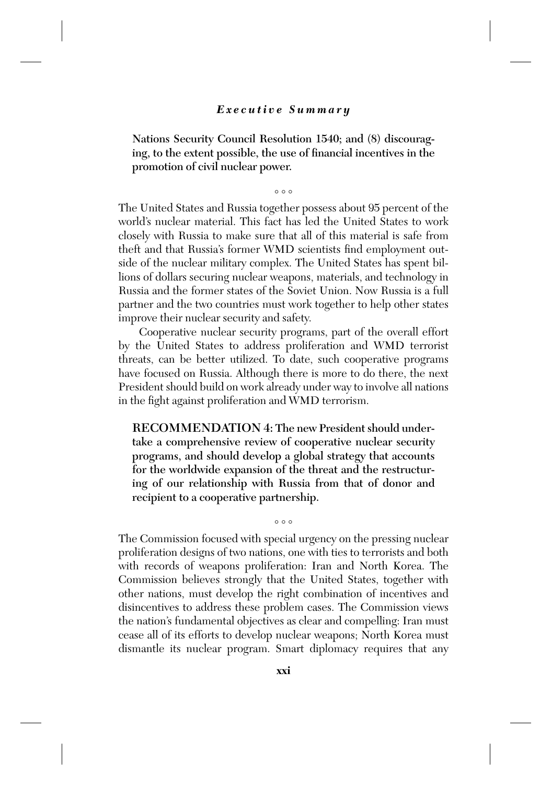#### *Executive Summary*

**Nations Security Council Resolution 1540; and (8) discouraging, to the extent possible, the use of financial incentives in the promotion of civil nuclear power.**

 $\circ \circ \circ$ 

The United States and Russia together possess about 95 percent of the world's nuclear material. This fact has led the United States to work closely with Russia to make sure that all of this material is safe from theft and that Russia's former WMD scientists find employment outside of the nuclear military complex. The United States has spent billions of dollars securing nuclear weapons, materials, and technology in Russia and the former states of the Soviet Union. Now Russia is a full partner and the two countries must work together to help other states improve their nuclear security and safety.

Cooperative nuclear security programs, part of the overall effort by the United States to address proliferation and WMD terrorist threats, can be better utilized. To date, such cooperative programs have focused on Russia. Although there is more to do there, the next President should build on work already under way to involve all nations in the fight against proliferation and WMD terrorism.

**RECOMMENDATION 4: The new President should undertake a comprehensive review of cooperative nuclear security programs, and should develop a global strategy that accounts for the worldwide expansion of the threat and the restructuring of our relationship with Russia from that of donor and recipient to a cooperative partnership.**

 $\circ \circ \circ$ The Commission focused with special urgency on the pressing nuclear proliferation designs of two nations, one with ties to terrorists and both with records of weapons proliferation: Iran and North Korea. The Commission believes strongly that the United States, together with other nations, must develop the right combination of incentives and disincentives to address these problem cases. The Commission views the nation's fundamental objectives as clear and compelling: Iran must cease all of its efforts to develop nuclear weapons; North Korea must dismantle its nuclear program. Smart diplomacy requires that any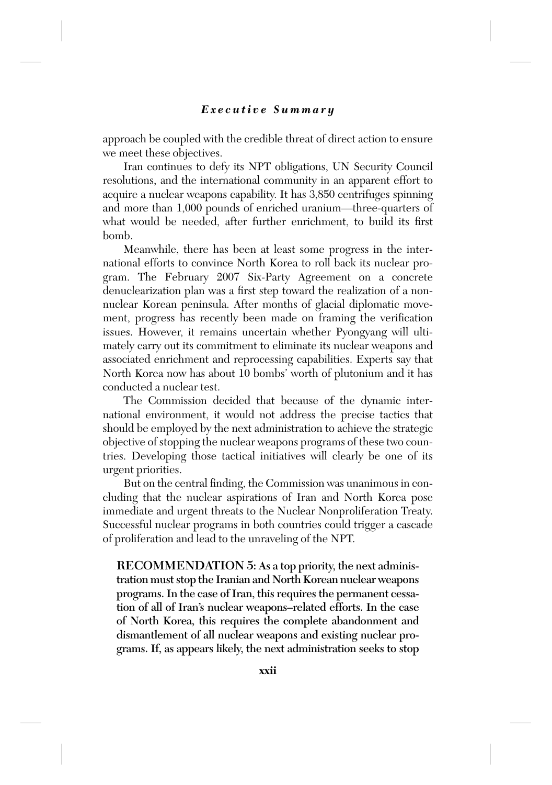approach be coupled with the credible threat of direct action to ensure we meet these objectives.

Iran continues to defy its NPT obligations, UN Security Council resolutions, and the international community in an apparent effort to acquire a nuclear weapons capability. It has 3,850 centrifuges spinning and more than 1,000 pounds of enriched uranium—three-quarters of what would be needed, after further enrichment, to build its first bomb.

Meanwhile, there has been at least some progress in the international efforts to convince North Korea to roll back its nuclear program. The February 2007 Six-Party Agreement on a concrete denuclearization plan was a first step toward the realization of a nonnuclear Korean peninsula. After months of glacial diplomatic movement, progress has recently been made on framing the verification issues. However, it remains uncertain whether Pyongyang will ultimately carry out its commitment to eliminate its nuclear weapons and associated enrichment and reprocessing capabilities. Experts say that North Korea now has about 10 bombs' worth of plutonium and it has conducted a nuclear test.

The Commission decided that because of the dynamic international environment, it would not address the precise tactics that should be employed by the next administration to achieve the strategic objective of stopping the nuclear weapons programs of these two countries. Developing those tactical initiatives will clearly be one of its urgent priorities.

But on the central finding, the Commission was unanimous in concluding that the nuclear aspirations of Iran and North Korea pose immediate and urgent threats to the Nuclear Nonproliferation Treaty. Successful nuclear programs in both countries could trigger a cascade of proliferation and lead to the unraveling of the NPT.

**RECOMMENDATION 5: As a top priority, the next administration must stop the Iranian and North Korean nuclear weapons programs. In the case of Iran, this requires the permanent cessation of all of Iran's nuclear weapons–related efforts. In the case of North Korea, this requires the complete abandonment and dismantlement of all nuclear weapons and existing nuclear programs. If, as appears likely, the next administration seeks to stop**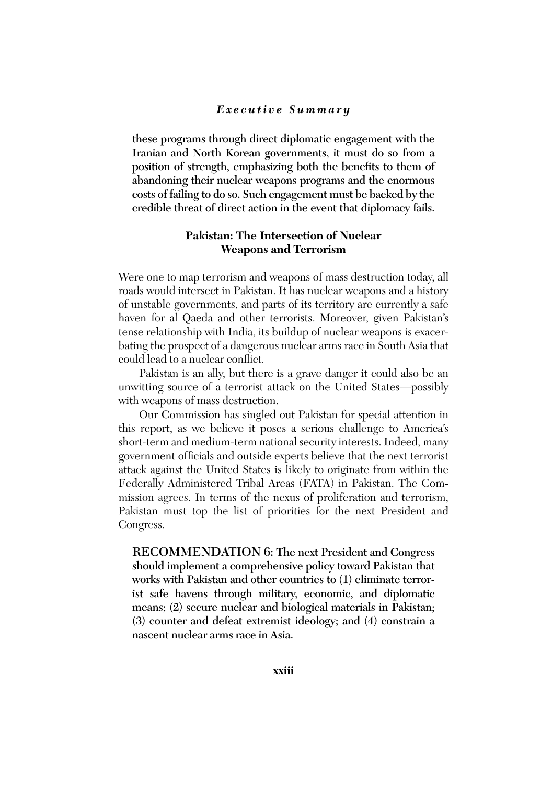**these programs through direct diplomatic engagement with the Iranian and North Korean governments, it must do so from a position of strength, emphasizing both the benefits to them of abandoning their nuclear weapons programs and the enormous costs of failing to do so. Such engagement must be backed by the credible threat of direct action in the event that diplomacy fails.**

# **Pakistan: The Intersection of Nuclear Weapons and Terrorism**

Were one to map terrorism and weapons of mass destruction today, all roads would intersect in Pakistan. It has nuclear weapons and a history of unstable governments, and parts of its territory are currently a safe haven for al Qaeda and other terrorists. Moreover, given Pakistan's tense relationship with India, its buildup of nuclear weapons is exacerbating the prospect of a dangerous nuclear arms race in South Asia that could lead to a nuclear conflict.

Pakistan is an ally, but there is a grave danger it could also be an unwitting source of a terrorist attack on the United States—possibly with weapons of mass destruction.

Our Commission has singled out Pakistan for special attention in this report, as we believe it poses a serious challenge to America's short-term and medium-term national security interests. Indeed, many government officials and outside experts believe that the next terrorist attack against the United States is likely to originate from within the Federally Administered Tribal Areas (FATA) in Pakistan. The Commission agrees. In terms of the nexus of proliferation and terrorism, Pakistan must top the list of priorities for the next President and Congress.

**RECOMMENDATION 6: The next President and Congress should implement a comprehensive policy toward Pakistan that works with Pakistan and other countries to (1) eliminate terrorist safe havens through military, economic, and diplomatic means; (2) secure nuclear and biological materials in Pakistan; (3) counter and defeat extremist ideology; and (4) constrain a nascent nuclear arms race in Asia.**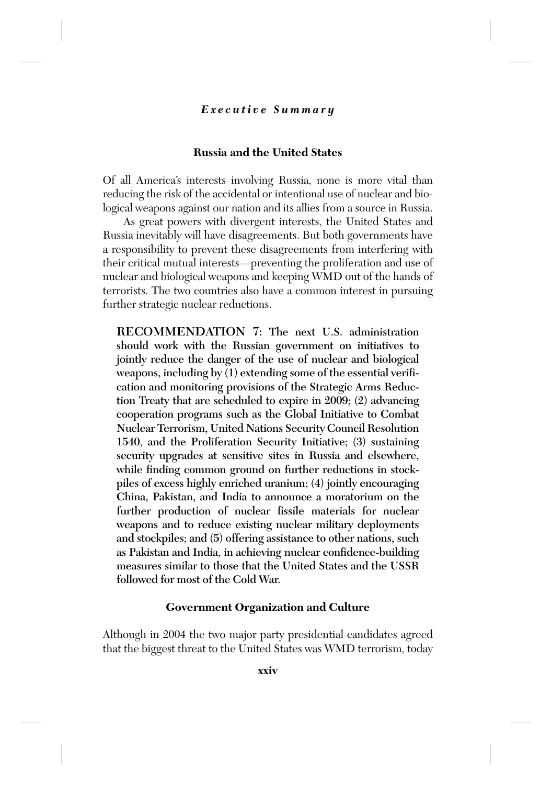#### *Executive Summary*

## **Russia and the United States**

Of all America's interests involving Russia, none is more vital than reducing the risk of the accidental or intentional use of nuclear and biological weapons against our nation and its allies from a source in Russia.

As great powers with divergent interests, the United States and Russia inevitably will have disagreements. But both governments have a responsibility to prevent these disagreements from interfering with their critical mutual interests—preventing the proliferation and use of nuclear and biological weapons and keeping WMD out of the hands of terrorists. The two countries also have a common interest in pursuing further strategic nuclear reductions.

**RECOMMENDATION 7: The next U.S. administration should work with the Russian government on initiatives to jointly reduce the danger of the use of nuclear and biological weapons, including by (1) extending some of the essential verification and monitoring provisions of the Strategic Arms Reduction Treaty that are scheduled to expire in 2009; (2) advancing cooperation programs such as the Global Initiative to Combat Nuclear Terrorism, United Nations Security Council Resolution 1540, and the Proliferation Security Initiative; (3) sustaining security upgrades at sensitive sites in Russia and elsewhere, while finding common ground on further reductions in stockpiles of excess highly enriched uranium; (4) jointly encouraging China, Pakistan, and India to announce a moratorium on the further production of nuclear fissile materials for nuclear weapons and to reduce existing nuclear military deployments and stockpiles; and (5) offering assistance to other nations, such as Pakistan and India, in achieving nuclear confidence-building measures similar to those that the United States and the USSR followed for most of the Cold War.**

#### **Government Organization and Culture**

Although in 2004 the two major party presidential candidates agreed that the biggest threat to the United States was WMD terrorism, today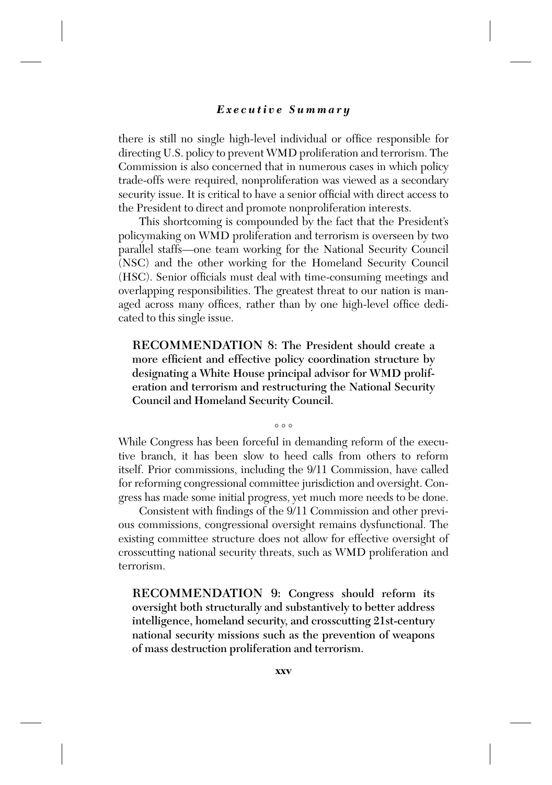there is still no single high-level individual or office responsible for directing U.S. policy to prevent WMD proliferation and terrorism. The Commission is also concerned that in numerous cases in which policy trade-offs were required, nonproliferation was viewed as a secondary security issue. It is critical to have a senior official with direct access to the President to direct and promote nonproliferation interests.

This shortcoming is compounded by the fact that the President's policymaking on WMD proliferation and terrorism is overseen by two parallel staffs—one team working for the National Security Council (NSC) and the other working for the Homeland Security Council (HSC). Senior officials must deal with time-consuming meetings and overlapping responsibilities. The greatest threat to our nation is managed across many offices, rather than by one high-level office dedicated to this single issue.

**RECOMMENDATION 8: The President should create a more efficient and effective policy coordination structure by designating a White House principal advisor for WMD proliferation and terrorism and restructuring the National Security Council and Homeland Security Council.**

 $\overline{\circ}$ 

While Congress has been forceful in demanding reform of the executive branch, it has been slow to heed calls from others to reform itself. Prior commissions, including the 9/11 Commission, have called for reforming congressional committee jurisdiction and oversight. Congress has made some initial progress, yet much more needs to be done.

Consistent with findings of the 9/11 Commission and other previous commissions, congressional oversight remains dysfunctional. The existing committee structure does not allow for effective oversight of crosscutting national security threats, such as WMD proliferation and terrorism.

**RECOMMENDATION 9: Congress should reform its oversight both structurally and substantively to better address intelligence, homeland security, and crosscutting 21st-century national security missions such as the prevention of weapons of mass destruction proliferation and terrorism.**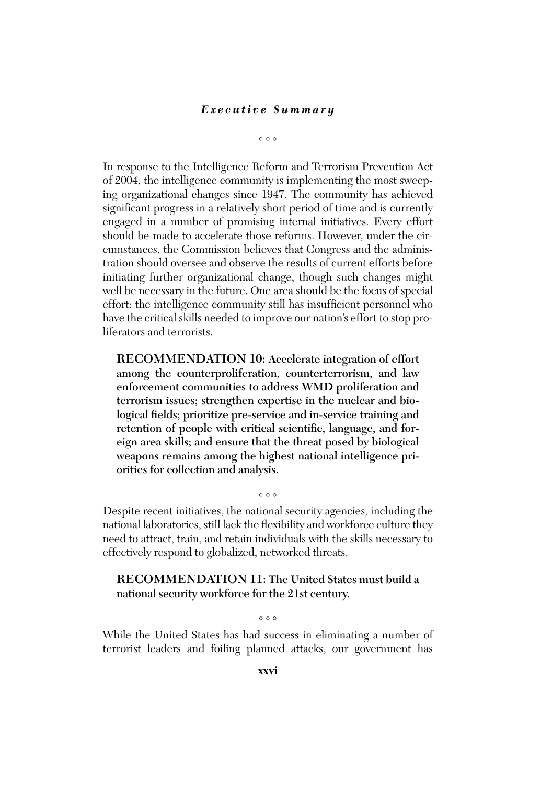#### *Executive Summary*

 $\circ$ °

In response to the Intelligence Reform and Terrorism Prevention Act of 2004, the intelligence community is implementing the most sweeping organizational changes since 1947. The community has achieved significant progress in a relatively short period of time and is currently engaged in a number of promising internal initiatives. Every effort should be made to accelerate those reforms. However, under the circumstances, the Commission believes that Congress and the administration should oversee and observe the results of current efforts before initiating further organizational change, though such changes might well be necessary in the future. One area should be the focus of special effort: the intelligence community still has insufficient personnel who have the critical skills needed to improve our nation's effort to stop proliferators and terrorists.

**RECOMMENDATION 10: Accelerate integration of effort among the counterproliferation, counterterrorism, and law enforcement communities to address WMD proliferation and terrorism issues; strengthen expertise in the nuclear and biological fields; prioritize pre-service and in-service training and retention of people with critical scientific, language, and foreign area skills; and ensure that the threat posed by biological weapons remains among the highest national intelligence priorities for collection and analysis.**

Despite recent initiatives, the national security agencies, including the national laboratories, still lack the flexibility and workforce culture they need to attract, train, and retain individuals with the skills necessary to effectively respond to globalized, networked threats.

 $\circ$ °

# **RECOMMENDATION 11: The United States must build a national security workforce for the 21st century.**

While the United States has had success in eliminating a number of terrorist leaders and foiling planned attacks, our government has

 $\circ$ °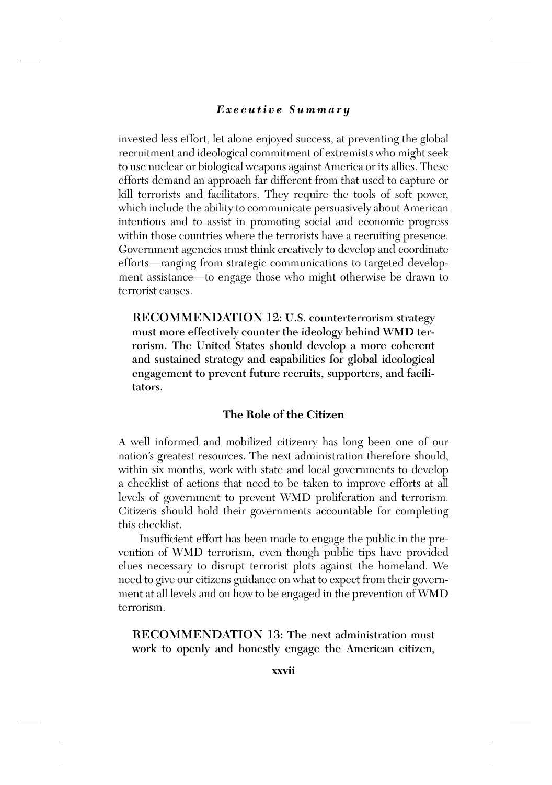## *Executive Summary*

invested less effort, let alone enjoyed success, at preventing the global recruitment and ideological commitment of extremists who might seek to use nuclear or biological weapons against America or its allies. These efforts demand an approach far different from that used to capture or kill terrorists and facilitators. They require the tools of soft power, which include the ability to communicate persuasively about American intentions and to assist in promoting social and economic progress within those countries where the terrorists have a recruiting presence. Government agencies must think creatively to develop and coordinate efforts—ranging from strategic communications to targeted development assistance—to engage those who might otherwise be drawn to terrorist causes.

**RECOMMENDATION 12: U.S. counterterrorism strategy must more effectively counter the ideology behind WMD terrorism. The United States should develop a more coherent and sustained strategy and capabilities for global ideological engagement to prevent future recruits, supporters, and facilitators.**

## **The Role of the Citizen**

A well informed and mobilized citizenry has long been one of our nation's greatest resources. The next administration therefore should, within six months, work with state and local governments to develop a checklist of actions that need to be taken to improve efforts at all levels of government to prevent WMD proliferation and terrorism. Citizens should hold their governments accountable for completing this checklist.

Insufficient effort has been made to engage the public in the prevention of WMD terrorism, even though public tips have provided clues necessary to disrupt terrorist plots against the homeland. We need to give our citizens guidance on what to expect from their government at all levels and on how to be engaged in the prevention of WMD terrorism.

**RECOMMENDATION 13: The next administration must work to openly and honestly engage the American citizen,**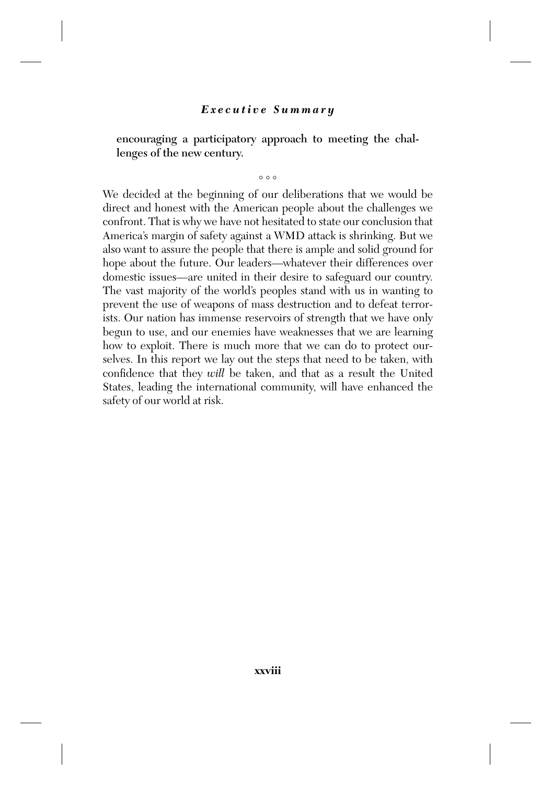**encouraging a participatory approach to meeting the challenges of the new century.**

 $\circ \circ \circ$ 

We decided at the beginning of our deliberations that we would be direct and honest with the American people about the challenges we confront. That is why we have not hesitated to state our conclusion that America's margin of safety against a WMD attack is shrinking. But we also want to assure the people that there is ample and solid ground for hope about the future. Our leaders—whatever their differences over domestic issues—are united in their desire to safeguard our country. The vast majority of the world's peoples stand with us in wanting to prevent the use of weapons of mass destruction and to defeat terrorists. Our nation has immense reservoirs of strength that we have only begun to use, and our enemies have weaknesses that we are learning how to exploit. There is much more that we can do to protect ourselves. In this report we lay out the steps that need to be taken, with confidence that they *will* be taken, and that as a result the United States, leading the international community, will have enhanced the safety of our world at risk.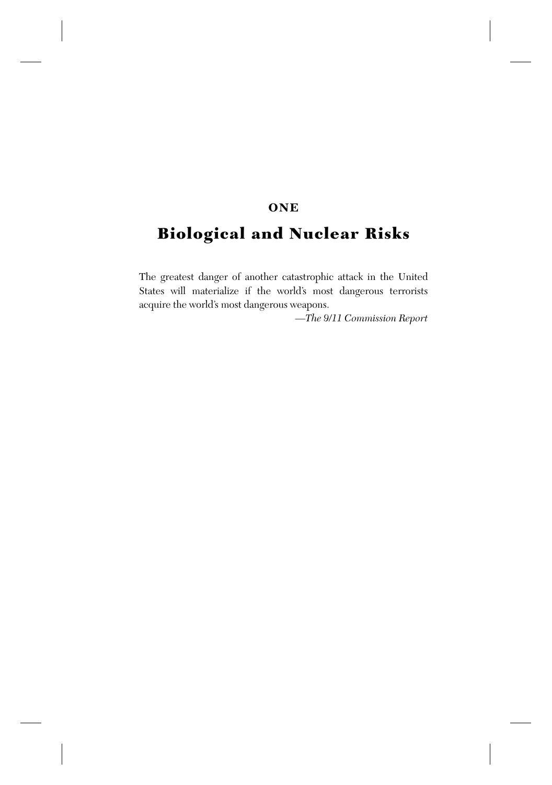# **one**

# Biological and Nuclear Risks

The greatest danger of another catastrophic attack in the United States will materialize if the world's most dangerous terrorists acquire the world's most dangerous weapons.

—*The 9/11 Commission Report*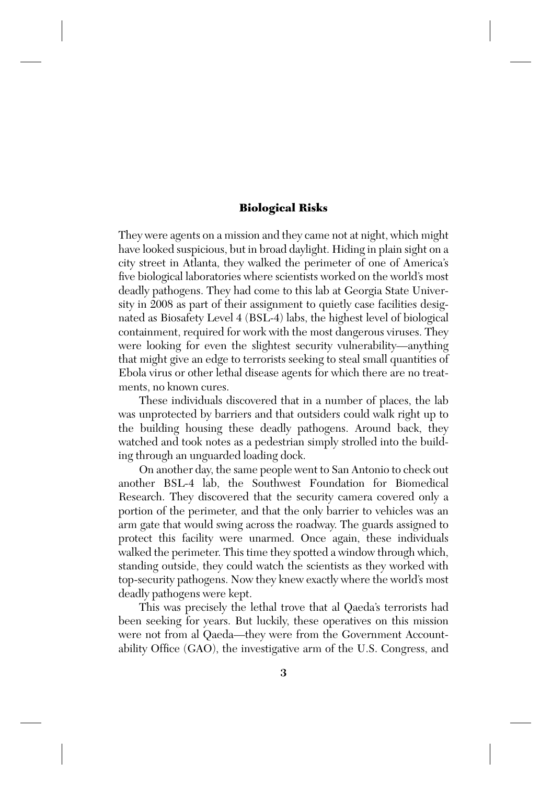## Biological Risks

They were agents on a mission and they came not at night, which might have looked suspicious, but in broad daylight. Hiding in plain sight on a city street in Atlanta, they walked the perimeter of one of America's five biological laboratories where scientists worked on the world's most deadly pathogens. They had come to this lab at Georgia State University in 2008 as part of their assignment to quietly case facilities designated as Biosafety Level 4 (BSL-4) labs, the highest level of biological containment, required for work with the most dangerous viruses. They were looking for even the slightest security vulnerability—anything that might give an edge to terrorists seeking to steal small quantities of Ebola virus or other lethal disease agents for which there are no treatments, no known cures.

These individuals discovered that in a number of places, the lab was unprotected by barriers and that outsiders could walk right up to the building housing these deadly pathogens. Around back, they watched and took notes as a pedestrian simply strolled into the building through an unguarded loading dock.

On another day, the same people went to San Antonio to check out another BSL-4 lab, the Southwest Foundation for Biomedical Research. They discovered that the security camera covered only a portion of the perimeter, and that the only barrier to vehicles was an arm gate that would swing across the roadway. The guards assigned to protect this facility were unarmed. Once again, these individuals walked the perimeter. This time they spotted a window through which, standing outside, they could watch the scientists as they worked with top-security pathogens. Now they knew exactly where the world's most deadly pathogens were kept.

This was precisely the lethal trove that al Qaeda's terrorists had been seeking for years. But luckily, these operatives on this mission were not from al Qaeda—they were from the Government Accountability Office (GAO), the investigative arm of the U.S. Congress, and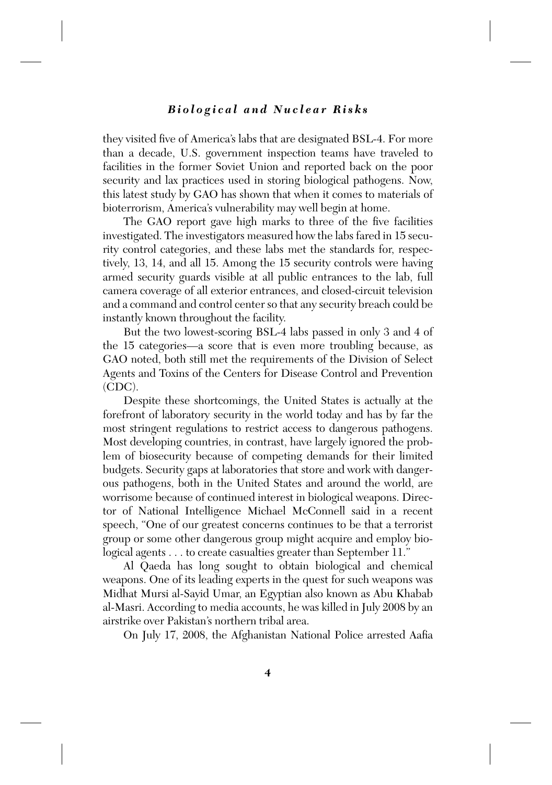they visited five of America's labs that are designated BSL-4. For more than a decade, U.S. government inspection teams have traveled to facilities in the former Soviet Union and reported back on the poor security and lax practices used in storing biological pathogens. Now, this latest study by GAO has shown that when it comes to materials of bioterrorism, America's vulnerability may well begin at home.

The GAO report gave high marks to three of the five facilities investigated. The investigators measured how the labs fared in 15 security control categories, and these labs met the standards for, respectively, 13, 14, and all 15. Among the 15 security controls were having armed security guards visible at all public entrances to the lab, full camera coverage of all exterior entrances, and closed-circuit television and a command and control center so that any security breach could be instantly known throughout the facility.

But the two lowest-scoring BSL-4 labs passed in only 3 and 4 of the 15 categories—a score that is even more troubling because, as GAO noted, both still met the requirements of the Division of Select Agents and Toxins of the Centers for Disease Control and Prevention (CDC).

Despite these shortcomings, the United States is actually at the forefront of laboratory security in the world today and has by far the most stringent regulations to restrict access to dangerous pathogens. Most developing countries, in contrast, have largely ignored the problem of biosecurity because of competing demands for their limited budgets. Security gaps at laboratories that store and work with dangerous pathogens, both in the United States and around the world, are worrisome because of continued interest in biological weapons. Director of National Intelligence Michael McConnell said in a recent speech, "One of our greatest concerns continues to be that a terrorist group or some other dangerous group might acquire and employ biological agents . . . to create casualties greater than September 11."

Al Qaeda has long sought to obtain biological and chemical weapons. One of its leading experts in the quest for such weapons was Midhat Mursi al-Sayid Umar, an Egyptian also known as Abu Khabab al-Masri. According to media accounts, he was killed in July 2008 by an airstrike over Pakistan's northern tribal area.

On July 17, 2008, the Afghanistan National Police arrested Aafia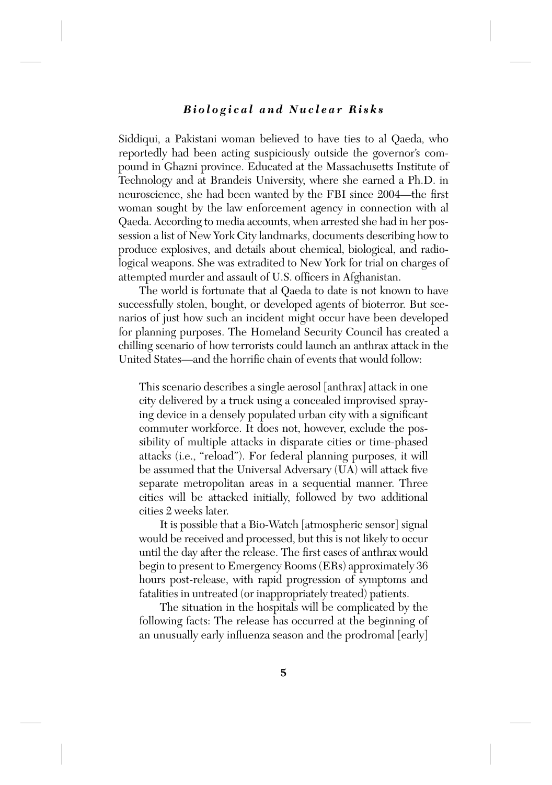Siddiqui, a Pakistani woman believed to have ties to al Qaeda, who reportedly had been acting suspiciously outside the governor's compound in Ghazni province. Educated at the Massachusetts Institute of Technology and at Brandeis University, where she earned a Ph.D. in neuroscience, she had been wanted by the FBI since 2004—the first woman sought by the law enforcement agency in connection with al Qaeda. According to media accounts, when arrested she had in her possession a list of New York City landmarks, documents describing how to produce explosives, and details about chemical, biological, and radiological weapons. She was extradited to New York for trial on charges of attempted murder and assault of U.S. officers in Afghanistan.

The world is fortunate that al Qaeda to date is not known to have successfully stolen, bought, or developed agents of bioterror. But scenarios of just how such an incident might occur have been developed for planning purposes. The Homeland Security Council has created a chilling scenario of how terrorists could launch an anthrax attack in the United States—and the horrific chain of events that would follow:

This scenario describes a single aerosol [anthrax] attack in one city delivered by a truck using a concealed improvised spraying device in a densely populated urban city with a significant commuter workforce. It does not, however, exclude the possibility of multiple attacks in disparate cities or time-phased attacks (i.e., "reload"). For federal planning purposes, it will be assumed that the Universal Adversary (UA) will attack five separate metropolitan areas in a sequential manner. Three cities will be attacked initially, followed by two additional cities 2 weeks later.

It is possible that a Bio-Watch [atmospheric sensor] signal would be received and processed, but this is not likely to occur until the day after the release. The first cases of anthrax would begin to present to Emergency Rooms (ERs) approximately 36 hours post-release, with rapid progression of symptoms and fatalities in untreated (or inappropriately treated) patients.

The situation in the hospitals will be complicated by the following facts: The release has occurred at the beginning of an unusually early influenza season and the prodromal [early]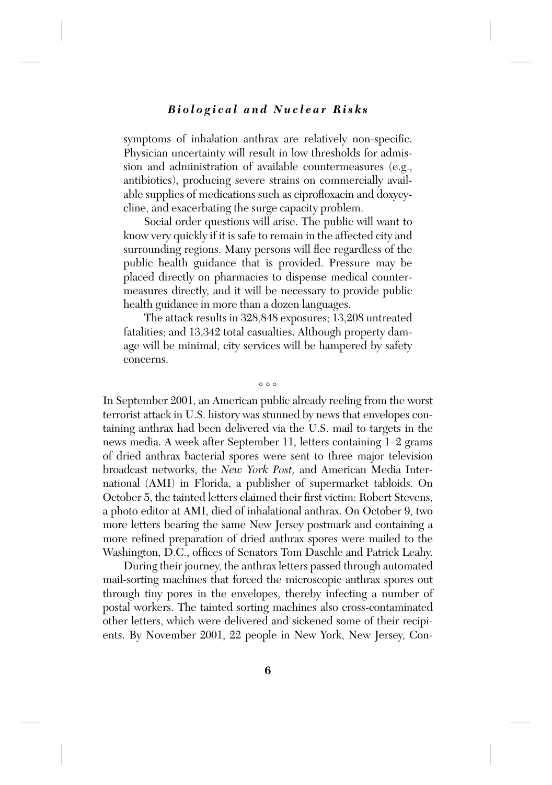symptoms of inhalation anthrax are relatively non-specific. Physician uncertainty will result in low thresholds for admission and administration of available countermeasures (e.g., antibiotics), producing severe strains on commercially available supplies of medications such as ciprofloxacin and doxycycline, and exacerbating the surge capacity problem.

Social order questions will arise. The public will want to know very quickly if it is safe to remain in the affected city and surrounding regions. Many persons will flee regardless of the public health guidance that is provided. Pressure may be placed directly on pharmacies to dispense medical countermeasures directly, and it will be necessary to provide public health guidance in more than a dozen languages.

The attack results in 328,848 exposures; 13,208 untreated fatalities; and 13,342 total casualties. Although property damage will be minimal, city services will be hampered by safety concerns.

 $\circ \circ \circ$ 

In September 2001, an American public already reeling from the worst terrorist attack in U.S. history was stunned by news that envelopes containing anthrax had been delivered via the U.S. mail to targets in the news media. A week after September 11, letters containing 1–2 grams of dried anthrax bacterial spores were sent to three major television broadcast networks, the *New York Post,* and American Media International (AMI) in Florida, a publisher of supermarket tabloids. On October 5, the tainted letters claimed their first victim: Robert Stevens, a photo editor at AMI, died of inhalational anthrax. On October 9, two more letters bearing the same New Jersey postmark and containing a more refined preparation of dried anthrax spores were mailed to the Washington, D.C., offices of Senators Tom Daschle and Patrick Leahy.

During their journey, the anthrax letters passed through automated mail-sorting machines that forced the microscopic anthrax spores out through tiny pores in the envelopes, thereby infecting a number of postal workers. The tainted sorting machines also cross-contaminated other letters, which were delivered and sickened some of their recipients. By November 2001, 22 people in New York, New Jersey, Con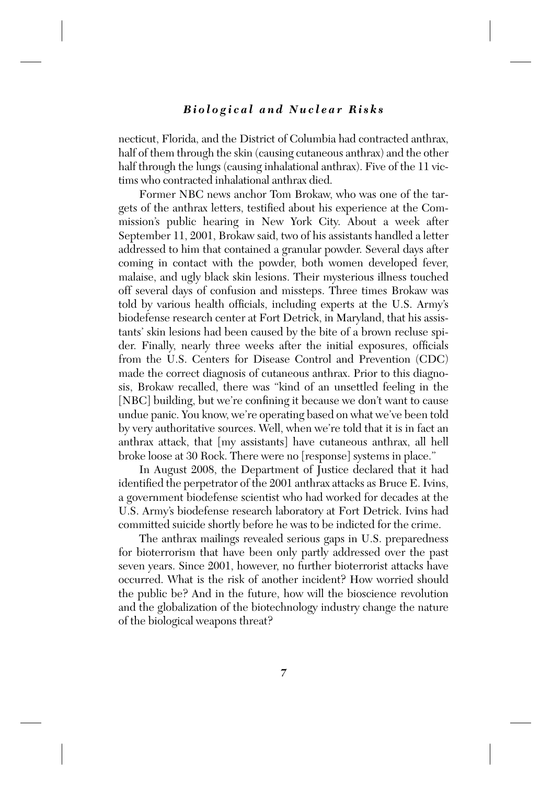necticut, Florida, and the District of Columbia had contracted anthrax, half of them through the skin (causing cutaneous anthrax) and the other half through the lungs (causing inhalational anthrax). Five of the 11 victims who contracted inhalational anthrax died.

Former NBC news anchor Tom Brokaw, who was one of the targets of the anthrax letters, testified about his experience at the Commission's public hearing in New York City. About a week after September 11, 2001, Brokaw said, two of his assistants handled a letter addressed to him that contained a granular powder. Several days after coming in contact with the powder, both women developed fever, malaise, and ugly black skin lesions. Their mysterious illness touched off several days of confusion and missteps. Three times Brokaw was told by various health officials, including experts at the U.S. Army's biodefense research center at Fort Detrick, in Maryland, that his assistants' skin lesions had been caused by the bite of a brown recluse spider. Finally, nearly three weeks after the initial exposures, officials from the U.S. Centers for Disease Control and Prevention (CDC) made the correct diagnosis of cutaneous anthrax. Prior to this diagnosis, Brokaw recalled, there was "kind of an unsettled feeling in the [NBC] building, but we're confining it because we don't want to cause undue panic. You know, we're operating based on what we've been told by very authoritative sources. Well, when we're told that it is in fact an anthrax attack, that [my assistants] have cutaneous anthrax, all hell broke loose at 30 Rock. There were no [response] systems in place."

In August 2008, the Department of Justice declared that it had identified the perpetrator of the 2001 anthrax attacks as Bruce E. Ivins, a government biodefense scientist who had worked for decades at the U.S. Army's biodefense research laboratory at Fort Detrick. Ivins had committed suicide shortly before he was to be indicted for the crime.

The anthrax mailings revealed serious gaps in U.S. preparedness for bioterrorism that have been only partly addressed over the past seven years. Since 2001, however, no further bioterrorist attacks have occurred. What is the risk of another incident? How worried should the public be? And in the future, how will the bioscience revolution and the globalization of the biotechnology industry change the nature of the biological weapons threat?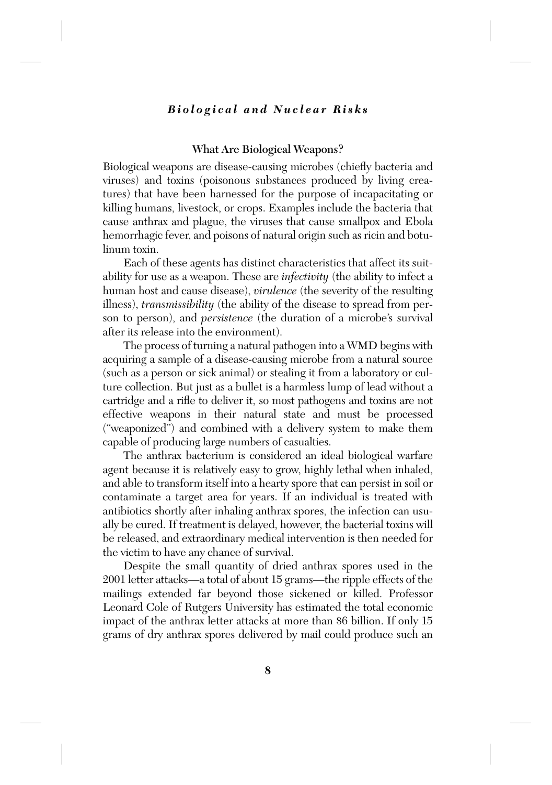#### **What Are Biological Weapons?**

Biological weapons are disease-causing microbes (chiefly bacteria and viruses) and toxins (poisonous substances produced by living creatures) that have been harnessed for the purpose of incapacitating or killing humans, livestock, or crops. Examples include the bacteria that cause anthrax and plague, the viruses that cause smallpox and Ebola hemorrhagic fever, and poisons of natural origin such as ricin and botulinum toxin.

Each of these agents has distinct characteristics that affect its suitability for use as a weapon. These are *infectivity* (the ability to infect a human host and cause disease), *virulence* (the severity of the resulting illness), *transmissibility* (the ability of the disease to spread from person to person), and *persistence* (the duration of a microbe's survival after its release into the environment).

The process of turning a natural pathogen into a WMD begins with acquiring a sample of a disease-causing microbe from a natural source (such as a person or sick animal) or stealing it from a laboratory or culture collection. But just as a bullet is a harmless lump of lead without a cartridge and a rifle to deliver it, so most pathogens and toxins are not effective weapons in their natural state and must be processed ("weaponized") and combined with a delivery system to make them capable of producing large numbers of casualties.

The anthrax bacterium is considered an ideal biological warfare agent because it is relatively easy to grow, highly lethal when inhaled, and able to transform itself into a hearty spore that can persist in soil or contaminate a target area for years. If an individual is treated with antibiotics shortly after inhaling anthrax spores, the infection can usually be cured. If treatment is delayed, however, the bacterial toxins will be released, and extraordinary medical intervention is then needed for the victim to have any chance of survival.

Despite the small quantity of dried anthrax spores used in the 2001 letter attacks—a total of about 15 grams—the ripple effects of the mailings extended far beyond those sickened or killed. Professor Leonard Cole of Rutgers University has estimated the total economic impact of the anthrax letter attacks at more than \$6 billion. If only 15 grams of dry anthrax spores delivered by mail could produce such an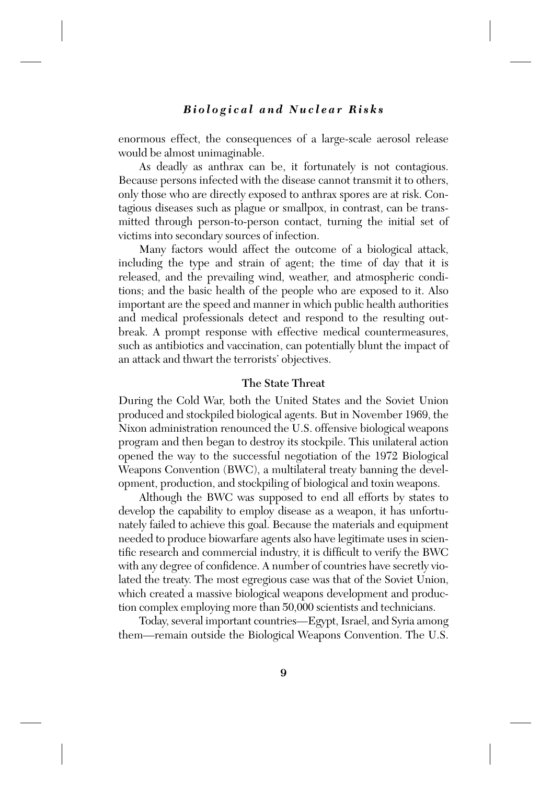enormous effect, the consequences of a large-scale aerosol release would be almost unimaginable.

As deadly as anthrax can be, it fortunately is not contagious. Because persons infected with the disease cannot transmit it to others, only those who are directly exposed to anthrax spores are at risk. Contagious diseases such as plague or smallpox, in contrast, can be transmitted through person-to-person contact, turning the initial set of victims into secondary sources of infection.

Many factors would affect the outcome of a biological attack, including the type and strain of agent; the time of day that it is released, and the prevailing wind, weather, and atmospheric conditions; and the basic health of the people who are exposed to it. Also important are the speed and manner in which public health authorities and medical professionals detect and respond to the resulting outbreak. A prompt response with effective medical countermeasures, such as antibiotics and vaccination, can potentially blunt the impact of an attack and thwart the terrorists' objectives.

#### **The State Threat**

During the Cold War, both the United States and the Soviet Union produced and stockpiled biological agents. But in November 1969, the Nixon administration renounced the U.S. offensive biological weapons program and then began to destroy its stockpile. This unilateral action opened the way to the successful negotiation of the 1972 Biological Weapons Convention (BWC), a multilateral treaty banning the development, production, and stockpiling of biological and toxin weapons.

Although the BWC was supposed to end all efforts by states to develop the capability to employ disease as a weapon, it has unfortunately failed to achieve this goal. Because the materials and equipment needed to produce biowarfare agents also have legitimate uses in scientific research and commercial industry, it is difficult to verify the BWC with any degree of confidence. A number of countries have secretly violated the treaty. The most egregious case was that of the Soviet Union, which created a massive biological weapons development and production complex employing more than 50,000 scientists and technicians.

Today, several important countries—Egypt, Israel, and Syria among them—remain outside the Biological Weapons Convention. The U.S.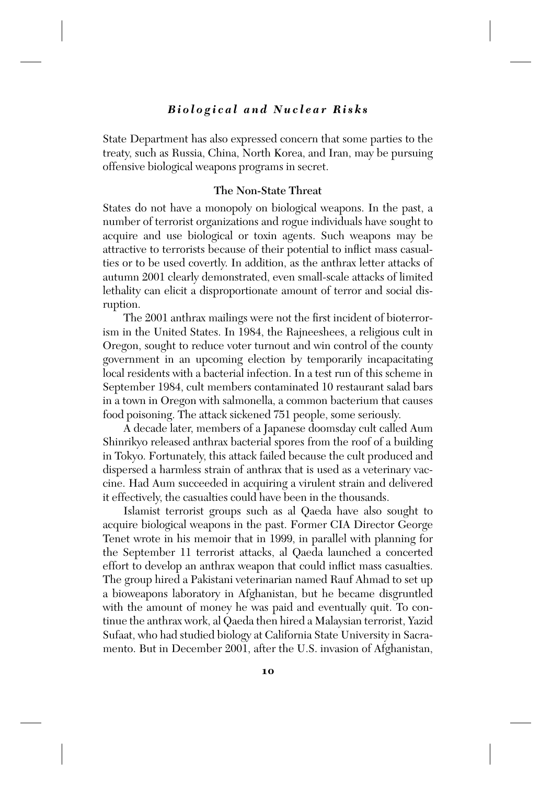State Department has also expressed concern that some parties to the treaty, such as Russia, China, North Korea, and Iran, may be pursuing offensive biological weapons programs in secret.

#### **The Non-State Threat**

States do not have a monopoly on biological weapons. In the past, a number of terrorist organizations and rogue individuals have sought to acquire and use biological or toxin agents. Such weapons may be attractive to terrorists because of their potential to inflict mass casualties or to be used covertly. In addition, as the anthrax letter attacks of autumn 2001 clearly demonstrated, even small-scale attacks of limited lethality can elicit a disproportionate amount of terror and social disruption.

The 2001 anthrax mailings were not the first incident of bioterrorism in the United States. In 1984, the Rajneeshees, a religious cult in Oregon, sought to reduce voter turnout and win control of the county government in an upcoming election by temporarily incapacitating local residents with a bacterial infection. In a test run of this scheme in September 1984, cult members contaminated 10 restaurant salad bars in a town in Oregon with salmonella, a common bacterium that causes food poisoning. The attack sickened 751 people, some seriously.

A decade later, members of a Japanese doomsday cult called Aum Shinrikyo released anthrax bacterial spores from the roof of a building in Tokyo. Fortunately, this attack failed because the cult produced and dispersed a harmless strain of anthrax that is used as a veterinary vaccine. Had Aum succeeded in acquiring a virulent strain and delivered it effectively, the casualties could have been in the thousands.

Islamist terrorist groups such as al Qaeda have also sought to acquire biological weapons in the past. Former CIA Director George Tenet wrote in his memoir that in 1999, in parallel with planning for the September 11 terrorist attacks, al Qaeda launched a concerted effort to develop an anthrax weapon that could inflict mass casualties. The group hired a Pakistani veterinarian named Rauf Ahmad to set up a bioweapons laboratory in Afghanistan, but he became disgruntled with the amount of money he was paid and eventually quit. To continue the anthrax work, al Qaeda then hired a Malaysian terrorist, Yazid Sufaat, who had studied biology at California State University in Sacramento. But in December 2001, after the U.S. invasion of Afghanistan,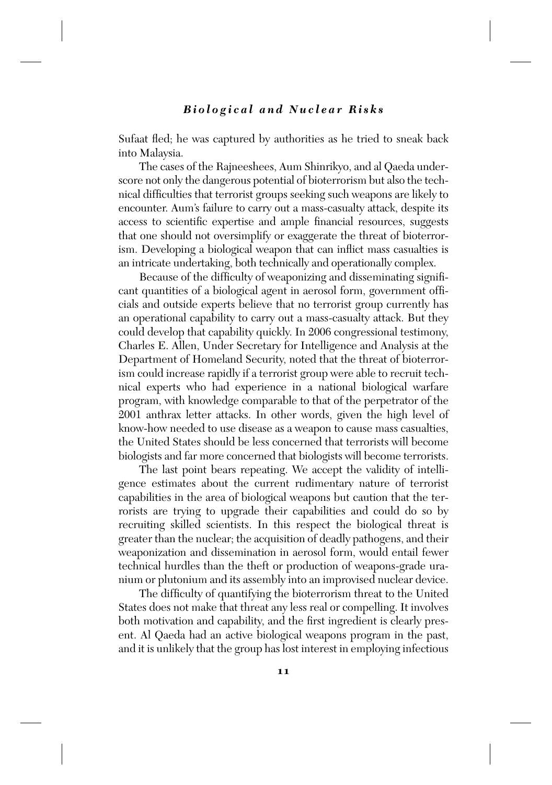Sufaat fled; he was captured by authorities as he tried to sneak back into Malaysia.

The cases of the Rajneeshees, Aum Shinrikyo, and al Qaeda underscore not only the dangerous potential of bioterrorism but also the technical difficulties that terrorist groups seeking such weapons are likely to encounter. Aum's failure to carry out a mass-casualty attack, despite its access to scientific expertise and ample financial resources, suggests that one should not oversimplify or exaggerate the threat of bioterrorism. Developing a biological weapon that can inflict mass casualties is an intricate undertaking, both technically and operationally complex.

Because of the difficulty of weaponizing and disseminating significant quantities of a biological agent in aerosol form, government officials and outside experts believe that no terrorist group currently has an operational capability to carry out a mass-casualty attack. But they could develop that capability quickly. In 2006 congressional testimony, Charles E. Allen, Under Secretary for Intelligence and Analysis at the Department of Homeland Security, noted that the threat of bioterrorism could increase rapidly if a terrorist group were able to recruit technical experts who had experience in a national biological warfare program, with knowledge comparable to that of the perpetrator of the 2001 anthrax letter attacks. In other words, given the high level of know-how needed to use disease as a weapon to cause mass casualties, the United States should be less concerned that terrorists will become biologists and far more concerned that biologists will become terrorists.

The last point bears repeating. We accept the validity of intelligence estimates about the current rudimentary nature of terrorist capabilities in the area of biological weapons but caution that the terrorists are trying to upgrade their capabilities and could do so by recruiting skilled scientists. In this respect the biological threat is greater than the nuclear; the acquisition of deadly pathogens, and their weaponization and dissemination in aerosol form, would entail fewer technical hurdles than the theft or production of weapons-grade uranium or plutonium and its assembly into an improvised nuclear device.

The difficulty of quantifying the bioterrorism threat to the United States does not make that threat any less real or compelling. It involves both motivation and capability, and the first ingredient is clearly present. Al Qaeda had an active biological weapons program in the past, and it is unlikely that the group has lost interest in employing infectious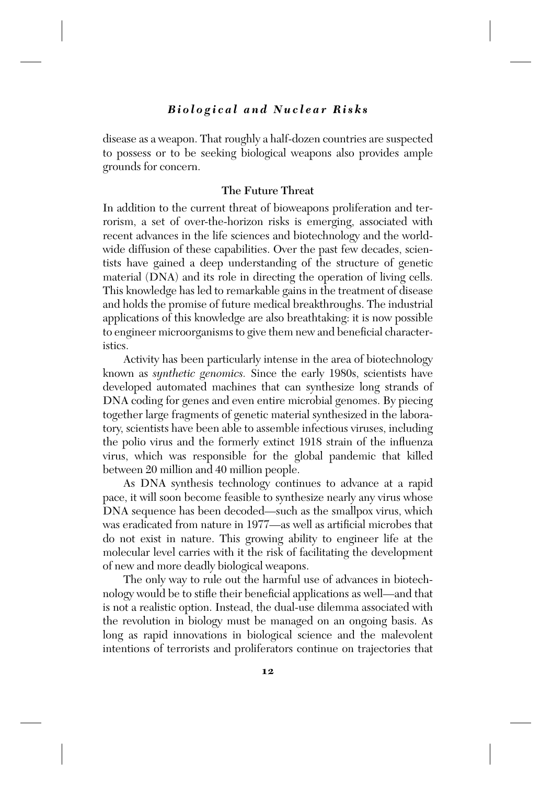disease as a weapon. That roughly a half-dozen countries are suspected to possess or to be seeking biological weapons also provides ample grounds for concern.

#### **The Future Threat**

In addition to the current threat of bioweapons proliferation and terrorism, a set of over-the-horizon risks is emerging, associated with recent advances in the life sciences and biotechnology and the worldwide diffusion of these capabilities. Over the past few decades, scientists have gained a deep understanding of the structure of genetic material (DNA) and its role in directing the operation of living cells. This knowledge has led to remarkable gains in the treatment of disease and holds the promise of future medical breakthroughs. The industrial applications of this knowledge are also breathtaking: it is now possible to engineer microorganisms to give them new and beneficial characteristics.

Activity has been particularly intense in the area of biotechnology known as *synthetic genomics.* Since the early 1980s, scientists have developed automated machines that can synthesize long strands of DNA coding for genes and even entire microbial genomes. By piecing together large fragments of genetic material synthesized in the laboratory, scientists have been able to assemble infectious viruses, including the polio virus and the formerly extinct 1918 strain of the influenza virus, which was responsible for the global pandemic that killed between 20 million and 40 million people.

As DNA synthesis technology continues to advance at a rapid pace, it will soon become feasible to synthesize nearly any virus whose DNA sequence has been decoded—such as the smallpox virus, which was eradicated from nature in 1977—as well as artificial microbes that do not exist in nature. This growing ability to engineer life at the molecular level carries with it the risk of facilitating the development of new and more deadly biological weapons.

The only way to rule out the harmful use of advances in biotechnology would be to stifle their beneficial applications as well—and that is not a realistic option. Instead, the dual-use dilemma associated with the revolution in biology must be managed on an ongoing basis. As long as rapid innovations in biological science and the malevolent intentions of terrorists and proliferators continue on trajectories that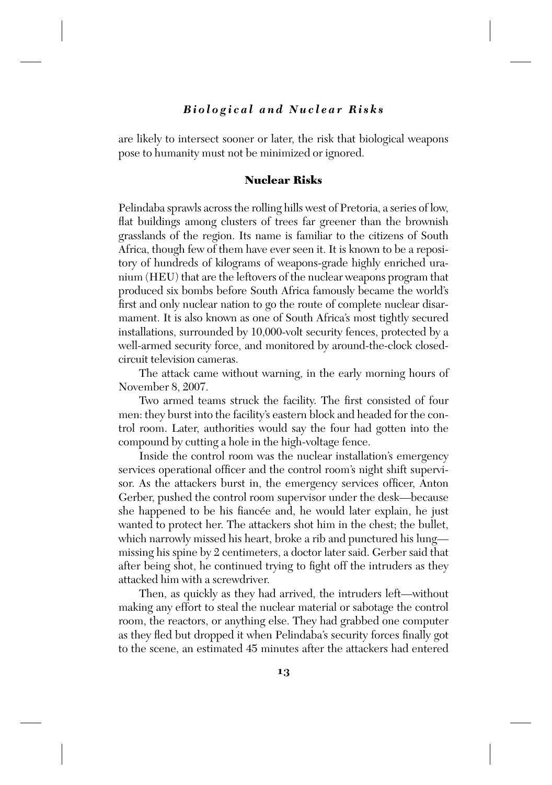are likely to intersect sooner or later, the risk that biological weapons pose to humanity must not be minimized or ignored.

#### Nuclear Risks

Pelindaba sprawls across the rolling hills west of Pretoria, a series of low, flat buildings among clusters of trees far greener than the brownish grasslands of the region. Its name is familiar to the citizens of South Africa, though few of them have ever seen it. It is known to be a repository of hundreds of kilograms of weapons-grade highly enriched uranium (HEU) that are the leftovers of the nuclear weapons program that produced six bombs before South Africa famously became the world's first and only nuclear nation to go the route of complete nuclear disarmament. It is also known as one of South Africa's most tightly secured installations, surrounded by 10,000-volt security fences, protected by a well-armed security force, and monitored by around-the-clock closedcircuit television cameras.

The attack came without warning, in the early morning hours of November 8, 2007.

Two armed teams struck the facility. The first consisted of four men: they burst into the facility's eastern block and headed for the control room. Later, authorities would say the four had gotten into the compound by cutting a hole in the high-voltage fence.

Inside the control room was the nuclear installation's emergency services operational officer and the control room's night shift supervisor. As the attackers burst in, the emergency services officer, Anton Gerber, pushed the control room supervisor under the desk—because she happened to be his fiancée and, he would later explain, he just wanted to protect her. The attackers shot him in the chest; the bullet, which narrowly missed his heart, broke a rib and punctured his lung missing his spine by 2 centimeters, a doctor later said. Gerber said that after being shot, he continued trying to fight off the intruders as they attacked him with a screwdriver.

Then, as quickly as they had arrived, the intruders left—without making any effort to steal the nuclear material or sabotage the control room, the reactors, or anything else. They had grabbed one computer as they fled but dropped it when Pelindaba's security forces finally got to the scene, an estimated 45 minutes after the attackers had entered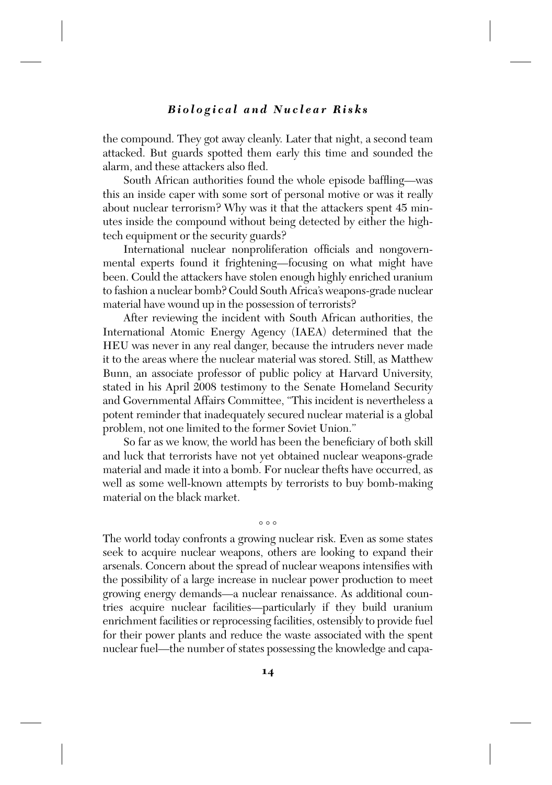the compound. They got away cleanly. Later that night, a second team attacked. But guards spotted them early this time and sounded the alarm, and these attackers also fled.

South African authorities found the whole episode baffling—was this an inside caper with some sort of personal motive or was it really about nuclear terrorism? Why was it that the attackers spent 45 minutes inside the compound without being detected by either the hightech equipment or the security guards?

International nuclear nonproliferation officials and nongovernmental experts found it frightening—focusing on what might have been. Could the attackers have stolen enough highly enriched uranium to fashion a nuclear bomb? Could South Africa's weapons-grade nuclear material have wound up in the possession of terrorists?

After reviewing the incident with South African authorities, the International Atomic Energy Agency (IAEA) determined that the HEU was never in any real danger, because the intruders never made it to the areas where the nuclear material was stored. Still, as Matthew Bunn, an associate professor of public policy at Harvard University, stated in his April 2008 testimony to the Senate Homeland Security and Governmental Affairs Committee, "This incident is nevertheless a potent reminder that inadequately secured nuclear material is a global problem, not one limited to the former Soviet Union."

So far as we know, the world has been the beneficiary of both skill and luck that terrorists have not yet obtained nuclear weapons-grade material and made it into a bomb. For nuclear thefts have occurred, as well as some well-known attempts by terrorists to buy bomb-making material on the black market.

 $0.0.0$ 

The world today confronts a growing nuclear risk. Even as some states seek to acquire nuclear weapons, others are looking to expand their arsenals. Concern about the spread of nuclear weapons intensifies with the possibility of a large increase in nuclear power production to meet growing energy demands—a nuclear renaissance. As additional countries acquire nuclear facilities—particularly if they build uranium enrichment facilities or reprocessing facilities, ostensibly to provide fuel for their power plants and reduce the waste associated with the spent nuclear fuel—the number of states possessing the knowledge and capa-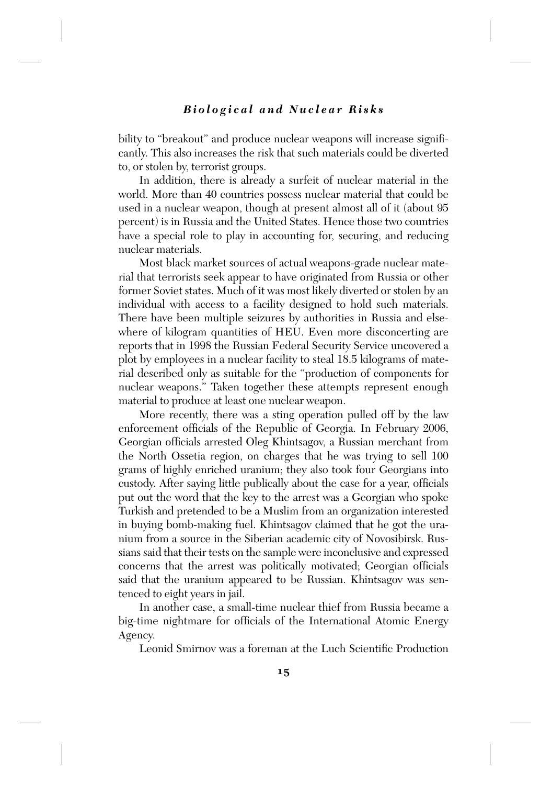bility to "breakout" and produce nuclear weapons will increase significantly. This also increases the risk that such materials could be diverted to, or stolen by, terrorist groups.

In addition, there is already a surfeit of nuclear material in the world. More than 40 countries possess nuclear material that could be used in a nuclear weapon, though at present almost all of it (about 95 percent) is in Russia and the United States. Hence those two countries have a special role to play in accounting for, securing, and reducing nuclear materials.

Most black market sources of actual weapons-grade nuclear material that terrorists seek appear to have originated from Russia or other former Soviet states. Much of it was most likely diverted or stolen by an individual with access to a facility designed to hold such materials. There have been multiple seizures by authorities in Russia and elsewhere of kilogram quantities of HEU. Even more disconcerting are reports that in 1998 the Russian Federal Security Service uncovered a plot by employees in a nuclear facility to steal 18.5 kilograms of material described only as suitable for the "production of components for nuclear weapons." Taken together these attempts represent enough material to produce at least one nuclear weapon.

More recently, there was a sting operation pulled off by the law enforcement officials of the Republic of Georgia. In February 2006, Georgian officials arrested Oleg Khintsagov, a Russian merchant from the North Ossetia region, on charges that he was trying to sell 100 grams of highly enriched uranium; they also took four Georgians into custody. After saying little publically about the case for a year, officials put out the word that the key to the arrest was a Georgian who spoke Turkish and pretended to be a Muslim from an organization interested in buying bomb-making fuel. Khintsagov claimed that he got the uranium from a source in the Siberian academic city of Novosibirsk. Russians said that their tests on the sample were inconclusive and expressed concerns that the arrest was politically motivated; Georgian officials said that the uranium appeared to be Russian. Khintsagov was sentenced to eight years in jail.

In another case, a small-time nuclear thief from Russia became a big-time nightmare for officials of the International Atomic Energy Agency.

Leonid Smirnov was a foreman at the Luch Scientific Production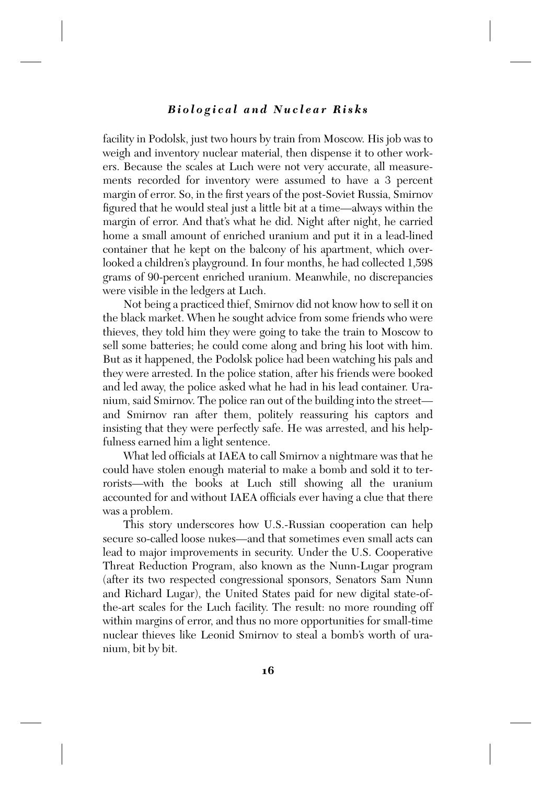facility in Podolsk, just two hours by train from Moscow. His job was to weigh and inventory nuclear material, then dispense it to other workers. Because the scales at Luch were not very accurate, all measurements recorded for inventory were assumed to have a 3 percent margin of error. So, in the first years of the post-Soviet Russia, Smirnov figured that he would steal just a little bit at a time—always within the margin of error. And that's what he did. Night after night, he carried home a small amount of enriched uranium and put it in a lead-lined container that he kept on the balcony of his apartment, which overlooked a children's playground. In four months, he had collected 1,598 grams of 90-percent enriched uranium. Meanwhile, no discrepancies were visible in the ledgers at Luch.

Not being a practiced thief, Smirnov did not know how to sell it on the black market. When he sought advice from some friends who were thieves, they told him they were going to take the train to Moscow to sell some batteries; he could come along and bring his loot with him. But as it happened, the Podolsk police had been watching his pals and they were arrested. In the police station, after his friends were booked and led away, the police asked what he had in his lead container. Uranium, said Smirnov. The police ran out of the building into the street and Smirnov ran after them, politely reassuring his captors and insisting that they were perfectly safe. He was arrested, and his helpfulness earned him a light sentence.

What led officials at IAEA to call Smirnov a nightmare was that he could have stolen enough material to make a bomb and sold it to terrorists—with the books at Luch still showing all the uranium accounted for and without IAEA officials ever having a clue that there was a problem.

This story underscores how U.S.-Russian cooperation can help secure so-called loose nukes—and that sometimes even small acts can lead to major improvements in security. Under the U.S. Cooperative Threat Reduction Program, also known as the Nunn-Lugar program (after its two respected congressional sponsors, Senators Sam Nunn and Richard Lugar), the United States paid for new digital state-ofthe-art scales for the Luch facility. The result: no more rounding off within margins of error, and thus no more opportunities for small-time nuclear thieves like Leonid Smirnov to steal a bomb's worth of uranium, bit by bit.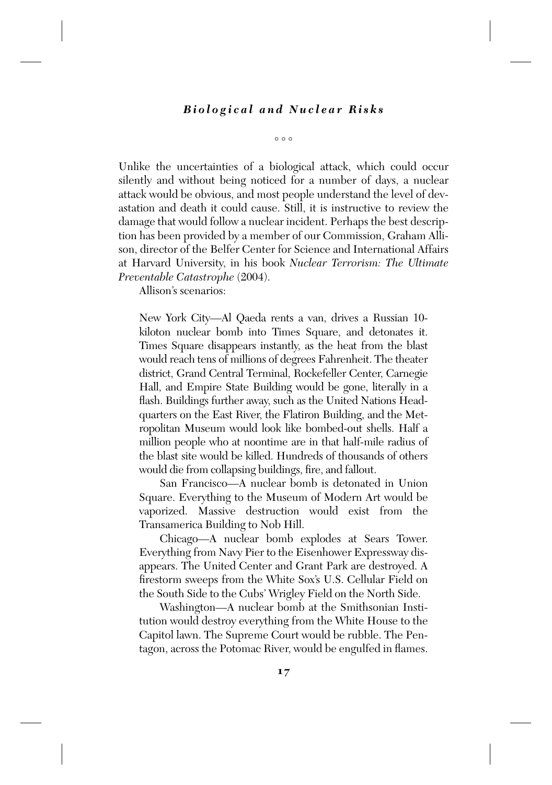$\circ \circ \circ$ 

Unlike the uncertainties of a biological attack, which could occur silently and without being noticed for a number of days, a nuclear attack would be obvious, and most people understand the level of devastation and death it could cause. Still, it is instructive to review the damage that would follow a nuclear incident. Perhaps the best description has been provided by a member of our Commission, Graham Allison, director of the Belfer Center for Science and International Affairs at Harvard University, in his book *Nuclear Terrorism: The Ultimate Preventable Catastrophe* (2004).

Allison's scenarios:

New York City—Al Qaeda rents a van, drives a Russian 10 kiloton nuclear bomb into Times Square, and detonates it. Times Square disappears instantly, as the heat from the blast would reach tens of millions of degrees Fahrenheit. The theater district, Grand Central Terminal, Rockefeller Center, Carnegie Hall, and Empire State Building would be gone, literally in a flash. Buildings further away, such as the United Nations Headquarters on the East River, the Flatiron Building, and the Metropolitan Museum would look like bombed-out shells. Half a million people who at noontime are in that half-mile radius of the blast site would be killed. Hundreds of thousands of others would die from collapsing buildings, fire, and fallout.

San Francisco—A nuclear bomb is detonated in Union Square. Everything to the Museum of Modern Art would be vaporized. Massive destruction would exist from the Transamerica Building to Nob Hill.

Chicago—A nuclear bomb explodes at Sears Tower. Everything from Navy Pier to the Eisenhower Expressway disappears. The United Center and Grant Park are destroyed. A firestorm sweeps from the White Sox's U.S. Cellular Field on the South Side to the Cubs' Wrigley Field on the North Side.

Washington—A nuclear bomb at the Smithsonian Institution would destroy everything from the White House to the Capitol lawn. The Supreme Court would be rubble. The Pentagon, across the Potomac River, would be engulfed in flames.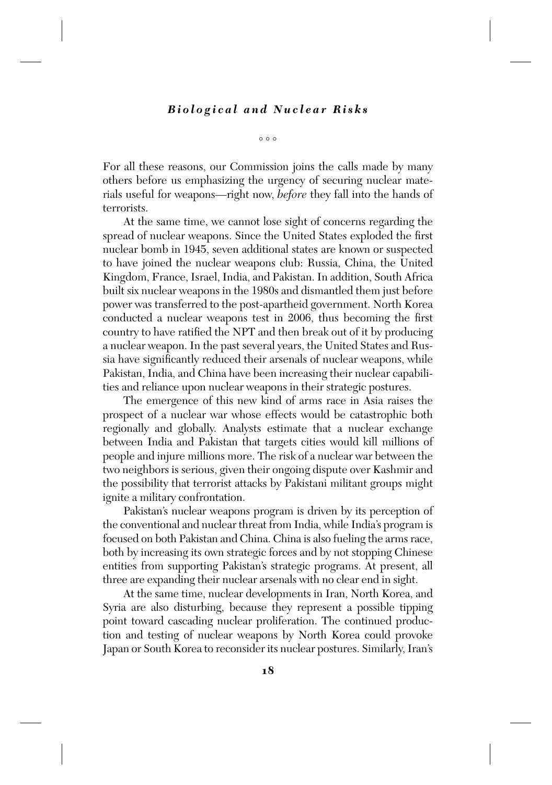$\circ \circ \circ$ 

For all these reasons, our Commission joins the calls made by many others before us emphasizing the urgency of securing nuclear materials useful for weapons—right now, *before* they fall into the hands of terrorists.

At the same time, we cannot lose sight of concerns regarding the spread of nuclear weapons. Since the United States exploded the first nuclear bomb in 1945, seven additional states are known or suspected to have joined the nuclear weapons club: Russia, China, the United Kingdom, France, Israel, India, and Pakistan. In addition, South Africa built six nuclear weapons in the 1980s and dismantled them just before power was transferred to the post-apartheid government. North Korea conducted a nuclear weapons test in 2006, thus becoming the first country to have ratified the NPT and then break out of it by producing a nuclear weapon. In the past several years, the United States and Russia have significantly reduced their arsenals of nuclear weapons, while Pakistan, India, and China have been increasing their nuclear capabilities and reliance upon nuclear weapons in their strategic postures.

The emergence of this new kind of arms race in Asia raises the prospect of a nuclear war whose effects would be catastrophic both regionally and globally. Analysts estimate that a nuclear exchange between India and Pakistan that targets cities would kill millions of people and injure millions more. The risk of a nuclear war between the two neighbors is serious, given their ongoing dispute over Kashmir and the possibility that terrorist attacks by Pakistani militant groups might ignite a military confrontation.

Pakistan's nuclear weapons program is driven by its perception of the conventional and nuclear threat from India, while India's program is focused on both Pakistan and China. China is also fueling the arms race, both by increasing its own strategic forces and by not stopping Chinese entities from supporting Pakistan's strategic programs. At present, all three are expanding their nuclear arsenals with no clear end in sight.

At the same time, nuclear developments in Iran, North Korea, and Syria are also disturbing, because they represent a possible tipping point toward cascading nuclear proliferation. The continued production and testing of nuclear weapons by North Korea could provoke Japan or South Korea to reconsider its nuclear postures. Similarly, Iran's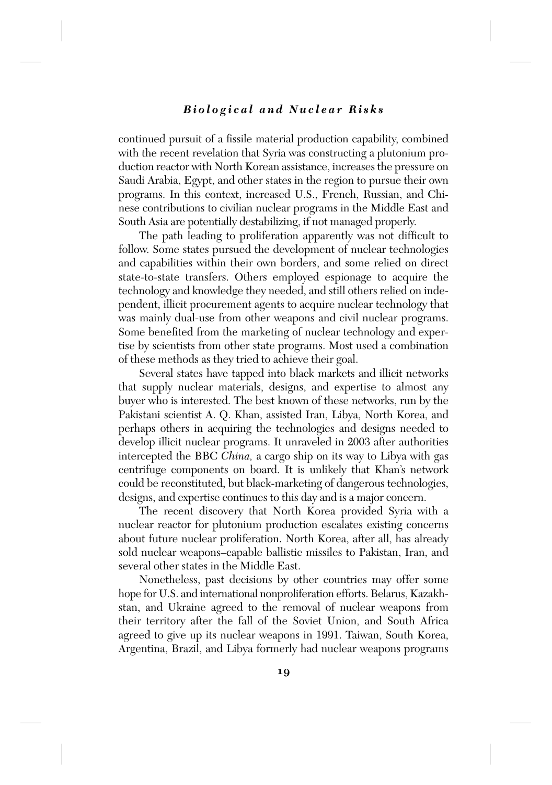continued pursuit of a fissile material production capability, combined with the recent revelation that Syria was constructing a plutonium production reactor with North Korean assistance, increases the pressure on Saudi Arabia, Egypt, and other states in the region to pursue their own programs. In this context, increased U.S., French, Russian, and Chinese contributions to civilian nuclear programs in the Middle East and South Asia are potentially destabilizing, if not managed properly.

The path leading to proliferation apparently was not difficult to follow. Some states pursued the development of nuclear technologies and capabilities within their own borders, and some relied on direct state-to-state transfers. Others employed espionage to acquire the technology and knowledge they needed, and still others relied on independent, illicit procurement agents to acquire nuclear technology that was mainly dual-use from other weapons and civil nuclear programs. Some benefited from the marketing of nuclear technology and expertise by scientists from other state programs. Most used a combination of these methods as they tried to achieve their goal.

Several states have tapped into black markets and illicit networks that supply nuclear materials, designs, and expertise to almost any buyer who is interested. The best known of these networks, run by the Pakistani scientist A. Q. Khan, assisted Iran, Libya, North Korea, and perhaps others in acquiring the technologies and designs needed to develop illicit nuclear programs. It unraveled in 2003 after authorities intercepted the BBC *China,* a cargo ship on its way to Libya with gas centrifuge components on board. It is unlikely that Khan's network could be reconstituted, but black-marketing of dangerous technologies, designs, and expertise continues to this day and is a major concern.

The recent discovery that North Korea provided Syria with a nuclear reactor for plutonium production escalates existing concerns about future nuclear proliferation. North Korea, after all, has already sold nuclear weapons–capable ballistic missiles to Pakistan, Iran, and several other states in the Middle East.

Nonetheless, past decisions by other countries may offer some hope for U.S. and international nonproliferation efforts. Belarus, Kazakhstan, and Ukraine agreed to the removal of nuclear weapons from their territory after the fall of the Soviet Union, and South Africa agreed to give up its nuclear weapons in 1991. Taiwan, South Korea, Argentina, Brazil, and Libya formerly had nuclear weapons programs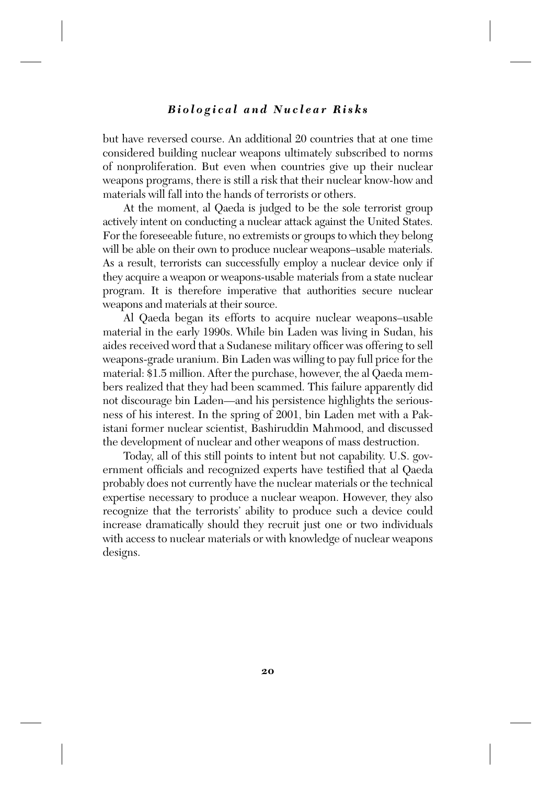but have reversed course. An additional 20 countries that at one time considered building nuclear weapons ultimately subscribed to norms of nonproliferation. But even when countries give up their nuclear weapons programs, there is still a risk that their nuclear know-how and materials will fall into the hands of terrorists or others.

At the moment, al Qaeda is judged to be the sole terrorist group actively intent on conducting a nuclear attack against the United States. For the foreseeable future, no extremists or groups to which they belong will be able on their own to produce nuclear weapons–usable materials. As a result, terrorists can successfully employ a nuclear device only if they acquire a weapon or weapons-usable materials from a state nuclear program. It is therefore imperative that authorities secure nuclear weapons and materials at their source.

Al Qaeda began its efforts to acquire nuclear weapons–usable material in the early 1990s. While bin Laden was living in Sudan, his aides received word that a Sudanese military officer was offering to sell weapons-grade uranium. Bin Laden was willing to pay full price for the material: \$1.5 million. After the purchase, however, the al Qaeda members realized that they had been scammed. This failure apparently did not discourage bin Laden—and his persistence highlights the seriousness of his interest. In the spring of 2001, bin Laden met with a Pakistani former nuclear scientist, Bashiruddin Mahmood, and discussed the development of nuclear and other weapons of mass destruction.

Today, all of this still points to intent but not capability. U.S. government officials and recognized experts have testified that al Qaeda probably does not currently have the nuclear materials or the technical expertise necessary to produce a nuclear weapon. However, they also recognize that the terrorists' ability to produce such a device could increase dramatically should they recruit just one or two individuals with access to nuclear materials or with knowledge of nuclear weapons designs.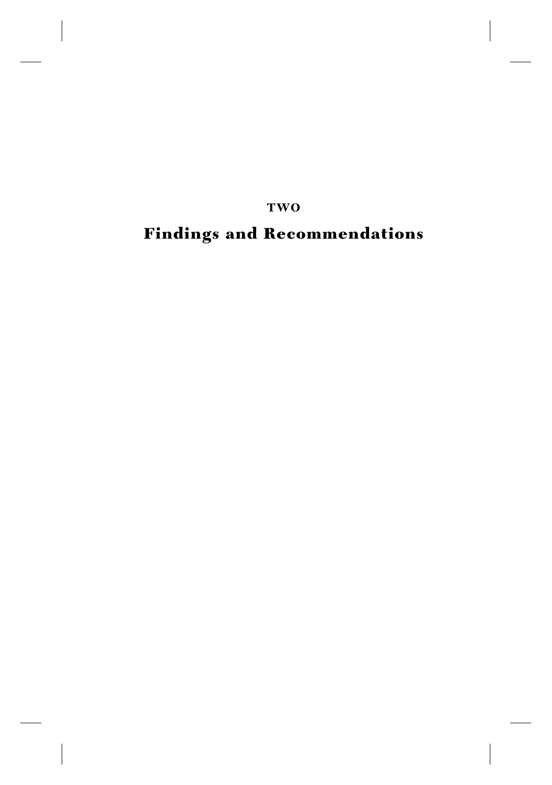# **two**

# Findings and Recommendations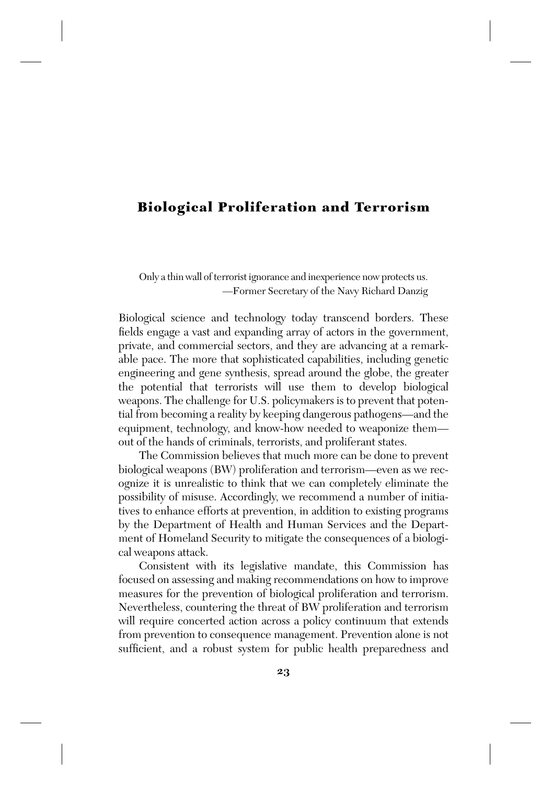Only a thin wall of terrorist ignorance and inexperience now protects us. —Former Secretary of the Navy Richard Danzig

Biological science and technology today transcend borders. These fields engage a vast and expanding array of actors in the government, private, and commercial sectors, and they are advancing at a remarkable pace. The more that sophisticated capabilities, including genetic engineering and gene synthesis, spread around the globe, the greater the potential that terrorists will use them to develop biological weapons. The challenge for U.S. policymakers is to prevent that potential from becoming a reality by keeping dangerous pathogens—and the equipment, technology, and know-how needed to weaponize them out of the hands of criminals, terrorists, and proliferant states.

The Commission believes that much more can be done to prevent biological weapons (BW) proliferation and terrorism—even as we recognize it is unrealistic to think that we can completely eliminate the possibility of misuse. Accordingly, we recommend a number of initiatives to enhance efforts at prevention, in addition to existing programs by the Department of Health and Human Services and the Department of Homeland Security to mitigate the consequences of a biological weapons attack.

Consistent with its legislative mandate, this Commission has focused on assessing and making recommendations on how to improve measures for the prevention of biological proliferation and terrorism. Nevertheless, countering the threat of BW proliferation and terrorism will require concerted action across a policy continuum that extends from prevention to consequence management. Prevention alone is not sufficient, and a robust system for public health preparedness and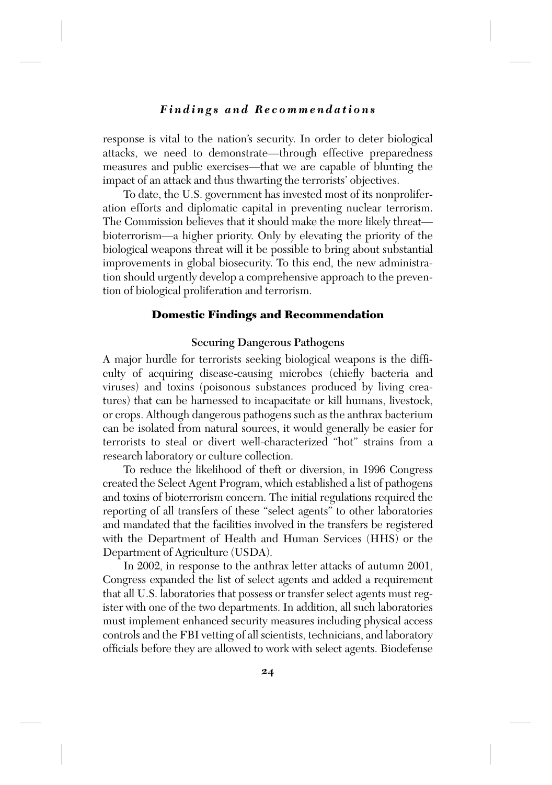response is vital to the nation's security. In order to deter biological attacks, we need to demonstrate—through effective preparedness measures and public exercises—that we are capable of blunting the impact of an attack and thus thwarting the terrorists' objectives.

To date, the U.S. government has invested most of its nonproliferation efforts and diplomatic capital in preventing nuclear terrorism. The Commission believes that it should make the more likely threat bioterrorism—a higher priority. Only by elevating the priority of the biological weapons threat will it be possible to bring about substantial improvements in global biosecurity. To this end, the new administration should urgently develop a comprehensive approach to the prevention of biological proliferation and terrorism.

#### Domestic Findings and Recommendation

#### **Securing Dangerous Pathogens**

A major hurdle for terrorists seeking biological weapons is the difficulty of acquiring disease-causing microbes (chiefly bacteria and viruses) and toxins (poisonous substances produced by living creatures) that can be harnessed to incapacitate or kill humans, livestock, or crops. Although dangerous pathogens such as the anthrax bacterium can be isolated from natural sources, it would generally be easier for terrorists to steal or divert well-characterized "hot" strains from a research laboratory or culture collection.

To reduce the likelihood of theft or diversion, in 1996 Congress created the Select Agent Program, which established a list of pathogens and toxins of bioterrorism concern. The initial regulations required the reporting of all transfers of these "select agents" to other laboratories and mandated that the facilities involved in the transfers be registered with the Department of Health and Human Services (HHS) or the Department of Agriculture (USDA).

In 2002, in response to the anthrax letter attacks of autumn 2001, Congress expanded the list of select agents and added a requirement that all U.S. laboratories that possess or transfer select agents must register with one of the two departments. In addition, all such laboratories must implement enhanced security measures including physical access controls and the FBI vetting of all scientists, technicians, and laboratory officials before they are allowed to work with select agents. Biodefense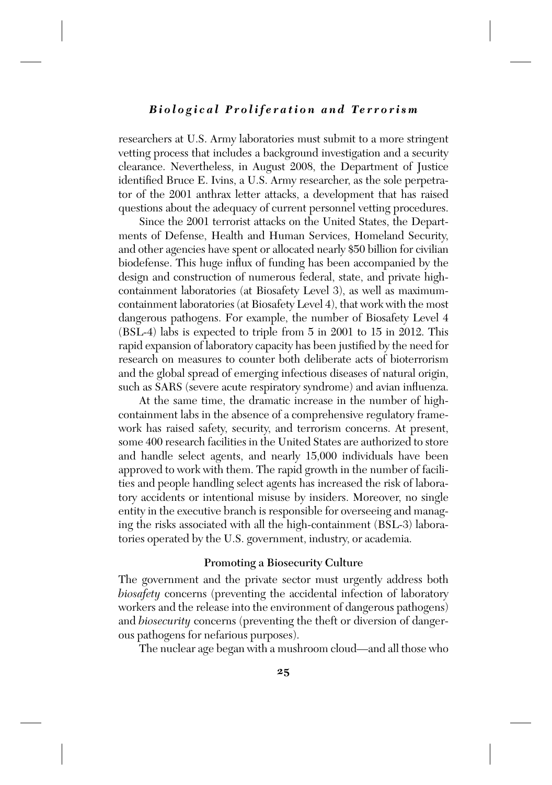researchers at U.S. Army laboratories must submit to a more stringent vetting process that includes a background investigation and a security clearance. Nevertheless, in August 2008, the Department of Justice identified Bruce E. Ivins, a U.S. Army researcher, as the sole perpetrator of the 2001 anthrax letter attacks, a development that has raised questions about the adequacy of current personnel vetting procedures.

Since the 2001 terrorist attacks on the United States, the Departments of Defense, Health and Human Services, Homeland Security, and other agencies have spent or allocated nearly \$50 billion for civilian biodefense. This huge influx of funding has been accompanied by the design and construction of numerous federal, state, and private highcontainment laboratories (at Biosafety Level 3), as well as maximumcontainment laboratories (at Biosafety Level 4), that work with the most dangerous pathogens. For example, the number of Biosafety Level 4 (BSL-4) labs is expected to triple from 5 in 2001 to 15 in 2012. This rapid expansion of laboratory capacity has been justified by the need for research on measures to counter both deliberate acts of bioterrorism and the global spread of emerging infectious diseases of natural origin, such as SARS (severe acute respiratory syndrome) and avian influenza.

At the same time, the dramatic increase in the number of highcontainment labs in the absence of a comprehensive regulatory framework has raised safety, security, and terrorism concerns. At present, some 400 research facilities in the United States are authorized to store and handle select agents, and nearly 15,000 individuals have been approved to work with them. The rapid growth in the number of facilities and people handling select agents has increased the risk of laboratory accidents or intentional misuse by insiders. Moreover, no single entity in the executive branch is responsible for overseeing and managing the risks associated with all the high-containment (BSL-3) laboratories operated by the U.S. government, industry, or academia.

#### **Promoting a Biosecurity Culture**

The government and the private sector must urgently address both *biosafety* concerns (preventing the accidental infection of laboratory workers and the release into the environment of dangerous pathogens) and *biosecurity* concerns (preventing the theft or diversion of dangerous pathogens for nefarious purposes).

The nuclear age began with a mushroom cloud—and all those who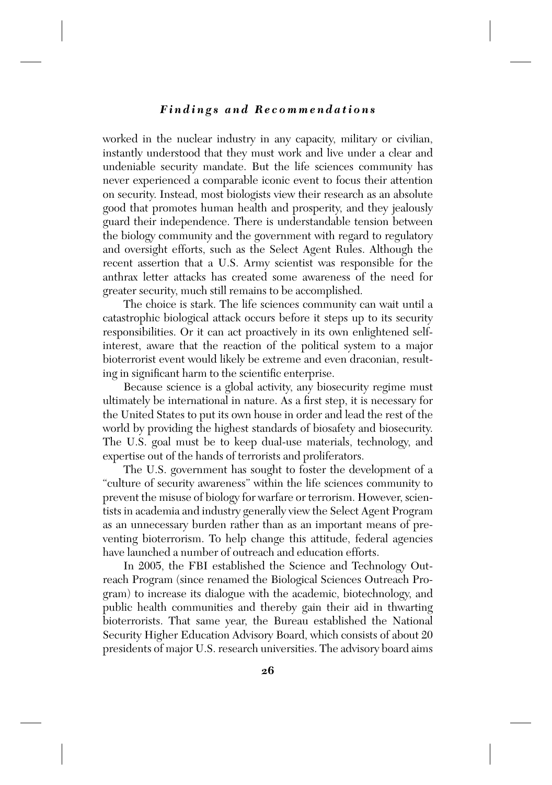worked in the nuclear industry in any capacity, military or civilian, instantly understood that they must work and live under a clear and undeniable security mandate. But the life sciences community has never experienced a comparable iconic event to focus their attention on security. Instead, most biologists view their research as an absolute good that promotes human health and prosperity, and they jealously guard their independence. There is understandable tension between the biology community and the government with regard to regulatory and oversight efforts, such as the Select Agent Rules. Although the recent assertion that a U.S. Army scientist was responsible for the anthrax letter attacks has created some awareness of the need for greater security, much still remains to be accomplished.

The choice is stark. The life sciences community can wait until a catastrophic biological attack occurs before it steps up to its security responsibilities. Or it can act proactively in its own enlightened selfinterest, aware that the reaction of the political system to a major bioterrorist event would likely be extreme and even draconian, resulting in significant harm to the scientific enterprise.

Because science is a global activity, any biosecurity regime must ultimately be international in nature. As a first step, it is necessary for the United States to put its own house in order and lead the rest of the world by providing the highest standards of biosafety and biosecurity. The U.S. goal must be to keep dual-use materials, technology, and expertise out of the hands of terrorists and proliferators.

The U.S. government has sought to foster the development of a "culture of security awareness" within the life sciences community to prevent the misuse of biology for warfare or terrorism. However, scientists in academia and industry generally view the Select Agent Program as an unnecessary burden rather than as an important means of preventing bioterrorism. To help change this attitude, federal agencies have launched a number of outreach and education efforts.

In 2005, the FBI established the Science and Technology Outreach Program (since renamed the Biological Sciences Outreach Program) to increase its dialogue with the academic, biotechnology, and public health communities and thereby gain their aid in thwarting bioterrorists. That same year, the Bureau established the National Security Higher Education Advisory Board, which consists of about 20 presidents of major U.S. research universities. The advisory board aims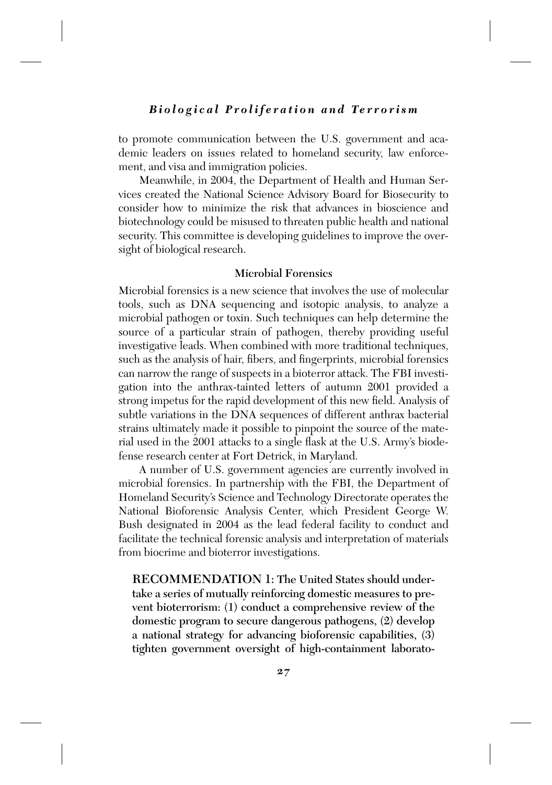to promote communication between the U.S. government and academic leaders on issues related to homeland security, law enforcement, and visa and immigration policies.

Meanwhile, in 2004, the Department of Health and Human Services created the National Science Advisory Board for Biosecurity to consider how to minimize the risk that advances in bioscience and biotechnology could be misused to threaten public health and national security. This committee is developing guidelines to improve the oversight of biological research.

#### **Microbial Forensics**

Microbial forensics is a new science that involves the use of molecular tools, such as DNA sequencing and isotopic analysis, to analyze a microbial pathogen or toxin. Such techniques can help determine the source of a particular strain of pathogen, thereby providing useful investigative leads. When combined with more traditional techniques, such as the analysis of hair, fibers, and fingerprints, microbial forensics can narrow the range of suspects in a bioterror attack. The FBI investigation into the anthrax-tainted letters of autumn 2001 provided a strong impetus for the rapid development of this new field. Analysis of subtle variations in the DNA sequences of different anthrax bacterial strains ultimately made it possible to pinpoint the source of the material used in the 2001 attacks to a single flask at the U.S. Army's biodefense research center at Fort Detrick, in Maryland.

A number of U.S. government agencies are currently involved in microbial forensics. In partnership with the FBI, the Department of Homeland Security's Science and Technology Directorate operates the National Bioforensic Analysis Center, which President George W. Bush designated in 2004 as the lead federal facility to conduct and facilitate the technical forensic analysis and interpretation of materials from biocrime and bioterror investigations.

**RECOMMENDATION 1: The United States should undertake a series of mutually reinforcing domestic measures to prevent bioterrorism: (1) conduct a comprehensive review of the domestic program to secure dangerous pathogens, (2) develop a national strategy for advancing bioforensic capabilities, (3) tighten government oversight of high-containment laborato-**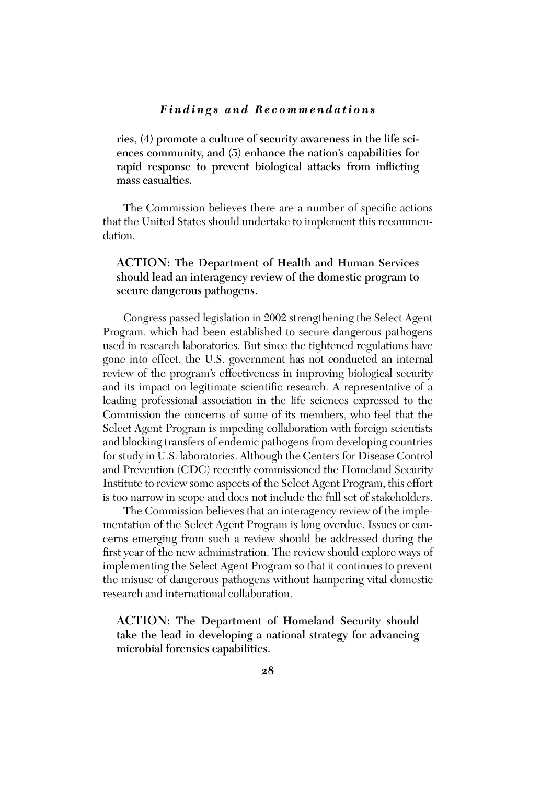**ries, (4) promote a culture of security awareness in the life sciences community, and (5) enhance the nation's capabilities for rapid response to prevent biological attacks from inflicting mass casualties.**

The Commission believes there are a number of specific actions that the United States should undertake to implement this recommendation.

**ACTION: The Department of Health and Human Services should lead an interagency review of the domestic program to secure dangerous pathogens.**

Congress passed legislation in 2002 strengthening the Select Agent Program, which had been established to secure dangerous pathogens used in research laboratories. But since the tightened regulations have gone into effect, the U.S. government has not conducted an internal review of the program's effectiveness in improving biological security and its impact on legitimate scientific research. A representative of a leading professional association in the life sciences expressed to the Commission the concerns of some of its members, who feel that the Select Agent Program is impeding collaboration with foreign scientists and blocking transfers of endemic pathogens from developing countries for study in U.S. laboratories. Although the Centers for Disease Control and Prevention (CDC) recently commissioned the Homeland Security Institute to review some aspects of the Select Agent Program, this effort is too narrow in scope and does not include the full set of stakeholders.

The Commission believes that an interagency review of the implementation of the Select Agent Program is long overdue. Issues or concerns emerging from such a review should be addressed during the first year of the new administration. The review should explore ways of implementing the Select Agent Program so that it continues to prevent the misuse of dangerous pathogens without hampering vital domestic research and international collaboration.

**ACTION: The Department of Homeland Security should take the lead in developing a national strategy for advancing microbial forensics capabilities.**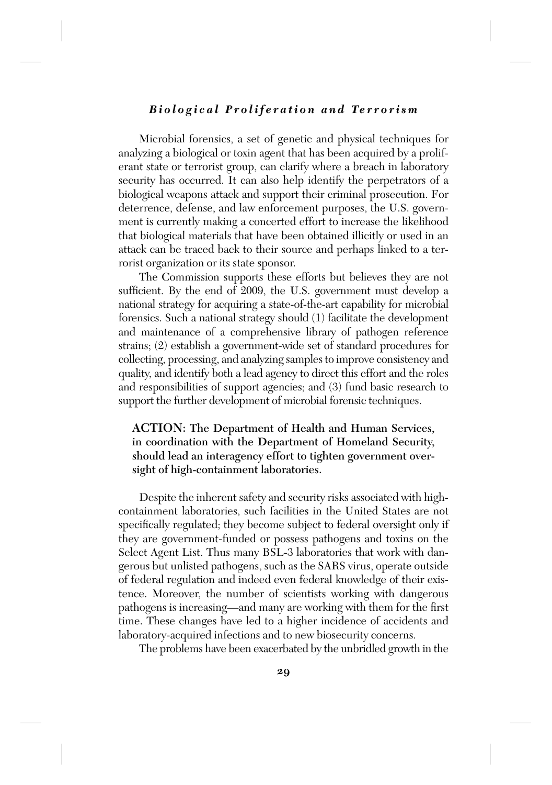Microbial forensics, a set of genetic and physical techniques for analyzing a biological or toxin agent that has been acquired by a proliferant state or terrorist group, can clarify where a breach in laboratory security has occurred. It can also help identify the perpetrators of a biological weapons attack and support their criminal prosecution. For deterrence, defense, and law enforcement purposes, the U.S. government is currently making a concerted effort to increase the likelihood that biological materials that have been obtained illicitly or used in an attack can be traced back to their source and perhaps linked to a terrorist organization or its state sponsor.

The Commission supports these efforts but believes they are not sufficient. By the end of 2009, the U.S. government must develop a national strategy for acquiring a state-of-the-art capability for microbial forensics. Such a national strategy should (1) facilitate the development and maintenance of a comprehensive library of pathogen reference strains; (2) establish a government-wide set of standard procedures for collecting, processing, and analyzing samples to improve consistency and quality, and identify both a lead agency to direct this effort and the roles and responsibilities of support agencies; and (3) fund basic research to support the further development of microbial forensic techniques.

**ACTION: The Department of Health and Human Services, in coordination with the Department of Homeland Security, should lead an interagency effort to tighten government oversight of high-containment laboratories.**

Despite the inherent safety and security risks associated with highcontainment laboratories, such facilities in the United States are not specifically regulated; they become subject to federal oversight only if they are government-funded or possess pathogens and toxins on the Select Agent List. Thus many BSL-3 laboratories that work with dangerous but unlisted pathogens, such as the SARS virus, operate outside of federal regulation and indeed even federal knowledge of their existence. Moreover, the number of scientists working with dangerous pathogens is increasing—and many are working with them for the first time. These changes have led to a higher incidence of accidents and laboratory-acquired infections and to new biosecurity concerns.

The problems have been exacerbated by the unbridled growth in the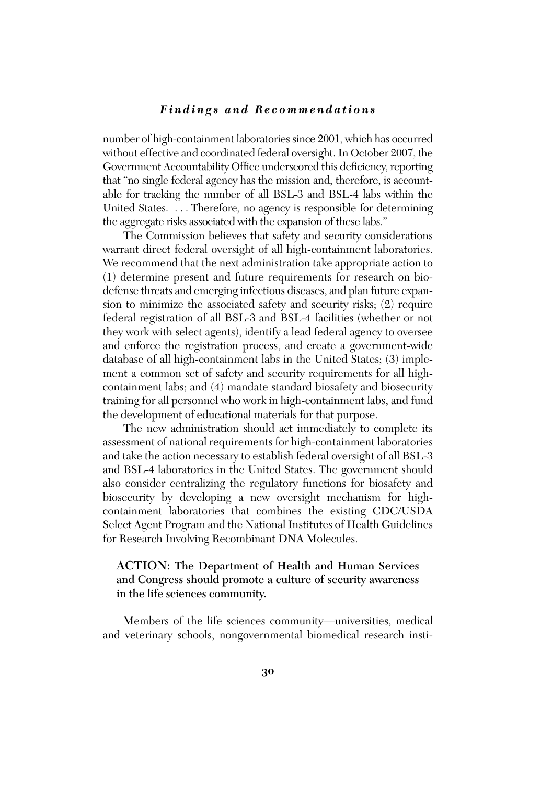number of high-containment laboratories since 2001, which has occurred without effective and coordinated federal oversight. In October 2007, the Government Accountability Office underscored this deficiency, reporting that "no single federal agency has the mission and, therefore, is accountable for tracking the number of all BSL-3 and BSL-4 labs within the United States. . . . Therefore, no agency is responsible for determining the aggregate risks associated with the expansion of these labs."

The Commission believes that safety and security considerations warrant direct federal oversight of all high-containment laboratories. We recommend that the next administration take appropriate action to (1) determine present and future requirements for research on biodefense threats and emerging infectious diseases, and plan future expansion to minimize the associated safety and security risks; (2) require federal registration of all BSL-3 and BSL-4 facilities (whether or not they work with select agents), identify a lead federal agency to oversee and enforce the registration process, and create a government-wide database of all high-containment labs in the United States; (3) implement a common set of safety and security requirements for all highcontainment labs; and (4) mandate standard biosafety and biosecurity training for all personnel who work in high-containment labs, and fund the development of educational materials for that purpose.

The new administration should act immediately to complete its assessment of national requirements for high-containment laboratories and take the action necessary to establish federal oversight of all BSL-3 and BSL-4 laboratories in the United States. The government should also consider centralizing the regulatory functions for biosafety and biosecurity by developing a new oversight mechanism for highcontainment laboratories that combines the existing CDC/USDA Select Agent Program and the National Institutes of Health Guidelines for Research Involving Recombinant DNA Molecules.

# **ACTION: The Department of Health and Human Services and Congress should promote a culture of security awareness in the life sciences community.**

Members of the life sciences community—universities, medical and veterinary schools, nongovernmental biomedical research insti-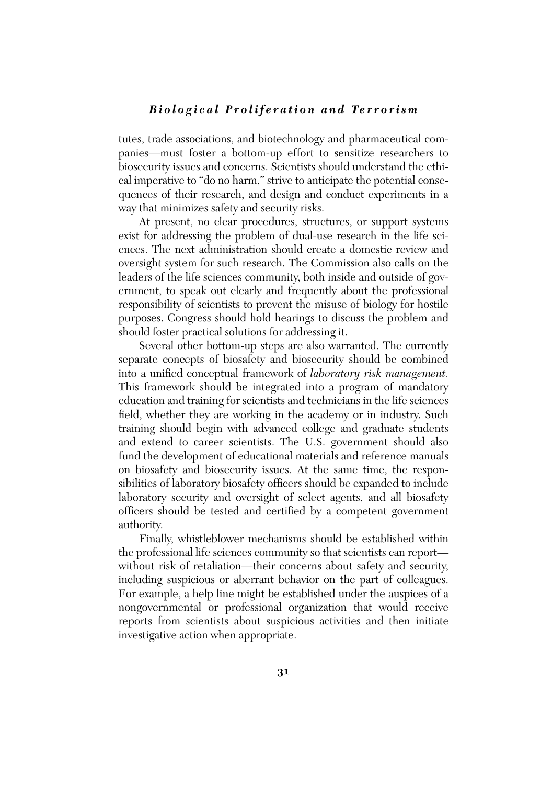tutes, trade associations, and biotechnology and pharmaceutical companies—must foster a bottom-up effort to sensitize researchers to biosecurity issues and concerns. Scientists should understand the ethical imperative to "do no harm," strive to anticipate the potential consequences of their research, and design and conduct experiments in a way that minimizes safety and security risks.

At present, no clear procedures, structures, or support systems exist for addressing the problem of dual-use research in the life sciences. The next administration should create a domestic review and oversight system for such research. The Commission also calls on the leaders of the life sciences community, both inside and outside of government, to speak out clearly and frequently about the professional responsibility of scientists to prevent the misuse of biology for hostile purposes. Congress should hold hearings to discuss the problem and should foster practical solutions for addressing it.

Several other bottom-up steps are also warranted. The currently separate concepts of biosafety and biosecurity should be combined into a unified conceptual framework of *laboratory risk management.* This framework should be integrated into a program of mandatory education and training for scientists and technicians in the life sciences field, whether they are working in the academy or in industry. Such training should begin with advanced college and graduate students and extend to career scientists. The U.S. government should also fund the development of educational materials and reference manuals on biosafety and biosecurity issues. At the same time, the responsibilities of laboratory biosafety officers should be expanded to include laboratory security and oversight of select agents, and all biosafety officers should be tested and certified by a competent government authority.

Finally, whistleblower mechanisms should be established within the professional life sciences community so that scientists can report without risk of retaliation—their concerns about safety and security, including suspicious or aberrant behavior on the part of colleagues. For example, a help line might be established under the auspices of a nongovernmental or professional organization that would receive reports from scientists about suspicious activities and then initiate investigative action when appropriate.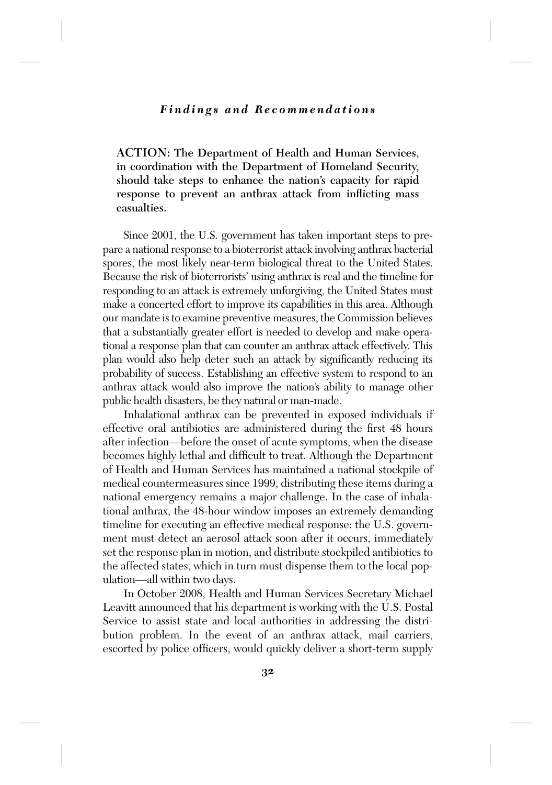**ACTION: The Department of Health and Human Services, in coordination with the Department of Homeland Security, should take steps to enhance the nation's capacity for rapid response to prevent an anthrax attack from inflicting mass casualties.**

Since 2001, the U.S. government has taken important steps to prepare a national response to a bioterrorist attack involving anthrax bacterial spores, the most likely near-term biological threat to the United States. Because the risk of bioterrorists' using anthrax is real and the timeline for responding to an attack is extremely unforgiving, the United States must make a concerted effort to improve its capabilities in this area. Although our mandate is to examine preventive measures, the Commission believes that a substantially greater effort is needed to develop and make operational a response plan that can counter an anthrax attack effectively. This plan would also help deter such an attack by significantly reducing its probability of success. Establishing an effective system to respond to an anthrax attack would also improve the nation's ability to manage other public health disasters, be they natural or man-made.

Inhalational anthrax can be prevented in exposed individuals if effective oral antibiotics are administered during the first 48 hours after infection—before the onset of acute symptoms, when the disease becomes highly lethal and difficult to treat. Although the Department of Health and Human Services has maintained a national stockpile of medical countermeasures since 1999, distributing these items during a national emergency remains a major challenge. In the case of inhalational anthrax, the 48-hour window imposes an extremely demanding timeline for executing an effective medical response: the U.S. government must detect an aerosol attack soon after it occurs, immediately set the response plan in motion, and distribute stockpiled antibiotics to the affected states, which in turn must dispense them to the local population—all within two days.

In October 2008, Health and Human Services Secretary Michael Leavitt announced that his department is working with the U.S. Postal Service to assist state and local authorities in addressing the distribution problem. In the event of an anthrax attack, mail carriers, escorted by police officers, would quickly deliver a short-term supply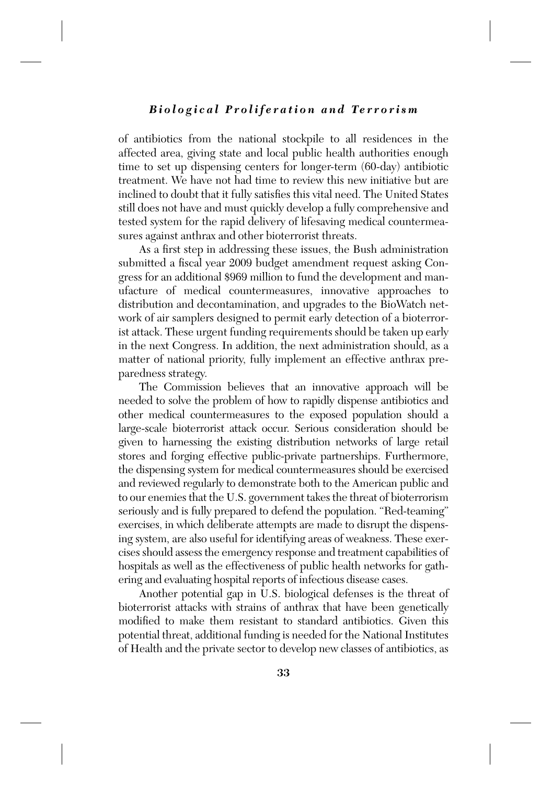of antibiotics from the national stockpile to all residences in the affected area, giving state and local public health authorities enough time to set up dispensing centers for longer-term (60-day) antibiotic treatment. We have not had time to review this new initiative but are inclined to doubt that it fully satisfies this vital need. The United States still does not have and must quickly develop a fully comprehensive and tested system for the rapid delivery of lifesaving medical countermeasures against anthrax and other bioterrorist threats.

As a first step in addressing these issues, the Bush administration submitted a fiscal year 2009 budget amendment request asking Congress for an additional \$969 million to fund the development and manufacture of medical countermeasures, innovative approaches to distribution and decontamination, and upgrades to the BioWatch network of air samplers designed to permit early detection of a bioterrorist attack. These urgent funding requirements should be taken up early in the next Congress. In addition, the next administration should, as a matter of national priority, fully implement an effective anthrax preparedness strategy.

The Commission believes that an innovative approach will be needed to solve the problem of how to rapidly dispense antibiotics and other medical countermeasures to the exposed population should a large-scale bioterrorist attack occur. Serious consideration should be given to harnessing the existing distribution networks of large retail stores and forging effective public-private partnerships. Furthermore, the dispensing system for medical countermeasures should be exercised and reviewed regularly to demonstrate both to the American public and to our enemies that the U.S. government takes the threat of bioterrorism seriously and is fully prepared to defend the population. "Red-teaming" exercises, in which deliberate attempts are made to disrupt the dispensing system, are also useful for identifying areas of weakness. These exercises should assess the emergency response and treatment capabilities of hospitals as well as the effectiveness of public health networks for gathering and evaluating hospital reports of infectious disease cases.

Another potential gap in U.S. biological defenses is the threat of bioterrorist attacks with strains of anthrax that have been genetically modified to make them resistant to standard antibiotics. Given this potential threat, additional funding is needed for the National Institutes of Health and the private sector to develop new classes of antibiotics, as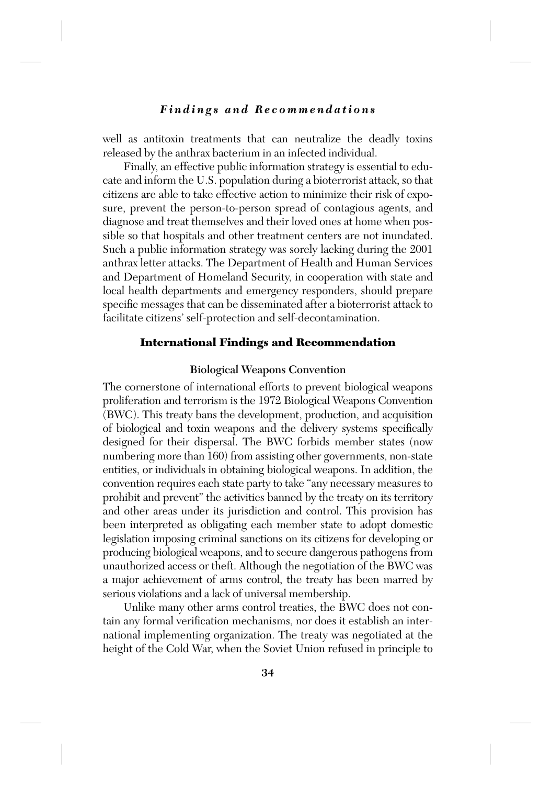well as antitoxin treatments that can neutralize the deadly toxins released by the anthrax bacterium in an infected individual.

Finally, an effective public information strategy is essential to educate and inform the U.S. population during a bioterrorist attack, so that citizens are able to take effective action to minimize their risk of exposure, prevent the person-to-person spread of contagious agents, and diagnose and treat themselves and their loved ones at home when possible so that hospitals and other treatment centers are not inundated. Such a public information strategy was sorely lacking during the 2001 anthrax letter attacks. The Department of Health and Human Services and Department of Homeland Security, in cooperation with state and local health departments and emergency responders, should prepare specific messages that can be disseminated after a bioterrorist attack to facilitate citizens' self-protection and self-decontamination.

#### International Findings and Recommendation

#### **Biological Weapons Convention**

The cornerstone of international efforts to prevent biological weapons proliferation and terrorism is the 1972 Biological Weapons Convention (BWC). This treaty bans the development, production, and acquisition of biological and toxin weapons and the delivery systems specifically designed for their dispersal. The BWC forbids member states (now numbering more than 160) from assisting other governments, non-state entities, or individuals in obtaining biological weapons. In addition, the convention requires each state party to take "any necessary measures to prohibit and prevent" the activities banned by the treaty on its territory and other areas under its jurisdiction and control. This provision has been interpreted as obligating each member state to adopt domestic legislation imposing criminal sanctions on its citizens for developing or producing biological weapons, and to secure dangerous pathogens from unauthorized access or theft. Although the negotiation of the BWC was a major achievement of arms control, the treaty has been marred by serious violations and a lack of universal membership.

Unlike many other arms control treaties, the BWC does not contain any formal verification mechanisms, nor does it establish an international implementing organization. The treaty was negotiated at the height of the Cold War, when the Soviet Union refused in principle to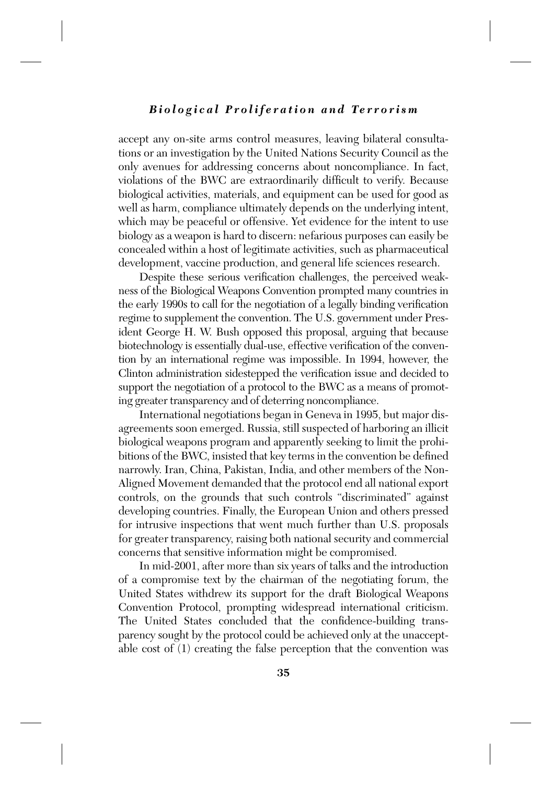accept any on-site arms control measures, leaving bilateral consultations or an investigation by the United Nations Security Council as the only avenues for addressing concerns about noncompliance. In fact, violations of the BWC are extraordinarily difficult to verify. Because biological activities, materials, and equipment can be used for good as well as harm, compliance ultimately depends on the underlying intent, which may be peaceful or offensive. Yet evidence for the intent to use biology as a weapon is hard to discern: nefarious purposes can easily be concealed within a host of legitimate activities, such as pharmaceutical development, vaccine production, and general life sciences research.

Despite these serious verification challenges, the perceived weakness of the Biological Weapons Convention prompted many countries in the early 1990s to call for the negotiation of a legally binding verification regime to supplement the convention. The U.S. government under President George H. W. Bush opposed this proposal, arguing that because biotechnology is essentially dual-use, effective verification of the convention by an international regime was impossible. In 1994, however, the Clinton administration sidestepped the verification issue and decided to support the negotiation of a protocol to the BWC as a means of promoting greater transparency and of deterring noncompliance.

International negotiations began in Geneva in 1995, but major disagreements soon emerged. Russia, still suspected of harboring an illicit biological weapons program and apparently seeking to limit the prohibitions of the BWC, insisted that key terms in the convention be defined narrowly. Iran, China, Pakistan, India, and other members of the Non-Aligned Movement demanded that the protocol end all national export controls, on the grounds that such controls "discriminated" against developing countries. Finally, the European Union and others pressed for intrusive inspections that went much further than U.S. proposals for greater transparency, raising both national security and commercial concerns that sensitive information might be compromised.

In mid-2001, after more than six years of talks and the introduction of a compromise text by the chairman of the negotiating forum, the United States withdrew its support for the draft Biological Weapons Convention Protocol, prompting widespread international criticism. The United States concluded that the confidence-building transparency sought by the protocol could be achieved only at the unacceptable cost of (1) creating the false perception that the convention was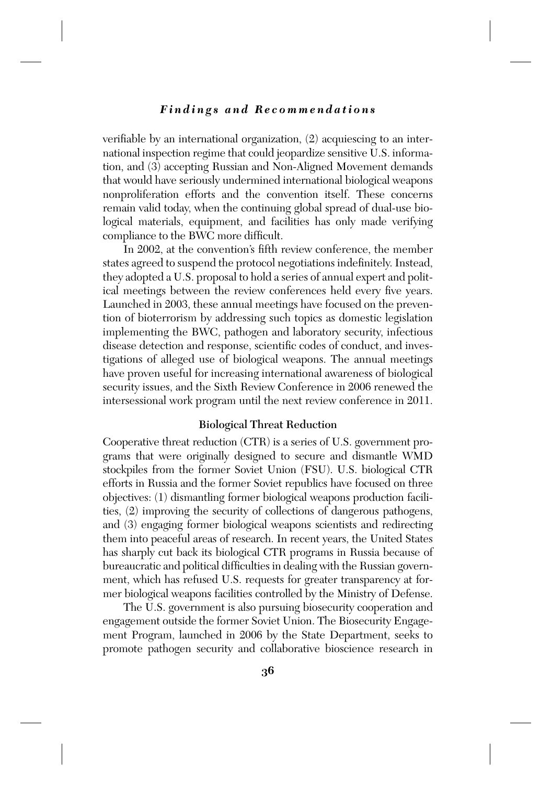verifiable by an international organization, (2) acquiescing to an international inspection regime that could jeopardize sensitive U.S. information, and (3) accepting Russian and Non-Aligned Movement demands that would have seriously undermined international biological weapons nonproliferation efforts and the convention itself. These concerns remain valid today, when the continuing global spread of dual-use biological materials, equipment, and facilities has only made verifying compliance to the BWC more difficult.

In 2002, at the convention's fifth review conference, the member states agreed to suspend the protocol negotiations indefinitely. Instead, they adopted a U.S. proposal to hold a series of annual expert and political meetings between the review conferences held every five years. Launched in 2003, these annual meetings have focused on the prevention of bioterrorism by addressing such topics as domestic legislation implementing the BWC, pathogen and laboratory security, infectious disease detection and response, scientific codes of conduct, and investigations of alleged use of biological weapons. The annual meetings have proven useful for increasing international awareness of biological security issues, and the Sixth Review Conference in 2006 renewed the intersessional work program until the next review conference in 2011.

#### **Biological Threat Reduction**

Cooperative threat reduction (CTR) is a series of U.S. government programs that were originally designed to secure and dismantle WMD stockpiles from the former Soviet Union (FSU). U.S. biological CTR efforts in Russia and the former Soviet republics have focused on three objectives: (1) dismantling former biological weapons production facilities, (2) improving the security of collections of dangerous pathogens, and (3) engaging former biological weapons scientists and redirecting them into peaceful areas of research. In recent years, the United States has sharply cut back its biological CTR programs in Russia because of bureaucratic and political difficulties in dealing with the Russian government, which has refused U.S. requests for greater transparency at former biological weapons facilities controlled by the Ministry of Defense.

The U.S. government is also pursuing biosecurity cooperation and engagement outside the former Soviet Union. The Biosecurity Engagement Program, launched in 2006 by the State Department, seeks to promote pathogen security and collaborative bioscience research in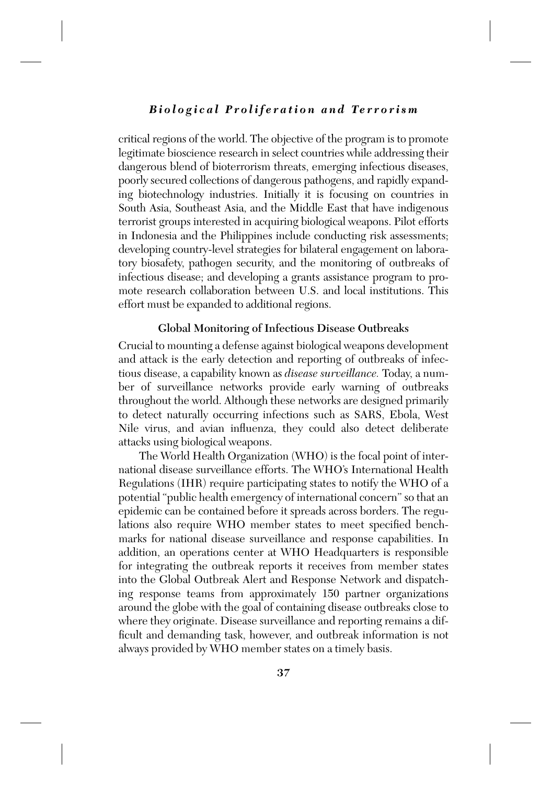critical regions of the world. The objective of the program is to promote legitimate bioscience research in select countries while addressing their dangerous blend of bioterrorism threats, emerging infectious diseases, poorly secured collections of dangerous pathogens, and rapidly expanding biotechnology industries. Initially it is focusing on countries in South Asia, Southeast Asia, and the Middle East that have indigenous terrorist groups interested in acquiring biological weapons. Pilot efforts in Indonesia and the Philippines include conducting risk assessments; developing country-level strategies for bilateral engagement on laboratory biosafety, pathogen security, and the monitoring of outbreaks of infectious disease; and developing a grants assistance program to promote research collaboration between U.S. and local institutions. This effort must be expanded to additional regions.

#### **Global Monitoring of Infectious Disease Outbreaks**

Crucial to mounting a defense against biological weapons development and attack is the early detection and reporting of outbreaks of infectious disease, a capability known as *disease surveillance.* Today, a number of surveillance networks provide early warning of outbreaks throughout the world. Although these networks are designed primarily to detect naturally occurring infections such as SARS, Ebola, West Nile virus, and avian influenza, they could also detect deliberate attacks using biological weapons.

The World Health Organization (WHO) is the focal point of international disease surveillance efforts. The WHO's International Health Regulations (IHR) require participating states to notify the WHO of a potential "public health emergency of international concern" so that an epidemic can be contained before it spreads across borders. The regulations also require WHO member states to meet specified benchmarks for national disease surveillance and response capabilities. In addition, an operations center at WHO Headquarters is responsible for integrating the outbreak reports it receives from member states into the Global Outbreak Alert and Response Network and dispatching response teams from approximately 150 partner organizations around the globe with the goal of containing disease outbreaks close to where they originate. Disease surveillance and reporting remains a difficult and demanding task, however, and outbreak information is not always provided by WHO member states on a timely basis.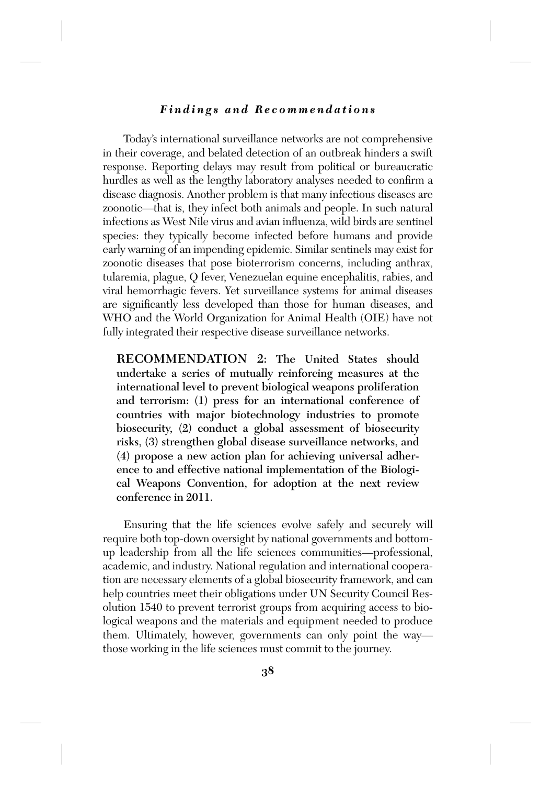Today's international surveillance networks are not comprehensive in their coverage, and belated detection of an outbreak hinders a swift response. Reporting delays may result from political or bureaucratic hurdles as well as the lengthy laboratory analyses needed to confirm a disease diagnosis. Another problem is that many infectious diseases are zoonotic—that is, they infect both animals and people. In such natural infections as West Nile virus and avian influenza, wild birds are sentinel species: they typically become infected before humans and provide early warning of an impending epidemic. Similar sentinels may exist for zoonotic diseases that pose bioterrorism concerns, including anthrax, tularemia, plague, Q fever, Venezuelan equine encephalitis, rabies, and viral hemorrhagic fevers. Yet surveillance systems for animal diseases are significantly less developed than those for human diseases, and WHO and the World Organization for Animal Health (OIE) have not fully integrated their respective disease surveillance networks.

**RECOMMENDATION 2: The United States should undertake a series of mutually reinforcing measures at the international level to prevent biological weapons proliferation and terrorism: (1) press for an international conference of countries with major biotechnology industries to promote biosecurity, (2) conduct a global assessment of biosecurity risks, (3) strengthen global disease surveillance networks, and (4) propose a new action plan for achieving universal adherence to and effective national implementation of the Biological Weapons Convention, for adoption at the next review conference in 2011.**

Ensuring that the life sciences evolve safely and securely will require both top-down oversight by national governments and bottomup leadership from all the life sciences communities—professional, academic, and industry. National regulation and international cooperation are necessary elements of a global biosecurity framework, and can help countries meet their obligations under UN Security Council Resolution 1540 to prevent terrorist groups from acquiring access to biological weapons and the materials and equipment needed to produce them. Ultimately, however, governments can only point the way those working in the life sciences must commit to the journey.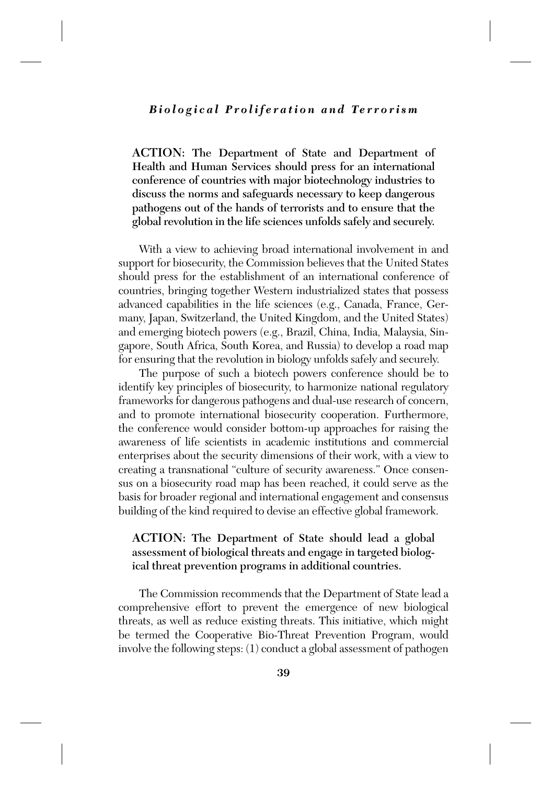**ACTION: The Department of State and Department of Health and Human Services should press for an international conference of countries with major biotechnology industries to discuss the norms and safeguards necessary to keep dangerous pathogens out of the hands of terrorists and to ensure that the global revolution in the life sciences unfolds safely and securely.**

With a view to achieving broad international involvement in and support for biosecurity, the Commission believes that the United States should press for the establishment of an international conference of countries, bringing together Western industrialized states that possess advanced capabilities in the life sciences (e.g., Canada, France, Germany, Japan, Switzerland, the United Kingdom, and the United States) and emerging biotech powers (e.g., Brazil, China, India, Malaysia, Singapore, South Africa, South Korea, and Russia) to develop a road map for ensuring that the revolution in biology unfolds safely and securely.

The purpose of such a biotech powers conference should be to identify key principles of biosecurity, to harmonize national regulatory frameworks for dangerous pathogens and dual-use research of concern, and to promote international biosecurity cooperation. Furthermore, the conference would consider bottom-up approaches for raising the awareness of life scientists in academic institutions and commercial enterprises about the security dimensions of their work, with a view to creating a transnational "culture of security awareness." Once consensus on a biosecurity road map has been reached, it could serve as the basis for broader regional and international engagement and consensus building of the kind required to devise an effective global framework.

# **ACTION: The Department of State should lead a global assessment of biological threats and engage in targeted biological threat prevention programs in additional countries.**

The Commission recommends that the Department of State lead a comprehensive effort to prevent the emergence of new biological threats, as well as reduce existing threats. This initiative, which might be termed the Cooperative Bio-Threat Prevention Program, would involve the following steps: (1) conduct a global assessment of pathogen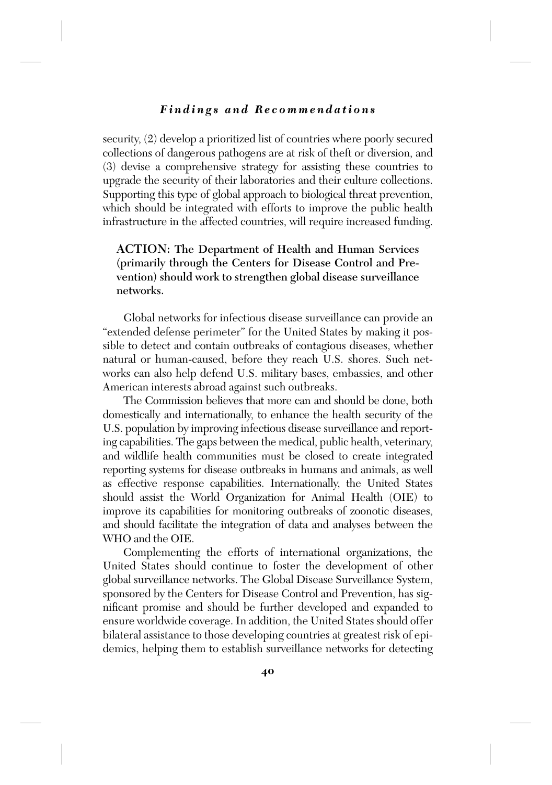security, (2) develop a prioritized list of countries where poorly secured collections of dangerous pathogens are at risk of theft or diversion, and (3) devise a comprehensive strategy for assisting these countries to upgrade the security of their laboratories and their culture collections. Supporting this type of global approach to biological threat prevention, which should be integrated with efforts to improve the public health infrastructure in the affected countries, will require increased funding.

**ACTION: The Department of Health and Human Services (primarily through the Centers for Disease Control and Prevention) should work to strengthen global disease surveillance networks.**

Global networks for infectious disease surveillance can provide an "extended defense perimeter" for the United States by making it possible to detect and contain outbreaks of contagious diseases, whether natural or human-caused, before they reach U.S. shores. Such networks can also help defend U.S. military bases, embassies, and other American interests abroad against such outbreaks.

The Commission believes that more can and should be done, both domestically and internationally, to enhance the health security of the U.S. population by improving infectious disease surveillance and reporting capabilities. The gaps between the medical, public health, veterinary, and wildlife health communities must be closed to create integrated reporting systems for disease outbreaks in humans and animals, as well as effective response capabilities. Internationally, the United States should assist the World Organization for Animal Health (OIE) to improve its capabilities for monitoring outbreaks of zoonotic diseases, and should facilitate the integration of data and analyses between the WHO and the OIE.

Complementing the efforts of international organizations, the United States should continue to foster the development of other global surveillance networks. The Global Disease Surveillance System, sponsored by the Centers for Disease Control and Prevention, has significant promise and should be further developed and expanded to ensure worldwide coverage. In addition, the United States should offer bilateral assistance to those developing countries at greatest risk of epidemics, helping them to establish surveillance networks for detecting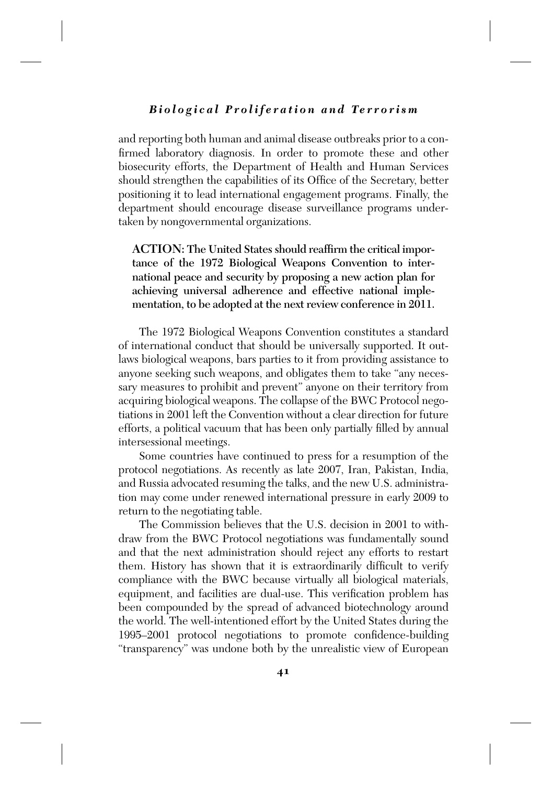and reporting both human and animal disease outbreaks prior to a confirmed laboratory diagnosis. In order to promote these and other biosecurity efforts, the Department of Health and Human Services should strengthen the capabilities of its Office of the Secretary, better positioning it to lead international engagement programs. Finally, the department should encourage disease surveillance programs undertaken by nongovernmental organizations.

**ACTION: The United States should reaffirm the critical importance of the 1972 Biological Weapons Convention to international peace and security by proposing a new action plan for achieving universal adherence and effective national implementation, to be adopted at the next review conference in 2011.**

The 1972 Biological Weapons Convention constitutes a standard of international conduct that should be universally supported. It outlaws biological weapons, bars parties to it from providing assistance to anyone seeking such weapons, and obligates them to take "any necessary measures to prohibit and prevent" anyone on their territory from acquiring biological weapons. The collapse of the BWC Protocol negotiations in 2001 left the Convention without a clear direction for future efforts, a political vacuum that has been only partially filled by annual intersessional meetings.

Some countries have continued to press for a resumption of the protocol negotiations. As recently as late 2007, Iran, Pakistan, India, and Russia advocated resuming the talks, and the new U.S. administration may come under renewed international pressure in early 2009 to return to the negotiating table.

The Commission believes that the U.S. decision in 2001 to withdraw from the BWC Protocol negotiations was fundamentally sound and that the next administration should reject any efforts to restart them. History has shown that it is extraordinarily difficult to verify compliance with the BWC because virtually all biological materials, equipment, and facilities are dual-use. This verification problem has been compounded by the spread of advanced biotechnology around the world. The well-intentioned effort by the United States during the 1995–2001 protocol negotiations to promote confidence-building "transparency" was undone both by the unrealistic view of European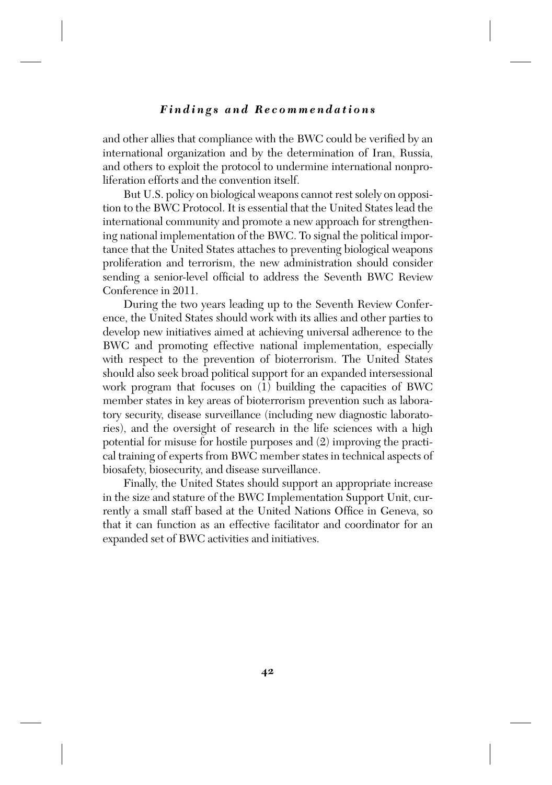and other allies that compliance with the BWC could be verified by an international organization and by the determination of Iran, Russia, and others to exploit the protocol to undermine international nonproliferation efforts and the convention itself.

But U.S. policy on biological weapons cannot rest solely on opposition to the BWC Protocol. It is essential that the United States lead the international community and promote a new approach for strengthening national implementation of the BWC. To signal the political importance that the United States attaches to preventing biological weapons proliferation and terrorism, the new administration should consider sending a senior-level official to address the Seventh BWC Review Conference in 2011.

During the two years leading up to the Seventh Review Conference, the United States should work with its allies and other parties to develop new initiatives aimed at achieving universal adherence to the BWC and promoting effective national implementation, especially with respect to the prevention of bioterrorism. The United States should also seek broad political support for an expanded intersessional work program that focuses on (1) building the capacities of BWC member states in key areas of bioterrorism prevention such as laboratory security, disease surveillance (including new diagnostic laboratories), and the oversight of research in the life sciences with a high potential for misuse for hostile purposes and (2) improving the practical training of experts from BWC member states in technical aspects of biosafety, biosecurity, and disease surveillance.

Finally, the United States should support an appropriate increase in the size and stature of the BWC Implementation Support Unit, currently a small staff based at the United Nations Office in Geneva, so that it can function as an effective facilitator and coordinator for an expanded set of BWC activities and initiatives.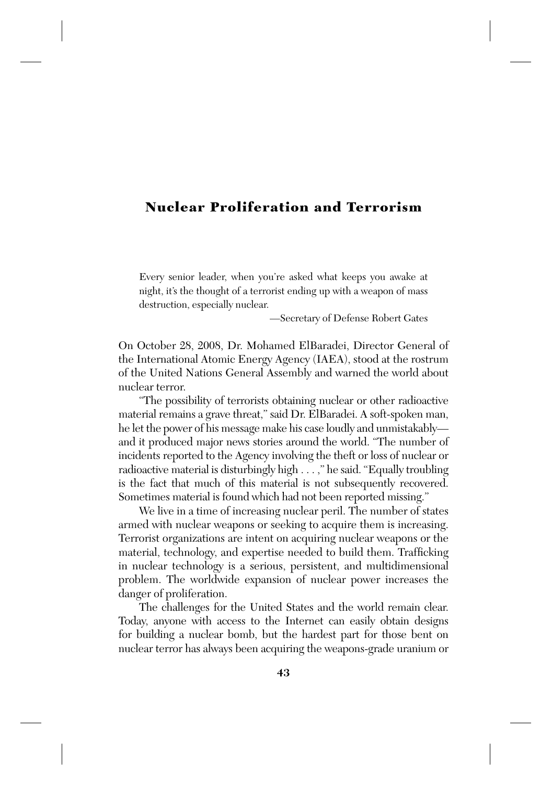# Nuclear Proliferation and Terrorism

Every senior leader, when you're asked what keeps you awake at night, it's the thought of a terrorist ending up with a weapon of mass destruction, especially nuclear.

—Secretary of Defense Robert Gates

On October 28, 2008, Dr. Mohamed ElBaradei, Director General of the International Atomic Energy Agency (IAEA), stood at the rostrum of the United Nations General Assembly and warned the world about nuclear terror.

"The possibility of terrorists obtaining nuclear or other radioactive material remains a grave threat," said Dr. ElBaradei. A soft-spoken man, he let the power of his message make his case loudly and unmistakably and it produced major news stories around the world. "The number of incidents reported to the Agency involving the theft or loss of nuclear or radioactive material is disturbingly high . . . ," he said. "Equally troubling is the fact that much of this material is not subsequently recovered. Sometimes material is found which had not been reported missing."

We live in a time of increasing nuclear peril. The number of states armed with nuclear weapons or seeking to acquire them is increasing. Terrorist organizations are intent on acquiring nuclear weapons or the material, technology, and expertise needed to build them. Trafficking in nuclear technology is a serious, persistent, and multidimensional problem. The worldwide expansion of nuclear power increases the danger of proliferation.

The challenges for the United States and the world remain clear. Today, anyone with access to the Internet can easily obtain designs for building a nuclear bomb, but the hardest part for those bent on nuclear terror has always been acquiring the weapons-grade uranium or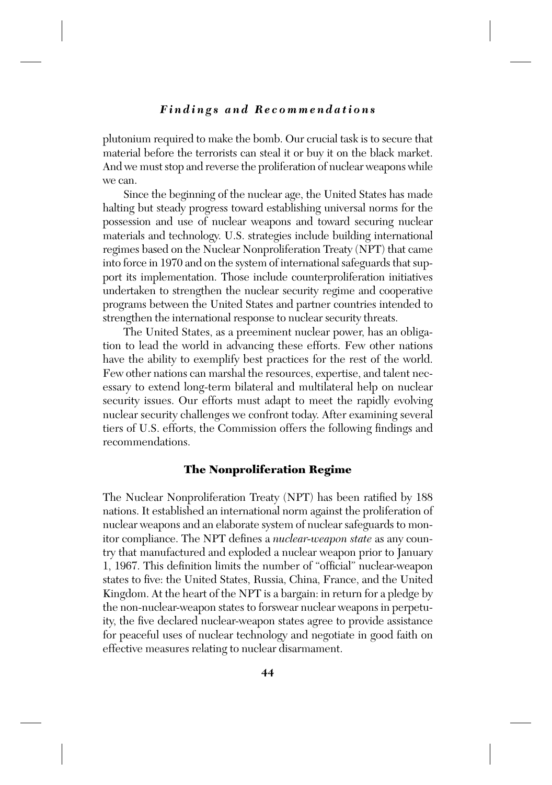plutonium required to make the bomb. Our crucial task is to secure that material before the terrorists can steal it or buy it on the black market. And we must stop and reverse the proliferation of nuclear weapons while we can.

Since the beginning of the nuclear age, the United States has made halting but steady progress toward establishing universal norms for the possession and use of nuclear weapons and toward securing nuclear materials and technology. U.S. strategies include building international regimes based on the Nuclear Nonproliferation Treaty (NPT) that came into force in 1970 and on the system of international safeguards that support its implementation. Those include counterproliferation initiatives undertaken to strengthen the nuclear security regime and cooperative programs between the United States and partner countries intended to strengthen the international response to nuclear security threats.

The United States, as a preeminent nuclear power, has an obligation to lead the world in advancing these efforts. Few other nations have the ability to exemplify best practices for the rest of the world. Few other nations can marshal the resources, expertise, and talent necessary to extend long-term bilateral and multilateral help on nuclear security issues. Our efforts must adapt to meet the rapidly evolving nuclear security challenges we confront today. After examining several tiers of U.S. efforts, the Commission offers the following findings and recommendations.

#### The Nonproliferation Regime

The Nuclear Nonproliferation Treaty (NPT) has been ratified by 188 nations. It established an international norm against the proliferation of nuclear weapons and an elaborate system of nuclear safeguards to monitor compliance. The NPT defines a *nuclear-weapon state* as any country that manufactured and exploded a nuclear weapon prior to January 1, 1967. This definition limits the number of "official" nuclear-weapon states to five: the United States, Russia, China, France, and the United Kingdom. At the heart of the NPT is a bargain: in return for a pledge by the non-nuclear-weapon states to forswear nuclear weapons in perpetuity, the five declared nuclear-weapon states agree to provide assistance for peaceful uses of nuclear technology and negotiate in good faith on effective measures relating to nuclear disarmament.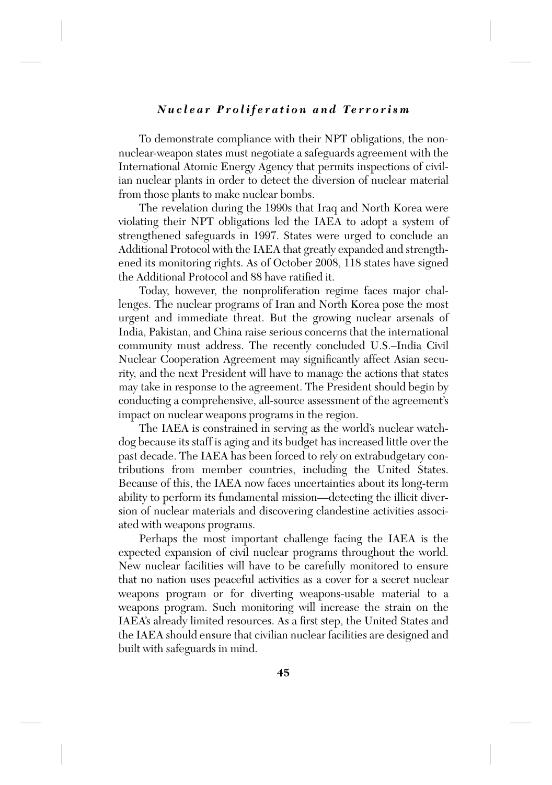To demonstrate compliance with their NPT obligations, the nonnuclear-weapon states must negotiate a safeguards agreement with the International Atomic Energy Agency that permits inspections of civilian nuclear plants in order to detect the diversion of nuclear material from those plants to make nuclear bombs.

The revelation during the 1990s that Iraq and North Korea were violating their NPT obligations led the IAEA to adopt a system of strengthened safeguards in 1997. States were urged to conclude an Additional Protocol with the IAEA that greatly expanded and strengthened its monitoring rights. As of October 2008, 118 states have signed the Additional Protocol and 88 have ratified it.

Today, however, the nonproliferation regime faces major challenges. The nuclear programs of Iran and North Korea pose the most urgent and immediate threat. But the growing nuclear arsenals of India, Pakistan, and China raise serious concerns that the international community must address. The recently concluded U.S.–India Civil Nuclear Cooperation Agreement may significantly affect Asian security, and the next President will have to manage the actions that states may take in response to the agreement. The President should begin by conducting a comprehensive, all-source assessment of the agreement's impact on nuclear weapons programs in the region.

The IAEA is constrained in serving as the world's nuclear watchdog because its staff is aging and its budget has increased little over the past decade. The IAEA has been forced to rely on extrabudgetary contributions from member countries, including the United States. Because of this, the IAEA now faces uncertainties about its long-term ability to perform its fundamental mission—detecting the illicit diversion of nuclear materials and discovering clandestine activities associated with weapons programs.

Perhaps the most important challenge facing the IAEA is the expected expansion of civil nuclear programs throughout the world. New nuclear facilities will have to be carefully monitored to ensure that no nation uses peaceful activities as a cover for a secret nuclear weapons program or for diverting weapons-usable material to a weapons program. Such monitoring will increase the strain on the IAEA's already limited resources. As a first step, the United States and the IAEA should ensure that civilian nuclear facilities are designed and built with safeguards in mind.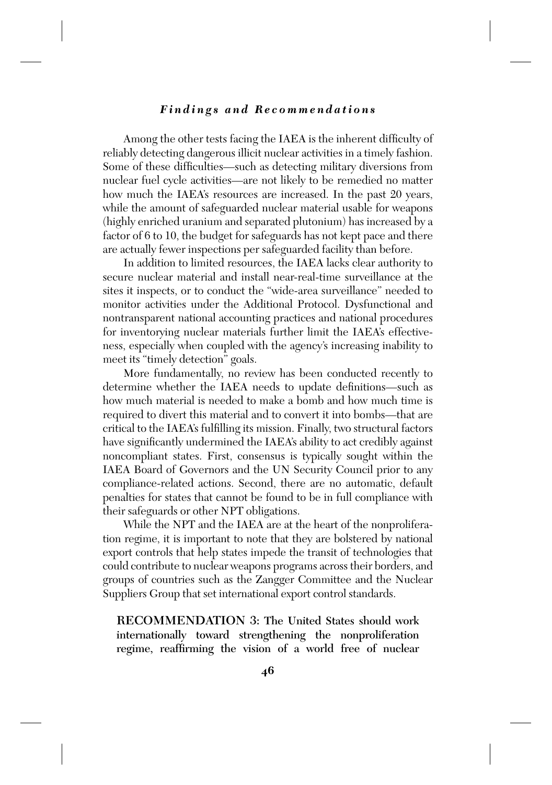Among the other tests facing the IAEA is the inherent difficulty of reliably detecting dangerous illicit nuclear activities in a timely fashion. Some of these difficulties—such as detecting military diversions from nuclear fuel cycle activities—are not likely to be remedied no matter how much the IAEA's resources are increased. In the past 20 years, while the amount of safeguarded nuclear material usable for weapons (highly enriched uranium and separated plutonium) has increased by a factor of 6 to 10, the budget for safeguards has not kept pace and there are actually fewer inspections per safeguarded facility than before.

In addition to limited resources, the IAEA lacks clear authority to secure nuclear material and install near-real-time surveillance at the sites it inspects, or to conduct the "wide-area surveillance" needed to monitor activities under the Additional Protocol. Dysfunctional and nontransparent national accounting practices and national procedures for inventorying nuclear materials further limit the IAEA's effectiveness, especially when coupled with the agency's increasing inability to meet its "timely detection" goals.

More fundamentally, no review has been conducted recently to determine whether the IAEA needs to update definitions—such as how much material is needed to make a bomb and how much time is required to divert this material and to convert it into bombs—that are critical to the IAEA's fulfilling its mission. Finally, two structural factors have significantly undermined the IAEA's ability to act credibly against noncompliant states. First, consensus is typically sought within the IAEA Board of Governors and the UN Security Council prior to any compliance-related actions. Second, there are no automatic, default penalties for states that cannot be found to be in full compliance with their safeguards or other NPT obligations.

While the NPT and the IAEA are at the heart of the nonproliferation regime, it is important to note that they are bolstered by national export controls that help states impede the transit of technologies that could contribute to nuclear weapons programs across their borders, and groups of countries such as the Zangger Committee and the Nuclear Suppliers Group that set international export control standards.

**RECOMMENDATION 3: The United States should work internationally toward strengthening the nonproliferation regime, reaffirming the vision of a world free of nuclear**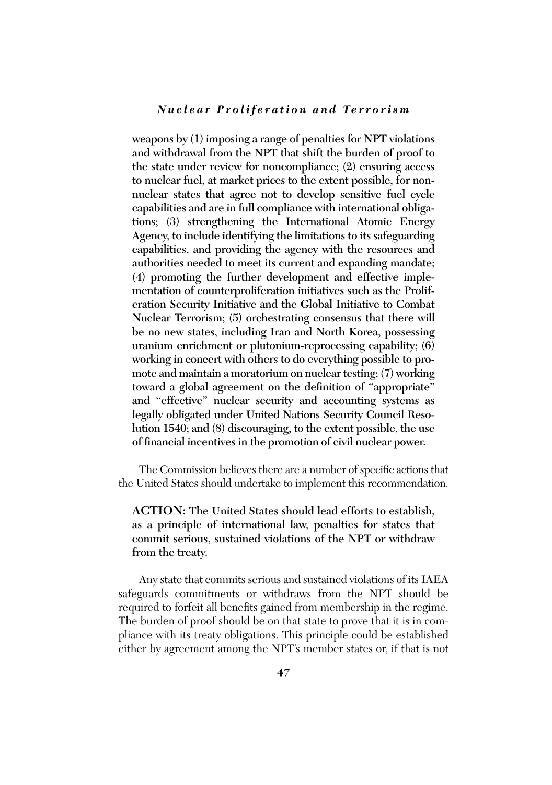**weapons by (1) imposing a range of penalties for NPT violations and withdrawal from the NPT that shift the burden of proof to the state under review for noncompliance; (2) ensuring access to nuclear fuel, at market prices to the extent possible, for nonnuclear states that agree not to develop sensitive fuel cycle capabilities and are in full compliance with international obligations; (3) strengthening the International Atomic Energy Agency, to include identifying the limitations to its safeguarding capabilities, and providing the agency with the resources and authorities needed to meet its current and expanding mandate; (4) promoting the further development and effective implementation of counterproliferation initiatives such as the Proliferation Security Initiative and the Global Initiative to Combat Nuclear Terrorism; (5) orchestrating consensus that there will be no new states, including Iran and North Korea, possessing uranium enrichment or plutonium-reprocessing capability; (6) working in concert with others to do everything possible to promote and maintain a moratorium on nuclear testing; (7) working toward a global agreement on the definition of "appropriate" and "effective" nuclear security and accounting systems as legally obligated under United Nations Security Council Resolution 1540; and (8) discouraging, to the extent possible, the use of financial incentives in the promotion of civil nuclear power.**

The Commission believes there are a number of specific actions that the United States should undertake to implement this recommendation.

**ACTION: The United States should lead efforts to establish, as a principle of international law, penalties for states that commit serious, sustained violations of the NPT or withdraw from the treaty.**

Any state that commits serious and sustained violations of its IAEA safeguards commitments or withdraws from the NPT should be required to forfeit all benefits gained from membership in the regime. The burden of proof should be on that state to prove that it is in compliance with its treaty obligations. This principle could be established either by agreement among the NPT's member states or, if that is not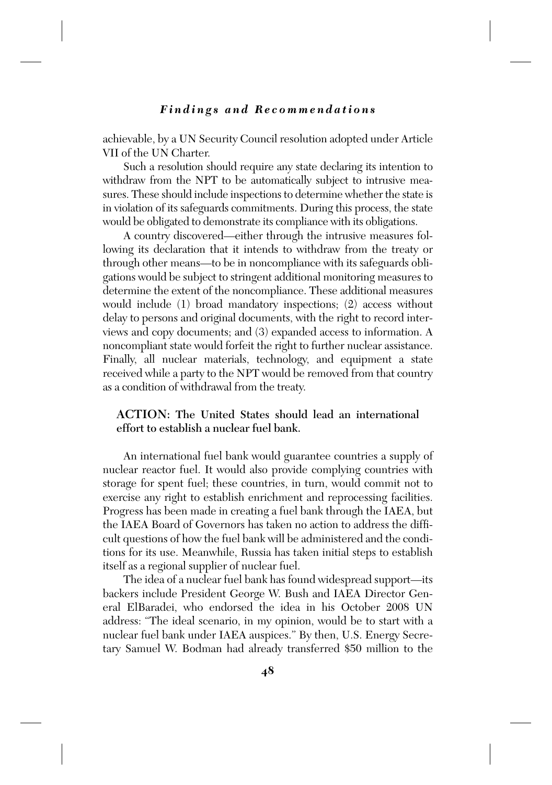achievable, by a UN Security Council resolution adopted under Article VII of the UN Charter.

Such a resolution should require any state declaring its intention to withdraw from the NPT to be automatically subject to intrusive measures. These should include inspections to determine whether the state is in violation of its safeguards commitments. During this process, the state would be obligated to demonstrate its compliance with its obligations.

A country discovered—either through the intrusive measures following its declaration that it intends to withdraw from the treaty or through other means—to be in noncompliance with its safeguards obligations would be subject to stringent additional monitoring measures to determine the extent of the noncompliance. These additional measures would include (1) broad mandatory inspections; (2) access without delay to persons and original documents, with the right to record interviews and copy documents; and (3) expanded access to information. A noncompliant state would forfeit the right to further nuclear assistance. Finally, all nuclear materials, technology, and equipment a state received while a party to the NPT would be removed from that country as a condition of withdrawal from the treaty.

## **ACTION: The United States should lead an international effort to establish a nuclear fuel bank.**

An international fuel bank would guarantee countries a supply of nuclear reactor fuel. It would also provide complying countries with storage for spent fuel; these countries, in turn, would commit not to exercise any right to establish enrichment and reprocessing facilities. Progress has been made in creating a fuel bank through the IAEA, but the IAEA Board of Governors has taken no action to address the difficult questions of how the fuel bank will be administered and the conditions for its use. Meanwhile, Russia has taken initial steps to establish itself as a regional supplier of nuclear fuel.

The idea of a nuclear fuel bank has found widespread support—its backers include President George W. Bush and IAEA Director General ElBaradei, who endorsed the idea in his October 2008 UN address: "The ideal scenario, in my opinion, would be to start with a nuclear fuel bank under IAEA auspices." By then, U.S. Energy Secretary Samuel W. Bodman had already transferred \$50 million to the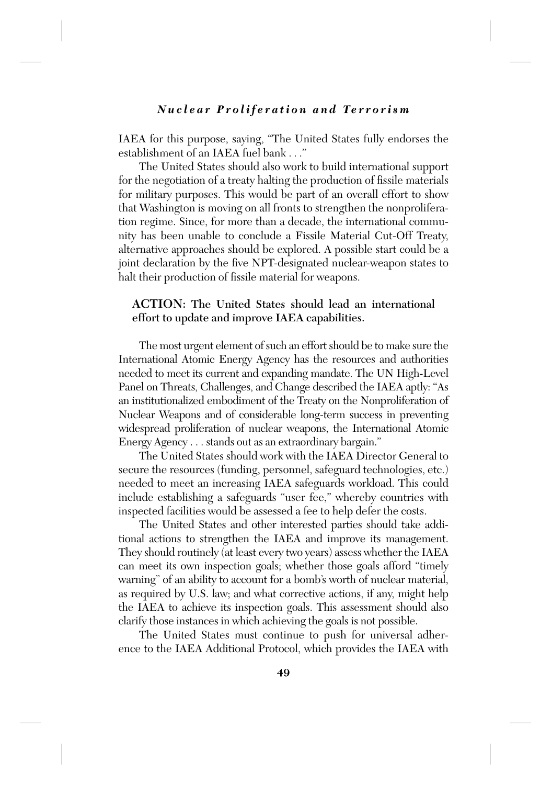IAEA for this purpose, saying, "The United States fully endorses the establishment of an IAEA fuel bank ..."

The United States should also work to build international support for the negotiation of a treaty halting the production of fissile materials for military purposes. This would be part of an overall effort to show that Washington is moving on all fronts to strengthen the nonproliferation regime. Since, for more than a decade, the international community has been unable to conclude a Fissile Material Cut-Off Treaty, alternative approaches should be explored. A possible start could be a joint declaration by the five NPT-designated nuclear-weapon states to halt their production of fissile material for weapons.

## **ACTION: The United States should lead an international effort to update and improve IAEA capabilities.**

The most urgent element of such an effort should be to make sure the International Atomic Energy Agency has the resources and authorities needed to meet its current and expanding mandate. The UN High-Level Panel on Threats, Challenges, and Change described the IAEA aptly: "As an institutionalized embodiment of the Treaty on the Nonproliferation of Nuclear Weapons and of considerable long-term success in preventing widespread proliferation of nuclear weapons, the International Atomic Energy Agency... stands out as an extraordinary bargain."

The United States should work with the IAEA Director General to secure the resources (funding, personnel, safeguard technologies, etc.) needed to meet an increasing IAEA safeguards workload. This could include establishing a safeguards "user fee," whereby countries with inspected facilities would be assessed a fee to help defer the costs.

The United States and other interested parties should take additional actions to strengthen the IAEA and improve its management. They should routinely (at least every two years) assess whether the IAEA can meet its own inspection goals; whether those goals afford "timely warning" of an ability to account for a bomb's worth of nuclear material, as required by U.S. law; and what corrective actions, if any, might help the IAEA to achieve its inspection goals. This assessment should also clarify those instances in which achieving the goals is not possible.

The United States must continue to push for universal adherence to the IAEA Additional Protocol, which provides the IAEA with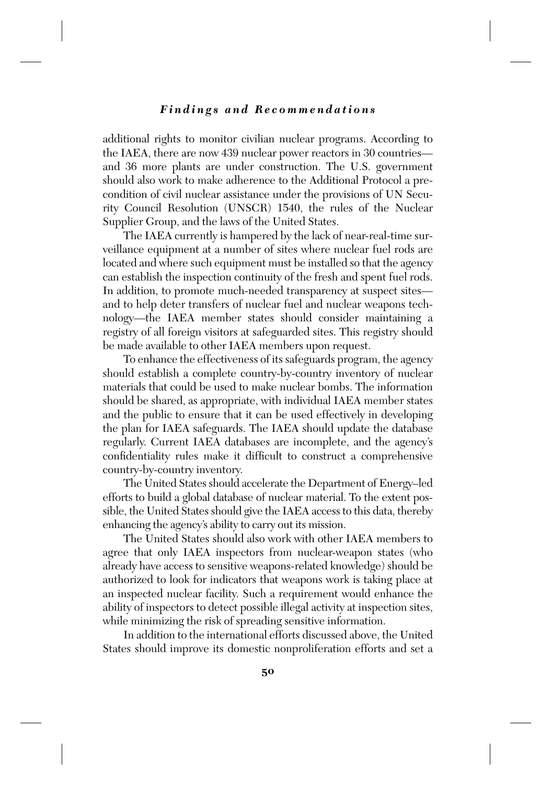additional rights to monitor civilian nuclear programs. According to the IAEA, there are now 439 nuclear power reactors in 30 countries and 36 more plants are under construction. The U.S. government should also work to make adherence to the Additional Protocol a precondition of civil nuclear assistance under the provisions of UN Security Council Resolution (UNSCR) 1540, the rules of the Nuclear Supplier Group, and the laws of the United States.

The IAEA currently is hampered by the lack of near-real-time surveillance equipment at a number of sites where nuclear fuel rods are located and where such equipment must be installed so that the agency can establish the inspection continuity of the fresh and spent fuel rods. In addition, to promote much-needed transparency at suspect sites and to help deter transfers of nuclear fuel and nuclear weapons technology—the IAEA member states should consider maintaining a registry of all foreign visitors at safeguarded sites. This registry should be made available to other IAEA members upon request.

To enhance the effectiveness of its safeguards program, the agency should establish a complete country-by-country inventory of nuclear materials that could be used to make nuclear bombs. The information should be shared, as appropriate, with individual IAEA member states and the public to ensure that it can be used effectively in developing the plan for IAEA safeguards. The IAEA should update the database regularly. Current IAEA databases are incomplete, and the agency's confidentiality rules make it difficult to construct a comprehensive country-by-country inventory.

The United States should accelerate the Department of Energy–led efforts to build a global database of nuclear material. To the extent possible, the United States should give the IAEA access to this data, thereby enhancing the agency's ability to carry out its mission.

The United States should also work with other IAEA members to agree that only IAEA inspectors from nuclear-weapon states (who already have access to sensitive weapons-related knowledge) should be authorized to look for indicators that weapons work is taking place at an inspected nuclear facility. Such a requirement would enhance the ability of inspectors to detect possible illegal activity at inspection sites, while minimizing the risk of spreading sensitive information.

In addition to the international efforts discussed above, the United States should improve its domestic nonproliferation efforts and set a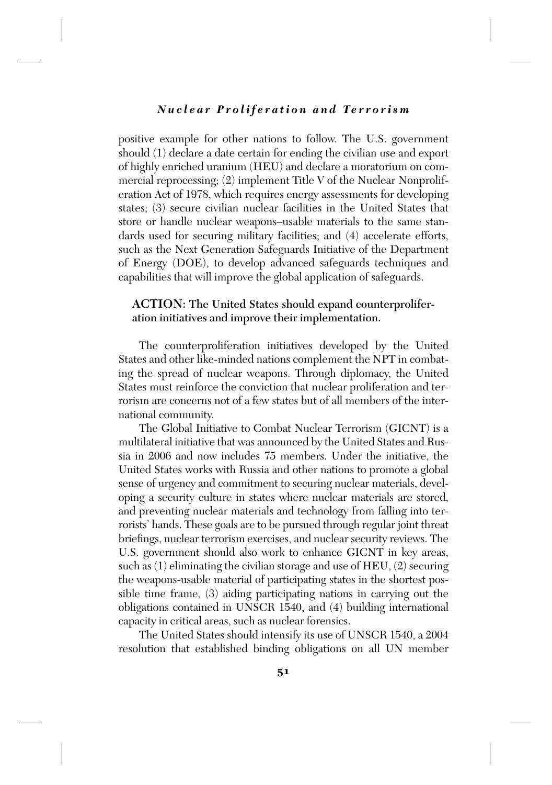positive example for other nations to follow. The U.S. government should (1) declare a date certain for ending the civilian use and export of highly enriched uranium (HEU) and declare a moratorium on commercial reprocessing; (2) implement Title V of the Nuclear Nonproliferation Act of 1978, which requires energy assessments for developing states; (3) secure civilian nuclear facilities in the United States that store or handle nuclear weapons–usable materials to the same standards used for securing military facilities; and (4) accelerate efforts, such as the Next Generation Safeguards Initiative of the Department of Energy (DOE), to develop advanced safeguards techniques and capabilities that will improve the global application of safeguards.

## **ACTION: The United States should expand counterproliferation initiatives and improve their implementation.**

The counterproliferation initiatives developed by the United States and other like-minded nations complement the NPT in combating the spread of nuclear weapons. Through diplomacy, the United States must reinforce the conviction that nuclear proliferation and terrorism are concerns not of a few states but of all members of the international community.

The Global Initiative to Combat Nuclear Terrorism (GICNT) is a multilateral initiative that was announced by the United States and Russia in 2006 and now includes 75 members. Under the initiative, the United States works with Russia and other nations to promote a global sense of urgency and commitment to securing nuclear materials, developing a security culture in states where nuclear materials are stored, and preventing nuclear materials and technology from falling into terrorists' hands. These goals are to be pursued through regular joint threat briefings, nuclear terrorism exercises, and nuclear security reviews. The U.S. government should also work to enhance GICNT in key areas, such as (1) eliminating the civilian storage and use of HEU, (2) securing the weapons-usable material of participating states in the shortest possible time frame, (3) aiding participating nations in carrying out the obligations contained in UNSCR 1540, and (4) building international capacity in critical areas, such as nuclear forensics.

The United States should intensify its use of UNSCR 1540, a 2004 resolution that established binding obligations on all UN member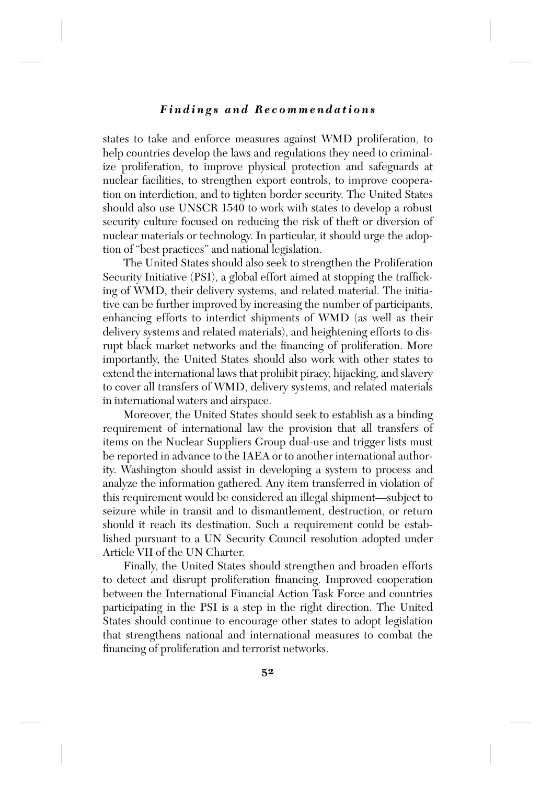states to take and enforce measures against WMD proliferation, to help countries develop the laws and regulations they need to criminalize proliferation, to improve physical protection and safeguards at nuclear facilities, to strengthen export controls, to improve cooperation on interdiction, and to tighten border security. The United States should also use UNSCR 1540 to work with states to develop a robust security culture focused on reducing the risk of theft or diversion of nuclear materials or technology. In particular, it should urge the adoption of "best practices" and national legislation.

The United States should also seek to strengthen the Proliferation Security Initiative (PSI), a global effort aimed at stopping the trafficking of WMD, their delivery systems, and related material. The initiative can be further improved by increasing the number of participants, enhancing efforts to interdict shipments of WMD (as well as their delivery systems and related materials), and heightening efforts to disrupt black market networks and the financing of proliferation. More importantly, the United States should also work with other states to extend the international laws that prohibit piracy, hijacking, and slavery to cover all transfers of WMD, delivery systems, and related materials in international waters and airspace.

Moreover, the United States should seek to establish as a binding requirement of international law the provision that all transfers of items on the Nuclear Suppliers Group dual-use and trigger lists must be reported in advance to the IAEA or to another international authority. Washington should assist in developing a system to process and analyze the information gathered. Any item transferred in violation of this requirement would be considered an illegal shipment—subject to seizure while in transit and to dismantlement, destruction, or return should it reach its destination. Such a requirement could be established pursuant to a UN Security Council resolution adopted under Article VII of the UN Charter.

Finally, the United States should strengthen and broaden efforts to detect and disrupt proliferation financing. Improved cooperation between the International Financial Action Task Force and countries participating in the PSI is a step in the right direction. The United States should continue to encourage other states to adopt legislation that strengthens national and international measures to combat the financing of proliferation and terrorist networks.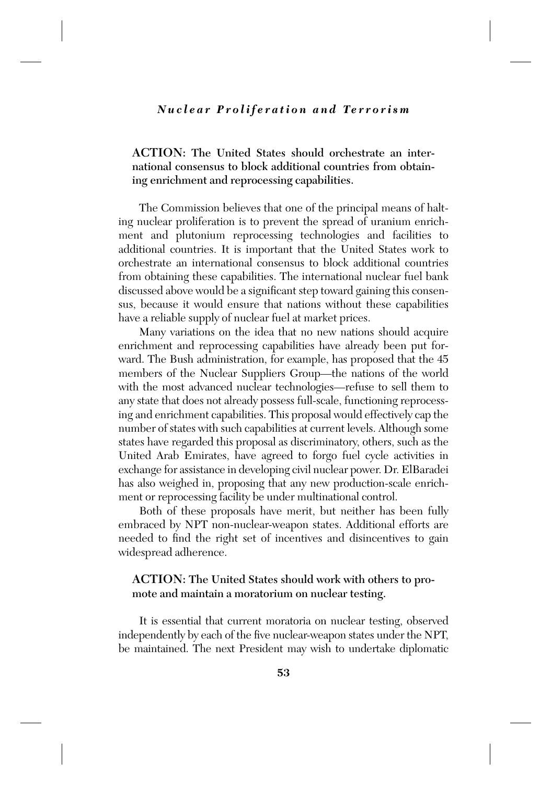## **ACTION: The United States should orchestrate an international consensus to block additional countries from obtaining enrichment and reprocessing capabilities.**

The Commission believes that one of the principal means of halting nuclear proliferation is to prevent the spread of uranium enrichment and plutonium reprocessing technologies and facilities to additional countries. It is important that the United States work to orchestrate an international consensus to block additional countries from obtaining these capabilities. The international nuclear fuel bank discussed above would be a significant step toward gaining this consensus, because it would ensure that nations without these capabilities have a reliable supply of nuclear fuel at market prices.

Many variations on the idea that no new nations should acquire enrichment and reprocessing capabilities have already been put forward. The Bush administration, for example, has proposed that the 45 members of the Nuclear Suppliers Group—the nations of the world with the most advanced nuclear technologies—refuse to sell them to any state that does not already possess full-scale, functioning reprocessing and enrichment capabilities. This proposal would effectively cap the number of states with such capabilities at current levels. Although some states have regarded this proposal as discriminatory, others, such as the United Arab Emirates, have agreed to forgo fuel cycle activities in exchange for assistance in developing civil nuclear power. Dr. ElBaradei has also weighed in, proposing that any new production-scale enrichment or reprocessing facility be under multinational control.

Both of these proposals have merit, but neither has been fully embraced by NPT non-nuclear-weapon states. Additional efforts are needed to find the right set of incentives and disincentives to gain widespread adherence.

## **ACTION: The United States should work with others to promote and maintain a moratorium on nuclear testing.**

It is essential that current moratoria on nuclear testing, observed independently by each of the five nuclear-weapon states under the NPT, be maintained. The next President may wish to undertake diplomatic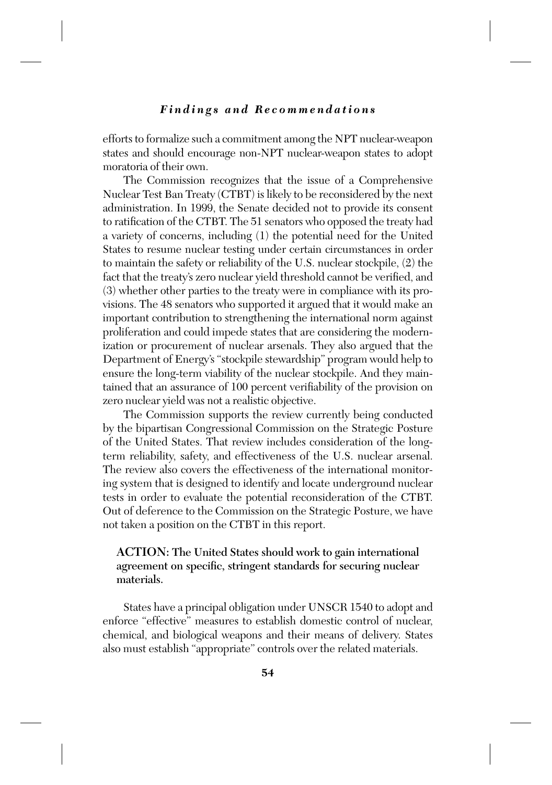efforts to formalize such a commitment among the NPT nuclear-weapon states and should encourage non-NPT nuclear-weapon states to adopt moratoria of their own.

The Commission recognizes that the issue of a Comprehensive Nuclear Test Ban Treaty (CTBT) is likely to be reconsidered by the next administration. In 1999, the Senate decided not to provide its consent to ratification of the CTBT. The 51 senators who opposed the treaty had a variety of concerns, including (1) the potential need for the United States to resume nuclear testing under certain circumstances in order to maintain the safety or reliability of the U.S. nuclear stockpile, (2) the fact that the treaty's zero nuclear yield threshold cannot be verified, and (3) whether other parties to the treaty were in compliance with its provisions. The 48 senators who supported it argued that it would make an important contribution to strengthening the international norm against proliferation and could impede states that are considering the modernization or procurement of nuclear arsenals. They also argued that the Department of Energy's "stockpile stewardship" program would help to ensure the long-term viability of the nuclear stockpile. And they maintained that an assurance of 100 percent verifiability of the provision on zero nuclear yield was not a realistic objective.

The Commission supports the review currently being conducted by the bipartisan Congressional Commission on the Strategic Posture of the United States. That review includes consideration of the longterm reliability, safety, and effectiveness of the U.S. nuclear arsenal. The review also covers the effectiveness of the international monitoring system that is designed to identify and locate underground nuclear tests in order to evaluate the potential reconsideration of the CTBT. Out of deference to the Commission on the Strategic Posture, we have not taken a position on the CTBT in this report.

## **ACTION: The United States should work to gain international agreement on specific, stringent standards for securing nuclear materials.**

States have a principal obligation under UNSCR 1540 to adopt and enforce "effective" measures to establish domestic control of nuclear, chemical, and biological weapons and their means of delivery. States also must establish "appropriate" controls over the related materials.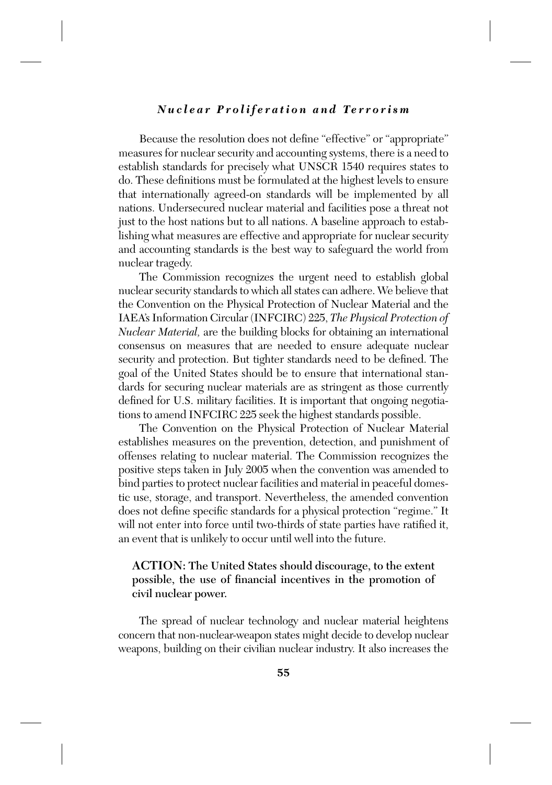Because the resolution does not define "effective" or "appropriate" measures for nuclear security and accounting systems, there is a need to establish standards for precisely what UNSCR 1540 requires states to do. These definitions must be formulated at the highest levels to ensure that internationally agreed-on standards will be implemented by all nations. Undersecured nuclear material and facilities pose a threat not just to the host nations but to all nations. A baseline approach to establishing what measures are effective and appropriate for nuclear security and accounting standards is the best way to safeguard the world from nuclear tragedy.

The Commission recognizes the urgent need to establish global nuclear security standards to which all states can adhere. We believe that the Convention on the Physical Protection of Nuclear Material and the IAEA's Information Circular (INFCIRC) 225, *The Physical Protection of Nuclear Material,* are the building blocks for obtaining an international consensus on measures that are needed to ensure adequate nuclear security and protection. But tighter standards need to be defined. The goal of the United States should be to ensure that international standards for securing nuclear materials are as stringent as those currently defined for U.S. military facilities. It is important that ongoing negotiations to amend INFCIRC 225 seek the highest standards possible.

The Convention on the Physical Protection of Nuclear Material establishes measures on the prevention, detection, and punishment of offenses relating to nuclear material. The Commission recognizes the positive steps taken in July 2005 when the convention was amended to bind parties to protect nuclear facilities and material in peaceful domestic use, storage, and transport. Nevertheless, the amended convention does not define specific standards for a physical protection "regime." It will not enter into force until two-thirds of state parties have ratified it, an event that is unlikely to occur until well into the future.

## **ACTION: The United States should discourage, to the extent possible, the use of financial incentives in the promotion of civil nuclear power.**

The spread of nuclear technology and nuclear material heightens concern that non-nuclear-weapon states might decide to develop nuclear weapons, building on their civilian nuclear industry. It also increases the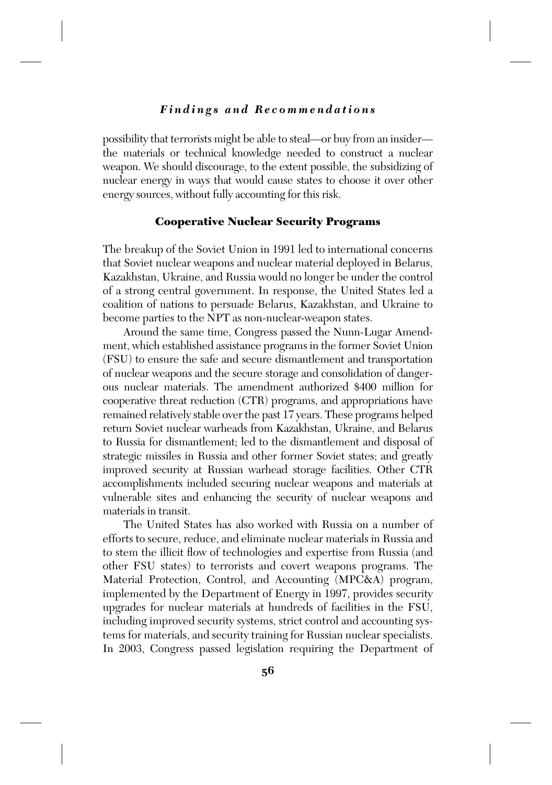possibility that terrorists might be able to steal—or buy from an insider the materials or technical knowledge needed to construct a nuclear weapon. We should discourage, to the extent possible, the subsidizing of nuclear energy in ways that would cause states to choose it over other energy sources, without fully accounting for this risk.

### Cooperative Nuclear Security Programs

The breakup of the Soviet Union in 1991 led to international concerns that Soviet nuclear weapons and nuclear material deployed in Belarus, Kazakhstan, Ukraine, and Russia would no longer be under the control of a strong central government. In response, the United States led a coalition of nations to persuade Belarus, Kazakhstan, and Ukraine to become parties to the NPT as non-nuclear-weapon states.

Around the same time, Congress passed the Nunn-Lugar Amendment, which established assistance programs in the former Soviet Union (FSU) to ensure the safe and secure dismantlement and transportation of nuclear weapons and the secure storage and consolidation of dangerous nuclear materials. The amendment authorized \$400 million for cooperative threat reduction (CTR) programs, and appropriations have remained relatively stable over the past 17 years. These programs helped return Soviet nuclear warheads from Kazakhstan, Ukraine, and Belarus to Russia for dismantlement; led to the dismantlement and disposal of strategic missiles in Russia and other former Soviet states; and greatly improved security at Russian warhead storage facilities. Other CTR accomplishments included securing nuclear weapons and materials at vulnerable sites and enhancing the security of nuclear weapons and materials in transit.

The United States has also worked with Russia on a number of efforts to secure, reduce, and eliminate nuclear materials in Russia and to stem the illicit flow of technologies and expertise from Russia (and other FSU states) to terrorists and covert weapons programs. The Material Protection, Control, and Accounting (MPC&A) program, implemented by the Department of Energy in 1997, provides security upgrades for nuclear materials at hundreds of facilities in the FSU, including improved security systems, strict control and accounting systems for materials, and security training for Russian nuclear specialists. In 2003, Congress passed legislation requiring the Department of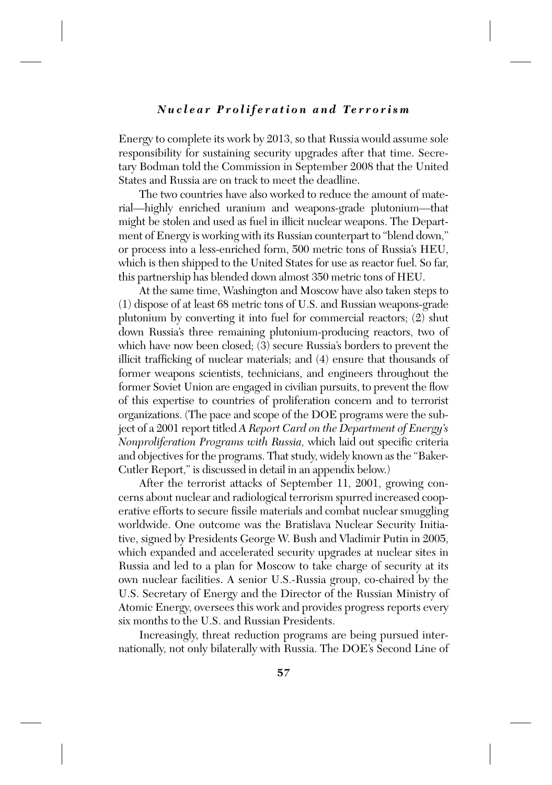Energy to complete its work by 2013, so that Russia would assume sole responsibility for sustaining security upgrades after that time. Secretary Bodman told the Commission in September 2008 that the United States and Russia are on track to meet the deadline.

The two countries have also worked to reduce the amount of material—highly enriched uranium and weapons-grade plutonium—that might be stolen and used as fuel in illicit nuclear weapons. The Department of Energy is working with its Russian counterpart to "blend down," or process into a less-enriched form, 500 metric tons of Russia's HEU, which is then shipped to the United States for use as reactor fuel. So far, this partnership has blended down almost 350 metric tons of HEU.

At the same time, Washington and Moscow have also taken steps to (1) dispose of at least 68 metric tons of U.S. and Russian weapons-grade plutonium by converting it into fuel for commercial reactors; (2) shut down Russia's three remaining plutonium-producing reactors, two of which have now been closed; (3) secure Russia's borders to prevent the illicit trafficking of nuclear materials; and (4) ensure that thousands of former weapons scientists, technicians, and engineers throughout the former Soviet Union are engaged in civilian pursuits, to prevent the flow of this expertise to countries of proliferation concern and to terrorist organizations. (The pace and scope of the DOE programs were the subject of a 2001 report titled *A Report Card on the Department of Energy's Nonproliferation Programs with Russia,* which laid out specific criteria and objectives for the programs. That study, widely known as the "Baker-Cutler Report," is discussed in detail in an appendix below.)

After the terrorist attacks of September 11, 2001, growing concerns about nuclear and radiological terrorism spurred increased cooperative efforts to secure fissile materials and combat nuclear smuggling worldwide. One outcome was the Bratislava Nuclear Security Initiative, signed by Presidents George W. Bush and Vladimir Putin in 2005, which expanded and accelerated security upgrades at nuclear sites in Russia and led to a plan for Moscow to take charge of security at its own nuclear facilities. A senior U.S.-Russia group, co-chaired by the U.S. Secretary of Energy and the Director of the Russian Ministry of Atomic Energy, oversees this work and provides progress reports every six months to the U.S. and Russian Presidents.

Increasingly, threat reduction programs are being pursued internationally, not only bilaterally with Russia. The DOE's Second Line of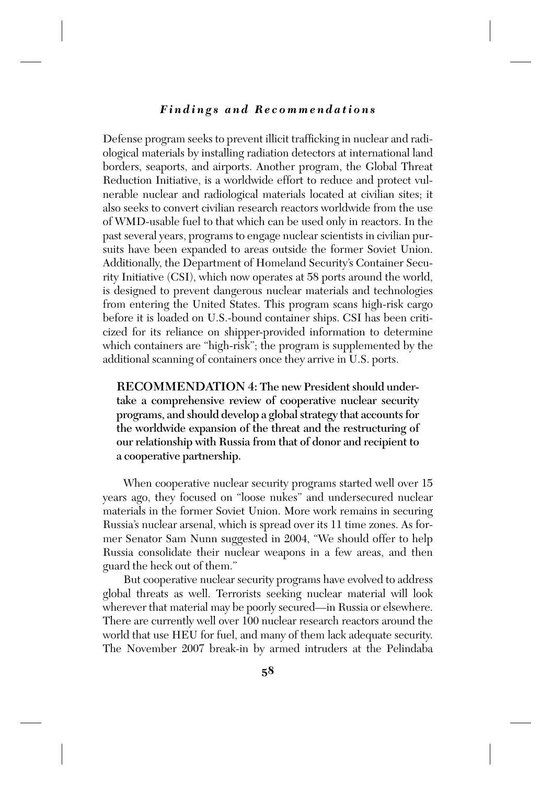Defense program seeks to prevent illicit trafficking in nuclear and radiological materials by installing radiation detectors at international land borders, seaports, and airports. Another program, the Global Threat Reduction Initiative, is a worldwide effort to reduce and protect vulnerable nuclear and radiological materials located at civilian sites; it also seeks to convert civilian research reactors worldwide from the use of WMD-usable fuel to that which can be used only in reactors. In the past several years, programs to engage nuclear scientists in civilian pursuits have been expanded to areas outside the former Soviet Union. Additionally, the Department of Homeland Security's Container Security Initiative (CSI), which now operates at 58 ports around the world, is designed to prevent dangerous nuclear materials and technologies from entering the United States. This program scans high-risk cargo before it is loaded on U.S.-bound container ships. CSI has been criticized for its reliance on shipper-provided information to determine which containers are "high-risk"; the program is supplemented by the additional scanning of containers once they arrive in U.S. ports.

**RECOMMENDATION 4: The new President should undertake a comprehensive review of cooperative nuclear security programs, and should develop a global strategy that accounts for the worldwide expansion of the threat and the restructuring of our relationship with Russia from that of donor and recipient to a cooperative partnership.**

When cooperative nuclear security programs started well over 15 years ago, they focused on "loose nukes" and undersecured nuclear materials in the former Soviet Union. More work remains in securing Russia's nuclear arsenal, which is spread over its 11 time zones. As former Senator Sam Nunn suggested in 2004, "We should offer to help Russia consolidate their nuclear weapons in a few areas, and then guard the heck out of them."

But cooperative nuclear security programs have evolved to address global threats as well. Terrorists seeking nuclear material will look wherever that material may be poorly secured—in Russia or elsewhere. There are currently well over 100 nuclear research reactors around the world that use HEU for fuel, and many of them lack adequate security. The November 2007 break-in by armed intruders at the Pelindaba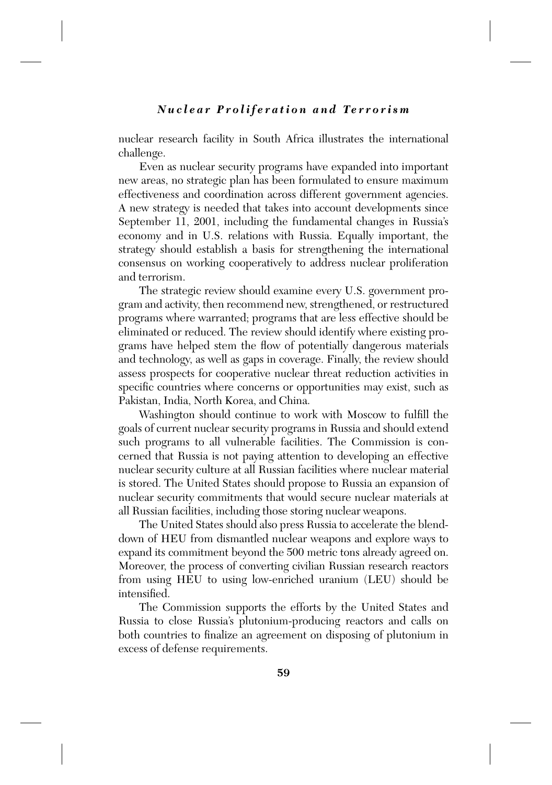nuclear research facility in South Africa illustrates the international challenge.

Even as nuclear security programs have expanded into important new areas, no strategic plan has been formulated to ensure maximum effectiveness and coordination across different government agencies. A new strategy is needed that takes into account developments since September 11, 2001, including the fundamental changes in Russia's economy and in U.S. relations with Russia. Equally important, the strategy should establish a basis for strengthening the international consensus on working cooperatively to address nuclear proliferation and terrorism.

The strategic review should examine every U.S. government program and activity, then recommend new, strengthened, or restructured programs where warranted; programs that are less effective should be eliminated or reduced. The review should identify where existing programs have helped stem the flow of potentially dangerous materials and technology, as well as gaps in coverage. Finally, the review should assess prospects for cooperative nuclear threat reduction activities in specific countries where concerns or opportunities may exist, such as Pakistan, India, North Korea, and China.

Washington should continue to work with Moscow to fulfill the goals of current nuclear security programs in Russia and should extend such programs to all vulnerable facilities. The Commission is concerned that Russia is not paying attention to developing an effective nuclear security culture at all Russian facilities where nuclear material is stored. The United States should propose to Russia an expansion of nuclear security commitments that would secure nuclear materials at all Russian facilities, including those storing nuclear weapons.

The United States should also press Russia to accelerate the blenddown of HEU from dismantled nuclear weapons and explore ways to expand its commitment beyond the 500 metric tons already agreed on. Moreover, the process of converting civilian Russian research reactors from using HEU to using low-enriched uranium (LEU) should be intensified.

The Commission supports the efforts by the United States and Russia to close Russia's plutonium-producing reactors and calls on both countries to finalize an agreement on disposing of plutonium in excess of defense requirements.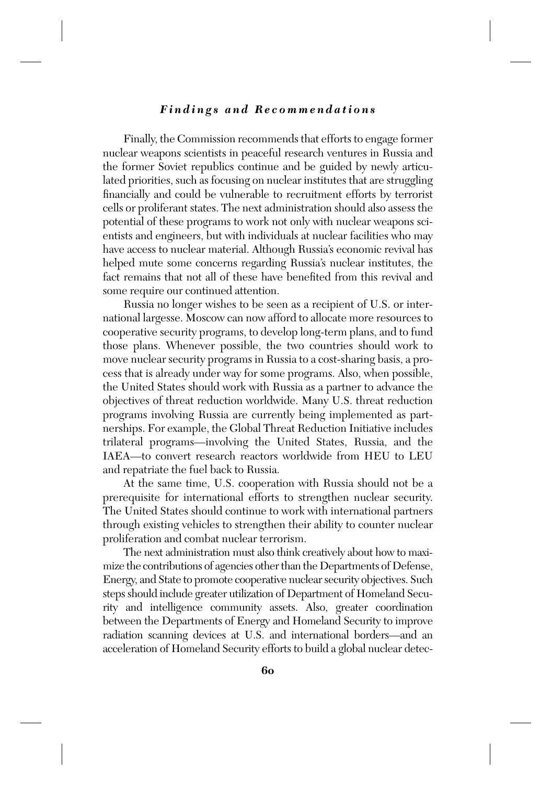Finally, the Commission recommends that efforts to engage former nuclear weapons scientists in peaceful research ventures in Russia and the former Soviet republics continue and be guided by newly articulated priorities, such as focusing on nuclear institutes that are struggling financially and could be vulnerable to recruitment efforts by terrorist cells or proliferant states. The next administration should also assess the potential of these programs to work not only with nuclear weapons scientists and engineers, but with individuals at nuclear facilities who may have access to nuclear material. Although Russia's economic revival has helped mute some concerns regarding Russia's nuclear institutes, the fact remains that not all of these have benefited from this revival and some require our continued attention.

Russia no longer wishes to be seen as a recipient of U.S. or international largesse. Moscow can now afford to allocate more resources to cooperative security programs, to develop long-term plans, and to fund those plans. Whenever possible, the two countries should work to move nuclear security programs in Russia to a cost-sharing basis, a process that is already under way for some programs. Also, when possible, the United States should work with Russia as a partner to advance the objectives of threat reduction worldwide. Many U.S. threat reduction programs involving Russia are currently being implemented as partnerships. For example, the Global Threat Reduction Initiative includes trilateral programs—involving the United States, Russia, and the IAEA—to convert research reactors worldwide from HEU to LEU and repatriate the fuel back to Russia.

At the same time, U.S. cooperation with Russia should not be a prerequisite for international efforts to strengthen nuclear security. The United States should continue to work with international partners through existing vehicles to strengthen their ability to counter nuclear proliferation and combat nuclear terrorism.

The next administration must also think creatively about how to maximize the contributions of agencies other than the Departments of Defense, Energy, and State to promote cooperative nuclear security objectives. Such steps should include greater utilization of Department of Homeland Security and intelligence community assets. Also, greater coordination between the Departments of Energy and Homeland Security to improve radiation scanning devices at U.S. and international borders—and an acceleration of Homeland Security efforts to build a global nuclear detec-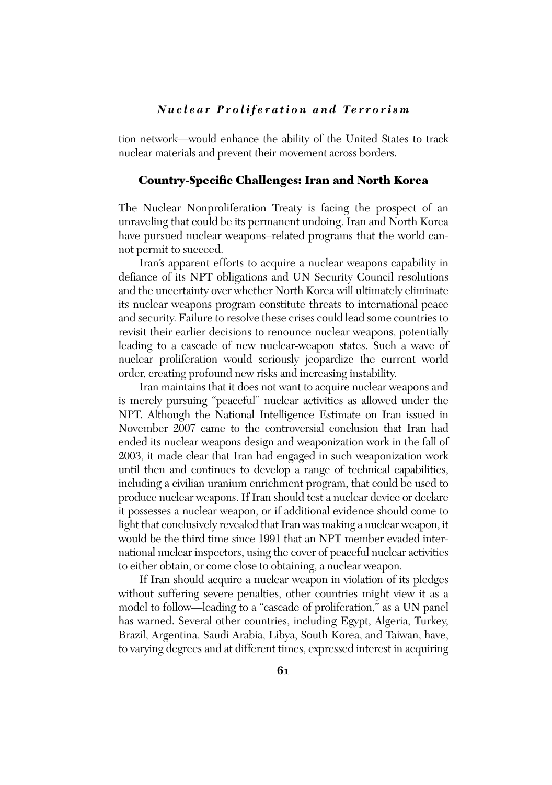tion network—would enhance the ability of the United States to track nuclear materials and prevent their movement across borders.

### Country-Specific Challenges: Iran and North Korea

The Nuclear Nonproliferation Treaty is facing the prospect of an unraveling that could be its permanent undoing. Iran and North Korea have pursued nuclear weapons–related programs that the world cannot permit to succeed.

Iran's apparent efforts to acquire a nuclear weapons capability in defiance of its NPT obligations and UN Security Council resolutions and the uncertainty over whether North Korea will ultimately eliminate its nuclear weapons program constitute threats to international peace and security. Failure to resolve these crises could lead some countries to revisit their earlier decisions to renounce nuclear weapons, potentially leading to a cascade of new nuclear-weapon states. Such a wave of nuclear proliferation would seriously jeopardize the current world order, creating profound new risks and increasing instability.

Iran maintains that it does not want to acquire nuclear weapons and is merely pursuing "peaceful" nuclear activities as allowed under the NPT. Although the National Intelligence Estimate on Iran issued in November 2007 came to the controversial conclusion that Iran had ended its nuclear weapons design and weaponization work in the fall of 2003, it made clear that Iran had engaged in such weaponization work until then and continues to develop a range of technical capabilities, including a civilian uranium enrichment program, that could be used to produce nuclear weapons. If Iran should test a nuclear device or declare it possesses a nuclear weapon, or if additional evidence should come to light that conclusively revealed that Iran was making a nuclear weapon, it would be the third time since 1991 that an NPT member evaded international nuclear inspectors, using the cover of peaceful nuclear activities to either obtain, or come close to obtaining, a nuclear weapon.

If Iran should acquire a nuclear weapon in violation of its pledges without suffering severe penalties, other countries might view it as a model to follow—leading to a "cascade of proliferation," as a UN panel has warned. Several other countries, including Egypt, Algeria, Turkey, Brazil, Argentina, Saudi Arabia, Libya, South Korea, and Taiwan, have, to varying degrees and at different times, expressed interest in acquiring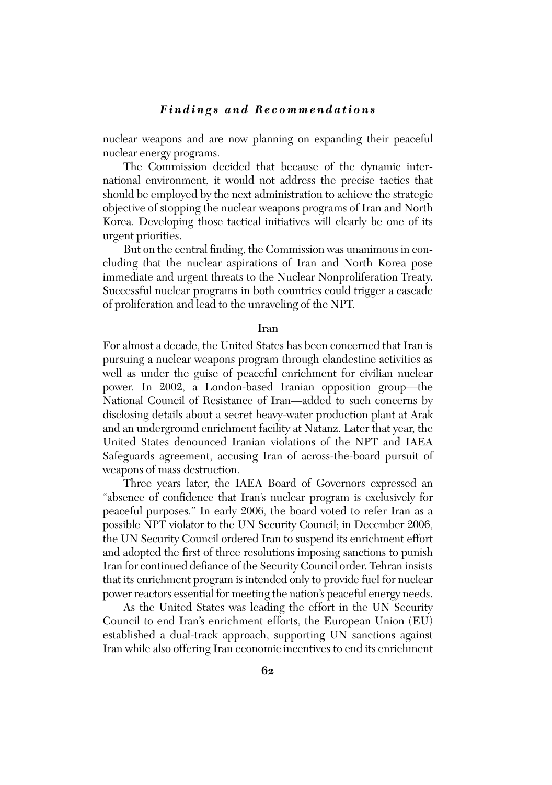nuclear weapons and are now planning on expanding their peaceful nuclear energy programs.

The Commission decided that because of the dynamic international environment, it would not address the precise tactics that should be employed by the next administration to achieve the strategic objective of stopping the nuclear weapons programs of Iran and North Korea. Developing those tactical initiatives will clearly be one of its urgent priorities.

But on the central finding, the Commission was unanimous in concluding that the nuclear aspirations of Iran and North Korea pose immediate and urgent threats to the Nuclear Nonproliferation Treaty. Successful nuclear programs in both countries could trigger a cascade of proliferation and lead to the unraveling of the NPT.

#### **Iran**

For almost a decade, the United States has been concerned that Iran is pursuing a nuclear weapons program through clandestine activities as well as under the guise of peaceful enrichment for civilian nuclear power. In 2002, a London-based Iranian opposition group—the National Council of Resistance of Iran—added to such concerns by disclosing details about a secret heavy-water production plant at Arak and an underground enrichment facility at Natanz. Later that year, the United States denounced Iranian violations of the NPT and IAEA Safeguards agreement, accusing Iran of across-the-board pursuit of weapons of mass destruction.

Three years later, the IAEA Board of Governors expressed an "absence of confidence that Iran's nuclear program is exclusively for peaceful purposes." In early 2006, the board voted to refer Iran as a possible NPT violator to the UN Security Council; in December 2006, the UN Security Council ordered Iran to suspend its enrichment effort and adopted the first of three resolutions imposing sanctions to punish Iran for continued defiance of the Security Council order. Tehran insists that its enrichment program is intended only to provide fuel for nuclear power reactors essential for meeting the nation's peaceful energy needs.

As the United States was leading the effort in the UN Security Council to end Iran's enrichment efforts, the European Union (EU) established a dual-track approach, supporting UN sanctions against Iran while also offering Iran economic incentives to end its enrichment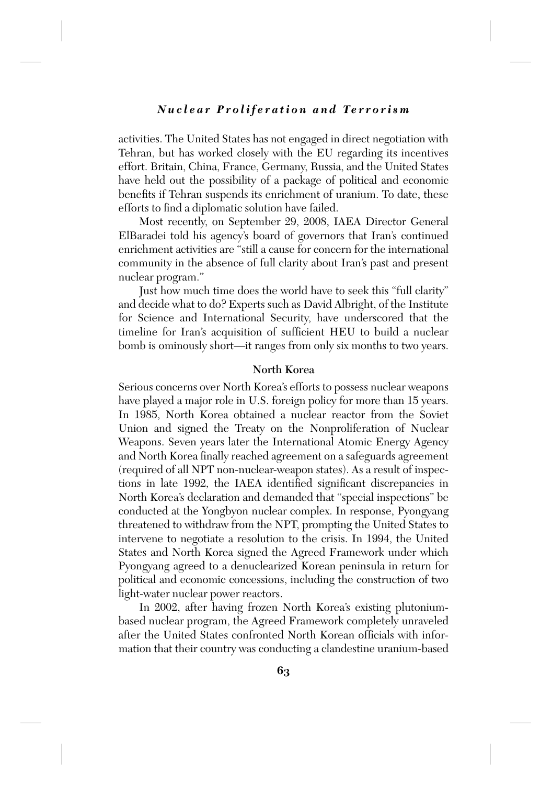activities. The United States has not engaged in direct negotiation with Tehran, but has worked closely with the EU regarding its incentives effort. Britain, China, France, Germany, Russia, and the United States have held out the possibility of a package of political and economic benefits if Tehran suspends its enrichment of uranium. To date, these efforts to find a diplomatic solution have failed.

Most recently, on September 29, 2008, IAEA Director General ElBaradei told his agency's board of governors that Iran's continued enrichment activities are "still a cause for concern for the international community in the absence of full clarity about Iran's past and present nuclear program."

Just how much time does the world have to seek this "full clarity" and decide what to do? Experts such as David Albright, of the Institute for Science and International Security, have underscored that the timeline for Iran's acquisition of sufficient HEU to build a nuclear bomb is ominously short—it ranges from only six months to two years.

### **North Korea**

Serious concerns over North Korea's efforts to possess nuclear weapons have played a major role in U.S. foreign policy for more than 15 years. In 1985, North Korea obtained a nuclear reactor from the Soviet Union and signed the Treaty on the Nonproliferation of Nuclear Weapons. Seven years later the International Atomic Energy Agency and North Korea finally reached agreement on a safeguards agreement (required of all NPT non-nuclear-weapon states). As a result of inspections in late 1992, the IAEA identified significant discrepancies in North Korea's declaration and demanded that "special inspections" be conducted at the Yongbyon nuclear complex. In response, Pyongyang threatened to withdraw from the NPT, prompting the United States to intervene to negotiate a resolution to the crisis. In 1994, the United States and North Korea signed the Agreed Framework under which Pyongyang agreed to a denuclearized Korean peninsula in return for political and economic concessions, including the construction of two light-water nuclear power reactors.

In 2002, after having frozen North Korea's existing plutoniumbased nuclear program, the Agreed Framework completely unraveled after the United States confronted North Korean officials with information that their country was conducting a clandestine uranium-based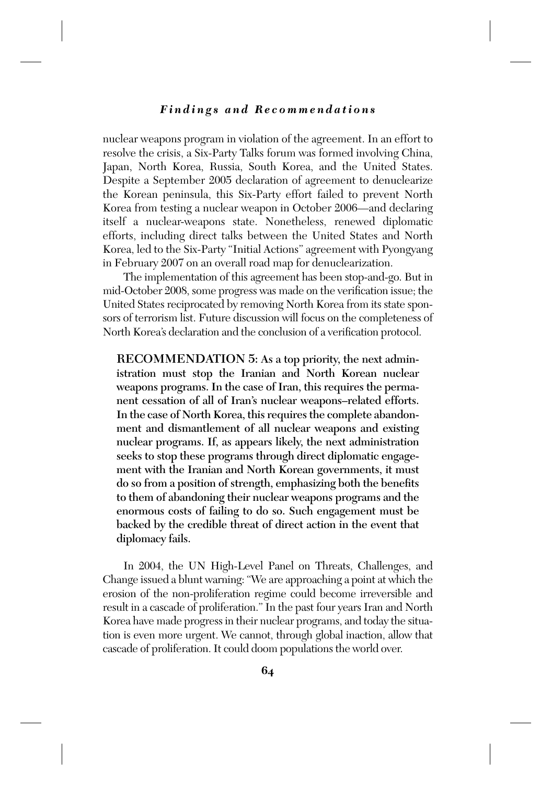nuclear weapons program in violation of the agreement. In an effort to resolve the crisis, a Six-Party Talks forum was formed involving China, Japan, North Korea, Russia, South Korea, and the United States. Despite a September 2005 declaration of agreement to denuclearize the Korean peninsula, this Six-Party effort failed to prevent North Korea from testing a nuclear weapon in October 2006—and declaring itself a nuclear-weapons state. Nonetheless, renewed diplomatic efforts, including direct talks between the United States and North Korea, led to the Six-Party "Initial Actions" agreement with Pyongyang in February 2007 on an overall road map for denuclearization.

The implementation of this agreement has been stop-and-go. But in mid-October 2008, some progress was made on the verification issue; the United States reciprocated by removing North Korea from its state sponsors of terrorism list. Future discussion will focus on the completeness of North Korea's declaration and the conclusion of a verification protocol.

**RECOMMENDATION 5: As a top priority, the next administration must stop the Iranian and North Korean nuclear weapons programs. In the case of Iran, this requires the permanent cessation of all of Iran's nuclear weapons–related efforts. In the case of North Korea, this requires the complete abandonment and dismantlement of all nuclear weapons and existing nuclear programs. If, as appears likely, the next administration seeks to stop these programs through direct diplomatic engagement with the Iranian and North Korean governments, it must do so from a position of strength, emphasizing both the benefits to them of abandoning their nuclear weapons programs and the enormous costs of failing to do so. Such engagement must be backed by the credible threat of direct action in the event that diplomacy fails.**

In 2004, the UN High-Level Panel on Threats, Challenges, and Change issued a blunt warning: "We are approaching a point at which the erosion of the non-proliferation regime could become irreversible and result in a cascade of proliferation." In the past four years Iran and North Korea have made progress in their nuclear programs, and today the situation is even more urgent. We cannot, through global inaction, allow that cascade of proliferation. It could doom populations the world over.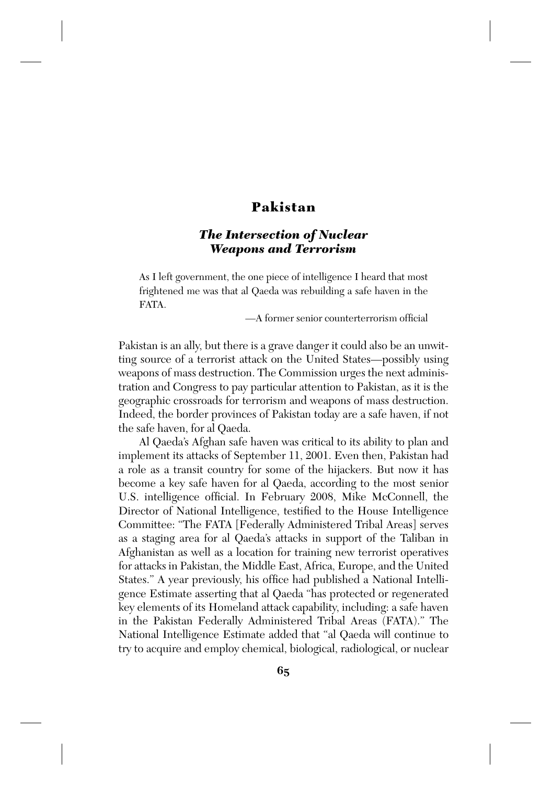# Pakistan

## *The Intersection of Nuclear Weapons and Terrorism*

As I left government, the one piece of intelligence I heard that most frightened me was that al Qaeda was rebuilding a safe haven in the FATA.

—A former senior counterterrorism official

Pakistan is an ally, but there is a grave danger it could also be an unwitting source of a terrorist attack on the United States—possibly using weapons of mass destruction. The Commission urges the next administration and Congress to pay particular attention to Pakistan, as it is the geographic crossroads for terrorism and weapons of mass destruction. Indeed, the border provinces of Pakistan today are a safe haven, if not the safe haven, for al Qaeda.

Al Qaeda's Afghan safe haven was critical to its ability to plan and implement its attacks of September 11, 2001. Even then, Pakistan had a role as a transit country for some of the hijackers. But now it has become a key safe haven for al Qaeda, according to the most senior U.S. intelligence official. In February 2008, Mike McConnell, the Director of National Intelligence, testified to the House Intelligence Committee: "The FATA [Federally Administered Tribal Areas] serves as a staging area for al Qaeda's attacks in support of the Taliban in Afghanistan as well as a location for training new terrorist operatives for attacks in Pakistan, the Middle East, Africa, Europe, and the United States." A year previously, his office had published a National Intelligence Estimate asserting that al Qaeda "has protected or regenerated key elements of its Homeland attack capability, including: a safe haven in the Pakistan Federally Administered Tribal Areas (FATA)." The National Intelligence Estimate added that "al Qaeda will continue to try to acquire and employ chemical, biological, radiological, or nuclear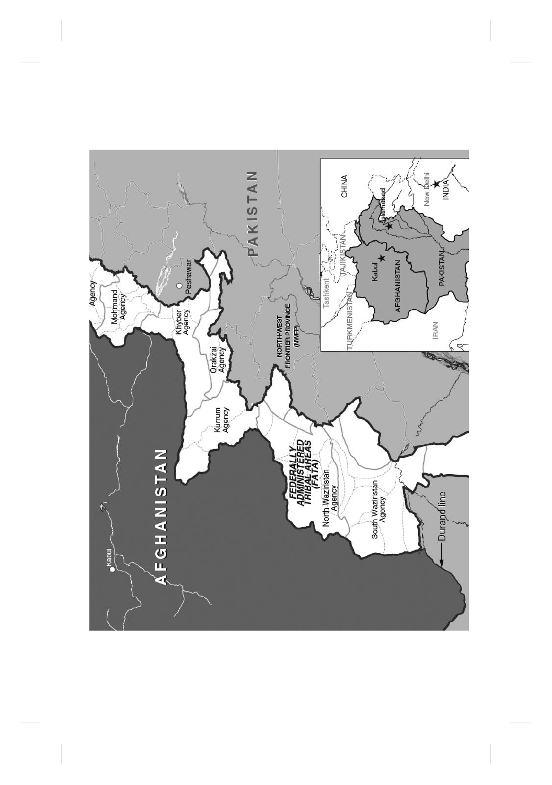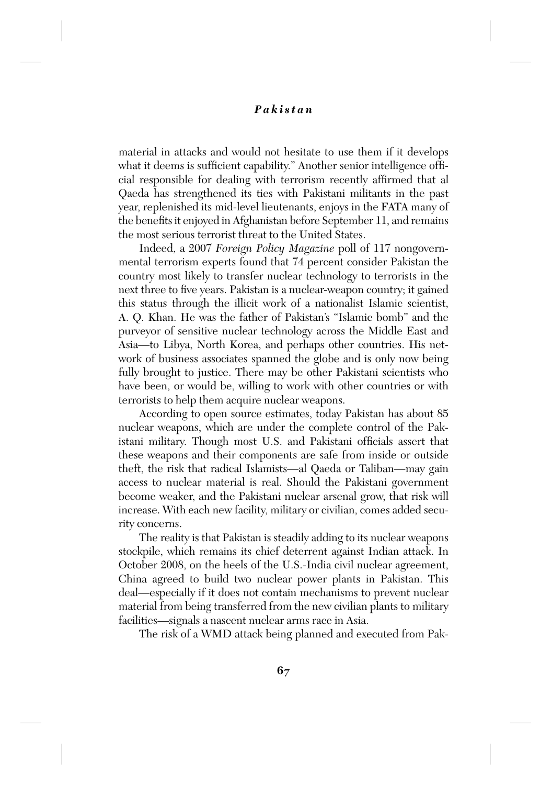### *Pakistan*

material in attacks and would not hesitate to use them if it develops what it deems is sufficient capability." Another senior intelligence official responsible for dealing with terrorism recently affirmed that al Qaeda has strengthened its ties with Pakistani militants in the past year, replenished its mid-level lieutenants, enjoys in the FATA many of the benefits it enjoyed in Afghanistan before September 11, and remains the most serious terrorist threat to the United States.

Indeed, a 2007 *Foreign Policy Magazine* poll of 117 nongovernmental terrorism experts found that 74 percent consider Pakistan the country most likely to transfer nuclear technology to terrorists in the next three to five years. Pakistan is a nuclear-weapon country; it gained this status through the illicit work of a nationalist Islamic scientist, A. Q. Khan. He was the father of Pakistan's "Islamic bomb" and the purveyor of sensitive nuclear technology across the Middle East and Asia—to Libya, North Korea, and perhaps other countries. His network of business associates spanned the globe and is only now being fully brought to justice. There may be other Pakistani scientists who have been, or would be, willing to work with other countries or with terrorists to help them acquire nuclear weapons.

According to open source estimates, today Pakistan has about 85 nuclear weapons, which are under the complete control of the Pakistani military. Though most U.S. and Pakistani officials assert that these weapons and their components are safe from inside or outside theft, the risk that radical Islamists—al Qaeda or Taliban—may gain access to nuclear material is real. Should the Pakistani government become weaker, and the Pakistani nuclear arsenal grow, that risk will increase. With each new facility, military or civilian, comes added security concerns.

The reality is that Pakistan is steadily adding to its nuclear weapons stockpile, which remains its chief deterrent against Indian attack. In October 2008, on the heels of the U.S.-India civil nuclear agreement, China agreed to build two nuclear power plants in Pakistan. This deal—especially if it does not contain mechanisms to prevent nuclear material from being transferred from the new civilian plants to military facilities—signals a nascent nuclear arms race in Asia.

The risk of a WMD attack being planned and executed from Pak-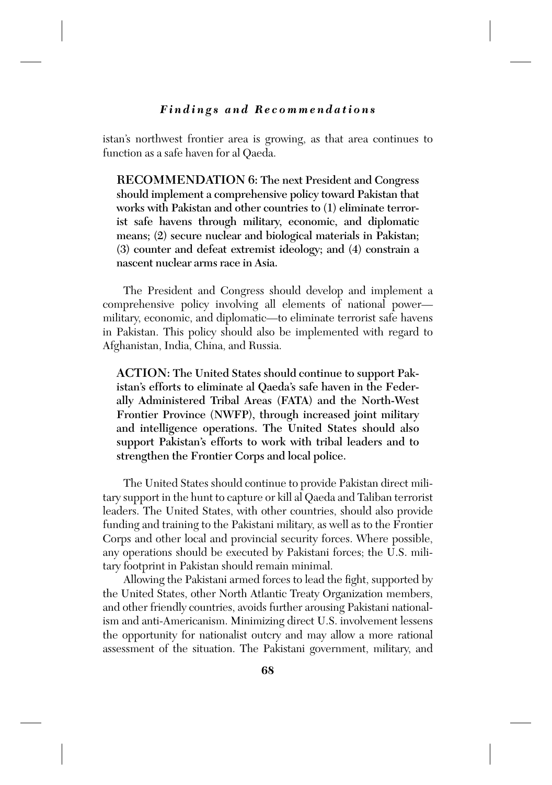istan's northwest frontier area is growing, as that area continues to function as a safe haven for al Qaeda.

**RECOMMENDATION 6: The next President and Congress should implement a comprehensive policy toward Pakistan that works with Pakistan and other countries to (1) eliminate terrorist safe havens through military, economic, and diplomatic means; (2) secure nuclear and biological materials in Pakistan; (3) counter and defeat extremist ideology; and (4) constrain a nascent nuclear arms race in Asia.**

The President and Congress should develop and implement a comprehensive policy involving all elements of national power military, economic, and diplomatic—to eliminate terrorist safe havens in Pakistan. This policy should also be implemented with regard to Afghanistan, India, China, and Russia.

**ACTION: The United States should continue to support Pakistan's efforts to eliminate al Qaeda's safe haven in the Federally Administered Tribal Areas (FATA) and the North-West Frontier Province (NWFP), through increased joint military and intelligence operations. The United States should also support Pakistan's efforts to work with tribal leaders and to strengthen the Frontier Corps and local police.** 

The United States should continue to provide Pakistan direct military support in the hunt to capture or kill al Qaeda and Taliban terrorist leaders. The United States, with other countries, should also provide funding and training to the Pakistani military, as well as to the Frontier Corps and other local and provincial security forces. Where possible, any operations should be executed by Pakistani forces; the U.S. military footprint in Pakistan should remain minimal.

Allowing the Pakistani armed forces to lead the fight, supported by the United States, other North Atlantic Treaty Organization members, and other friendly countries, avoids further arousing Pakistani nationalism and anti-Americanism. Minimizing direct U.S. involvement lessens the opportunity for nationalist outcry and may allow a more rational assessment of the situation. The Pakistani government, military, and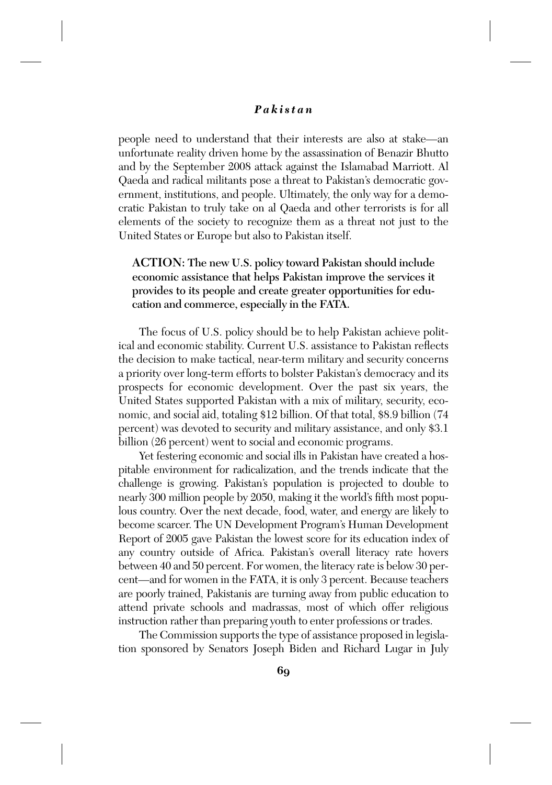### *Pakistan*

people need to understand that their interests are also at stake—an unfortunate reality driven home by the assassination of Benazir Bhutto and by the September 2008 attack against the Islamabad Marriott. Al Qaeda and radical militants pose a threat to Pakistan's democratic government, institutions, and people. Ultimately, the only way for a democratic Pakistan to truly take on al Qaeda and other terrorists is for all elements of the society to recognize them as a threat not just to the United States or Europe but also to Pakistan itself.

## **ACTION: The new U.S. policy toward Pakistan should include economic assistance that helps Pakistan improve the services it provides to its people and create greater opportunities for education and commerce, especially in the FATA.**

The focus of U.S. policy should be to help Pakistan achieve political and economic stability. Current U.S. assistance to Pakistan reflects the decision to make tactical, near-term military and security concerns a priority over long-term efforts to bolster Pakistan's democracy and its prospects for economic development. Over the past six years, the United States supported Pakistan with a mix of military, security, economic, and social aid, totaling \$12 billion. Of that total, \$8.9 billion (74 percent) was devoted to security and military assistance, and only \$3.1 billion (26 percent) went to social and economic programs.

Yet festering economic and social ills in Pakistan have created a hospitable environment for radicalization, and the trends indicate that the challenge is growing. Pakistan's population is projected to double to nearly 300 million people by 2050, making it the world's fifth most populous country. Over the next decade, food, water, and energy are likely to become scarcer. The UN Development Program's Human Development Report of 2005 gave Pakistan the lowest score for its education index of any country outside of Africa. Pakistan's overall literacy rate hovers between 40 and 50 percent. For women, the literacy rate is below 30 percent—and for women in the FATA, it is only 3 percent. Because teachers are poorly trained, Pakistanis are turning away from public education to attend private schools and madrassas, most of which offer religious instruction rather than preparing youth to enter professions or trades.

The Commission supports the type of assistance proposed in legislation sponsored by Senators Joseph Biden and Richard Lugar in July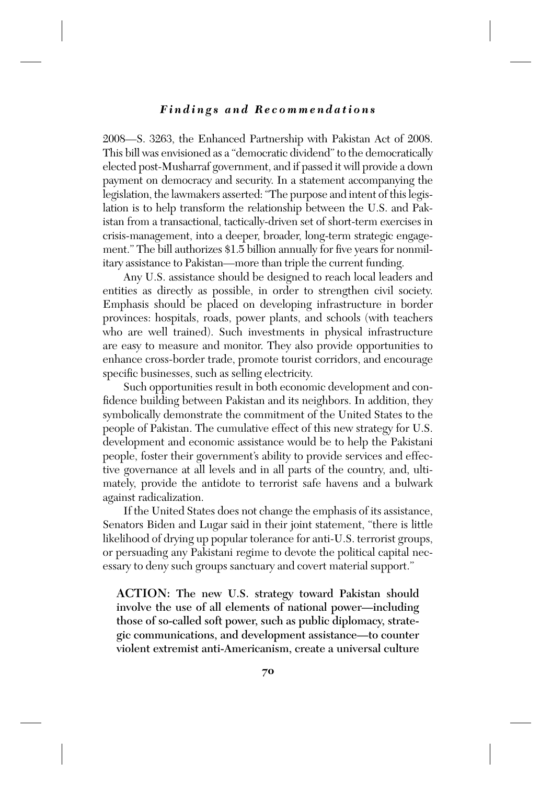2008—S. 3263, the Enhanced Partnership with Pakistan Act of 2008. This bill was envisioned as a "democratic dividend" to the democratically elected post-Musharraf government, and if passed it will provide a down payment on democracy and security. In a statement accompanying the legislation, the lawmakers asserted: "The purpose and intent of this legislation is to help transform the relationship between the U.S. and Pakistan from a transactional, tactically-driven set of short-term exercises in crisis-management, into a deeper, broader, long-term strategic engagement." The bill authorizes \$1.5 billion annually for five years for nonmilitary assistance to Pakistan—more than triple the current funding.

Any U.S. assistance should be designed to reach local leaders and entities as directly as possible, in order to strengthen civil society. Emphasis should be placed on developing infrastructure in border provinces: hospitals, roads, power plants, and schools (with teachers who are well trained). Such investments in physical infrastructure are easy to measure and monitor. They also provide opportunities to enhance cross-border trade, promote tourist corridors, and encourage specific businesses, such as selling electricity.

Such opportunities result in both economic development and confidence building between Pakistan and its neighbors. In addition, they symbolically demonstrate the commitment of the United States to the people of Pakistan. The cumulative effect of this new strategy for U.S. development and economic assistance would be to help the Pakistani people, foster their government's ability to provide services and effective governance at all levels and in all parts of the country, and, ultimately, provide the antidote to terrorist safe havens and a bulwark against radicalization.

If the United States does not change the emphasis of its assistance, Senators Biden and Lugar said in their joint statement, "there is little likelihood of drying up popular tolerance for anti-U.S. terrorist groups, or persuading any Pakistani regime to devote the political capital necessary to deny such groups sanctuary and covert material support."

**ACTION: The new U.S. strategy toward Pakistan should involve the use of all elements of national power—including those of so-called soft power, such as public diplomacy, strategic communications, and development assistance—to counter violent extremist anti-Americanism, create a universal culture**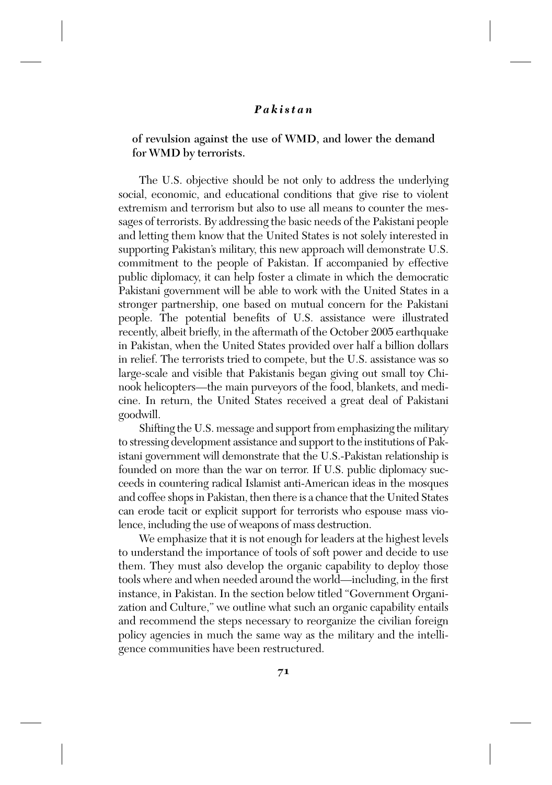### *Pakistan*

## **of revulsion against the use of WMD, and lower the demand for WMD by terrorists.**

The U.S. objective should be not only to address the underlying social, economic, and educational conditions that give rise to violent extremism and terrorism but also to use all means to counter the messages of terrorists. By addressing the basic needs of the Pakistani people and letting them know that the United States is not solely interested in supporting Pakistan's military, this new approach will demonstrate U.S. commitment to the people of Pakistan. If accompanied by effective public diplomacy, it can help foster a climate in which the democratic Pakistani government will be able to work with the United States in a stronger partnership, one based on mutual concern for the Pakistani people. The potential benefits of U.S. assistance were illustrated recently, albeit briefly, in the aftermath of the October 2005 earthquake in Pakistan, when the United States provided over half a billion dollars in relief. The terrorists tried to compete, but the U.S. assistance was so large-scale and visible that Pakistanis began giving out small toy Chinook helicopters—the main purveyors of the food, blankets, and medicine. In return, the United States received a great deal of Pakistani goodwill.

Shifting the U.S. message and support from emphasizing the military to stressing development assistance and support to the institutions of Pakistani government will demonstrate that the U.S.-Pakistan relationship is founded on more than the war on terror. If U.S. public diplomacy succeeds in countering radical Islamist anti-American ideas in the mosques and coffee shops in Pakistan, then there is a chance that the United States can erode tacit or explicit support for terrorists who espouse mass violence, including the use of weapons of mass destruction.

We emphasize that it is not enough for leaders at the highest levels to understand the importance of tools of soft power and decide to use them. They must also develop the organic capability to deploy those tools where and when needed around the world—including, in the first instance, in Pakistan. In the section below titled "Government Organization and Culture," we outline what such an organic capability entails and recommend the steps necessary to reorganize the civilian foreign policy agencies in much the same way as the military and the intelligence communities have been restructured.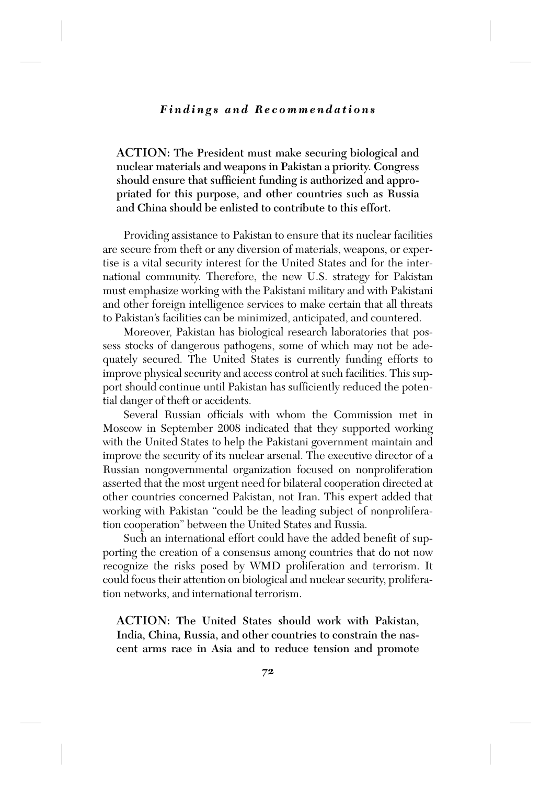**ACTION: The President must make securing biological and nuclear materials and weapons in Pakistan a priority. Congress should ensure that sufficient funding is authorized and appropriated for this purpose, and other countries such as Russia and China should be enlisted to contribute to this effort.** 

Providing assistance to Pakistan to ensure that its nuclear facilities are secure from theft or any diversion of materials, weapons, or expertise is a vital security interest for the United States and for the international community. Therefore, the new U.S. strategy for Pakistan must emphasize working with the Pakistani military and with Pakistani and other foreign intelligence services to make certain that all threats to Pakistan's facilities can be minimized, anticipated, and countered.

Moreover, Pakistan has biological research laboratories that possess stocks of dangerous pathogens, some of which may not be adequately secured. The United States is currently funding efforts to improve physical security and access control at such facilities. This support should continue until Pakistan has sufficiently reduced the potential danger of theft or accidents.

Several Russian officials with whom the Commission met in Moscow in September 2008 indicated that they supported working with the United States to help the Pakistani government maintain and improve the security of its nuclear arsenal. The executive director of a Russian nongovernmental organization focused on nonproliferation asserted that the most urgent need for bilateral cooperation directed at other countries concerned Pakistan, not Iran. This expert added that working with Pakistan "could be the leading subject of nonproliferation cooperation" between the United States and Russia.

Such an international effort could have the added benefit of supporting the creation of a consensus among countries that do not now recognize the risks posed by WMD proliferation and terrorism. It could focus their attention on biological and nuclear security, proliferation networks, and international terrorism.

**ACTION: The United States should work with Pakistan, India, China, Russia, and other countries to constrain the nascent arms race in Asia and to reduce tension and promote**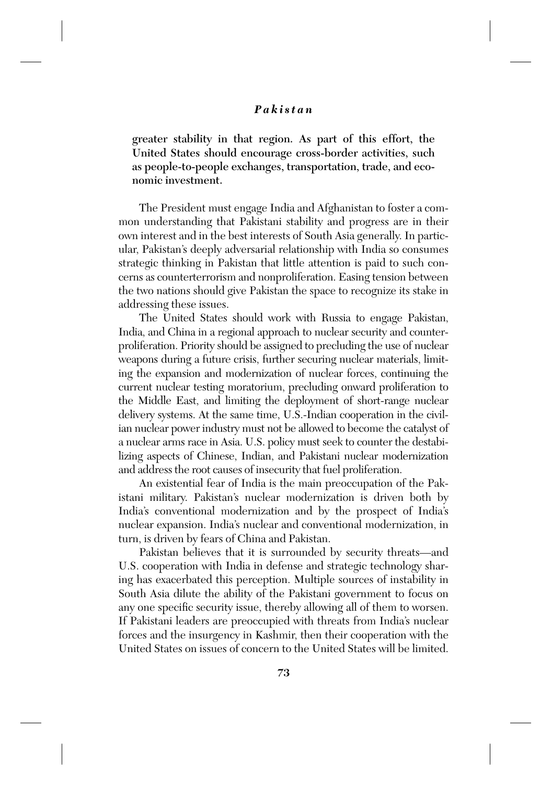### *Pakistan*

**greater stability in that region. As part of this effort, the United States should encourage cross-border activities, such as people-to-people exchanges, transportation, trade, and economic investment.** 

The President must engage India and Afghanistan to foster a common understanding that Pakistani stability and progress are in their own interest and in the best interests of South Asia generally. In particular, Pakistan's deeply adversarial relationship with India so consumes strategic thinking in Pakistan that little attention is paid to such concerns as counterterrorism and nonproliferation. Easing tension between the two nations should give Pakistan the space to recognize its stake in addressing these issues.

The United States should work with Russia to engage Pakistan, India, and China in a regional approach to nuclear security and counterproliferation. Priority should be assigned to precluding the use of nuclear weapons during a future crisis, further securing nuclear materials, limiting the expansion and modernization of nuclear forces, continuing the current nuclear testing moratorium, precluding onward proliferation to the Middle East, and limiting the deployment of short-range nuclear delivery systems. At the same time, U.S.-Indian cooperation in the civilian nuclear power industry must not be allowed to become the catalyst of a nuclear arms race in Asia. U.S. policy must seek to counter the destabilizing aspects of Chinese, Indian, and Pakistani nuclear modernization and address the root causes of insecurity that fuel proliferation.

An existential fear of India is the main preoccupation of the Pakistani military. Pakistan's nuclear modernization is driven both by India's conventional modernization and by the prospect of India's nuclear expansion. India's nuclear and conventional modernization, in turn, is driven by fears of China and Pakistan.

Pakistan believes that it is surrounded by security threats—and U.S. cooperation with India in defense and strategic technology sharing has exacerbated this perception. Multiple sources of instability in South Asia dilute the ability of the Pakistani government to focus on any one specific security issue, thereby allowing all of them to worsen. If Pakistani leaders are preoccupied with threats from India's nuclear forces and the insurgency in Kashmir, then their cooperation with the United States on issues of concern to the United States will be limited.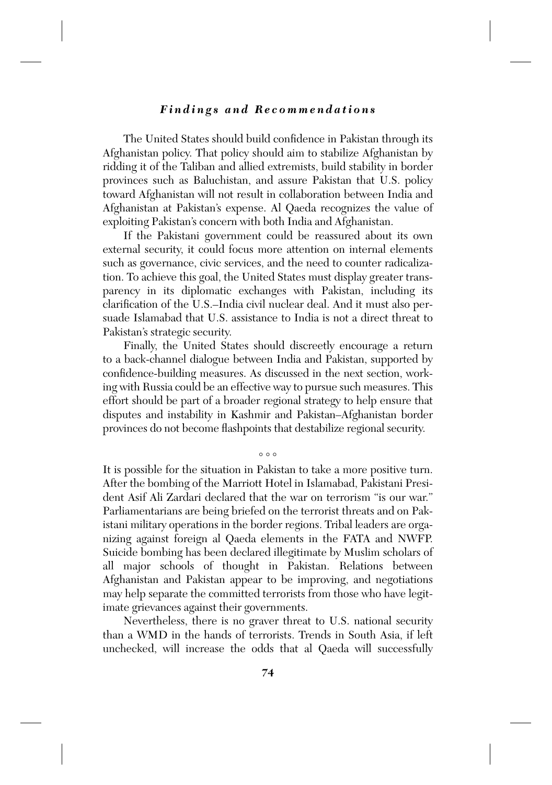The United States should build confidence in Pakistan through its Afghanistan policy. That policy should aim to stabilize Afghanistan by ridding it of the Taliban and allied extremists, build stability in border provinces such as Baluchistan, and assure Pakistan that U.S. policy toward Afghanistan will not result in collaboration between India and Afghanistan at Pakistan's expense. Al Qaeda recognizes the value of exploiting Pakistan's concern with both India and Afghanistan.

If the Pakistani government could be reassured about its own external security, it could focus more attention on internal elements such as governance, civic services, and the need to counter radicalization. To achieve this goal, the United States must display greater transparency in its diplomatic exchanges with Pakistan, including its clarification of the U.S.–India civil nuclear deal. And it must also persuade Islamabad that U.S. assistance to India is not a direct threat to Pakistan's strategic security.

Finally, the United States should discreetly encourage a return to a back-channel dialogue between India and Pakistan, supported by confidence-building measures. As discussed in the next section, working with Russia could be an effective way to pursue such measures. This effort should be part of a broader regional strategy to help ensure that disputes and instability in Kashmir and Pakistan–Afghanistan border provinces do not become flashpoints that destabilize regional security.

#### $\sim$

It is possible for the situation in Pakistan to take a more positive turn. After the bombing of the Marriott Hotel in Islamabad, Pakistani President Asif Ali Zardari declared that the war on terrorism "is our war." Parliamentarians are being briefed on the terrorist threats and on Pakistani military operations in the border regions. Tribal leaders are organizing against foreign al Qaeda elements in the FATA and NWFP. Suicide bombing has been declared illegitimate by Muslim scholars of all major schools of thought in Pakistan. Relations between Afghanistan and Pakistan appear to be improving, and negotiations may help separate the committed terrorists from those who have legitimate grievances against their governments.

Nevertheless, there is no graver threat to U.S. national security than a WMD in the hands of terrorists. Trends in South Asia, if left unchecked, will increase the odds that al Qaeda will successfully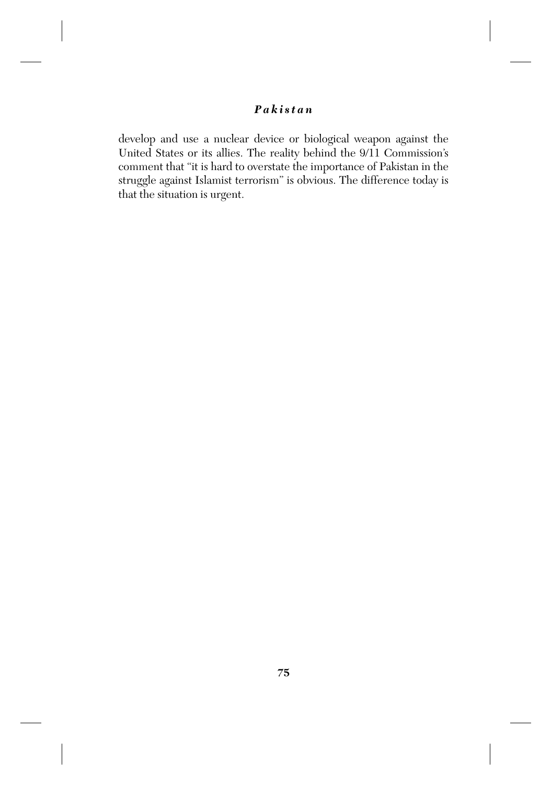# *Pakistan*

develop and use a nuclear device or biological weapon against the United States or its allies. The reality behind the 9/11 Commission's comment that "it is hard to overstate the importance of Pakistan in the struggle against Islamist terrorism" is obvious. The difference today is that the situation is urgent.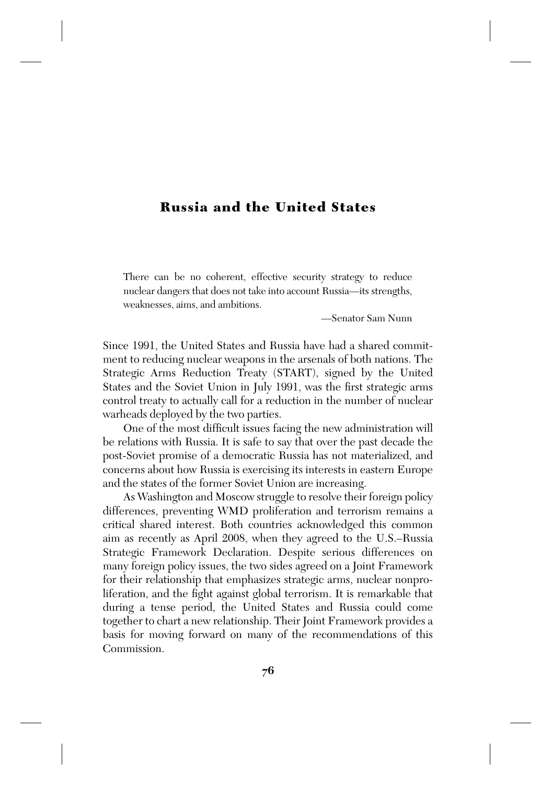# Russia and the United States

There can be no coherent, effective security strategy to reduce nuclear dangers that does not take into account Russia—its strengths, weaknesses, aims, and ambitions.

—Senator Sam Nunn

Since 1991, the United States and Russia have had a shared commitment to reducing nuclear weapons in the arsenals of both nations. The Strategic Arms Reduction Treaty (START), signed by the United States and the Soviet Union in July 1991, was the first strategic arms control treaty to actually call for a reduction in the number of nuclear warheads deployed by the two parties.

One of the most difficult issues facing the new administration will be relations with Russia. It is safe to say that over the past decade the post-Soviet promise of a democratic Russia has not materialized, and concerns about how Russia is exercising its interests in eastern Europe and the states of the former Soviet Union are increasing.

As Washington and Moscow struggle to resolve their foreign policy differences, preventing WMD proliferation and terrorism remains a critical shared interest. Both countries acknowledged this common aim as recently as April 2008, when they agreed to the U.S.–Russia Strategic Framework Declaration. Despite serious differences on many foreign policy issues, the two sides agreed on a Joint Framework for their relationship that emphasizes strategic arms, nuclear nonproliferation, and the fight against global terrorism. It is remarkable that during a tense period, the United States and Russia could come together to chart a new relationship. Their Joint Framework provides a basis for moving forward on many of the recommendations of this Commission.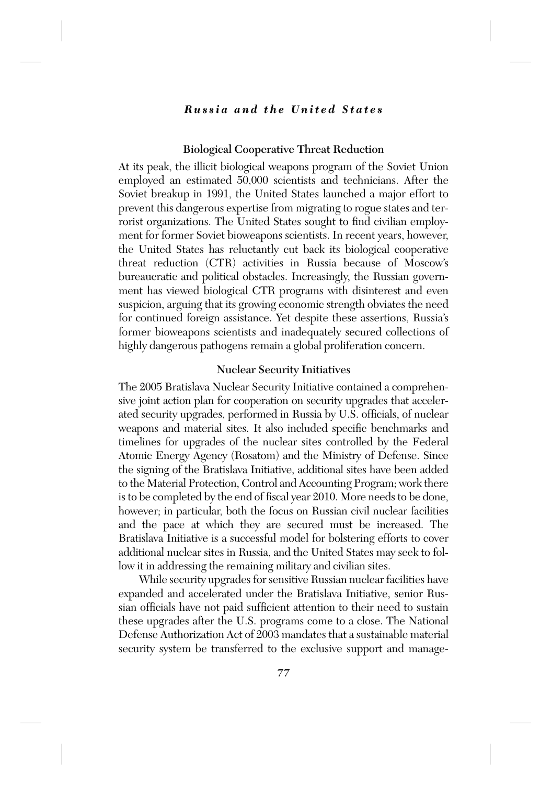## *Russia and the United States*

#### **Biological Cooperative Threat Reduction**

At its peak, the illicit biological weapons program of the Soviet Union employed an estimated 50,000 scientists and technicians. After the Soviet breakup in 1991, the United States launched a major effort to prevent this dangerous expertise from migrating to rogue states and terrorist organizations. The United States sought to find civilian employment for former Soviet bioweapons scientists. In recent years, however, the United States has reluctantly cut back its biological cooperative threat reduction (CTR) activities in Russia because of Moscow's bureaucratic and political obstacles. Increasingly, the Russian government has viewed biological CTR programs with disinterest and even suspicion, arguing that its growing economic strength obviates the need for continued foreign assistance. Yet despite these assertions, Russia's former bioweapons scientists and inadequately secured collections of highly dangerous pathogens remain a global proliferation concern.

### **Nuclear Security Initiatives**

The 2005 Bratislava Nuclear Security Initiative contained a comprehensive joint action plan for cooperation on security upgrades that accelerated security upgrades, performed in Russia by U.S. officials, of nuclear weapons and material sites. It also included specific benchmarks and timelines for upgrades of the nuclear sites controlled by the Federal Atomic Energy Agency (Rosatom) and the Ministry of Defense. Since the signing of the Bratislava Initiative, additional sites have been added to the Material Protection, Control and Accounting Program; work there is to be completed by the end of fiscal year 2010. More needs to be done, however; in particular, both the focus on Russian civil nuclear facilities and the pace at which they are secured must be increased. The Bratislava Initiative is a successful model for bolstering efforts to cover additional nuclear sites in Russia, and the United States may seek to follow it in addressing the remaining military and civilian sites.

While security upgrades for sensitive Russian nuclear facilities have expanded and accelerated under the Bratislava Initiative, senior Russian officials have not paid sufficient attention to their need to sustain these upgrades after the U.S. programs come to a close. The National Defense Authorization Act of 2003 mandates that a sustainable material security system be transferred to the exclusive support and manage-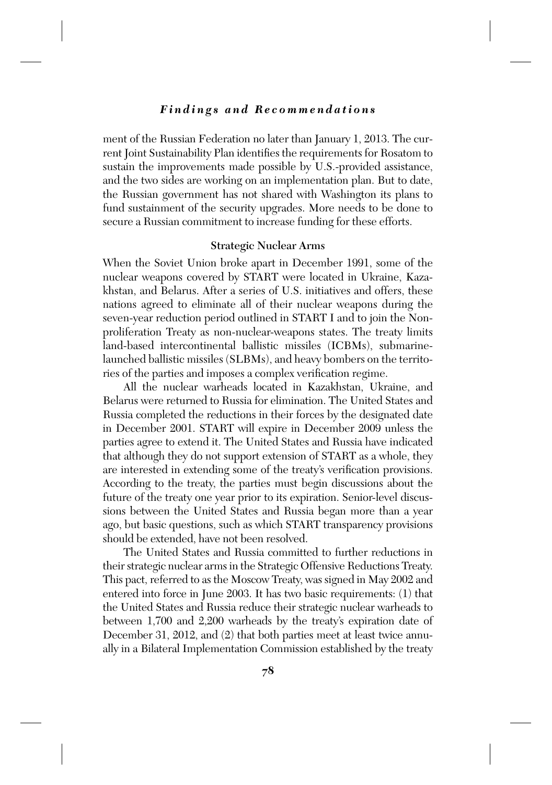ment of the Russian Federation no later than January 1, 2013. The current Joint Sustainability Plan identifies the requirements for Rosatom to sustain the improvements made possible by U.S.-provided assistance, and the two sides are working on an implementation plan. But to date, the Russian government has not shared with Washington its plans to fund sustainment of the security upgrades. More needs to be done to secure a Russian commitment to increase funding for these efforts.

### **Strategic Nuclear Arms**

When the Soviet Union broke apart in December 1991, some of the nuclear weapons covered by START were located in Ukraine, Kazakhstan, and Belarus. After a series of U.S. initiatives and offers, these nations agreed to eliminate all of their nuclear weapons during the seven-year reduction period outlined in START I and to join the Nonproliferation Treaty as non-nuclear-weapons states. The treaty limits land-based intercontinental ballistic missiles (ICBMs), submarinelaunched ballistic missiles (SLBMs), and heavy bombers on the territories of the parties and imposes a complex verification regime.

All the nuclear warheads located in Kazakhstan, Ukraine, and Belarus were returned to Russia for elimination. The United States and Russia completed the reductions in their forces by the designated date in December 2001. START will expire in December 2009 unless the parties agree to extend it. The United States and Russia have indicated that although they do not support extension of START as a whole, they are interested in extending some of the treaty's verification provisions. According to the treaty, the parties must begin discussions about the future of the treaty one year prior to its expiration. Senior-level discussions between the United States and Russia began more than a year ago, but basic questions, such as which START transparency provisions should be extended, have not been resolved.

The United States and Russia committed to further reductions in their strategic nuclear arms in the Strategic Offensive Reductions Treaty. This pact, referred to as the Moscow Treaty, was signed in May 2002 and entered into force in June 2003. It has two basic requirements: (1) that the United States and Russia reduce their strategic nuclear warheads to between 1,700 and 2,200 warheads by the treaty's expiration date of December 31, 2012, and (2) that both parties meet at least twice annually in a Bilateral Implementation Commission established by the treaty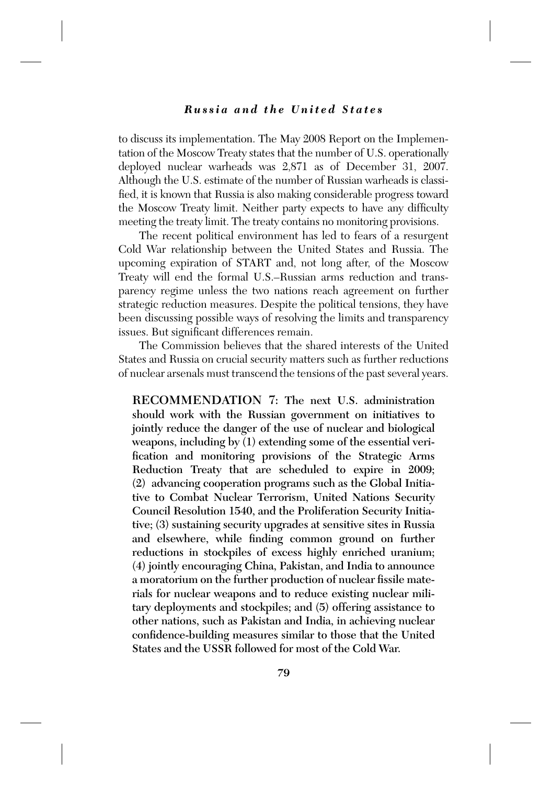### *Russia and the United States*

to discuss its implementation. The May 2008 Report on the Implementation of the Moscow Treaty states that the number of U.S. operationally deployed nuclear warheads was 2,871 as of December 31, 2007. Although the U.S. estimate of the number of Russian warheads is classified, it is known that Russia is also making considerable progress toward the Moscow Treaty limit. Neither party expects to have any difficulty meeting the treaty limit. The treaty contains no monitoring provisions.

The recent political environment has led to fears of a resurgent Cold War relationship between the United States and Russia. The upcoming expiration of START and, not long after, of the Moscow Treaty will end the formal U.S.–Russian arms reduction and transparency regime unless the two nations reach agreement on further strategic reduction measures. Despite the political tensions, they have been discussing possible ways of resolving the limits and transparency issues. But significant differences remain.

The Commission believes that the shared interests of the United States and Russia on crucial security matters such as further reductions of nuclear arsenals must transcend the tensions of the past several years.

**RECOMMENDATION 7: The next U.S. administration should work with the Russian government on initiatives to jointly reduce the danger of the use of nuclear and biological weapons, including by (1) extending some of the essential verification and monitoring provisions of the Strategic Arms Reduction Treaty that are scheduled to expire in 2009; (2) advancing cooperation programs such as the Global Initiative to Combat Nuclear Terrorism, United Nations Security Council Resolution 1540, and the Proliferation Security Initiative; (3) sustaining security upgrades at sensitive sites in Russia and elsewhere, while finding common ground on further reductions in stockpiles of excess highly enriched uranium; (4) jointly encouraging China, Pakistan, and India to announce a moratorium on the further production of nuclear fissile materials for nuclear weapons and to reduce existing nuclear military deployments and stockpiles; and (5) offering assistance to other nations, such as Pakistan and India, in achieving nuclear confidence-building measures similar to those that the United States and the USSR followed for most of the Cold War.**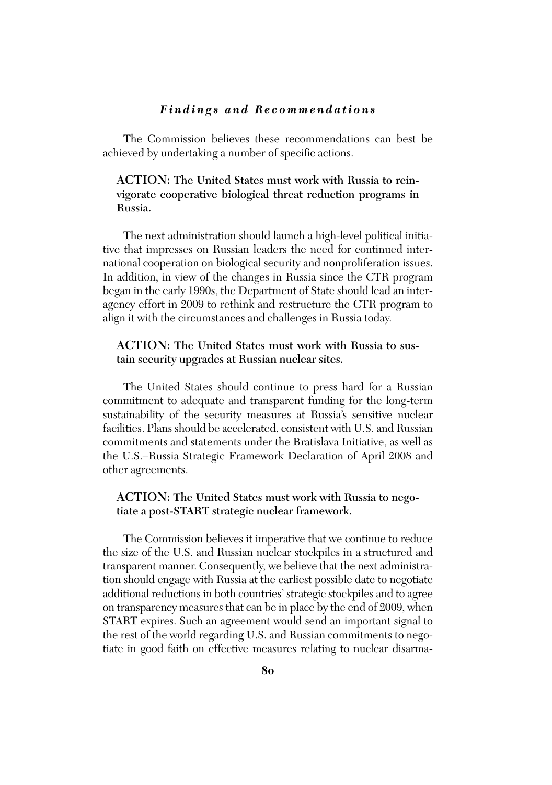The Commission believes these recommendations can best be achieved by undertaking a number of specific actions.

## **ACTION: The United States must work with Russia to reinvigorate cooperative biological threat reduction programs in Russia.**

The next administration should launch a high-level political initiative that impresses on Russian leaders the need for continued international cooperation on biological security and nonproliferation issues. In addition, in view of the changes in Russia since the CTR program began in the early 1990s, the Department of State should lead an interagency effort in 2009 to rethink and restructure the CTR program to align it with the circumstances and challenges in Russia today.

## **ACTION: The United States must work with Russia to sustain security upgrades at Russian nuclear sites.**

The United States should continue to press hard for a Russian commitment to adequate and transparent funding for the long-term sustainability of the security measures at Russia's sensitive nuclear facilities. Plans should be accelerated, consistent with U.S. and Russian commitments and statements under the Bratislava Initiative, as well as the U.S.–Russia Strategic Framework Declaration of April 2008 and other agreements.

## **ACTION: The United States must work with Russia to negotiate a post-START strategic nuclear framework.**

The Commission believes it imperative that we continue to reduce the size of the U.S. and Russian nuclear stockpiles in a structured and transparent manner. Consequently, we believe that the next administration should engage with Russia at the earliest possible date to negotiate additional reductions in both countries' strategic stockpiles and to agree on transparency measures that can be in place by the end of 2009, when START expires. Such an agreement would send an important signal to the rest of the world regarding U.S. and Russian commitments to negotiate in good faith on effective measures relating to nuclear disarma-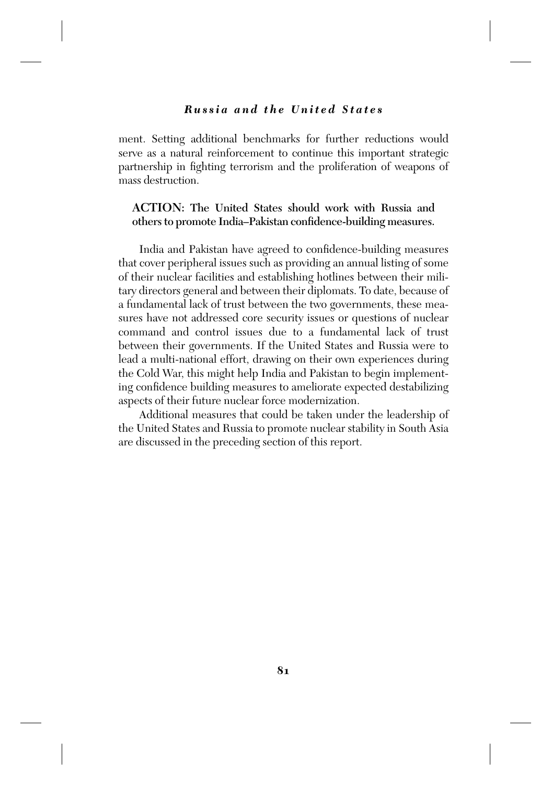## *Russia and the United States*

ment. Setting additional benchmarks for further reductions would serve as a natural reinforcement to continue this important strategic partnership in fighting terrorism and the proliferation of weapons of mass destruction.

## **ACTION: The United States should work with Russia and others to promote India–Pakistan confidence-building measures.**

India and Pakistan have agreed to confidence-building measures that cover peripheral issues such as providing an annual listing of some of their nuclear facilities and establishing hotlines between their military directors general and between their diplomats. To date, because of a fundamental lack of trust between the two governments, these measures have not addressed core security issues or questions of nuclear command and control issues due to a fundamental lack of trust between their governments. If the United States and Russia were to lead a multi-national effort, drawing on their own experiences during the Cold War, this might help India and Pakistan to begin implementing confidence building measures to ameliorate expected destabilizing aspects of their future nuclear force modernization.

Additional measures that could be taken under the leadership of the United States and Russia to promote nuclear stability in South Asia are discussed in the preceding section of this report.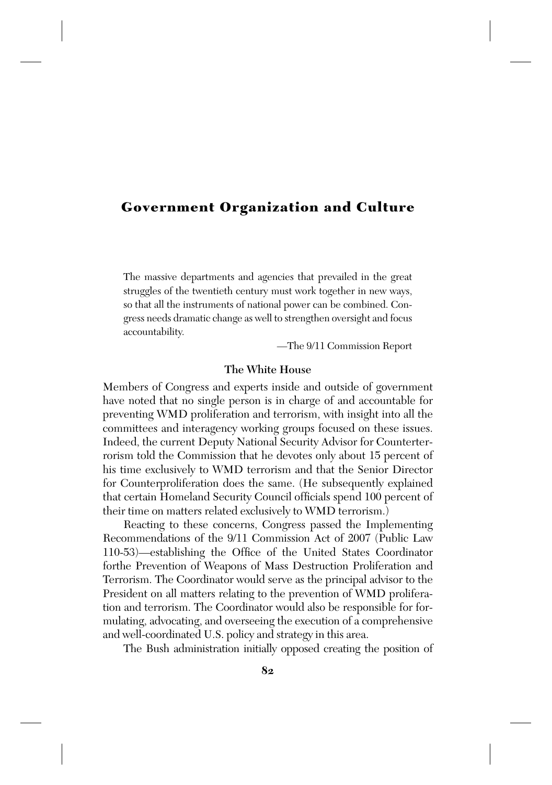The massive departments and agencies that prevailed in the great struggles of the twentieth century must work together in new ways, so that all the instruments of national power can be combined. Congress needs dramatic change as well to strengthen oversight and focus accountability.

—The 9/11 Commission Report

## **The White House**

Members of Congress and experts inside and outside of government have noted that no single person is in charge of and accountable for preventing WMD proliferation and terrorism, with insight into all the committees and interagency working groups focused on these issues. Indeed, the current Deputy National Security Advisor for Counterterrorism told the Commission that he devotes only about 15 percent of his time exclusively to WMD terrorism and that the Senior Director for Counterproliferation does the same. (He subsequently explained that certain Homeland Security Council officials spend 100 percent of their time on matters related exclusively to WMD terrorism.)

Reacting to these concerns, Congress passed the Implementing Recommendations of the 9/11 Commission Act of 2007 (Public Law 110-53)—establishing the Office of the United States Coordinator forthe Prevention of Weapons of Mass Destruction Proliferation and Terrorism. The Coordinator would serve as the principal advisor to the President on all matters relating to the prevention of WMD proliferation and terrorism. The Coordinator would also be responsible for formulating, advocating, and overseeing the execution of a comprehensive and well-coordinated U.S. policy and strategy in this area.

The Bush administration initially opposed creating the position of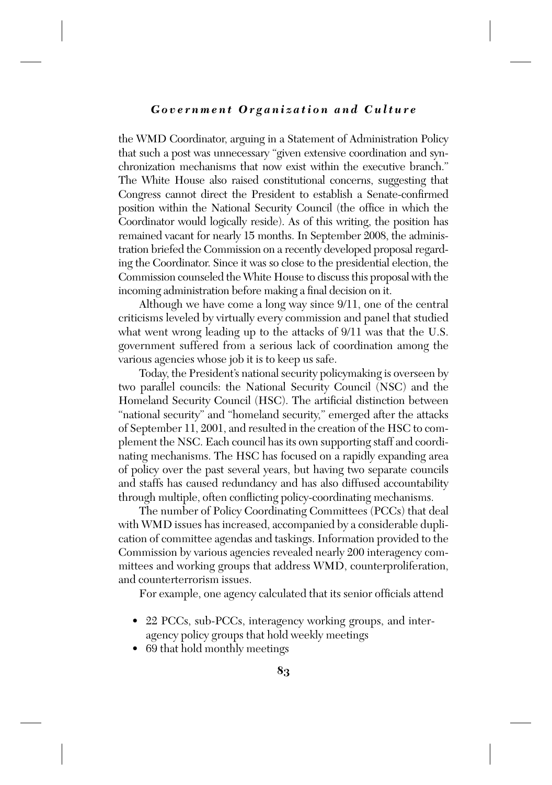the WMD Coordinator, arguing in a Statement of Administration Policy that such a post was unnecessary "given extensive coordination and synchronization mechanisms that now exist within the executive branch." The White House also raised constitutional concerns, suggesting that Congress cannot direct the President to establish a Senate-confirmed position within the National Security Council (the office in which the Coordinator would logically reside). As of this writing, the position has remained vacant for nearly 15 months. In September 2008, the administration briefed the Commission on a recently developed proposal regarding the Coordinator. Since it was so close to the presidential election, the Commission counseled the White House to discuss this proposal with the incoming administration before making a final decision on it.

Although we have come a long way since 9/11, one of the central criticisms leveled by virtually every commission and panel that studied what went wrong leading up to the attacks of 9/11 was that the U.S. government suffered from a serious lack of coordination among the various agencies whose job it is to keep us safe.

Today, the President's national security policymaking is overseen by two parallel councils: the National Security Council (NSC) and the Homeland Security Council (HSC). The artificial distinction between "national security" and "homeland security," emerged after the attacks of September 11, 2001, and resulted in the creation of the HSC to complement the NSC. Each council has its own supporting staff and coordinating mechanisms. The HSC has focused on a rapidly expanding area of policy over the past several years, but having two separate councils and staffs has caused redundancy and has also diffused accountability through multiple, often conflicting policy-coordinating mechanisms.

The number of Policy Coordinating Committees (PCCs) that deal with WMD issues has increased, accompanied by a considerable duplication of committee agendas and taskings. Information provided to the Commission by various agencies revealed nearly 200 interagency committees and working groups that address WMD, counterproliferation, and counterterrorism issues.

For example, one agency calculated that its senior officials attend

- 22 PCCs, sub-PCCs, interagency working groups, and interagency policy groups that hold weekly meetings
- 69 that hold monthly meetings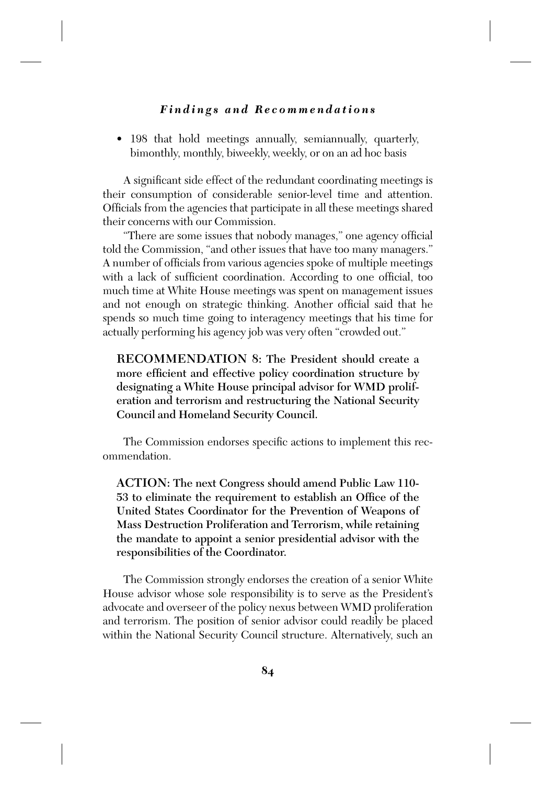• 198 that hold meetings annually, semiannually, quarterly, bimonthly, monthly, biweekly, weekly, or on an ad hoc basis

A significant side effect of the redundant coordinating meetings is their consumption of considerable senior-level time and attention. Officials from the agencies that participate in all these meetings shared their concerns with our Commission.

"There are some issues that nobody manages," one agency official told the Commission, "and other issues that have too many managers." A number of officials from various agencies spoke of multiple meetings with a lack of sufficient coordination. According to one official, too much time at White House meetings was spent on management issues and not enough on strategic thinking. Another official said that he spends so much time going to interagency meetings that his time for actually performing his agency job was very often "crowded out."

**RECOMMENDATION 8: The President should create a more efficient and effective policy coordination structure by designating a White House principal advisor for WMD proliferation and terrorism and restructuring the National Security Council and Homeland Security Council.**

The Commission endorses specific actions to implement this recommendation.

**ACTION: The next Congress should amend Public Law 110- 53 to eliminate the requirement to establish an Office of the United States Coordinator for the Prevention of Weapons of Mass Destruction Proliferation and Terrorism, while retaining the mandate to appoint a senior presidential advisor with the responsibilities of the Coordinator.**

The Commission strongly endorses the creation of a senior White House advisor whose sole responsibility is to serve as the President's advocate and overseer of the policy nexus between WMD proliferation and terrorism. The position of senior advisor could readily be placed within the National Security Council structure. Alternatively, such an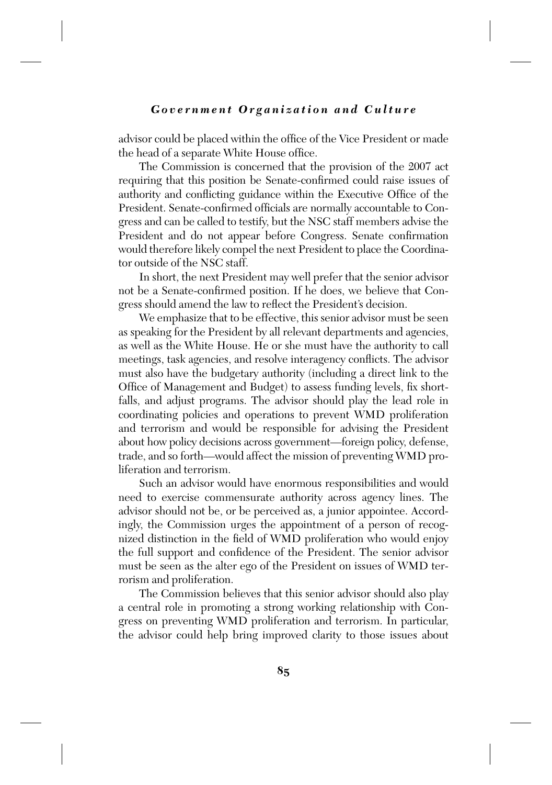advisor could be placed within the office of the Vice President or made the head of a separate White House office.

The Commission is concerned that the provision of the 2007 act requiring that this position be Senate-confirmed could raise issues of authority and conflicting guidance within the Executive Office of the President. Senate-confirmed officials are normally accountable to Congress and can be called to testify, but the NSC staff members advise the President and do not appear before Congress. Senate confirmation would therefore likely compel the next President to place the Coordinator outside of the NSC staff.

In short, the next President may well prefer that the senior advisor not be a Senate-confirmed position. If he does, we believe that Congress should amend the law to reflect the President's decision.

We emphasize that to be effective, this senior advisor must be seen as speaking for the President by all relevant departments and agencies, as well as the White House. He or she must have the authority to call meetings, task agencies, and resolve interagency conflicts. The advisor must also have the budgetary authority (including a direct link to the Office of Management and Budget) to assess funding levels, fix shortfalls, and adjust programs. The advisor should play the lead role in coordinating policies and operations to prevent WMD proliferation and terrorism and would be responsible for advising the President about how policy decisions across government—foreign policy, defense, trade, and so forth—would affect the mission of preventing WMD proliferation and terrorism.

Such an advisor would have enormous responsibilities and would need to exercise commensurate authority across agency lines. The advisor should not be, or be perceived as, a junior appointee. Accordingly, the Commission urges the appointment of a person of recognized distinction in the field of WMD proliferation who would enjoy the full support and confidence of the President. The senior advisor must be seen as the alter ego of the President on issues of WMD terrorism and proliferation.

The Commission believes that this senior advisor should also play a central role in promoting a strong working relationship with Congress on preventing WMD proliferation and terrorism. In particular, the advisor could help bring improved clarity to those issues about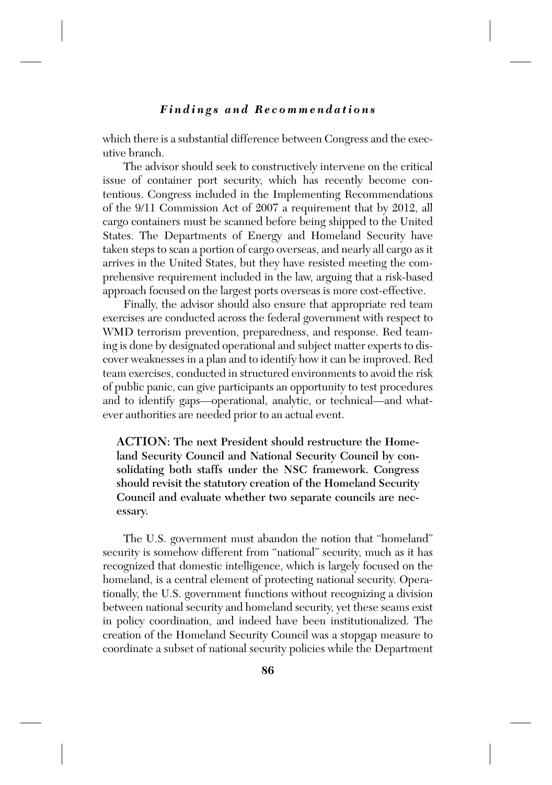which there is a substantial difference between Congress and the executive branch.

The advisor should seek to constructively intervene on the critical issue of container port security, which has recently become contentious. Congress included in the Implementing Recommendations of the 9/11 Commission Act of 2007 a requirement that by 2012, all cargo containers must be scanned before being shipped to the United States. The Departments of Energy and Homeland Security have taken steps to scan a portion of cargo overseas, and nearly all cargo as it arrives in the United States, but they have resisted meeting the comprehensive requirement included in the law, arguing that a risk-based approach focused on the largest ports overseas is more cost-effective.

Finally, the advisor should also ensure that appropriate red team exercises are conducted across the federal government with respect to WMD terrorism prevention, preparedness, and response. Red teaming is done by designated operational and subject matter experts to discover weaknesses in a plan and to identify how it can be improved. Red team exercises, conducted in structured environments to avoid the risk of public panic, can give participants an opportunity to test procedures and to identify gaps—operational, analytic, or technical—and whatever authorities are needed prior to an actual event.

**ACTION: The next President should restructure the Homeland Security Council and National Security Council by consolidating both staffs under the NSC framework. Congress should revisit the statutory creation of the Homeland Security Council and evaluate whether two separate councils are necessary.**

The U.S. government must abandon the notion that "homeland" security is somehow different from "national" security, much as it has recognized that domestic intelligence, which is largely focused on the homeland, is a central element of protecting national security. Operationally, the U.S. government functions without recognizing a division between national security and homeland security, yet these seams exist in policy coordination, and indeed have been institutionalized. The creation of the Homeland Security Council was a stopgap measure to coordinate a subset of national security policies while the Department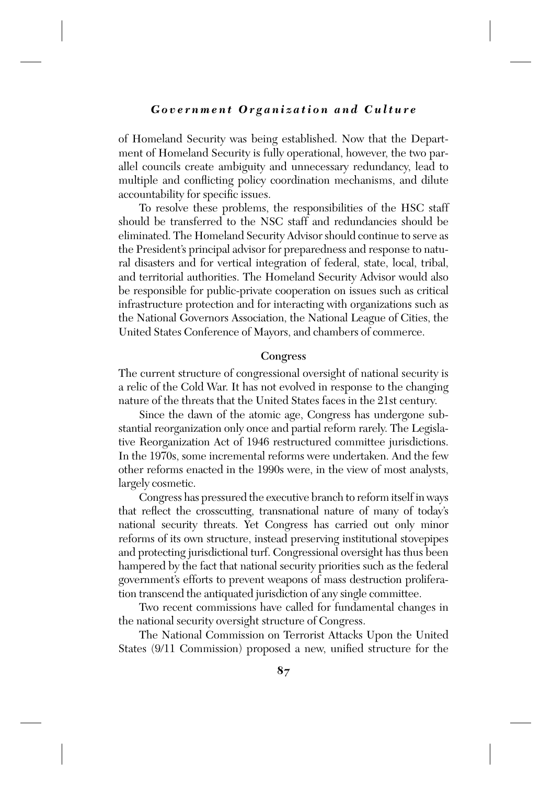of Homeland Security was being established. Now that the Department of Homeland Security is fully operational, however, the two parallel councils create ambiguity and unnecessary redundancy, lead to multiple and conflicting policy coordination mechanisms, and dilute accountability for specific issues.

To resolve these problems, the responsibilities of the HSC staff should be transferred to the NSC staff and redundancies should be eliminated. The Homeland Security Advisor should continue to serve as the President's principal advisor for preparedness and response to natural disasters and for vertical integration of federal, state, local, tribal, and territorial authorities. The Homeland Security Advisor would also be responsible for public-private cooperation on issues such as critical infrastructure protection and for interacting with organizations such as the National Governors Association, the National League of Cities, the United States Conference of Mayors, and chambers of commerce.

### **Congress**

The current structure of congressional oversight of national security is a relic of the Cold War. It has not evolved in response to the changing nature of the threats that the United States faces in the 21st century.

Since the dawn of the atomic age, Congress has undergone substantial reorganization only once and partial reform rarely. The Legislative Reorganization Act of 1946 restructured committee jurisdictions. In the 1970s, some incremental reforms were undertaken. And the few other reforms enacted in the 1990s were, in the view of most analysts, largely cosmetic.

Congress has pressured the executive branch to reform itself in ways that reflect the crosscutting, transnational nature of many of today's national security threats. Yet Congress has carried out only minor reforms of its own structure, instead preserving institutional stovepipes and protecting jurisdictional turf. Congressional oversight has thus been hampered by the fact that national security priorities such as the federal government's efforts to prevent weapons of mass destruction proliferation transcend the antiquated jurisdiction of any single committee.

Two recent commissions have called for fundamental changes in the national security oversight structure of Congress.

The National Commission on Terrorist Attacks Upon the United States (9/11 Commission) proposed a new, unified structure for the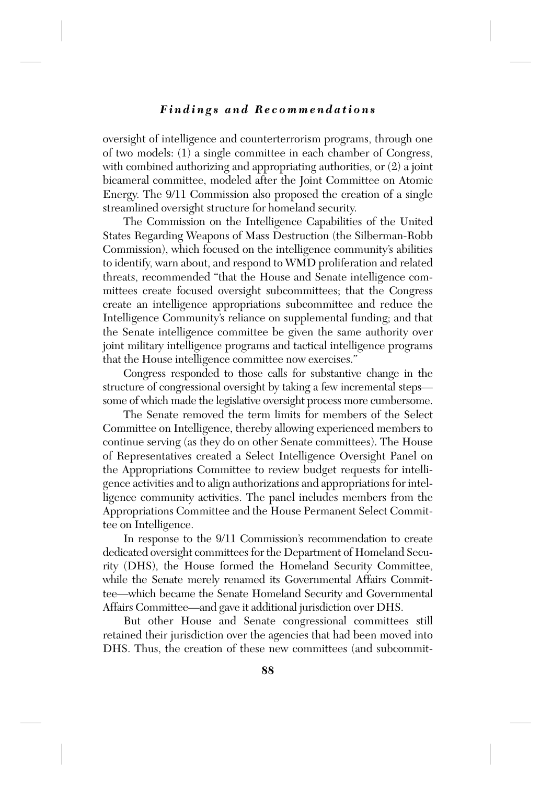oversight of intelligence and counterterrorism programs, through one of two models: (1) a single committee in each chamber of Congress, with combined authorizing and appropriating authorities, or (2) a joint bicameral committee, modeled after the Joint Committee on Atomic Energy. The 9/11 Commission also proposed the creation of a single streamlined oversight structure for homeland security.

The Commission on the Intelligence Capabilities of the United States Regarding Weapons of Mass Destruction (the Silberman-Robb Commission), which focused on the intelligence community's abilities to identify, warn about, and respond to WMD proliferation and related threats, recommended "that the House and Senate intelligence committees create focused oversight subcommittees; that the Congress create an intelligence appropriations subcommittee and reduce the Intelligence Community's reliance on supplemental funding; and that the Senate intelligence committee be given the same authority over joint military intelligence programs and tactical intelligence programs that the House intelligence committee now exercises."

Congress responded to those calls for substantive change in the structure of congressional oversight by taking a few incremental steps some of which made the legislative oversight process more cumbersome.

The Senate removed the term limits for members of the Select Committee on Intelligence, thereby allowing experienced members to continue serving (as they do on other Senate committees). The House of Representatives created a Select Intelligence Oversight Panel on the Appropriations Committee to review budget requests for intelligence activities and to align authorizations and appropriations for intelligence community activities. The panel includes members from the Appropriations Committee and the House Permanent Select Committee on Intelligence.

In response to the 9/11 Commission's recommendation to create dedicated oversight committees for the Department of Homeland Security (DHS), the House formed the Homeland Security Committee, while the Senate merely renamed its Governmental Affairs Committee—which became the Senate Homeland Security and Governmental Affairs Committee—and gave it additional jurisdiction over DHS.

But other House and Senate congressional committees still retained their jurisdiction over the agencies that had been moved into DHS. Thus, the creation of these new committees (and subcommit-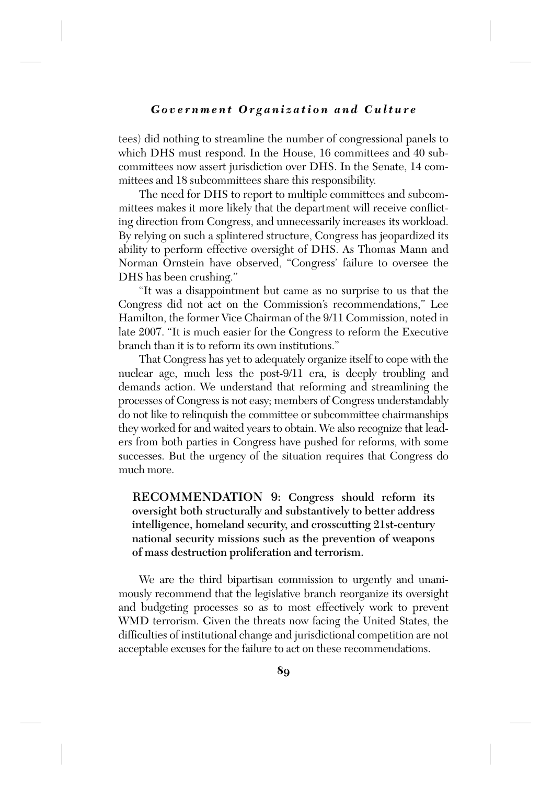tees) did nothing to streamline the number of congressional panels to which DHS must respond. In the House, 16 committees and 40 subcommittees now assert jurisdiction over DHS. In the Senate, 14 committees and 18 subcommittees share this responsibility.

The need for DHS to report to multiple committees and subcommittees makes it more likely that the department will receive conflicting direction from Congress, and unnecessarily increases its workload. By relying on such a splintered structure, Congress has jeopardized its ability to perform effective oversight of DHS. As Thomas Mann and Norman Ornstein have observed, "Congress' failure to oversee the DHS has been crushing."

"It was a disappointment but came as no surprise to us that the Congress did not act on the Commission's recommendations," Lee Hamilton, the former Vice Chairman of the 9/11 Commission, noted in late 2007. "It is much easier for the Congress to reform the Executive branch than it is to reform its own institutions."

That Congress has yet to adequately organize itself to cope with the nuclear age, much less the post-9/11 era, is deeply troubling and demands action. We understand that reforming and streamlining the processes of Congress is not easy; members of Congress understandably do not like to relinquish the committee or subcommittee chairmanships they worked for and waited years to obtain. We also recognize that leaders from both parties in Congress have pushed for reforms, with some successes. But the urgency of the situation requires that Congress do much more.

**RECOMMENDATION 9: Congress should reform its oversight both structurally and substantively to better address intelligence, homeland security, and crosscutting 21st-century national security missions such as the prevention of weapons of mass destruction proliferation and terrorism.**

We are the third bipartisan commission to urgently and unanimously recommend that the legislative branch reorganize its oversight and budgeting processes so as to most effectively work to prevent WMD terrorism. Given the threats now facing the United States, the difficulties of institutional change and jurisdictional competition are not acceptable excuses for the failure to act on these recommendations.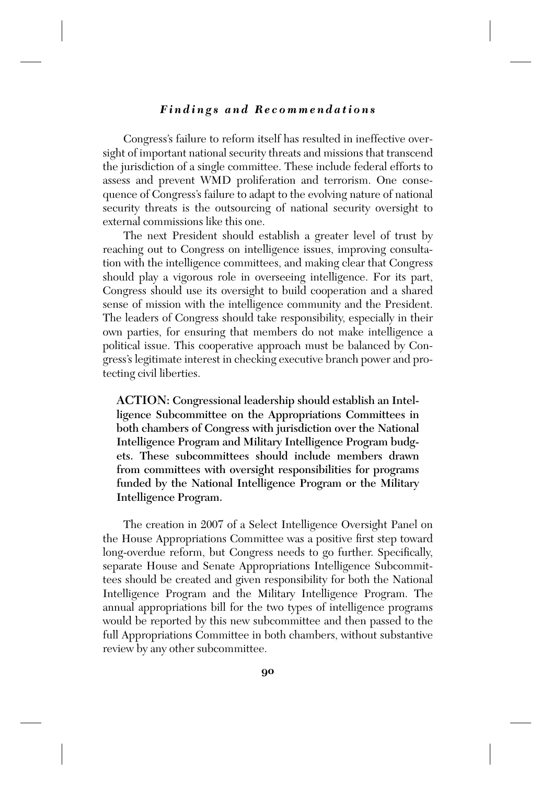Congress's failure to reform itself has resulted in ineffective oversight of important national security threats and missions that transcend the jurisdiction of a single committee. These include federal efforts to assess and prevent WMD proliferation and terrorism. One consequence of Congress's failure to adapt to the evolving nature of national security threats is the outsourcing of national security oversight to external commissions like this one.

The next President should establish a greater level of trust by reaching out to Congress on intelligence issues, improving consultation with the intelligence committees, and making clear that Congress should play a vigorous role in overseeing intelligence. For its part, Congress should use its oversight to build cooperation and a shared sense of mission with the intelligence community and the President. The leaders of Congress should take responsibility, especially in their own parties, for ensuring that members do not make intelligence a political issue. This cooperative approach must be balanced by Congress's legitimate interest in checking executive branch power and protecting civil liberties.

**ACTION: Congressional leadership should establish an Intelligence Subcommittee on the Appropriations Committees in both chambers of Congress with jurisdiction over the National Intelligence Program and Military Intelligence Program budgets. These subcommittees should include members drawn from committees with oversight responsibilities for programs funded by the National Intelligence Program or the Military Intelligence Program.**

The creation in 2007 of a Select Intelligence Oversight Panel on the House Appropriations Committee was a positive first step toward long-overdue reform, but Congress needs to go further. Specifically, separate House and Senate Appropriations Intelligence Subcommittees should be created and given responsibility for both the National Intelligence Program and the Military Intelligence Program. The annual appropriations bill for the two types of intelligence programs would be reported by this new subcommittee and then passed to the full Appropriations Committee in both chambers, without substantive review by any other subcommittee.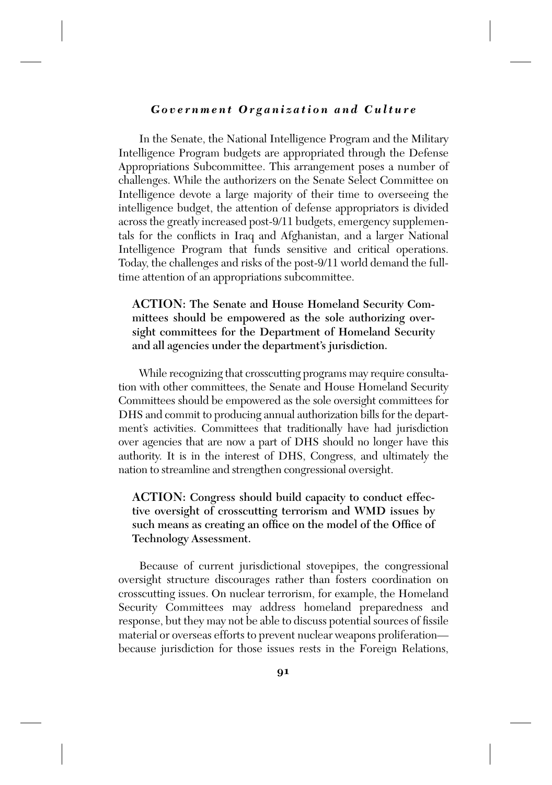In the Senate, the National Intelligence Program and the Military Intelligence Program budgets are appropriated through the Defense Appropriations Subcommittee. This arrangement poses a number of challenges. While the authorizers on the Senate Select Committee on Intelligence devote a large majority of their time to overseeing the intelligence budget, the attention of defense appropriators is divided across the greatly increased post-9/11 budgets, emergency supplementals for the conflicts in Iraq and Afghanistan, and a larger National Intelligence Program that funds sensitive and critical operations. Today, the challenges and risks of the post-9/11 world demand the fulltime attention of an appropriations subcommittee.

**ACTION: The Senate and House Homeland Security Committees should be empowered as the sole authorizing oversight committees for the Department of Homeland Security and all agencies under the department's jurisdiction.** 

While recognizing that crosscutting programs may require consultation with other committees, the Senate and House Homeland Security Committees should be empowered as the sole oversight committees for DHS and commit to producing annual authorization bills for the department's activities. Committees that traditionally have had jurisdiction over agencies that are now a part of DHS should no longer have this authority. It is in the interest of DHS, Congress, and ultimately the nation to streamline and strengthen congressional oversight.

**ACTION: Congress should build capacity to conduct effective oversight of crosscutting terrorism and WMD issues by such means as creating an office on the model of the Office of Technology Assessment.**

Because of current jurisdictional stovepipes, the congressional oversight structure discourages rather than fosters coordination on crosscutting issues. On nuclear terrorism, for example, the Homeland Security Committees may address homeland preparedness and response, but they may not be able to discuss potential sources of fissile material or overseas efforts to prevent nuclear weapons proliferation because jurisdiction for those issues rests in the Foreign Relations,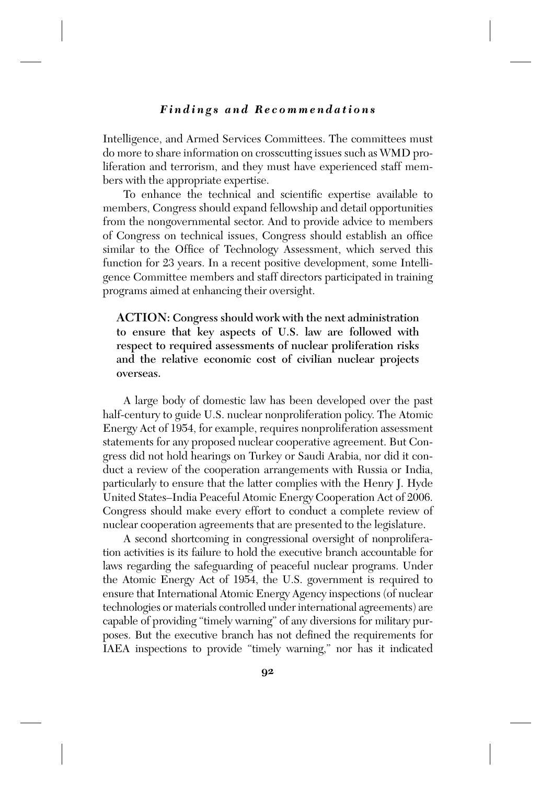Intelligence, and Armed Services Committees. The committees must do more to share information on crosscutting issues such as WMD proliferation and terrorism, and they must have experienced staff members with the appropriate expertise.

To enhance the technical and scientific expertise available to members, Congress should expand fellowship and detail opportunities from the nongovernmental sector. And to provide advice to members of Congress on technical issues, Congress should establish an office similar to the Office of Technology Assessment, which served this function for 23 years. In a recent positive development, some Intelligence Committee members and staff directors participated in training programs aimed at enhancing their oversight.

**ACTION: Congress should work with the next administration to ensure that key aspects of U.S. law are followed with respect to required assessments of nuclear proliferation risks and the relative economic cost of civilian nuclear projects overseas.**

A large body of domestic law has been developed over the past half-century to guide U.S. nuclear nonproliferation policy. The Atomic Energy Act of 1954, for example, requires nonproliferation assessment statements for any proposed nuclear cooperative agreement. But Congress did not hold hearings on Turkey or Saudi Arabia, nor did it conduct a review of the cooperation arrangements with Russia or India, particularly to ensure that the latter complies with the Henry J. Hyde United States–India Peaceful Atomic Energy Cooperation Act of 2006. Congress should make every effort to conduct a complete review of nuclear cooperation agreements that are presented to the legislature.

A second shortcoming in congressional oversight of nonproliferation activities is its failure to hold the executive branch accountable for laws regarding the safeguarding of peaceful nuclear programs. Under the Atomic Energy Act of 1954, the U.S. government is required to ensure that International Atomic Energy Agency inspections (of nuclear technologies or materials controlled under international agreements) are capable of providing "timely warning" of any diversions for military purposes. But the executive branch has not defined the requirements for IAEA inspections to provide "timely warning," nor has it indicated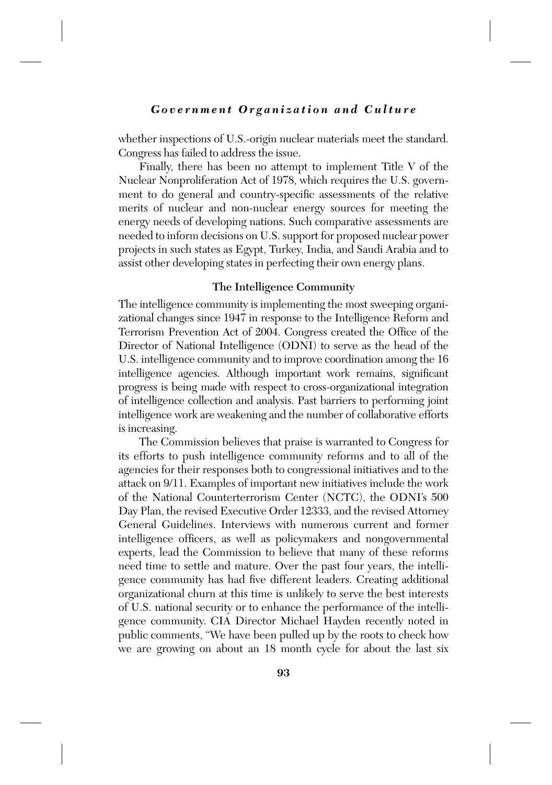whether inspections of U.S.-origin nuclear materials meet the standard. Congress has failed to address the issue.

Finally, there has been no attempt to implement Title V of the Nuclear Nonproliferation Act of 1978, which requires the U.S. government to do general and country-specific assessments of the relative merits of nuclear and non-nuclear energy sources for meeting the energy needs of developing nations. Such comparative assessments are needed to inform decisions on U.S. support for proposed nuclear power projects in such states as Egypt, Turkey, India, and Saudi Arabia and to assist other developing states in perfecting their own energy plans.

### **The Intelligence Community**

The intelligence community is implementing the most sweeping organizational changes since 1947 in response to the Intelligence Reform and Terrorism Prevention Act of 2004. Congress created the Office of the Director of National Intelligence (ODNI) to serve as the head of the U.S. intelligence community and to improve coordination among the 16 intelligence agencies. Although important work remains, significant progress is being made with respect to cross-organizational integration of intelligence collection and analysis. Past barriers to performing joint intelligence work are weakening and the number of collaborative efforts is increasing.

The Commission believes that praise is warranted to Congress for its efforts to push intelligence community reforms and to all of the agencies for their responses both to congressional initiatives and to the attack on 9/11. Examples of important new initiatives include the work of the National Counterterrorism Center (NCTC), the ODNI's 500 Day Plan, the revised Executive Order 12333, and the revised Attorney General Guidelines. Interviews with numerous current and former intelligence officers, as well as policymakers and nongovernmental experts, lead the Commission to believe that many of these reforms need time to settle and mature. Over the past four years, the intelligence community has had five different leaders. Creating additional organizational churn at this time is unlikely to serve the best interests of U.S. national security or to enhance the performance of the intelligence community. CIA Director Michael Hayden recently noted in public comments, "We have been pulled up by the roots to check how we are growing on about an 18 month cycle for about the last six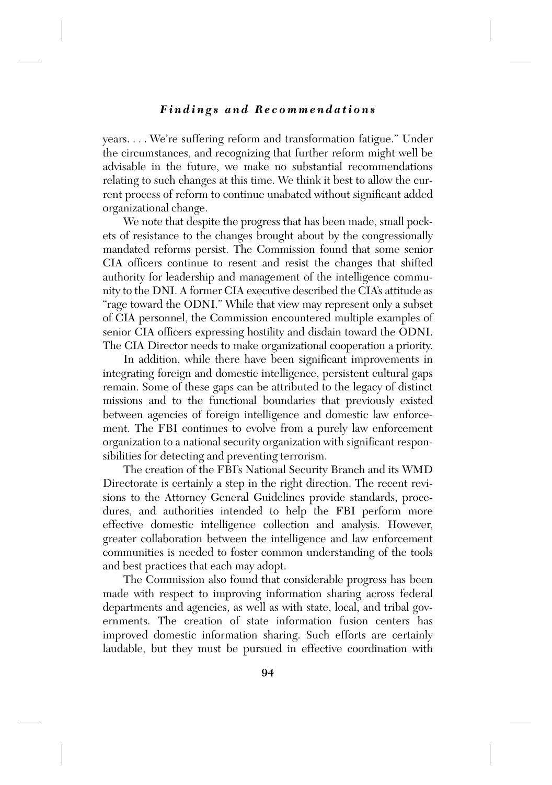years. . . . We're suffering reform and transformation fatigue." Under the circumstances, and recognizing that further reform might well be advisable in the future, we make no substantial recommendations relating to such changes at this time. We think it best to allow the current process of reform to continue unabated without significant added organizational change.

We note that despite the progress that has been made, small pockets of resistance to the changes brought about by the congressionally mandated reforms persist. The Commission found that some senior CIA officers continue to resent and resist the changes that shifted authority for leadership and management of the intelligence community to the DNI. A former CIA executive described the CIA's attitude as "rage toward the ODNI." While that view may represent only a subset of CIA personnel, the Commission encountered multiple examples of senior CIA officers expressing hostility and disdain toward the ODNI. The CIA Director needs to make organizational cooperation a priority.

In addition, while there have been significant improvements in integrating foreign and domestic intelligence, persistent cultural gaps remain. Some of these gaps can be attributed to the legacy of distinct missions and to the functional boundaries that previously existed between agencies of foreign intelligence and domestic law enforcement. The FBI continues to evolve from a purely law enforcement organization to a national security organization with significant responsibilities for detecting and preventing terrorism.

The creation of the FBI's National Security Branch and its WMD Directorate is certainly a step in the right direction. The recent revisions to the Attorney General Guidelines provide standards, procedures, and authorities intended to help the FBI perform more effective domestic intelligence collection and analysis. However, greater collaboration between the intelligence and law enforcement communities is needed to foster common understanding of the tools and best practices that each may adopt.

The Commission also found that considerable progress has been made with respect to improving information sharing across federal departments and agencies, as well as with state, local, and tribal governments. The creation of state information fusion centers has improved domestic information sharing. Such efforts are certainly laudable, but they must be pursued in effective coordination with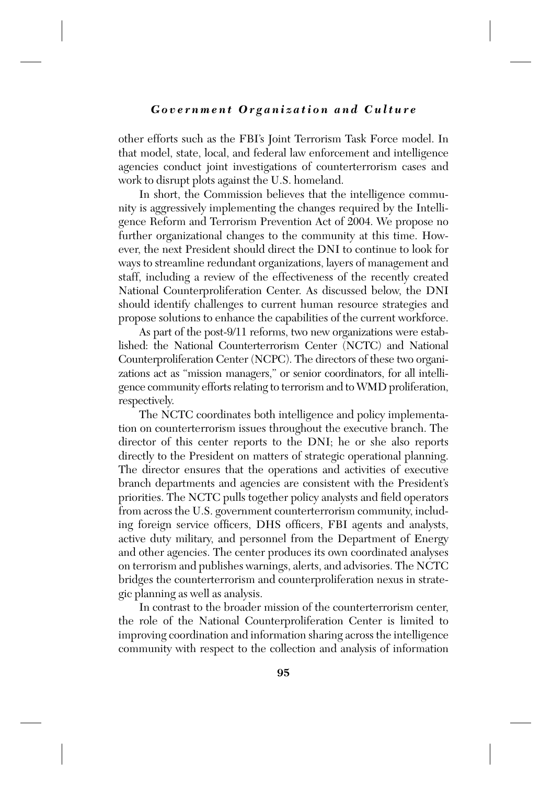other efforts such as the FBI's Joint Terrorism Task Force model. In that model, state, local, and federal law enforcement and intelligence agencies conduct joint investigations of counterterrorism cases and work to disrupt plots against the U.S. homeland.

In short, the Commission believes that the intelligence community is aggressively implementing the changes required by the Intelligence Reform and Terrorism Prevention Act of 2004. We propose no further organizational changes to the community at this time. However, the next President should direct the DNI to continue to look for ways to streamline redundant organizations, layers of management and staff, including a review of the effectiveness of the recently created National Counterproliferation Center. As discussed below, the DNI should identify challenges to current human resource strategies and propose solutions to enhance the capabilities of the current workforce.

As part of the post-9/11 reforms, two new organizations were established: the National Counterterrorism Center (NCTC) and National Counterproliferation Center (NCPC). The directors of these two organizations act as "mission managers," or senior coordinators, for all intelligence community efforts relating to terrorism and to WMD proliferation, respectively.

The NCTC coordinates both intelligence and policy implementation on counterterrorism issues throughout the executive branch. The director of this center reports to the DNI; he or she also reports directly to the President on matters of strategic operational planning. The director ensures that the operations and activities of executive branch departments and agencies are consistent with the President's priorities. The NCTC pulls together policy analysts and field operators from across the U.S. government counterterrorism community, including foreign service officers, DHS officers, FBI agents and analysts, active duty military, and personnel from the Department of Energy and other agencies. The center produces its own coordinated analyses on terrorism and publishes warnings, alerts, and advisories. The NCTC bridges the counterterrorism and counterproliferation nexus in strategic planning as well as analysis.

In contrast to the broader mission of the counterterrorism center, the role of the National Counterproliferation Center is limited to improving coordination and information sharing across the intelligence community with respect to the collection and analysis of information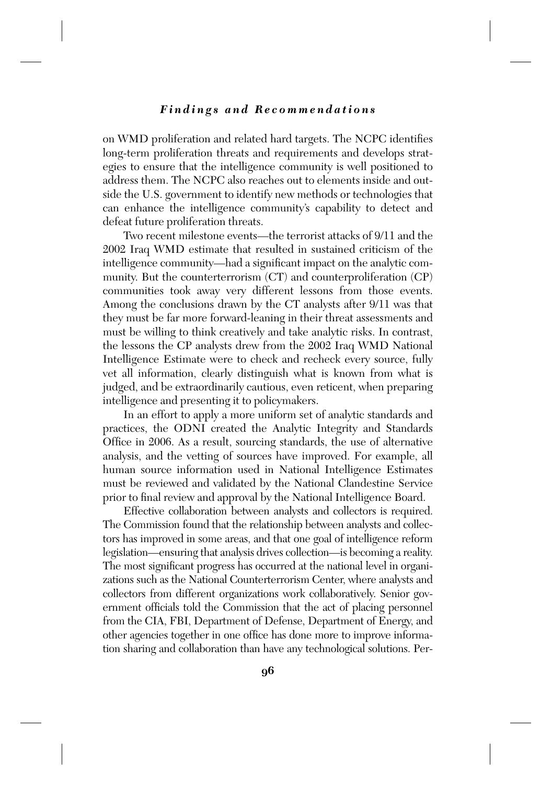on WMD proliferation and related hard targets. The NCPC identifies long-term proliferation threats and requirements and develops strategies to ensure that the intelligence community is well positioned to address them. The NCPC also reaches out to elements inside and outside the U.S. government to identify new methods or technologies that can enhance the intelligence community's capability to detect and defeat future proliferation threats.

Two recent milestone events—the terrorist attacks of 9/11 and the 2002 Iraq WMD estimate that resulted in sustained criticism of the intelligence community—had a significant impact on the analytic community. But the counterterrorism (CT) and counterproliferation (CP) communities took away very different lessons from those events. Among the conclusions drawn by the CT analysts after 9/11 was that they must be far more forward-leaning in their threat assessments and must be willing to think creatively and take analytic risks. In contrast, the lessons the CP analysts drew from the 2002 Iraq WMD National Intelligence Estimate were to check and recheck every source, fully vet all information, clearly distinguish what is known from what is judged, and be extraordinarily cautious, even reticent, when preparing intelligence and presenting it to policymakers.

In an effort to apply a more uniform set of analytic standards and practices, the ODNI created the Analytic Integrity and Standards Office in 2006. As a result, sourcing standards, the use of alternative analysis, and the vetting of sources have improved. For example, all human source information used in National Intelligence Estimates must be reviewed and validated by the National Clandestine Service prior to final review and approval by the National Intelligence Board.

Effective collaboration between analysts and collectors is required. The Commission found that the relationship between analysts and collectors has improved in some areas, and that one goal of intelligence reform legislation—ensuring that analysis drives collection—is becoming a reality. The most significant progress has occurred at the national level in organizations such as the National Counterterrorism Center, where analysts and collectors from different organizations work collaboratively. Senior government officials told the Commission that the act of placing personnel from the CIA, FBI, Department of Defense, Department of Energy, and other agencies together in one office has done more to improve information sharing and collaboration than have any technological solutions. Per-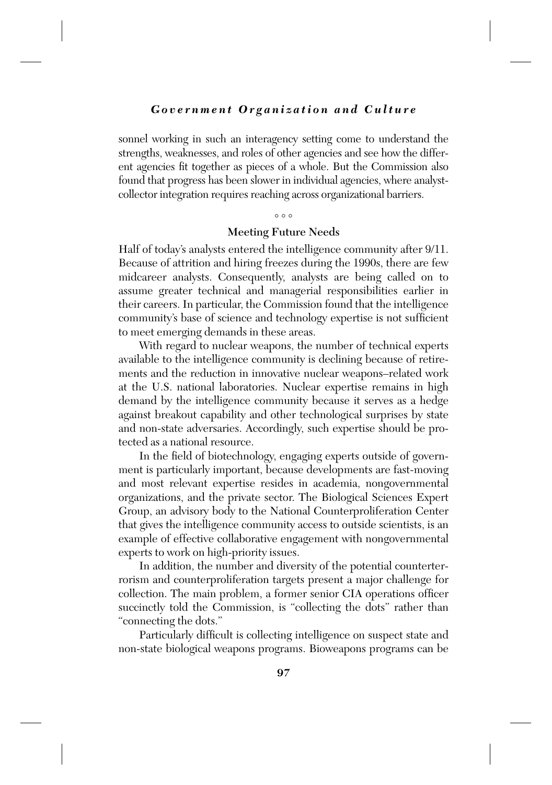sonnel working in such an interagency setting come to understand the strengths, weaknesses, and roles of other agencies and see how the different agencies fit together as pieces of a whole. But the Commission also found that progress has been slower in individual agencies, where analystcollector integration requires reaching across organizational barriers.

 $\circ \circ \circ$ 

### **Meeting Future Needs**

Half of today's analysts entered the intelligence community after 9/11. Because of attrition and hiring freezes during the 1990s, there are few midcareer analysts. Consequently, analysts are being called on to assume greater technical and managerial responsibilities earlier in their careers. In particular, the Commission found that the intelligence community's base of science and technology expertise is not sufficient to meet emerging demands in these areas.

With regard to nuclear weapons, the number of technical experts available to the intelligence community is declining because of retirements and the reduction in innovative nuclear weapons–related work at the U.S. national laboratories. Nuclear expertise remains in high demand by the intelligence community because it serves as a hedge against breakout capability and other technological surprises by state and non-state adversaries. Accordingly, such expertise should be protected as a national resource.

In the field of biotechnology, engaging experts outside of government is particularly important, because developments are fast-moving and most relevant expertise resides in academia, nongovernmental organizations, and the private sector. The Biological Sciences Expert Group, an advisory body to the National Counterproliferation Center that gives the intelligence community access to outside scientists, is an example of effective collaborative engagement with nongovernmental experts to work on high-priority issues.

In addition, the number and diversity of the potential counterterrorism and counterproliferation targets present a major challenge for collection. The main problem, a former senior CIA operations officer succinctly told the Commission, is "collecting the dots" rather than "connecting the dots."

Particularly difficult is collecting intelligence on suspect state and non-state biological weapons programs. Bioweapons programs can be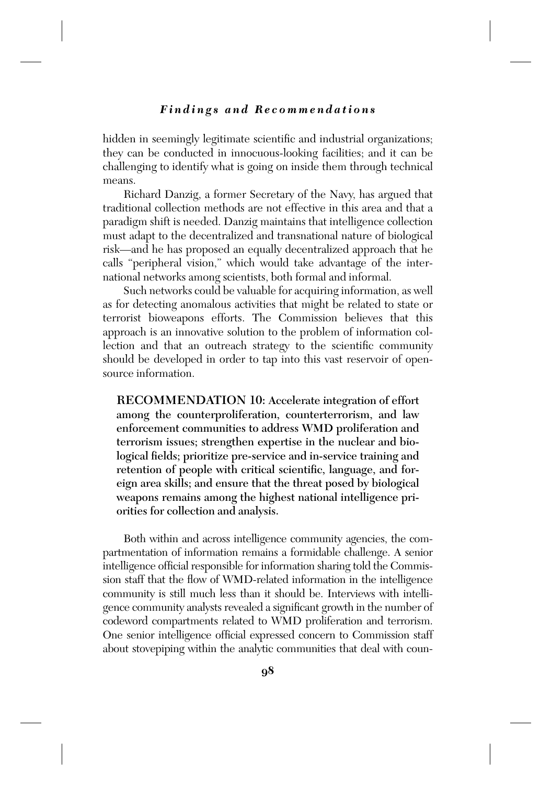hidden in seemingly legitimate scientific and industrial organizations; they can be conducted in innocuous-looking facilities; and it can be challenging to identify what is going on inside them through technical means.

Richard Danzig, a former Secretary of the Navy, has argued that traditional collection methods are not effective in this area and that a paradigm shift is needed. Danzig maintains that intelligence collection must adapt to the decentralized and transnational nature of biological risk—and he has proposed an equally decentralized approach that he calls "peripheral vision," which would take advantage of the international networks among scientists, both formal and informal.

Such networks could be valuable for acquiring information, as well as for detecting anomalous activities that might be related to state or terrorist bioweapons efforts. The Commission believes that this approach is an innovative solution to the problem of information collection and that an outreach strategy to the scientific community should be developed in order to tap into this vast reservoir of opensource information.

**RECOMMENDATION 10: Accelerate integration of effort among the counterproliferation, counterterrorism, and law enforcement communities to address WMD proliferation and terrorism issues; strengthen expertise in the nuclear and biological fields; prioritize pre-service and in-service training and retention of people with critical scientific, language, and foreign area skills; and ensure that the threat posed by biological weapons remains among the highest national intelligence priorities for collection and analysis.**

Both within and across intelligence community agencies, the compartmentation of information remains a formidable challenge. A senior intelligence official responsible for information sharing told the Commission staff that the flow of WMD-related information in the intelligence community is still much less than it should be. Interviews with intelligence community analysts revealed a significant growth in the number of codeword compartments related to WMD proliferation and terrorism. One senior intelligence official expressed concern to Commission staff about stovepiping within the analytic communities that deal with coun-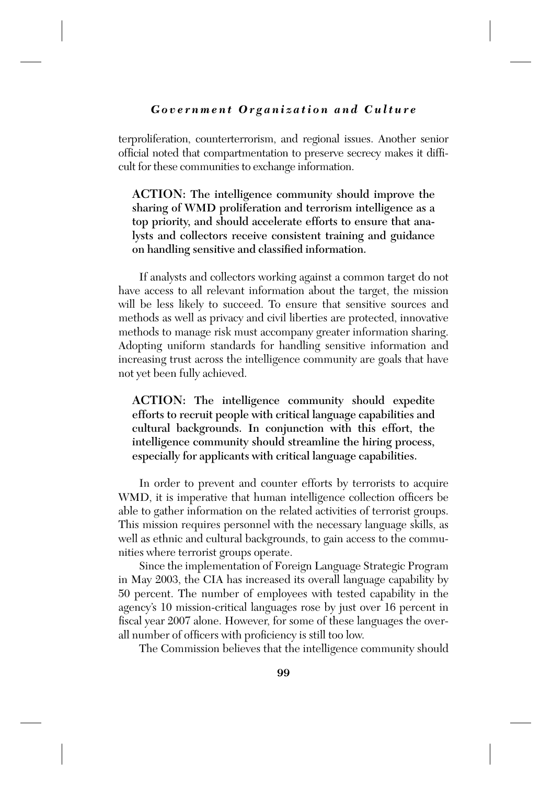terproliferation, counterterrorism, and regional issues. Another senior official noted that compartmentation to preserve secrecy makes it difficult for these communities to exchange information.

**ACTION: The intelligence community should improve the sharing of WMD proliferation and terrorism intelligence as a top priority, and should accelerate efforts to ensure that analysts and collectors receive consistent training and guidance on handling sensitive and classified information.** 

If analysts and collectors working against a common target do not have access to all relevant information about the target, the mission will be less likely to succeed. To ensure that sensitive sources and methods as well as privacy and civil liberties are protected, innovative methods to manage risk must accompany greater information sharing. Adopting uniform standards for handling sensitive information and increasing trust across the intelligence community are goals that have not yet been fully achieved.

**ACTION: The intelligence community should expedite efforts to recruit people with critical language capabilities and cultural backgrounds. In conjunction with this effort, the intelligence community should streamline the hiring process, especially for applicants with critical language capabilities.**

In order to prevent and counter efforts by terrorists to acquire WMD, it is imperative that human intelligence collection officers be able to gather information on the related activities of terrorist groups. This mission requires personnel with the necessary language skills, as well as ethnic and cultural backgrounds, to gain access to the communities where terrorist groups operate.

Since the implementation of Foreign Language Strategic Program in May 2003, the CIA has increased its overall language capability by 50 percent. The number of employees with tested capability in the agency's 10 mission-critical languages rose by just over 16 percent in fiscal year 2007 alone. However, for some of these languages the overall number of officers with proficiency is still too low.

The Commission believes that the intelligence community should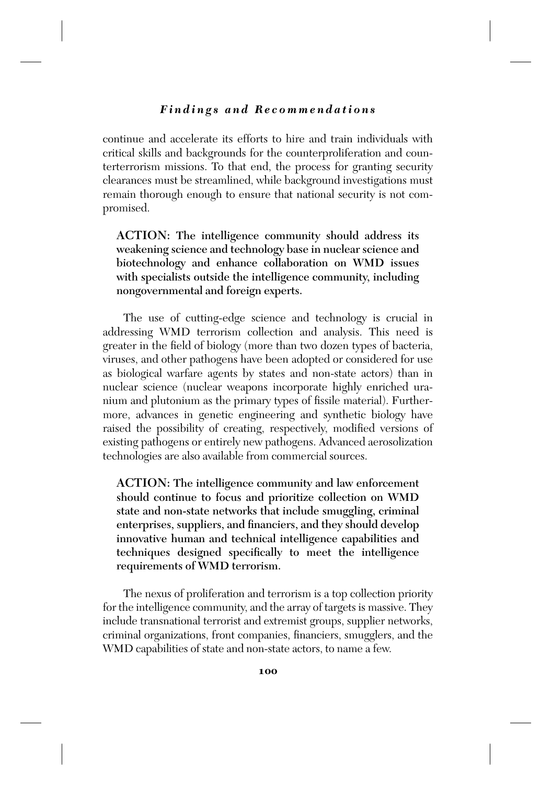continue and accelerate its efforts to hire and train individuals with critical skills and backgrounds for the counterproliferation and counterterrorism missions. To that end, the process for granting security clearances must be streamlined, while background investigations must remain thorough enough to ensure that national security is not compromised.

**ACTION: The intelligence community should address its weakening science and technology base in nuclear science and biotechnology and enhance collaboration on WMD issues with specialists outside the intelligence community, including nongovernmental and foreign experts.** 

The use of cutting-edge science and technology is crucial in addressing WMD terrorism collection and analysis. This need is greater in the field of biology (more than two dozen types of bacteria, viruses, and other pathogens have been adopted or considered for use as biological warfare agents by states and non-state actors) than in nuclear science (nuclear weapons incorporate highly enriched uranium and plutonium as the primary types of fissile material). Furthermore, advances in genetic engineering and synthetic biology have raised the possibility of creating, respectively, modified versions of existing pathogens or entirely new pathogens. Advanced aerosolization technologies are also available from commercial sources.

**ACTION: The intelligence community and law enforcement should continue to focus and prioritize collection on WMD state and non-state networks that include smuggling, criminal enterprises, suppliers, and financiers, and they should develop innovative human and technical intelligence capabilities and techniques designed specifically to meet the intelligence requirements of WMD terrorism.**

The nexus of proliferation and terrorism is a top collection priority for the intelligence community, and the array of targets is massive. They include transnational terrorist and extremist groups, supplier networks, criminal organizations, front companies, financiers, smugglers, and the WMD capabilities of state and non-state actors, to name a few.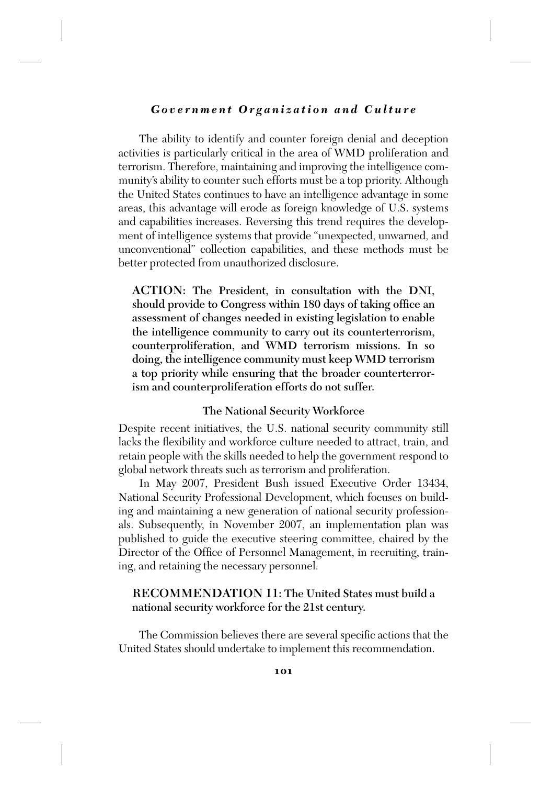The ability to identify and counter foreign denial and deception activities is particularly critical in the area of WMD proliferation and terrorism. Therefore, maintaining and improving the intelligence community's ability to counter such efforts must be a top priority. Although the United States continues to have an intelligence advantage in some areas, this advantage will erode as foreign knowledge of U.S. systems and capabilities increases. Reversing this trend requires the development of intelligence systems that provide "unexpected, unwarned, and unconventional" collection capabilities, and these methods must be better protected from unauthorized disclosure.

**ACTION: The President, in consultation with the DNI, should provide to Congress within 180 days of taking office an assessment of changes needed in existing legislation to enable the intelligence community to carry out its counterterrorism, counterproliferation, and WMD terrorism missions. In so doing, the intelligence community must keep WMD terrorism a top priority while ensuring that the broader counterterrorism and counterproliferation efforts do not suffer.** 

#### **The National Security Workforce**

Despite recent initiatives, the U.S. national security community still lacks the flexibility and workforce culture needed to attract, train, and retain people with the skills needed to help the government respond to global network threats such as terrorism and proliferation.

In May 2007, President Bush issued Executive Order 13434, National Security Professional Development, which focuses on building and maintaining a new generation of national security professionals. Subsequently, in November 2007, an implementation plan was published to guide the executive steering committee, chaired by the Director of the Office of Personnel Management, in recruiting, training, and retaining the necessary personnel.

## **RECOMMENDATION 11: The United States must build a national security workforce for the 21st century.**

The Commission believes there are several specific actions that the United States should undertake to implement this recommendation.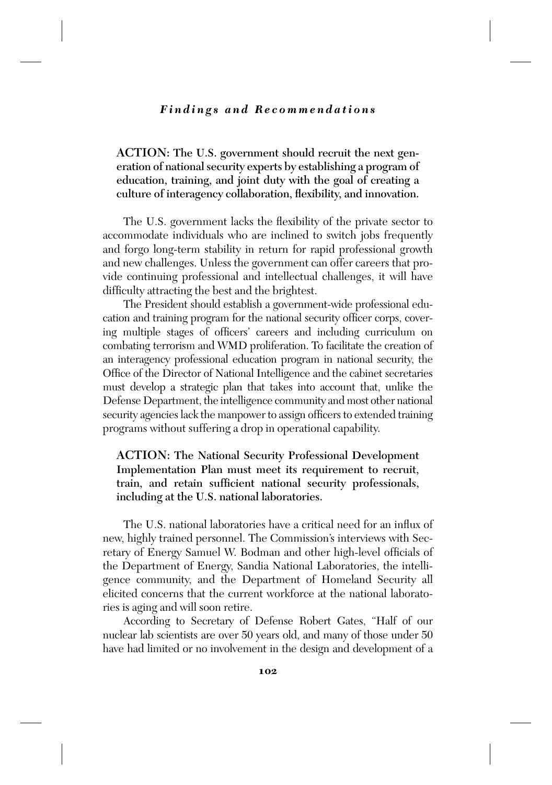**ACTION: The U.S. government should recruit the next generation of national security experts by establishing a program of education, training, and joint duty with the goal of creating a culture of interagency collaboration, flexibility, and innovation.**

The U.S. government lacks the flexibility of the private sector to accommodate individuals who are inclined to switch jobs frequently and forgo long-term stability in return for rapid professional growth and new challenges. Unless the government can offer careers that provide continuing professional and intellectual challenges, it will have difficulty attracting the best and the brightest.

The President should establish a government-wide professional education and training program for the national security officer corps, covering multiple stages of officers' careers and including curriculum on combating terrorism and WMD proliferation. To facilitate the creation of an interagency professional education program in national security, the Office of the Director of National Intelligence and the cabinet secretaries must develop a strategic plan that takes into account that, unlike the Defense Department, the intelligence community and most other national security agencies lack the manpower to assign officers to extended training programs without suffering a drop in operational capability.

## **ACTION: The National Security Professional Development Implementation Plan must meet its requirement to recruit, train, and retain sufficient national security professionals, including at the U.S. national laboratories.**

The U.S. national laboratories have a critical need for an influx of new, highly trained personnel. The Commission's interviews with Secretary of Energy Samuel W. Bodman and other high-level officials of the Department of Energy, Sandia National Laboratories, the intelligence community, and the Department of Homeland Security all elicited concerns that the current workforce at the national laboratories is aging and will soon retire.

According to Secretary of Defense Robert Gates, "Half of our nuclear lab scientists are over 50 years old, and many of those under 50 have had limited or no involvement in the design and development of a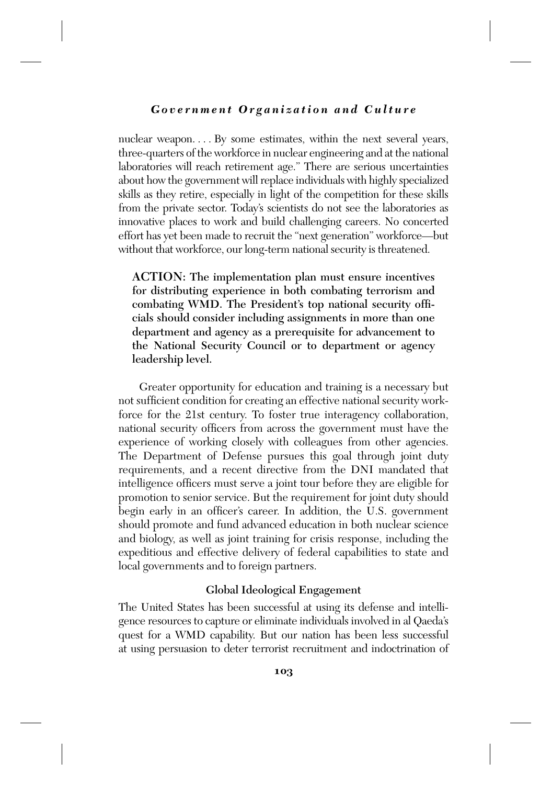nuclear weapon.... By some estimates, within the next several years, three-quarters of the workforce in nuclear engineering and at the national laboratories will reach retirement age." There are serious uncertainties about how the government will replace individuals with highly specialized skills as they retire, especially in light of the competition for these skills from the private sector. Today's scientists do not see the laboratories as innovative places to work and build challenging careers. No concerted effort has yet been made to recruit the "next generation" workforce—but without that workforce, our long-term national security is threatened.

**ACTION: The implementation plan must ensure incentives for distributing experience in both combating terrorism and combating WMD. The President's top national security officials should consider including assignments in more than one department and agency as a prerequisite for advancement to the National Security Council or to department or agency leadership level.**

Greater opportunity for education and training is a necessary but not sufficient condition for creating an effective national security workforce for the 21st century. To foster true interagency collaboration, national security officers from across the government must have the experience of working closely with colleagues from other agencies. The Department of Defense pursues this goal through joint duty requirements, and a recent directive from the DNI mandated that intelligence officers must serve a joint tour before they are eligible for promotion to senior service. But the requirement for joint duty should begin early in an officer's career. In addition, the U.S. government should promote and fund advanced education in both nuclear science and biology, as well as joint training for crisis response, including the expeditious and effective delivery of federal capabilities to state and local governments and to foreign partners.

## **Global Ideological Engagement**

The United States has been successful at using its defense and intelligence resources to capture or eliminate individuals involved in al Qaeda's quest for a WMD capability. But our nation has been less successful at using persuasion to deter terrorist recruitment and indoctrination of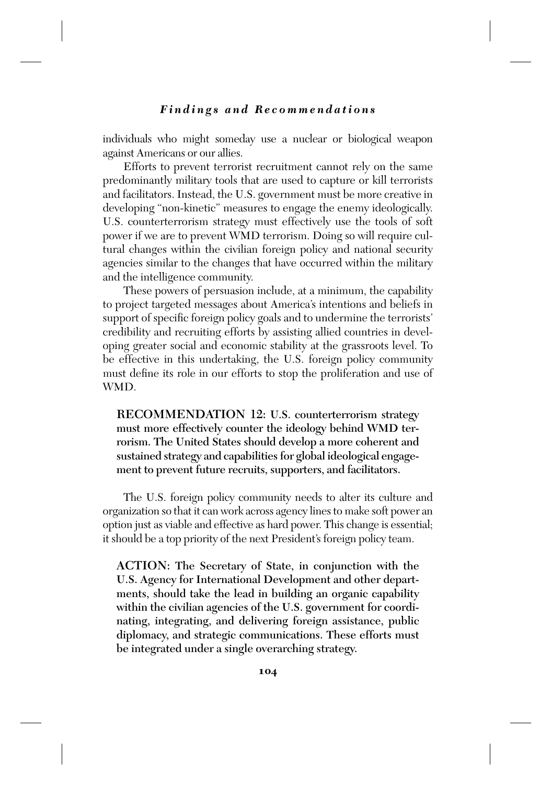individuals who might someday use a nuclear or biological weapon against Americans or our allies.

Efforts to prevent terrorist recruitment cannot rely on the same predominantly military tools that are used to capture or kill terrorists and facilitators. Instead, the U.S. government must be more creative in developing "non-kinetic" measures to engage the enemy ideologically. U.S. counterterrorism strategy must effectively use the tools of soft power if we are to prevent WMD terrorism. Doing so will require cultural changes within the civilian foreign policy and national security agencies similar to the changes that have occurred within the military and the intelligence community.

These powers of persuasion include, at a minimum, the capability to project targeted messages about America's intentions and beliefs in support of specific foreign policy goals and to undermine the terrorists' credibility and recruiting efforts by assisting allied countries in developing greater social and economic stability at the grassroots level. To be effective in this undertaking, the U.S. foreign policy community must define its role in our efforts to stop the proliferation and use of WMD.

**RECOMMENDATION 12: U.S. counterterrorism strategy must more effectively counter the ideology behind WMD terrorism. The United States should develop a more coherent and sustained strategy and capabilities for global ideological engagement to prevent future recruits, supporters, and facilitators.**

The U.S. foreign policy community needs to alter its culture and organization so that it can work across agency lines to make soft power an option just as viable and effective as hard power. This change is essential; it should be a top priority of the next President's foreign policy team.

**ACTION: The Secretary of State, in conjunction with the U.S. Agency for International Development and other departments, should take the lead in building an organic capability within the civilian agencies of the U.S. government for coordinating, integrating, and delivering foreign assistance, public diplomacy, and strategic communications. These efforts must be integrated under a single overarching strategy.**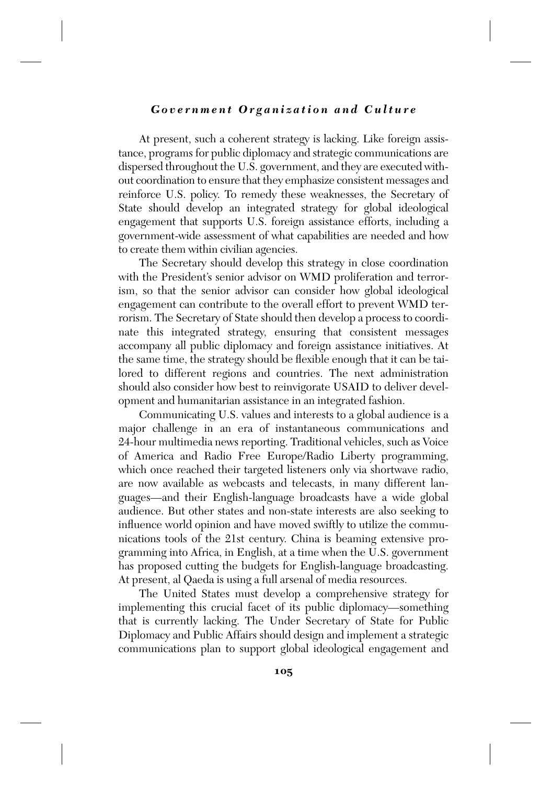At present, such a coherent strategy is lacking. Like foreign assistance, programs for public diplomacy and strategic communications are dispersed throughout the U.S. government, and they are executed without coordination to ensure that they emphasize consistent messages and reinforce U.S. policy. To remedy these weaknesses, the Secretary of State should develop an integrated strategy for global ideological engagement that supports U.S. foreign assistance efforts, including a government-wide assessment of what capabilities are needed and how to create them within civilian agencies.

The Secretary should develop this strategy in close coordination with the President's senior advisor on WMD proliferation and terrorism, so that the senior advisor can consider how global ideological engagement can contribute to the overall effort to prevent WMD terrorism. The Secretary of State should then develop a process to coordinate this integrated strategy, ensuring that consistent messages accompany all public diplomacy and foreign assistance initiatives. At the same time, the strategy should be flexible enough that it can be tailored to different regions and countries. The next administration should also consider how best to reinvigorate USAID to deliver development and humanitarian assistance in an integrated fashion.

Communicating U.S. values and interests to a global audience is a major challenge in an era of instantaneous communications and 24-hour multimedia news reporting. Traditional vehicles, such as Voice of America and Radio Free Europe/Radio Liberty programming, which once reached their targeted listeners only via shortwave radio, are now available as webcasts and telecasts, in many different languages—and their English-language broadcasts have a wide global audience. But other states and non-state interests are also seeking to influence world opinion and have moved swiftly to utilize the communications tools of the 21st century. China is beaming extensive programming into Africa, in English, at a time when the U.S. government has proposed cutting the budgets for English-language broadcasting. At present, al Qaeda is using a full arsenal of media resources.

The United States must develop a comprehensive strategy for implementing this crucial facet of its public diplomacy—something that is currently lacking. The Under Secretary of State for Public Diplomacy and Public Affairs should design and implement a strategic communications plan to support global ideological engagement and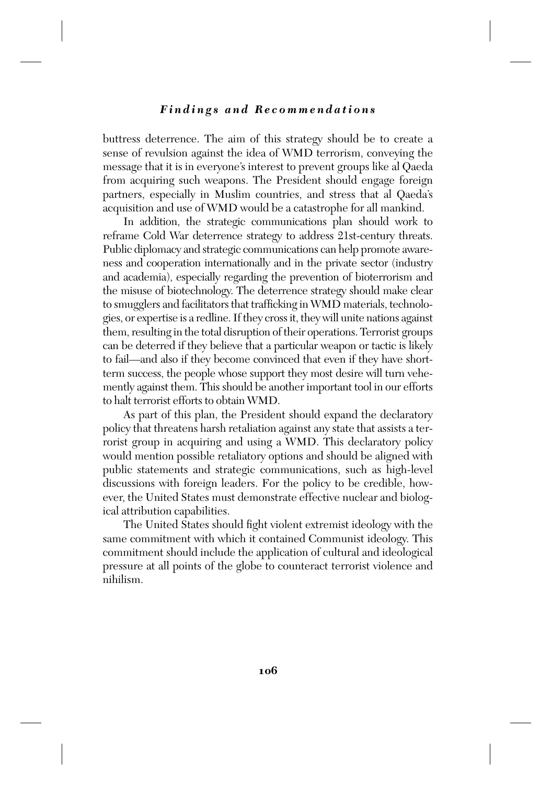buttress deterrence. The aim of this strategy should be to create a sense of revulsion against the idea of WMD terrorism, conveying the message that it is in everyone's interest to prevent groups like al Qaeda from acquiring such weapons. The President should engage foreign partners, especially in Muslim countries, and stress that al Qaeda's acquisition and use of WMD would be a catastrophe for all mankind.

In addition, the strategic communications plan should work to reframe Cold War deterrence strategy to address 21st-century threats. Public diplomacy and strategic communications can help promote awareness and cooperation internationally and in the private sector (industry and academia), especially regarding the prevention of bioterrorism and the misuse of biotechnology. The deterrence strategy should make clear to smugglers and facilitators that trafficking in WMD materials, technologies, or expertise is a redline. If they cross it, they will unite nations against them, resulting in the total disruption of their operations. Terrorist groups can be deterred if they believe that a particular weapon or tactic is likely to fail—and also if they become convinced that even if they have shortterm success, the people whose support they most desire will turn vehemently against them. This should be another important tool in our efforts to halt terrorist efforts to obtain WMD.

As part of this plan, the President should expand the declaratory policy that threatens harsh retaliation against any state that assists a terrorist group in acquiring and using a WMD. This declaratory policy would mention possible retaliatory options and should be aligned with public statements and strategic communications, such as high-level discussions with foreign leaders. For the policy to be credible, however, the United States must demonstrate effective nuclear and biological attribution capabilities.

The United States should fight violent extremist ideology with the same commitment with which it contained Communist ideology. This commitment should include the application of cultural and ideological pressure at all points of the globe to counteract terrorist violence and nihilism.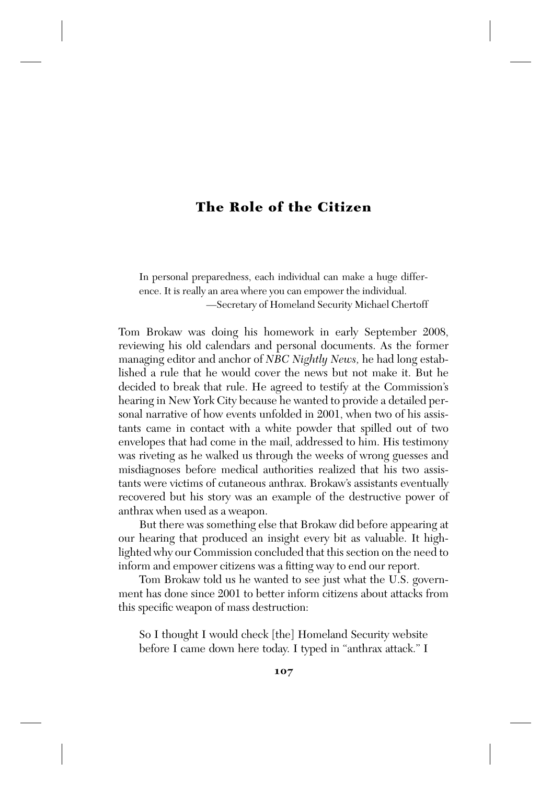# The Role of the Citizen

In personal preparedness, each individual can make a huge difference. It is really an area where you can empower the individual. —Secretary of Homeland Security Michael Chertoff

Tom Brokaw was doing his homework in early September 2008, reviewing his old calendars and personal documents. As the former managing editor and anchor of *NBC Nightly News,* he had long established a rule that he would cover the news but not make it. But he decided to break that rule. He agreed to testify at the Commission's hearing in New York City because he wanted to provide a detailed personal narrative of how events unfolded in 2001, when two of his assistants came in contact with a white powder that spilled out of two envelopes that had come in the mail, addressed to him. His testimony was riveting as he walked us through the weeks of wrong guesses and misdiagnoses before medical authorities realized that his two assistants were victims of cutaneous anthrax. Brokaw's assistants eventually recovered but his story was an example of the destructive power of anthrax when used as a weapon.

But there was something else that Brokaw did before appearing at our hearing that produced an insight every bit as valuable. It highlighted why our Commission concluded that this section on the need to inform and empower citizens was a fitting way to end our report.

Tom Brokaw told us he wanted to see just what the U.S. government has done since 2001 to better inform citizens about attacks from this specific weapon of mass destruction:

So I thought I would check [the] Homeland Security website before I came down here today. I typed in "anthrax attack." I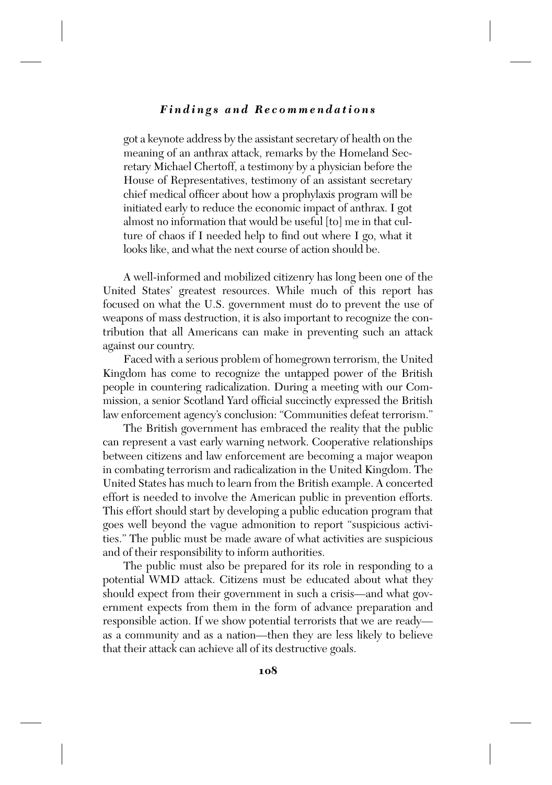got a keynote address by the assistant secretary of health on the meaning of an anthrax attack, remarks by the Homeland Secretary Michael Chertoff, a testimony by a physician before the House of Representatives, testimony of an assistant secretary chief medical officer about how a prophylaxis program will be initiated early to reduce the economic impact of anthrax. I got almost no information that would be useful [to] me in that culture of chaos if I needed help to find out where I go, what it looks like, and what the next course of action should be.

A well-informed and mobilized citizenry has long been one of the United States' greatest resources. While much of this report has focused on what the U.S. government must do to prevent the use of weapons of mass destruction, it is also important to recognize the contribution that all Americans can make in preventing such an attack against our country.

Faced with a serious problem of homegrown terrorism, the United Kingdom has come to recognize the untapped power of the British people in countering radicalization. During a meeting with our Commission, a senior Scotland Yard official succinctly expressed the British law enforcement agency's conclusion: "Communities defeat terrorism."

The British government has embraced the reality that the public can represent a vast early warning network. Cooperative relationships between citizens and law enforcement are becoming a major weapon in combating terrorism and radicalization in the United Kingdom. The United States has much to learn from the British example. A concerted effort is needed to involve the American public in prevention efforts. This effort should start by developing a public education program that goes well beyond the vague admonition to report "suspicious activities." The public must be made aware of what activities are suspicious and of their responsibility to inform authorities.

The public must also be prepared for its role in responding to a potential WMD attack. Citizens must be educated about what they should expect from their government in such a crisis—and what government expects from them in the form of advance preparation and responsible action. If we show potential terrorists that we are ready as a community and as a nation—then they are less likely to believe that their attack can achieve all of its destructive goals.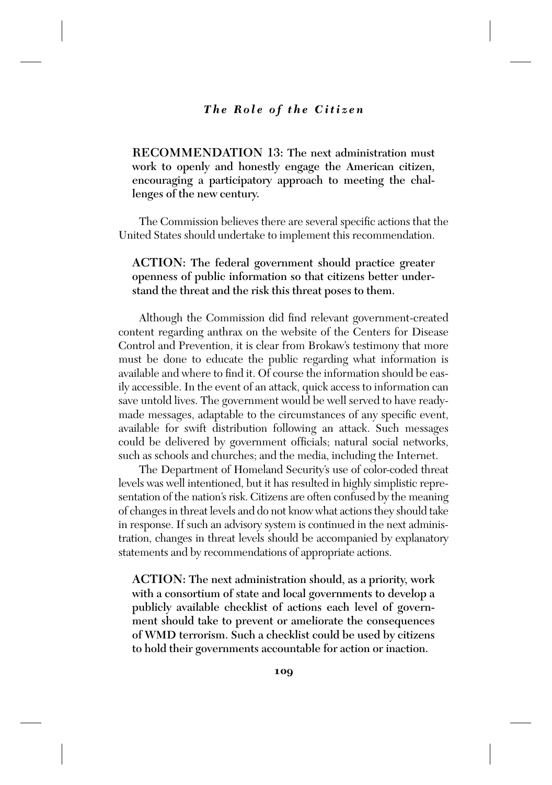## *The Role of the Citizen*

**RECOMMENDATION 13: The next administration must work to openly and honestly engage the American citizen, encouraging a participatory approach to meeting the challenges of the new century.**

The Commission believes there are several specific actions that the United States should undertake to implement this recommendation.

## **ACTION: The federal government should practice greater openness of public information so that citizens better understand the threat and the risk this threat poses to them.**

Although the Commission did find relevant government-created content regarding anthrax on the website of the Centers for Disease Control and Prevention, it is clear from Brokaw's testimony that more must be done to educate the public regarding what information is available and where to find it. Of course the information should be easily accessible. In the event of an attack, quick access to information can save untold lives. The government would be well served to have readymade messages, adaptable to the circumstances of any specific event, available for swift distribution following an attack. Such messages could be delivered by government officials; natural social networks, such as schools and churches; and the media, including the Internet.

The Department of Homeland Security's use of color-coded threat levels was well intentioned, but it has resulted in highly simplistic representation of the nation's risk. Citizens are often confused by the meaning of changes in threat levels and do not know what actions they should take in response. If such an advisory system is continued in the next administration, changes in threat levels should be accompanied by explanatory statements and by recommendations of appropriate actions.

**ACTION: The next administration should, as a priority, work with a consortium of state and local governments to develop a publicly available checklist of actions each level of government should take to prevent or ameliorate the consequences of WMD terrorism. Such a checklist could be used by citizens to hold their governments accountable for action or inaction.**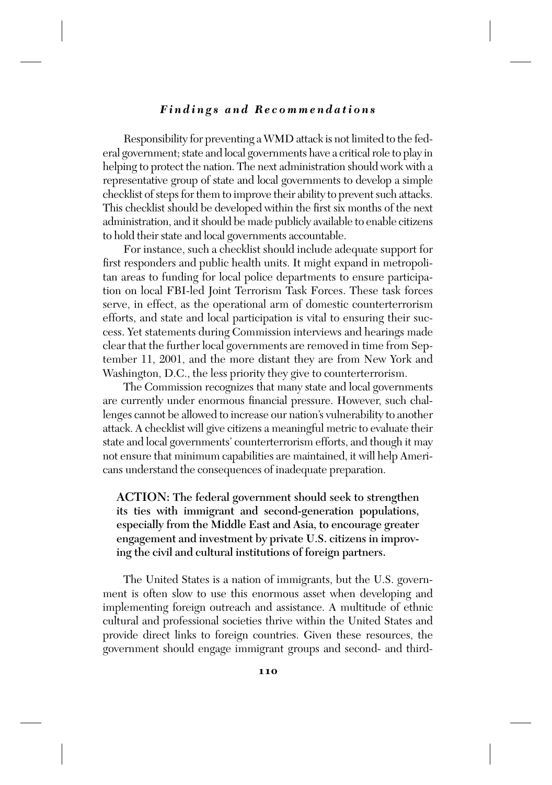Responsibility for preventing a WMD attack is not limited to the federal government; state and local governments have a critical role to play in helping to protect the nation. The next administration should work with a representative group of state and local governments to develop a simple checklist of steps for them to improve their ability to prevent such attacks. This checklist should be developed within the first six months of the next administration, and it should be made publicly available to enable citizens to hold their state and local governments accountable.

For instance, such a checklist should include adequate support for first responders and public health units. It might expand in metropolitan areas to funding for local police departments to ensure participation on local FBI-led Joint Terrorism Task Forces. These task forces serve, in effect, as the operational arm of domestic counterterrorism efforts, and state and local participation is vital to ensuring their success. Yet statements during Commission interviews and hearings made clear that the further local governments are removed in time from September 11, 2001, and the more distant they are from New York and Washington, D.C., the less priority they give to counterterrorism.

The Commission recognizes that many state and local governments are currently under enormous financial pressure. However, such challenges cannot be allowed to increase our nation's vulnerability to another attack. A checklist will give citizens a meaningful metric to evaluate their state and local governments' counterterrorism efforts, and though it may not ensure that minimum capabilities are maintained, it will help Americans understand the consequences of inadequate preparation.

**ACTION: The federal government should seek to strengthen its ties with immigrant and second-generation populations, especially from the Middle East and Asia, to encourage greater engagement and investment by private U.S. citizens in improving the civil and cultural institutions of foreign partners.**

The United States is a nation of immigrants, but the U.S. government is often slow to use this enormous asset when developing and implementing foreign outreach and assistance. A multitude of ethnic cultural and professional societies thrive within the United States and provide direct links to foreign countries. Given these resources, the government should engage immigrant groups and second- and third-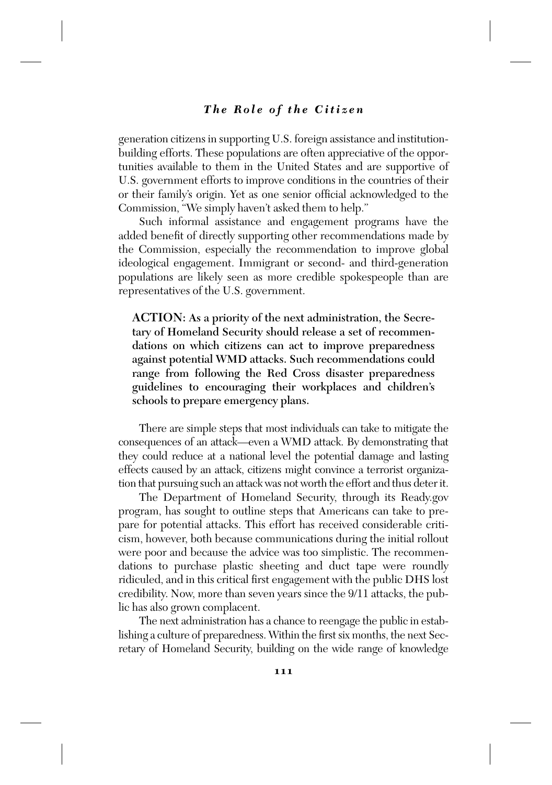## *The Role of the Citizen*

generation citizens in supporting U.S. foreign assistance and institutionbuilding efforts. These populations are often appreciative of the opportunities available to them in the United States and are supportive of U.S. government efforts to improve conditions in the countries of their or their family's origin. Yet as one senior official acknowledged to the Commission, "We simply haven't asked them to help."

Such informal assistance and engagement programs have the added benefit of directly supporting other recommendations made by the Commission, especially the recommendation to improve global ideological engagement. Immigrant or second- and third-generation populations are likely seen as more credible spokespeople than are representatives of the U.S. government.

**ACTION: As a priority of the next administration, the Secretary of Homeland Security should release a set of recommendations on which citizens can act to improve preparedness against potential WMD attacks. Such recommendations could range from following the Red Cross disaster preparedness guidelines to encouraging their workplaces and children's schools to prepare emergency plans.** 

There are simple steps that most individuals can take to mitigate the consequences of an attack—even a WMD attack. By demonstrating that they could reduce at a national level the potential damage and lasting effects caused by an attack, citizens might convince a terrorist organization that pursuing such an attack was not worth the effort and thus deter it.

The Department of Homeland Security, through its Ready.gov program, has sought to outline steps that Americans can take to prepare for potential attacks. This effort has received considerable criticism, however, both because communications during the initial rollout were poor and because the advice was too simplistic. The recommendations to purchase plastic sheeting and duct tape were roundly ridiculed, and in this critical first engagement with the public DHS lost credibility. Now, more than seven years since the 9/11 attacks, the public has also grown complacent.

The next administration has a chance to reengage the public in establishing a culture of preparedness. Within the first six months, the next Secretary of Homeland Security, building on the wide range of knowledge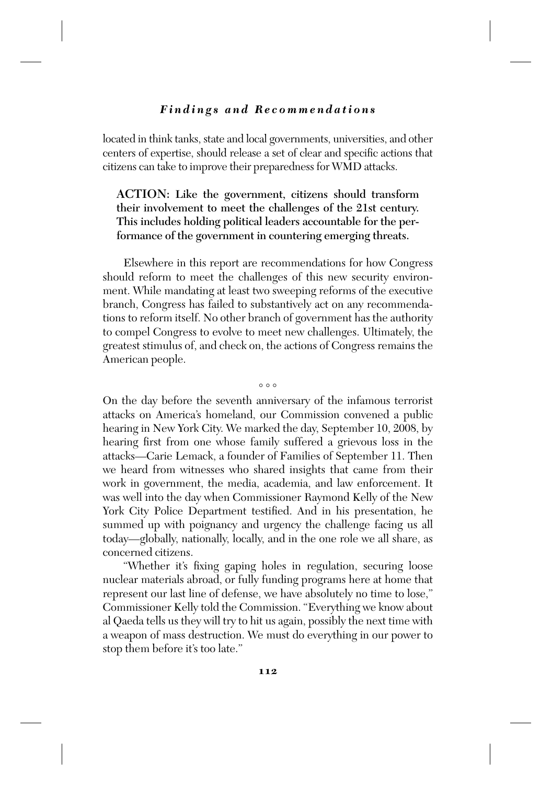located in think tanks, state and local governments, universities, and other centers of expertise, should release a set of clear and specific actions that citizens can take to improve their preparedness for WMD attacks.

## **ACTION: Like the government, citizens should transform their involvement to meet the challenges of the 21st century. This includes holding political leaders accountable for the performance of the government in countering emerging threats.**

Elsewhere in this report are recommendations for how Congress should reform to meet the challenges of this new security environment. While mandating at least two sweeping reforms of the executive branch, Congress has failed to substantively act on any recommendations to reform itself. No other branch of government has the authority to compel Congress to evolve to meet new challenges. Ultimately, the greatest stimulus of, and check on, the actions of Congress remains the American people.

°°°

On the day before the seventh anniversary of the infamous terrorist attacks on America's homeland, our Commission convened a public hearing in New York City. We marked the day, September 10, 2008, by hearing first from one whose family suffered a grievous loss in the attacks—Carie Lemack, a founder of Families of September 11. Then we heard from witnesses who shared insights that came from their work in government, the media, academia, and law enforcement. It was well into the day when Commissioner Raymond Kelly of the New York City Police Department testified. And in his presentation, he summed up with poignancy and urgency the challenge facing us all today—globally, nationally, locally, and in the one role we all share, as concerned citizens.

"Whether it's fixing gaping holes in regulation, securing loose nuclear materials abroad, or fully funding programs here at home that represent our last line of defense, we have absolutely no time to lose," Commissioner Kelly told the Commission. "Everything we know about al Qaeda tells us they will try to hit us again, possibly the next time with a weapon of mass destruction. We must do everything in our power to stop them before it's too late."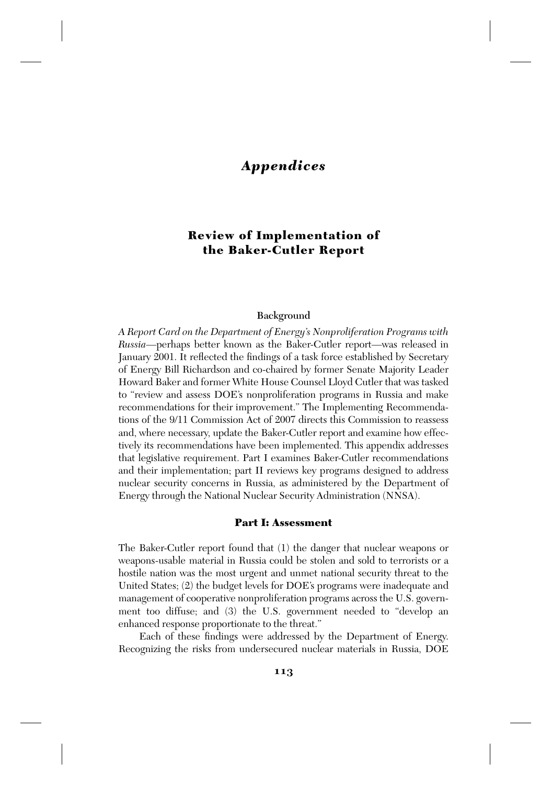## Review of Implementation of the Baker-Cutler Report

#### **Background**

*A Report Card on the Department of Energy's Nonproliferation Programs with Russia*—perhaps better known as the Baker-Cutler report—was released in January 2001. It reflected the findings of a task force established by Secretary of Energy Bill Richardson and co-chaired by former Senate Majority Leader Howard Baker and former White House Counsel Lloyd Cutler that was tasked to "review and assess DOE's nonproliferation programs in Russia and make recommendations for their improvement." The Implementing Recommendations of the 9/11 Commission Act of 2007 directs this Commission to reassess and, where necessary, update the Baker-Cutler report and examine how effectively its recommendations have been implemented. This appendix addresses that legislative requirement. Part I examines Baker-Cutler recommendations and their implementation; part II reviews key programs designed to address nuclear security concerns in Russia, as administered by the Department of Energy through the National Nuclear Security Administration (NNSA).

#### Part I: Assessment

The Baker-Cutler report found that (1) the danger that nuclear weapons or weapons-usable material in Russia could be stolen and sold to terrorists or a hostile nation was the most urgent and unmet national security threat to the United States; (2) the budget levels for DOE's programs were inadequate and management of cooperative nonproliferation programs across the U.S. government too diffuse; and (3) the U.S. government needed to "develop an enhanced response proportionate to the threat."

Each of these findings were addressed by the Department of Energy. Recognizing the risks from undersecured nuclear materials in Russia, DOE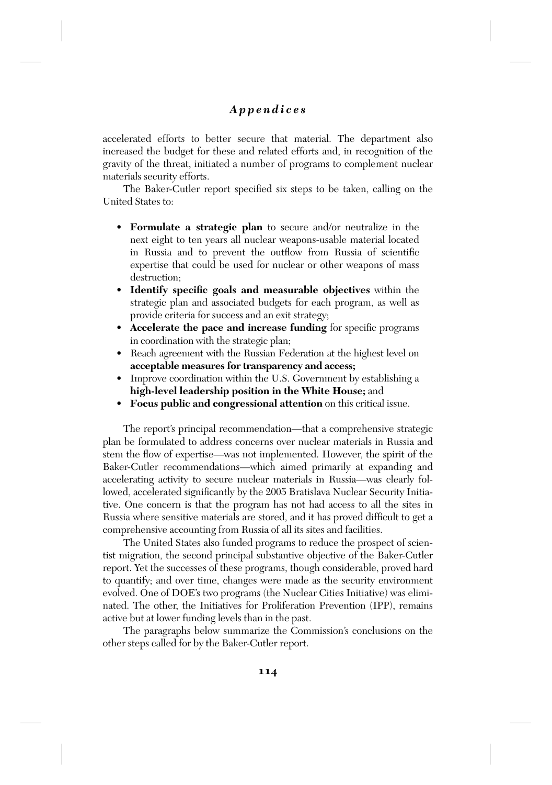accelerated efforts to better secure that material. The department also increased the budget for these and related efforts and, in recognition of the gravity of the threat, initiated a number of programs to complement nuclear materials security efforts.

The Baker-Cutler report specified six steps to be taken, calling on the United States to:

- **Formulate a strategic plan** to secure and/or neutralize in the next eight to ten years all nuclear weapons-usable material located in Russia and to prevent the outflow from Russia of scientific expertise that could be used for nuclear or other weapons of mass destruction;
- **Identify specific goals and measurable objectives** within the strategic plan and associated budgets for each program, as well as provide criteria for success and an exit strategy;
- **Accelerate the pace and increase funding** for specific programs in coordination with the strategic plan;
- Reach agreement with the Russian Federation at the highest level on **acceptable measures for transparency and access;**
- Improve coordination within the U.S. Government by establishing a **high-level leadership position in the White House;** and
- **Focus public and congressional attention** on this critical issue.

The report's principal recommendation—that a comprehensive strategic plan be formulated to address concerns over nuclear materials in Russia and stem the flow of expertise—was not implemented. However, the spirit of the Baker-Cutler recommendations—which aimed primarily at expanding and accelerating activity to secure nuclear materials in Russia—was clearly followed, accelerated significantly by the 2005 Bratislava Nuclear Security Initiative. One concern is that the program has not had access to all the sites in Russia where sensitive materials are stored, and it has proved difficult to get a comprehensive accounting from Russia of all its sites and facilities.

The United States also funded programs to reduce the prospect of scientist migration, the second principal substantive objective of the Baker-Cutler report. Yet the successes of these programs, though considerable, proved hard to quantify; and over time, changes were made as the security environment evolved. One of DOE's two programs (the Nuclear Cities Initiative) was eliminated. The other, the Initiatives for Proliferation Prevention (IPP), remains active but at lower funding levels than in the past.

The paragraphs below summarize the Commission's conclusions on the other steps called for by the Baker-Cutler report.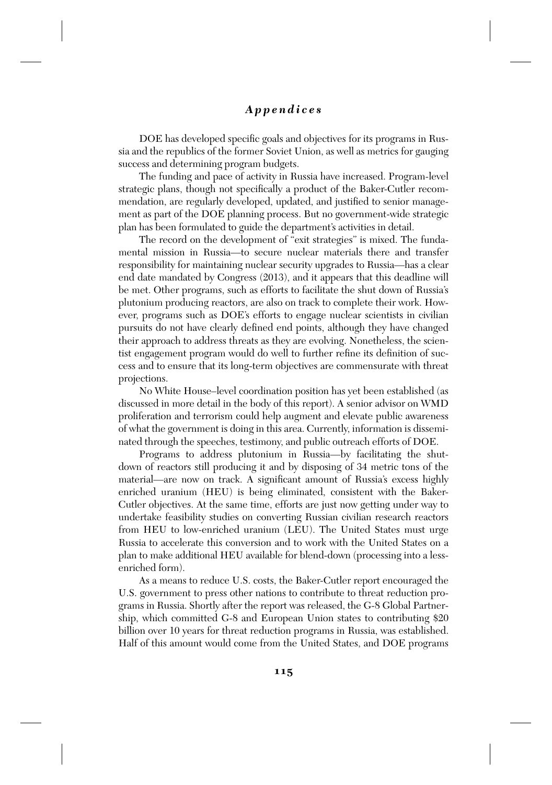DOE has developed specific goals and objectives for its programs in Russia and the republics of the former Soviet Union, as well as metrics for gauging success and determining program budgets.

The funding and pace of activity in Russia have increased. Program-level strategic plans, though not specifically a product of the Baker-Cutler recommendation, are regularly developed, updated, and justified to senior management as part of the DOE planning process. But no government-wide strategic plan has been formulated to guide the department's activities in detail.

The record on the development of "exit strategies" is mixed. The fundamental mission in Russia—to secure nuclear materials there and transfer responsibility for maintaining nuclear security upgrades to Russia—has a clear end date mandated by Congress (2013), and it appears that this deadline will be met. Other programs, such as efforts to facilitate the shut down of Russia's plutonium producing reactors, are also on track to complete their work. However, programs such as DOE's efforts to engage nuclear scientists in civilian pursuits do not have clearly defined end points, although they have changed their approach to address threats as they are evolving. Nonetheless, the scientist engagement program would do well to further refine its definition of success and to ensure that its long-term objectives are commensurate with threat projections.

No White House–level coordination position has yet been established (as discussed in more detail in the body of this report). A senior advisor on WMD proliferation and terrorism could help augment and elevate public awareness of what the government is doing in this area. Currently, information is disseminated through the speeches, testimony, and public outreach efforts of DOE.

Programs to address plutonium in Russia—by facilitating the shutdown of reactors still producing it and by disposing of 34 metric tons of the material—are now on track. A significant amount of Russia's excess highly enriched uranium (HEU) is being eliminated, consistent with the Baker-Cutler objectives. At the same time, efforts are just now getting under way to undertake feasibility studies on converting Russian civilian research reactors from HEU to low-enriched uranium (LEU). The United States must urge Russia to accelerate this conversion and to work with the United States on a plan to make additional HEU available for blend-down (processing into a lessenriched form).

As a means to reduce U.S. costs, the Baker-Cutler report encouraged the U.S. government to press other nations to contribute to threat reduction programs in Russia. Shortly after the report was released, the G-8 Global Partnership, which committed G-8 and European Union states to contributing \$20 billion over 10 years for threat reduction programs in Russia, was established. Half of this amount would come from the United States, and DOE programs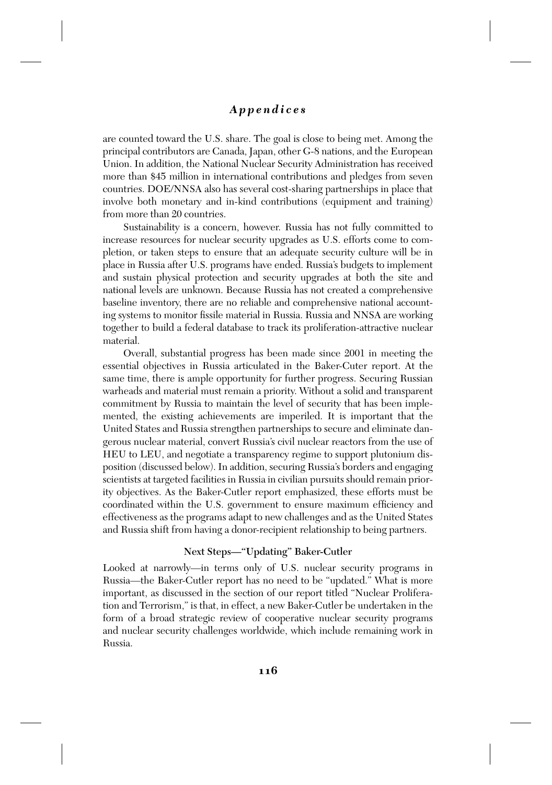are counted toward the U.S. share. The goal is close to being met. Among the principal contributors are Canada, Japan, other G-8 nations, and the European Union. In addition, the National Nuclear Security Administration has received more than \$45 million in international contributions and pledges from seven countries. DOE/NNSA also has several cost-sharing partnerships in place that involve both monetary and in-kind contributions (equipment and training) from more than 20 countries.

Sustainability is a concern, however. Russia has not fully committed to increase resources for nuclear security upgrades as U.S. efforts come to completion, or taken steps to ensure that an adequate security culture will be in place in Russia after U.S. programs have ended. Russia's budgets to implement and sustain physical protection and security upgrades at both the site and national levels are unknown. Because Russia has not created a comprehensive baseline inventory, there are no reliable and comprehensive national accounting systems to monitor fissile material in Russia. Russia and NNSA are working together to build a federal database to track its proliferation-attractive nuclear material.

Overall, substantial progress has been made since 2001 in meeting the essential objectives in Russia articulated in the Baker-Cuter report. At the same time, there is ample opportunity for further progress. Securing Russian warheads and material must remain a priority. Without a solid and transparent commitment by Russia to maintain the level of security that has been implemented, the existing achievements are imperiled. It is important that the United States and Russia strengthen partnerships to secure and eliminate dangerous nuclear material, convert Russia's civil nuclear reactors from the use of HEU to LEU, and negotiate a transparency regime to support plutonium disposition (discussed below). In addition, securing Russia's borders and engaging scientists at targeted facilities in Russia in civilian pursuits should remain priority objectives. As the Baker-Cutler report emphasized, these efforts must be coordinated within the U.S. government to ensure maximum efficiency and effectiveness as the programs adapt to new challenges and as the United States and Russia shift from having a donor-recipient relationship to being partners.

### **Next Steps—"Updating" Baker-Cutler**

Looked at narrowly—in terms only of U.S. nuclear security programs in Russia—the Baker-Cutler report has no need to be "updated." What is more important, as discussed in the section of our report titled "Nuclear Proliferation and Terrorism," is that, in effect, a new Baker-Cutler be undertaken in the form of a broad strategic review of cooperative nuclear security programs and nuclear security challenges worldwide, which include remaining work in Russia.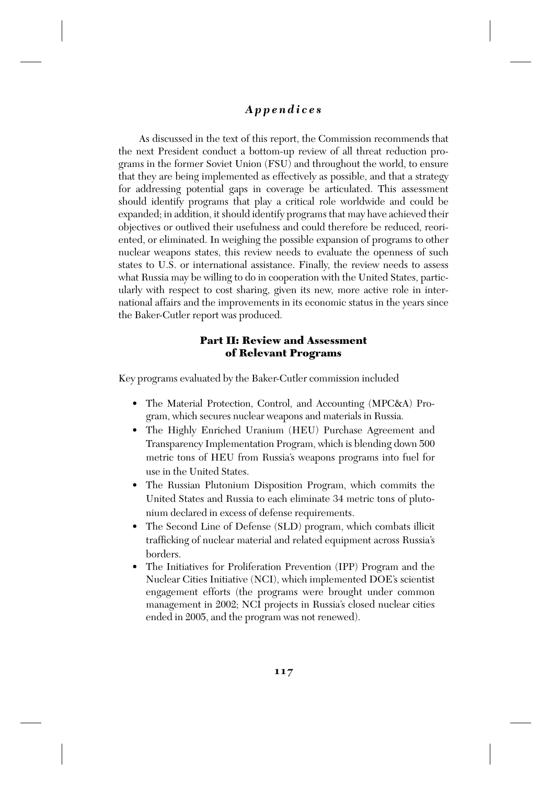As discussed in the text of this report, the Commission recommends that the next President conduct a bottom-up review of all threat reduction programs in the former Soviet Union (FSU) and throughout the world, to ensure that they are being implemented as effectively as possible, and that a strategy for addressing potential gaps in coverage be articulated. This assessment should identify programs that play a critical role worldwide and could be expanded; in addition, it should identify programs that may have achieved their objectives or outlived their usefulness and could therefore be reduced, reoriented, or eliminated. In weighing the possible expansion of programs to other nuclear weapons states, this review needs to evaluate the openness of such states to U.S. or international assistance. Finally, the review needs to assess what Russia may be willing to do in cooperation with the United States, particularly with respect to cost sharing, given its new, more active role in international affairs and the improvements in its economic status in the years since the Baker-Cutler report was produced.

### Part II: Review and Assessment of Relevant Programs

Key programs evaluated by the Baker-Cutler commission included

- The Material Protection, Control, and Accounting (MPC&A) Program, which secures nuclear weapons and materials in Russia.
- The Highly Enriched Uranium (HEU) Purchase Agreement and Transparency Implementation Program, which is blending down 500 metric tons of HEU from Russia's weapons programs into fuel for use in the United States.
- The Russian Plutonium Disposition Program, which commits the United States and Russia to each eliminate 34 metric tons of plutonium declared in excess of defense requirements.
- The Second Line of Defense (SLD) program, which combats illicit trafficking of nuclear material and related equipment across Russia's borders.
- The Initiatives for Proliferation Prevention (IPP) Program and the Nuclear Cities Initiative (NCI), which implemented DOE's scientist engagement efforts (the programs were brought under common management in 2002; NCI projects in Russia's closed nuclear cities ended in 2005, and the program was not renewed).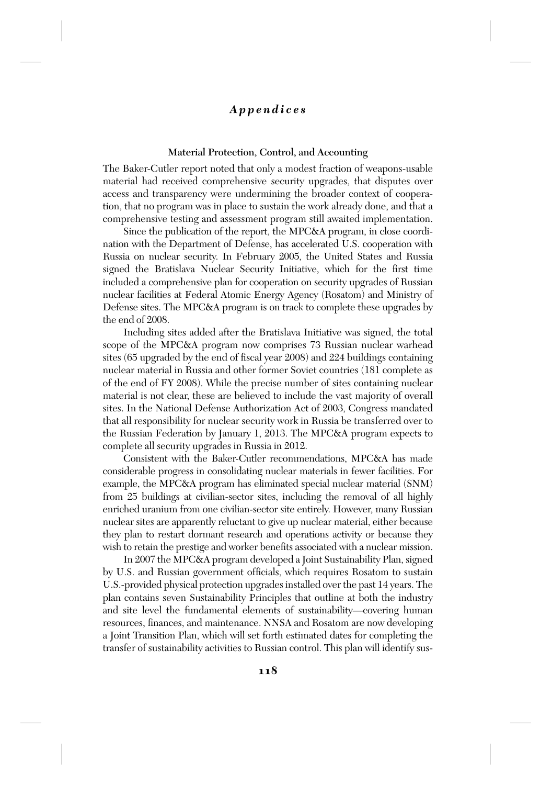#### **Material Protection, Control, and Accounting**

The Baker-Cutler report noted that only a modest fraction of weapons-usable material had received comprehensive security upgrades, that disputes over access and transparency were undermining the broader context of cooperation, that no program was in place to sustain the work already done, and that a comprehensive testing and assessment program still awaited implementation.

Since the publication of the report, the MPC&A program, in close coordination with the Department of Defense, has accelerated U.S. cooperation with Russia on nuclear security. In February 2005, the United States and Russia signed the Bratislava Nuclear Security Initiative, which for the first time included a comprehensive plan for cooperation on security upgrades of Russian nuclear facilities at Federal Atomic Energy Agency (Rosatom) and Ministry of Defense sites. The MPC&A program is on track to complete these upgrades by the end of 2008.

Including sites added after the Bratislava Initiative was signed, the total scope of the MPC&A program now comprises 73 Russian nuclear warhead sites (65 upgraded by the end of fiscal year 2008) and 224 buildings containing nuclear material in Russia and other former Soviet countries (181 complete as of the end of FY 2008). While the precise number of sites containing nuclear material is not clear, these are believed to include the vast majority of overall sites. In the National Defense Authorization Act of 2003, Congress mandated that all responsibility for nuclear security work in Russia be transferred over to the Russian Federation by January 1, 2013. The MPC&A program expects to complete all security upgrades in Russia in 2012.

Consistent with the Baker-Cutler recommendations, MPC&A has made considerable progress in consolidating nuclear materials in fewer facilities. For example, the MPC&A program has eliminated special nuclear material (SNM) from 25 buildings at civilian-sector sites, including the removal of all highly enriched uranium from one civilian-sector site entirely. However, many Russian nuclear sites are apparently reluctant to give up nuclear material, either because they plan to restart dormant research and operations activity or because they wish to retain the prestige and worker benefits associated with a nuclear mission.

In 2007 the MPC&A program developed a Joint Sustainability Plan, signed by U.S. and Russian government officials, which requires Rosatom to sustain U.S.-provided physical protection upgrades installed over the past 14 years. The plan contains seven Sustainability Principles that outline at both the industry and site level the fundamental elements of sustainability—covering human resources, finances, and maintenance. NNSA and Rosatom are now developing a Joint Transition Plan, which will set forth estimated dates for completing the transfer of sustainability activities to Russian control. This plan will identify sus-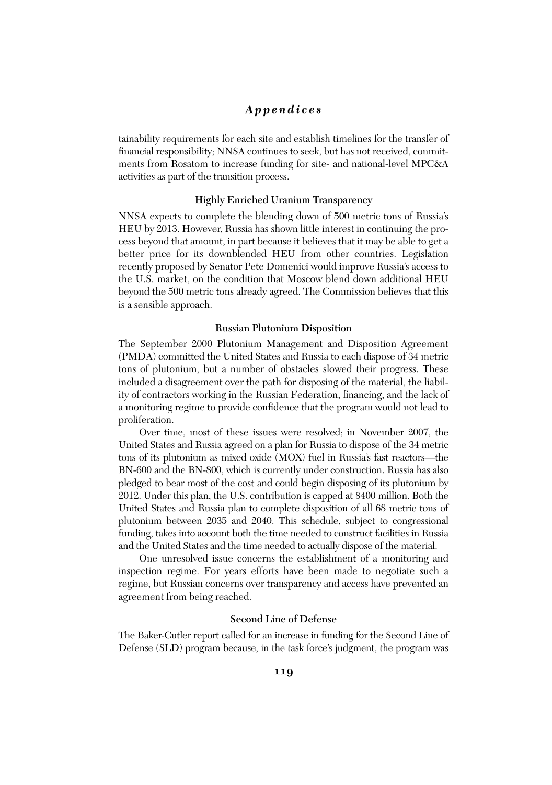tainability requirements for each site and establish timelines for the transfer of financial responsibility; NNSA continues to seek, but has not received, commitments from Rosatom to increase funding for site- and national-level MPC&A activities as part of the transition process.

#### **Highly Enriched Uranium Transparency**

NNSA expects to complete the blending down of 500 metric tons of Russia's HEU by 2013. However, Russia has shown little interest in continuing the process beyond that amount, in part because it believes that it may be able to get a better price for its downblended HEU from other countries. Legislation recently proposed by Senator Pete Domenici would improve Russia's access to the U.S. market, on the condition that Moscow blend down additional HEU beyond the 500 metric tons already agreed. The Commission believes that this is a sensible approach.

#### **Russian Plutonium Disposition**

The September 2000 Plutonium Management and Disposition Agreement (PMDA) committed the United States and Russia to each dispose of 34 metric tons of plutonium, but a number of obstacles slowed their progress. These included a disagreement over the path for disposing of the material, the liability of contractors working in the Russian Federation, financing, and the lack of a monitoring regime to provide confidence that the program would not lead to proliferation.

Over time, most of these issues were resolved; in November 2007, the United States and Russia agreed on a plan for Russia to dispose of the 34 metric tons of its plutonium as mixed oxide (MOX) fuel in Russia's fast reactors—the BN-600 and the BN-800, which is currently under construction. Russia has also pledged to bear most of the cost and could begin disposing of its plutonium by 2012. Under this plan, the U.S. contribution is capped at \$400 million. Both the United States and Russia plan to complete disposition of all 68 metric tons of plutonium between 2035 and 2040. This schedule, subject to congressional funding, takes into account both the time needed to construct facilities in Russia and the United States and the time needed to actually dispose of the material.

One unresolved issue concerns the establishment of a monitoring and inspection regime. For years efforts have been made to negotiate such a regime, but Russian concerns over transparency and access have prevented an agreement from being reached.

#### **Second Line of Defense**

The Baker-Cutler report called for an increase in funding for the Second Line of Defense (SLD) program because, in the task force's judgment, the program was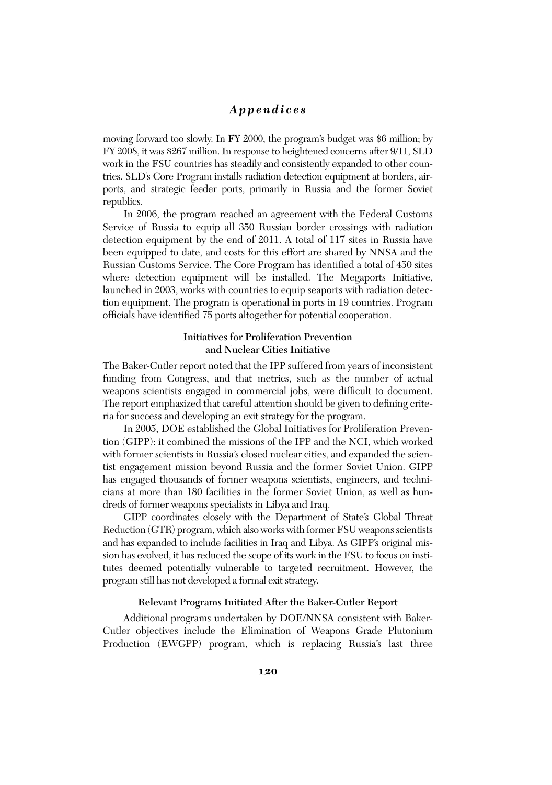moving forward too slowly. In FY 2000, the program's budget was \$6 million; by FY 2008, it was \$267 million. In response to heightened concerns after 9/11, SLD work in the FSU countries has steadily and consistently expanded to other countries. SLD's Core Program installs radiation detection equipment at borders, airports, and strategic feeder ports, primarily in Russia and the former Soviet republics.

In 2006, the program reached an agreement with the Federal Customs Service of Russia to equip all 350 Russian border crossings with radiation detection equipment by the end of 2011. A total of 117 sites in Russia have been equipped to date, and costs for this effort are shared by NNSA and the Russian Customs Service. The Core Program has identified a total of 450 sites where detection equipment will be installed. The Megaports Initiative, launched in 2003, works with countries to equip seaports with radiation detection equipment. The program is operational in ports in 19 countries. Program officials have identified 75 ports altogether for potential cooperation.

### **Initiatives for Proliferation Prevention and Nuclear Cities Initiative**

The Baker-Cutler report noted that the IPP suffered from years of inconsistent funding from Congress, and that metrics, such as the number of actual weapons scientists engaged in commercial jobs, were difficult to document. The report emphasized that careful attention should be given to defining criteria for success and developing an exit strategy for the program.

In 2005, DOE established the Global Initiatives for Proliferation Prevention (GIPP): it combined the missions of the IPP and the NCI, which worked with former scientists in Russia's closed nuclear cities, and expanded the scientist engagement mission beyond Russia and the former Soviet Union. GIPP has engaged thousands of former weapons scientists, engineers, and technicians at more than 180 facilities in the former Soviet Union, as well as hundreds of former weapons specialists in Libya and Iraq.

GIPP coordinates closely with the Department of State's Global Threat Reduction (GTR) program, which also works with former FSU weapons scientists and has expanded to include facilities in Iraq and Libya. As GIPP's original mission has evolved, it has reduced the scope of its work in the FSU to focus on institutes deemed potentially vulnerable to targeted recruitment. However, the program still has not developed a formal exit strategy.

### **Relevant Programs Initiated After the Baker-Cutler Report**

Additional programs undertaken by DOE/NNSA consistent with Baker-Cutler objectives include the Elimination of Weapons Grade Plutonium Production (EWGPP) program, which is replacing Russia's last three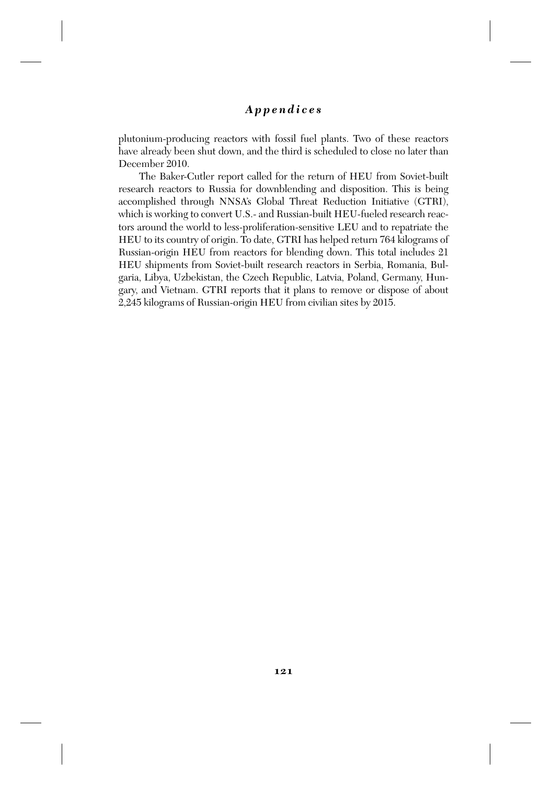plutonium-producing reactors with fossil fuel plants. Two of these reactors have already been shut down, and the third is scheduled to close no later than December 2010.

The Baker-Cutler report called for the return of HEU from Soviet-built research reactors to Russia for downblending and disposition. This is being accomplished through NNSA's Global Threat Reduction Initiative (GTRI), which is working to convert U.S.- and Russian-built HEU-fueled research reactors around the world to less-proliferation-sensitive LEU and to repatriate the HEU to its country of origin. To date, GTRI has helped return 764 kilograms of Russian-origin HEU from reactors for blending down. This total includes 21 HEU shipments from Soviet-built research reactors in Serbia, Romania, Bulgaria, Libya, Uzbekistan, the Czech Republic, Latvia, Poland, Germany, Hungary, and Vietnam. GTRI reports that it plans to remove or dispose of about 2,245 kilograms of Russian-origin HEU from civilian sites by 2015.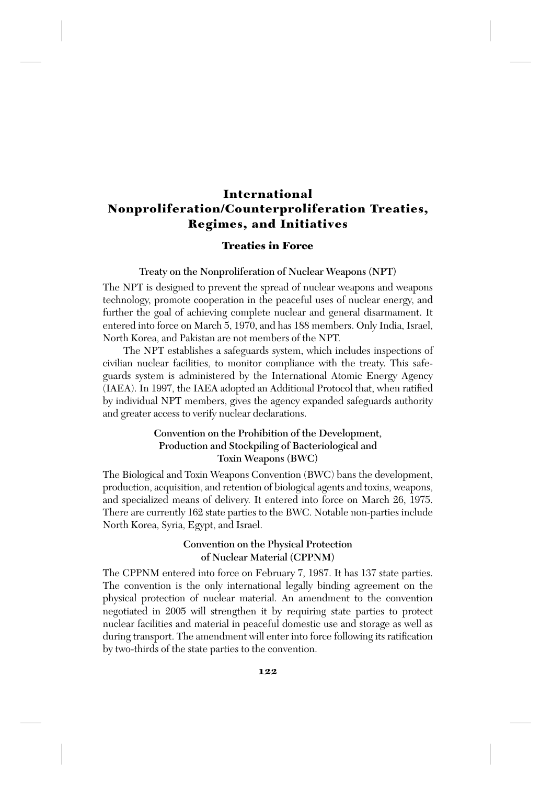### International Nonproliferation/Counterproliferation Treaties, Regimes, and Initiatives

### Treaties in Force

#### **Treaty on the Nonproliferation of Nuclear Weapons (NPT)**

The NPT is designed to prevent the spread of nuclear weapons and weapons technology, promote cooperation in the peaceful uses of nuclear energy, and further the goal of achieving complete nuclear and general disarmament. It entered into force on March 5, 1970, and has 188 members. Only India, Israel, North Korea, and Pakistan are not members of the NPT.

The NPT establishes a safeguards system, which includes inspections of civilian nuclear facilities, to monitor compliance with the treaty. This safeguards system is administered by the International Atomic Energy Agency (IAEA). In 1997, the IAEA adopted an Additional Protocol that, when ratified by individual NPT members, gives the agency expanded safeguards authority and greater access to verify nuclear declarations.

### **Convention on the Prohibition of the Development, Production and Stockpiling of Bacteriological and Toxin Weapons (BWC)**

The Biological and Toxin Weapons Convention (BWC) bans the development, production, acquisition, and retention of biological agents and toxins, weapons, and specialized means of delivery. It entered into force on March 26, 1975. There are currently 162 state parties to the BWC. Notable non-parties include North Korea, Syria, Egypt, and Israel.

### **Convention on the Physical Protection of Nuclear Material (CPPNM)**

The CPPNM entered into force on February 7, 1987. It has 137 state parties. The convention is the only international legally binding agreement on the physical protection of nuclear material. An amendment to the convention negotiated in 2005 will strengthen it by requiring state parties to protect nuclear facilities and material in peaceful domestic use and storage as well as during transport. The amendment will enter into force following its ratification by two-thirds of the state parties to the convention.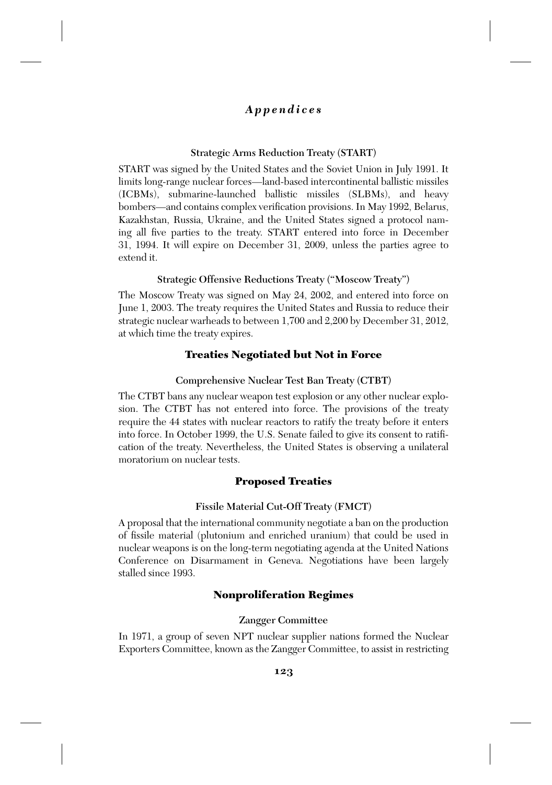### **Strategic Arms Reduction Treaty (START)**

START was signed by the United States and the Soviet Union in July 1991. It limits long-range nuclear forces—land-based intercontinental ballistic missiles (ICBMs), submarine-launched ballistic missiles (SLBMs), and heavy bombers—and contains complex verification provisions. In May 1992, Belarus, Kazakhstan, Russia, Ukraine, and the United States signed a protocol naming all five parties to the treaty. START entered into force in December 31, 1994. It will expire on December 31, 2009, unless the parties agree to extend it.

### **Strategic Offensive Reductions Treaty ("Moscow Treaty")**

The Moscow Treaty was signed on May 24, 2002, and entered into force on June 1, 2003. The treaty requires the United States and Russia to reduce their strategic nuclear warheads to between 1,700 and 2,200 by December 31, 2012, at which time the treaty expires.

### Treaties Negotiated but Not in Force

### **Comprehensive Nuclear Test Ban Treaty (CTBT)**

The CTBT bans any nuclear weapon test explosion or any other nuclear explosion. The CTBT has not entered into force. The provisions of the treaty require the 44 states with nuclear reactors to ratify the treaty before it enters into force. In October 1999, the U.S. Senate failed to give its consent to ratification of the treaty. Nevertheless, the United States is observing a unilateral moratorium on nuclear tests.

### Proposed Treaties

#### **Fissile Material Cut-Off Treaty (FMCT)**

A proposal that the international community negotiate a ban on the production of fissile material (plutonium and enriched uranium) that could be used in nuclear weapons is on the long-term negotiating agenda at the United Nations Conference on Disarmament in Geneva. Negotiations have been largely stalled since 1993.

### Nonproliferation Regimes

#### **Zangger Committee**

In 1971, a group of seven NPT nuclear supplier nations formed the Nuclear Exporters Committee, known as the Zangger Committee, to assist in restricting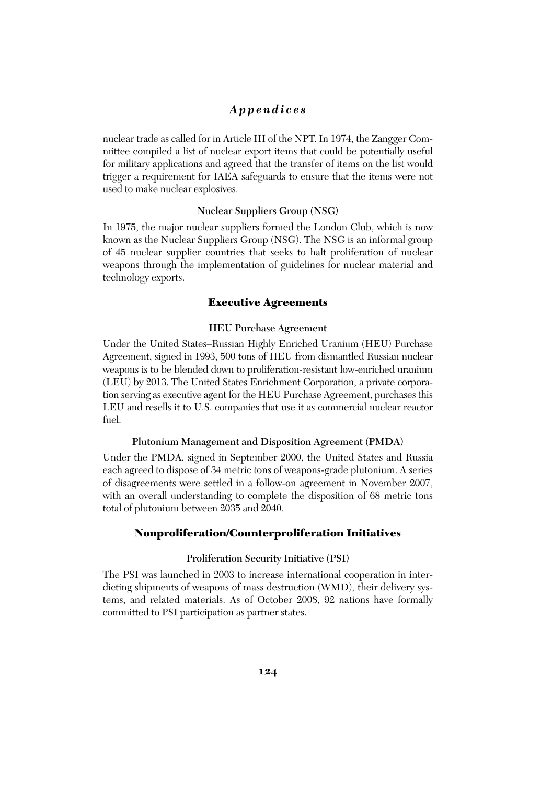nuclear trade as called for in Article III of the NPT. In 1974, the Zangger Committee compiled a list of nuclear export items that could be potentially useful for military applications and agreed that the transfer of items on the list would trigger a requirement for IAEA safeguards to ensure that the items were not used to make nuclear explosives.

### **Nuclear Suppliers Group (NSG)**

In 1975, the major nuclear suppliers formed the London Club, which is now known as the Nuclear Suppliers Group (NSG). The NSG is an informal group of 45 nuclear supplier countries that seeks to halt proliferation of nuclear weapons through the implementation of guidelines for nuclear material and technology exports.

### Executive Agreements

#### **HEU Purchase Agreement**

Under the United States–Russian Highly Enriched Uranium (HEU) Purchase Agreement, signed in 1993, 500 tons of HEU from dismantled Russian nuclear weapons is to be blended down to proliferation-resistant low-enriched uranium (LEU) by 2013. The United States Enrichment Corporation, a private corporation serving as executive agent for the HEU Purchase Agreement, purchases this LEU and resells it to U.S. companies that use it as commercial nuclear reactor fuel.

#### **Plutonium Management and Disposition Agreement (PMDA)**

Under the PMDA, signed in September 2000, the United States and Russia each agreed to dispose of 34 metric tons of weapons-grade plutonium. A series of disagreements were settled in a follow-on agreement in November 2007, with an overall understanding to complete the disposition of 68 metric tons total of plutonium between 2035 and 2040.

### Nonproliferation/Counterproliferation Initiatives

#### **Proliferation Security Initiative (PSI)**

The PSI was launched in 2003 to increase international cooperation in interdicting shipments of weapons of mass destruction (WMD), their delivery systems, and related materials. As of October 2008, 92 nations have formally committed to PSI participation as partner states.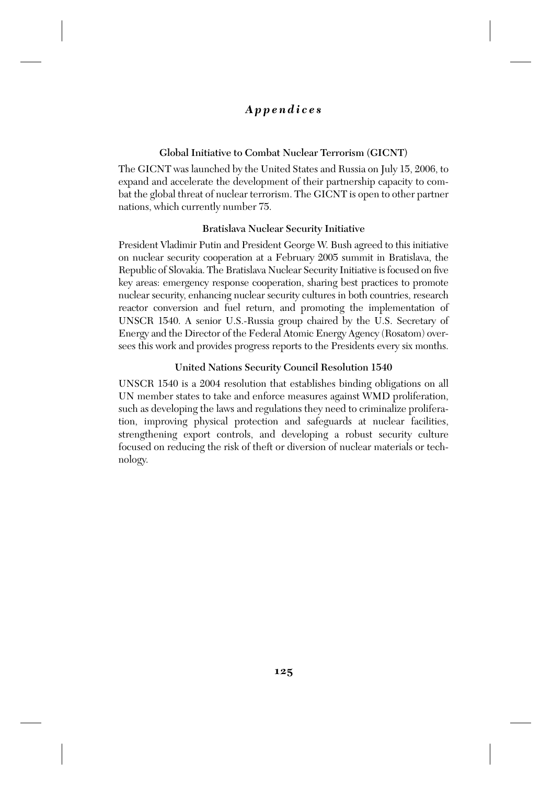### **Global Initiative to Combat Nuclear Terrorism (GICNT)**

The GICNT was launched by the United States and Russia on July 15, 2006, to expand and accelerate the development of their partnership capacity to combat the global threat of nuclear terrorism. The GICNT is open to other partner nations, which currently number 75.

### **Bratislava Nuclear Security Initiative**

President Vladimir Putin and President George W. Bush agreed to this initiative on nuclear security cooperation at a February 2005 summit in Bratislava, the Republic of Slovakia. The Bratislava Nuclear Security Initiative is focused on five key areas: emergency response cooperation, sharing best practices to promote nuclear security, enhancing nuclear security cultures in both countries, research reactor conversion and fuel return, and promoting the implementation of UNSCR 1540. A senior U.S.-Russia group chaired by the U.S. Secretary of Energy and the Director of the Federal Atomic Energy Agency (Rosatom) oversees this work and provides progress reports to the Presidents every six months.

### **United Nations Security Council Resolution 1540**

UNSCR 1540 is a 2004 resolution that establishes binding obligations on all UN member states to take and enforce measures against WMD proliferation, such as developing the laws and regulations they need to criminalize proliferation, improving physical protection and safeguards at nuclear facilities, strengthening export controls, and developing a robust security culture focused on reducing the risk of theft or diversion of nuclear materials or technology.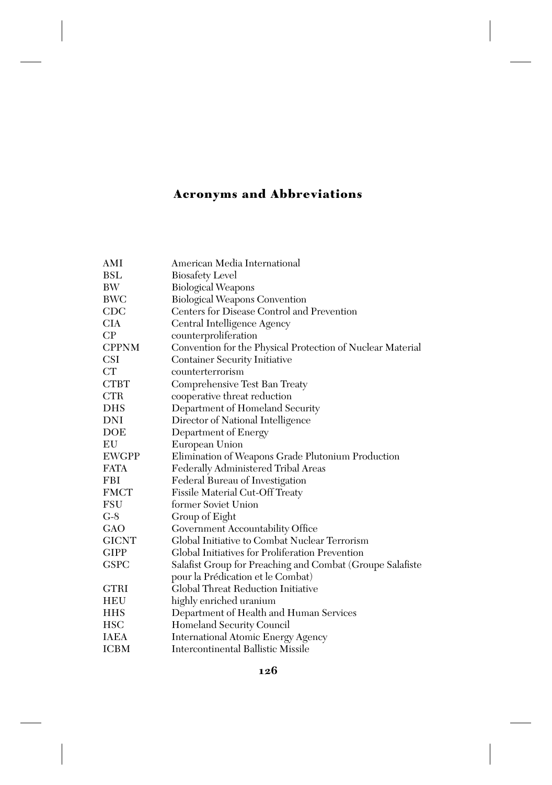# Acronyms and Abbreviations

| AMI          | American Media International                               |
|--------------|------------------------------------------------------------|
| BSL          | <b>Biosafety Level</b>                                     |
| BW           | <b>Biological Weapons</b>                                  |
| BWC          | <b>Biological Weapons Convention</b>                       |
| CDC          | Centers for Disease Control and Prevention                 |
| CIA          | Central Intelligence Agency                                |
| CP           | counterproliferation                                       |
| <b>CPPNM</b> | Convention for the Physical Protection of Nuclear Material |
| <b>CSI</b>   | Container Security Initiative                              |
| CT           | counterterrorism                                           |
| <b>CTBT</b>  | Comprehensive Test Ban Treaty                              |
| <b>CTR</b>   | cooperative threat reduction                               |
| <b>DHS</b>   | Department of Homeland Security                            |
| DNI          | Director of National Intelligence                          |
| DOE          | Department of Energy                                       |
| ΕU           | European Union                                             |
| <b>EWGPP</b> | Elimination of Weapons Grade Plutonium Production          |
| <b>FATA</b>  | Federally Administered Tribal Areas                        |
| FBI          | Federal Bureau of Investigation                            |
| <b>FMCT</b>  | Fissile Material Cut-Off Treaty                            |
| FSU          | former Soviet Union                                        |
| $G-8$        | Group of Eight                                             |
| <b>GAO</b>   | Government Accountability Office                           |
| <b>GICNT</b> | Global Initiative to Combat Nuclear Terrorism              |
| <b>GIPP</b>  | Global Initiatives for Proliferation Prevention            |
| <b>GSPC</b>  | Salafist Group for Preaching and Combat (Groupe Salafiste  |
|              | pour la Prédication et le Combat)                          |
| <b>GTRI</b>  | Global Threat Reduction Initiative                         |
| <b>HEU</b>   | highly enriched uranium                                    |
| HHS          | Department of Health and Human Services                    |
| <b>HSC</b>   | Homeland Security Council                                  |
| IAEA         | International Atomic Energy Agency                         |
| <b>ICBM</b>  | Intercontinental Ballistic Missile                         |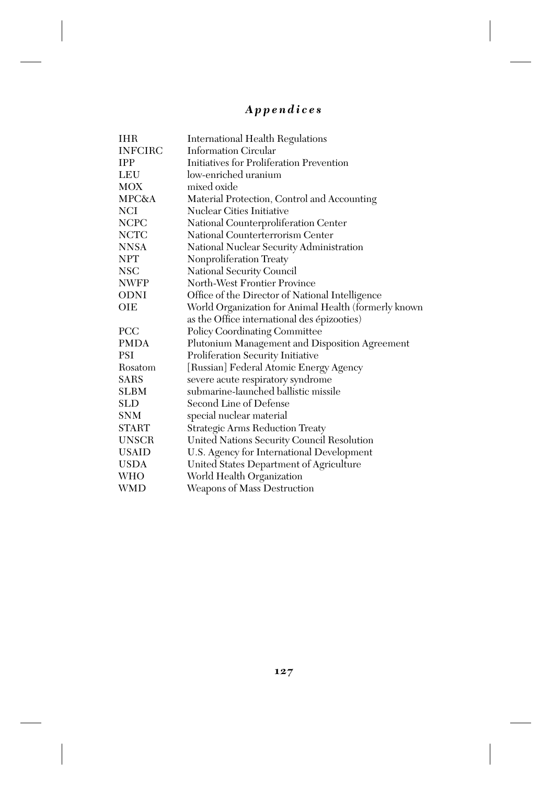| <b>IHR</b>       | <b>International Health Regulations</b>              |
|------------------|------------------------------------------------------|
| <b>INFCIRC</b>   | Information Circular                                 |
| <b>IPP</b>       | Initiatives for Proliferation Prevention             |
| LEU              | low-enriched uranium                                 |
| <b>MOX</b>       | mixed oxide                                          |
| <b>MPC&amp;A</b> | Material Protection, Control and Accounting          |
| <b>NCI</b>       | Nuclear Cities Initiative                            |
| <b>NCPC</b>      | National Counterproliferation Center                 |
| <b>NCTC</b>      | National Counterterrorism Center                     |
| <b>NNSA</b>      | National Nuclear Security Administration             |
| <b>NPT</b>       | Nonproliferation Treaty                              |
| NSC              | National Security Council                            |
| NWFP             | North-West Frontier Province                         |
| <b>ODNI</b>      | Office of the Director of National Intelligence      |
| OIE              | World Organization for Animal Health (formerly known |
|                  | as the Office international des épizooties)          |
| PCC              | Policy Coordinating Committee                        |
| <b>PMDA</b>      | Plutonium Management and Disposition Agreement       |
| PSI              | Proliferation Security Initiative                    |
| Rosatom          | [Russian] Federal Atomic Energy Agency               |
| <b>SARS</b>      | severe acute respiratory syndrome                    |
| <b>SLBM</b>      | submarine-launched ballistic missile                 |
| <b>SLD</b>       | Second Line of Defense                               |
| <b>SNM</b>       | special nuclear material                             |
| <b>START</b>     | Strategic Arms Reduction Treaty                      |
| <b>UNSCR</b>     | United Nations Security Council Resolution           |
| <b>USAID</b>     | U.S. Agency for International Development            |
| <b>USDA</b>      | United States Department of Agriculture              |
| <b>WHO</b>       | World Health Organization                            |
| WMD              | Weapons of Mass Destruction                          |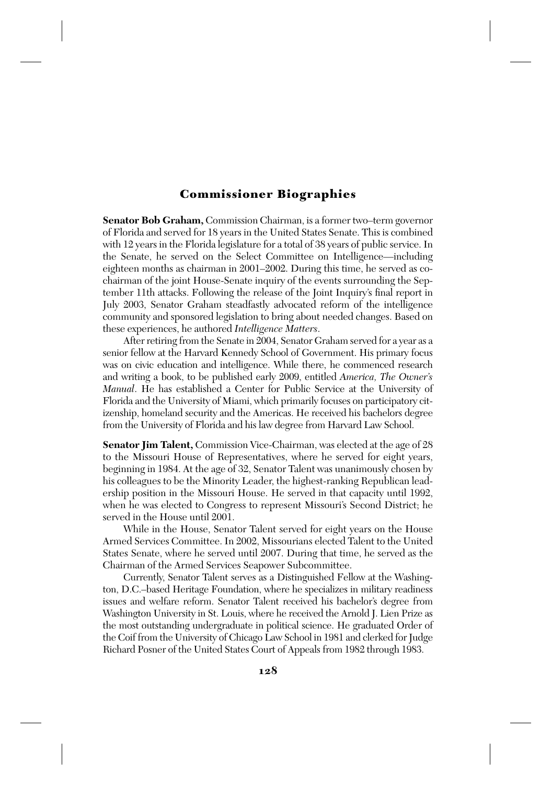### Commissioner Biographies

**Senator Bob Graham,** Commission Chairman, is a former two–term governor of Florida and served for 18 years in the United States Senate. This is combined with 12 years in the Florida legislature for a total of 38 years of public service. In the Senate, he served on the Select Committee on Intelligence—including eighteen months as chairman in 2001–2002. During this time, he served as cochairman of the joint House-Senate inquiry of the events surrounding the September 11th attacks. Following the release of the Joint Inquiry's final report in July 2003, Senator Graham steadfastly advocated reform of the intelligence community and sponsored legislation to bring about needed changes. Based on these experiences, he authored *Intelligence Matters*.

After retiring from the Senate in 2004, Senator Graham served for a year as a senior fellow at the Harvard Kennedy School of Government. His primary focus was on civic education and intelligence. While there, he commenced research and writing a book, to be published early 2009, entitled *America, The Owner's Manual*. He has established a Center for Public Service at the University of Florida and the University of Miami, which primarily focuses on participatory citizenship, homeland security and the Americas. He received his bachelors degree from the University of Florida and his law degree from Harvard Law School.

**Senator Jim Talent,** Commission Vice-Chairman, was elected at the age of 28 to the Missouri House of Representatives, where he served for eight years, beginning in 1984. At the age of 32, Senator Talent was unanimously chosen by his colleagues to be the Minority Leader, the highest-ranking Republican leadership position in the Missouri House. He served in that capacity until 1992, when he was elected to Congress to represent Missouri's Second District; he served in the House until 2001.

While in the House, Senator Talent served for eight years on the House Armed Services Committee. In 2002, Missourians elected Talent to the United States Senate, where he served until 2007. During that time, he served as the Chairman of the Armed Services Seapower Subcommittee.

Currently, Senator Talent serves as a Distinguished Fellow at the Washington, D.C.–based Heritage Foundation, where he specializes in military readiness issues and welfare reform. Senator Talent received his bachelor's degree from Washington University in St. Louis, where he received the Arnold J. Lien Prize as the most outstanding undergraduate in political science. He graduated Order of the Coif from the University of Chicago Law School in 1981 and clerked for Judge Richard Posner of the United States Court of Appeals from 1982 through 1983.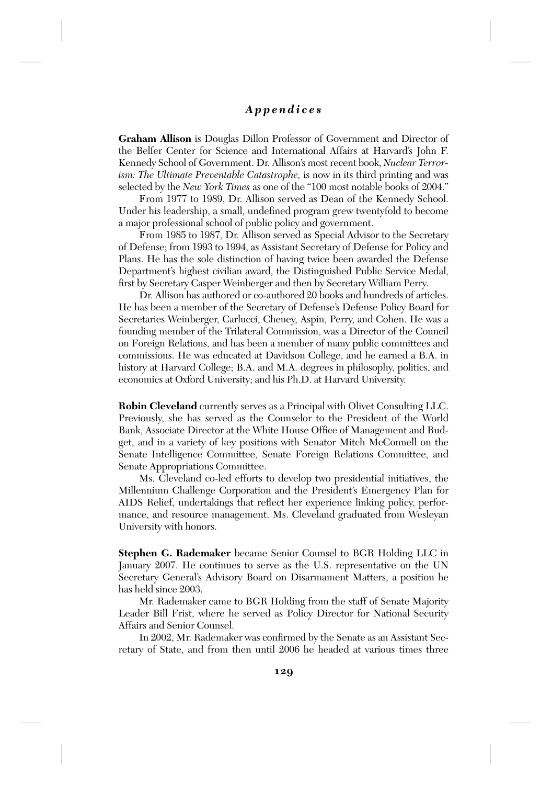**Graham Allison** is Douglas Dillon Professor of Government and Director of the Belfer Center for Science and International Affairs at Harvard's John F. Kennedy School of Government. Dr. Allison's most recent book, *Nuclear Terrorism: The Ultimate Preventable Catastrophe,* is now in its third printing and was selected by the *New York Times* as one of the "100 most notable books of 2004."

From 1977 to 1989, Dr. Allison served as Dean of the Kennedy School. Under his leadership, a small, undefined program grew twentyfold to become a major professional school of public policy and government.

From 1985 to 1987, Dr. Allison served as Special Advisor to the Secretary of Defense; from 1993 to 1994, as Assistant Secretary of Defense for Policy and Plans. He has the sole distinction of having twice been awarded the Defense Department's highest civilian award, the Distinguished Public Service Medal, first by Secretary Casper Weinberger and then by Secretary William Perry.

Dr. Allison has authored or co-authored 20 books and hundreds of articles. He has been a member of the Secretary of Defense's Defense Policy Board for Secretaries Weinberger, Carlucci, Cheney, Aspin, Perry, and Cohen. He was a founding member of the Trilateral Commission, was a Director of the Council on Foreign Relations, and has been a member of many public committees and commissions. He was educated at Davidson College, and he earned a B.A. in history at Harvard College; B.A. and M.A. degrees in philosophy, politics, and economics at Oxford University; and his Ph.D. at Harvard University.

**Robin Cleveland** currently serves as a Principal with Olivet Consulting LLC. Previously, she has served as the Counselor to the President of the World Bank, Associate Director at the White House Office of Management and Budget, and in a variety of key positions with Senator Mitch McConnell on the Senate Intelligence Committee, Senate Foreign Relations Committee, and Senate Appropriations Committee.

Ms. Cleveland co-led efforts to develop two presidential initiatives, the Millennium Challenge Corporation and the President's Emergency Plan for AIDS Relief, undertakings that reflect her experience linking policy, performance, and resource management. Ms. Cleveland graduated from Wesleyan University with honors.

**Stephen G. Rademaker** became Senior Counsel to BGR Holding LLC in January 2007. He continues to serve as the U.S. representative on the UN Secretary General's Advisory Board on Disarmament Matters, a position he has held since 2003.

Mr. Rademaker came to BGR Holding from the staff of Senate Majority Leader Bill Frist, where he served as Policy Director for National Security Affairs and Senior Counsel.

In 2002, Mr. Rademaker was confirmed by the Senate as an Assistant Secretary of State, and from then until 2006 he headed at various times three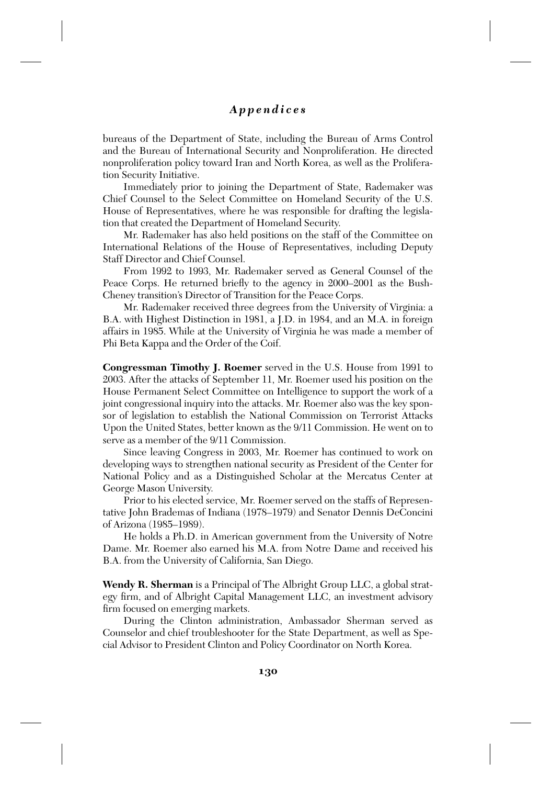bureaus of the Department of State, including the Bureau of Arms Control and the Bureau of International Security and Nonproliferation. He directed nonproliferation policy toward Iran and North Korea, as well as the Proliferation Security Initiative.

Immediately prior to joining the Department of State, Rademaker was Chief Counsel to the Select Committee on Homeland Security of the U.S. House of Representatives, where he was responsible for drafting the legislation that created the Department of Homeland Security.

Mr. Rademaker has also held positions on the staff of the Committee on International Relations of the House of Representatives, including Deputy Staff Director and Chief Counsel.

From 1992 to 1993, Mr. Rademaker served as General Counsel of the Peace Corps. He returned briefly to the agency in 2000–2001 as the Bush-Cheney transition's Director of Transition for the Peace Corps.

Mr. Rademaker received three degrees from the University of Virginia: a B.A. with Highest Distinction in 1981, a J.D. in 1984, and an M.A. in foreign affairs in 1985. While at the University of Virginia he was made a member of Phi Beta Kappa and the Order of the Coif.

**Congressman Timothy J. Roemer** served in the U.S. House from 1991 to 2003. After the attacks of September 11, Mr. Roemer used his position on the House Permanent Select Committee on Intelligence to support the work of a joint congressional inquiry into the attacks. Mr. Roemer also was the key sponsor of legislation to establish the National Commission on Terrorist Attacks Upon the United States, better known as the 9/11 Commission. He went on to serve as a member of the 9/11 Commission.

Since leaving Congress in 2003, Mr. Roemer has continued to work on developing ways to strengthen national security as President of the Center for National Policy and as a Distinguished Scholar at the Mercatus Center at George Mason University.

Prior to his elected service, Mr. Roemer served on the staffs of Representative John Brademas of Indiana (1978–1979) and Senator Dennis DeConcini of Arizona (1985–1989).

He holds a Ph.D. in American government from the University of Notre Dame. Mr. Roemer also earned his M.A. from Notre Dame and received his B.A. from the University of California, San Diego.

**Wendy R. Sherman** is a Principal of The Albright Group LLC, a global strategy firm, and of Albright Capital Management LLC, an investment advisory firm focused on emerging markets.

During the Clinton administration, Ambassador Sherman served as Counselor and chief troubleshooter for the State Department, as well as Special Advisor to President Clinton and Policy Coordinator on North Korea.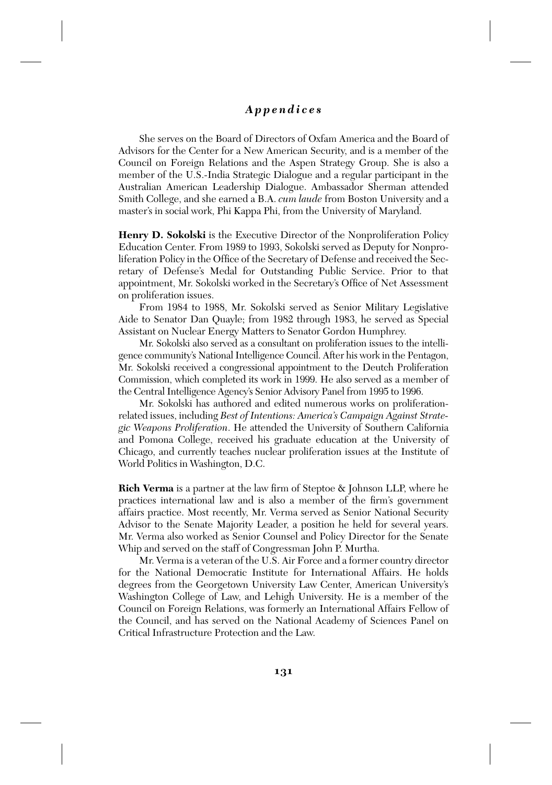She serves on the Board of Directors of Oxfam America and the Board of Advisors for the Center for a New American Security, and is a member of the Council on Foreign Relations and the Aspen Strategy Group. She is also a member of the U.S.-India Strategic Dialogue and a regular participant in the Australian American Leadership Dialogue. Ambassador Sherman attended Smith College, and she earned a B.A. *cum laude* from Boston University and a master's in social work, Phi Kappa Phi, from the University of Maryland.

**Henry D. Sokolski** is the Executive Director of the Nonproliferation Policy Education Center. From 1989 to 1993, Sokolski served as Deputy for Nonproliferation Policy in the Office of the Secretary of Defense and received the Secretary of Defense's Medal for Outstanding Public Service. Prior to that appointment, Mr. Sokolski worked in the Secretary's Office of Net Assessment on proliferation issues.

From 1984 to 1988, Mr. Sokolski served as Senior Military Legislative Aide to Senator Dan Quayle; from 1982 through 1983, he served as Special Assistant on Nuclear Energy Matters to Senator Gordon Humphrey.

Mr. Sokolski also served as a consultant on proliferation issues to the intelligence community's National Intelligence Council. After his work in the Pentagon, Mr. Sokolski received a congressional appointment to the Deutch Proliferation Commission, which completed its work in 1999. He also served as a member of the Central Intelligence Agency's Senior Advisory Panel from 1995 to 1996.

Mr. Sokolski has authored and edited numerous works on proliferationrelated issues, including *Best of Intentions: America's Campaign Against Strategic Weapons Proliferation*. He attended the University of Southern California and Pomona College, received his graduate education at the University of Chicago, and currently teaches nuclear proliferation issues at the Institute of World Politics in Washington, D.C.

**Rich Verma** is a partner at the law firm of Steptoe & Johnson LLP, where he practices international law and is also a member of the firm's government affairs practice. Most recently, Mr. Verma served as Senior National Security Advisor to the Senate Majority Leader, a position he held for several years. Mr. Verma also worked as Senior Counsel and Policy Director for the Senate Whip and served on the staff of Congressman John P. Murtha.

Mr. Verma is a veteran of the U.S. Air Force and a former country director for the National Democratic Institute for International Affairs. He holds degrees from the Georgetown University Law Center, American University's Washington College of Law, and Lehigh University. He is a member of the Council on Foreign Relations, was formerly an International Affairs Fellow of the Council, and has served on the National Academy of Sciences Panel on Critical Infrastructure Protection and the Law.